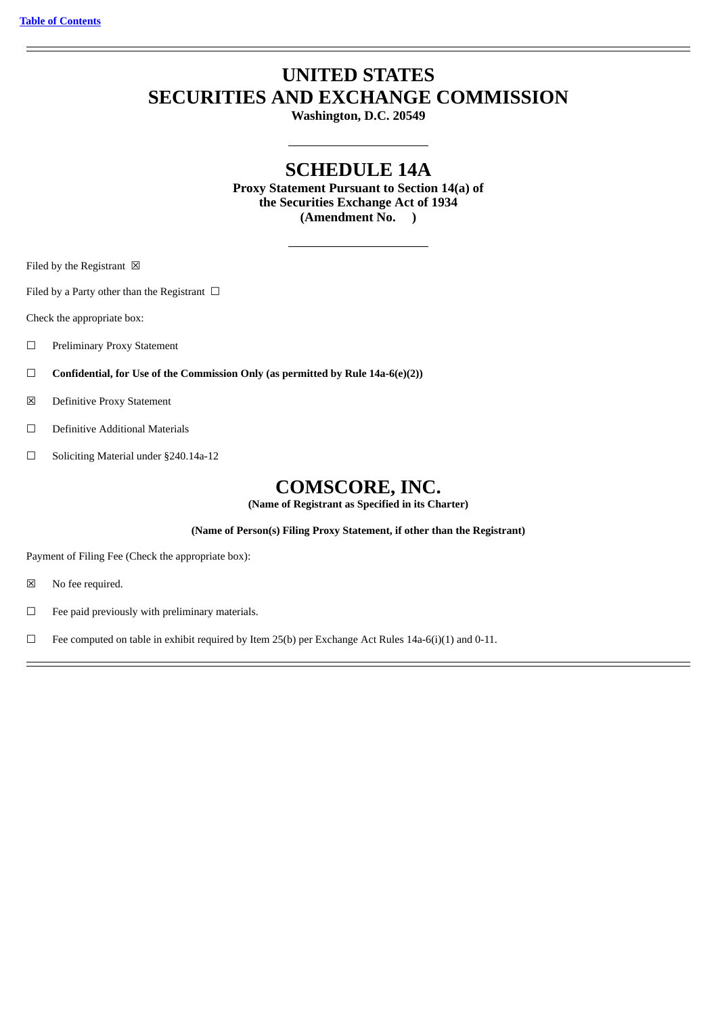# **UNITED STATES SECURITIES AND EXCHANGE COMMISSION**

**Washington, D.C. 20549**

## **SCHEDULE 14A**

**Proxy Statement Pursuant to Section 14(a) of the Securities Exchange Act of 1934 (Amendment No. )**

Filed by the Registrant  $\boxtimes$ 

Filed by a Party other than the Registrant  $\Box$ 

Check the appropriate box:

☐ Preliminary Proxy Statement

☐ **Confidential, for Use of the Commission Only (as permitted by Rule 14a-6(e)(2))**

☒ Definitive Proxy Statement

☐ Definitive Additional Materials

☐ Soliciting Material under §240.14a-12

## **COMSCORE, INC.**

**(Name of Registrant as Specified in its Charter)**

**(Name of Person(s) Filing Proxy Statement, if other than the Registrant)**

Payment of Filing Fee (Check the appropriate box):

☒ No fee required.

 $\Box$  Fee paid previously with preliminary materials.

□ Fee computed on table in exhibit required by Item 25(b) per Exchange Act Rules 14a-6(i)(1) and 0-11.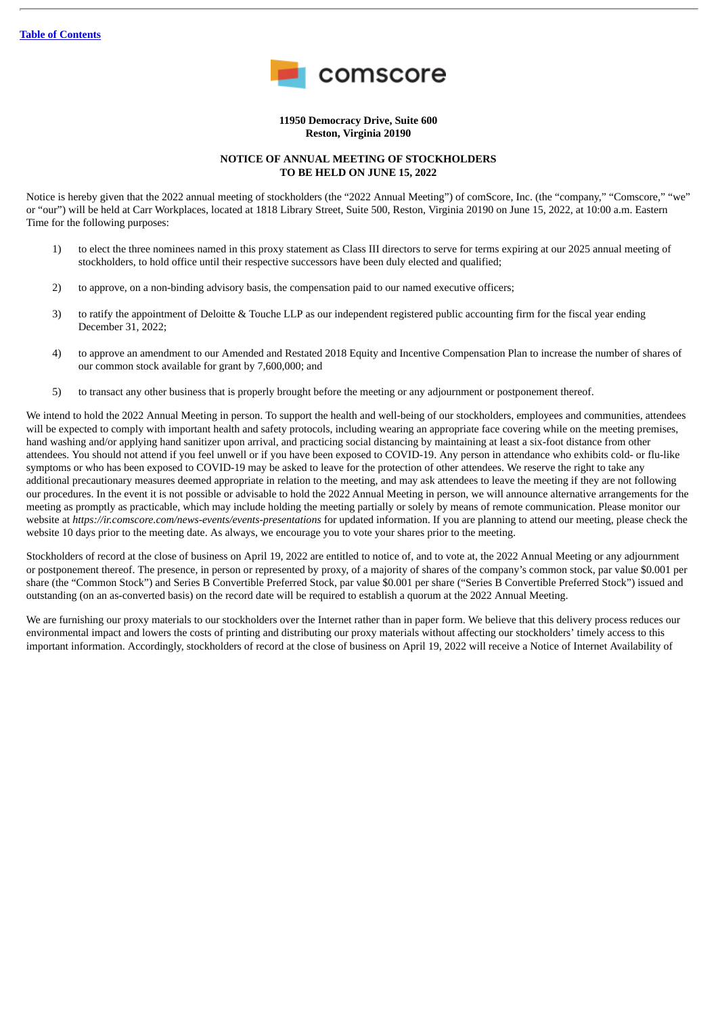

**11950 Democracy Drive, Suite 600 Reston, Virginia 20190**

#### **NOTICE OF ANNUAL MEETING OF STOCKHOLDERS TO BE HELD ON JUNE 15, 2022**

Notice is hereby given that the 2022 annual meeting of stockholders (the "2022 Annual Meeting") of comScore, Inc. (the "company," "Comscore," "we" or "our") will be held at Carr Workplaces, located at 1818 Library Street, Suite 500, Reston, Virginia 20190 on June 15, 2022, at 10:00 a.m. Eastern Time for the following purposes:

- 1) to elect the three nominees named in this proxy statement as Class III directors to serve for terms expiring at our 2025 annual meeting of stockholders, to hold office until their respective successors have been duly elected and qualified;
- 2) to approve, on a non-binding advisory basis, the compensation paid to our named executive officers;
- 3) to ratify the appointment of Deloitte & Touche LLP as our independent registered public accounting firm for the fiscal year ending December 31, 2022;
- 4) to approve an amendment to our Amended and Restated 2018 Equity and Incentive Compensation Plan to increase the number of shares of our common stock available for grant by 7,600,000; and
- 5) to transact any other business that is properly brought before the meeting or any adjournment or postponement thereof.

We intend to hold the 2022 Annual Meeting in person. To support the health and well-being of our stockholders, employees and communities, attendees will be expected to comply with important health and safety protocols, including wearing an appropriate face covering while on the meeting premises, hand washing and/or applying hand sanitizer upon arrival, and practicing social distancing by maintaining at least a six-foot distance from other attendees. You should not attend if you feel unwell or if you have been exposed to COVID-19. Any person in attendance who exhibits cold- or flu-like symptoms or who has been exposed to COVID-19 may be asked to leave for the protection of other attendees. We reserve the right to take any additional precautionary measures deemed appropriate in relation to the meeting, and may ask attendees to leave the meeting if they are not following our procedures. In the event it is not possible or advisable to hold the 2022 Annual Meeting in person, we will announce alternative arrangements for the meeting as promptly as practicable, which may include holding the meeting partially or solely by means of remote communication. Please monitor our website at *https://ir.comscore.com/news-events/events-presentations* for updated information. If you are planning to attend our meeting, please check the website 10 days prior to the meeting date. As always, we encourage you to vote your shares prior to the meeting.

Stockholders of record at the close of business on April 19, 2022 are entitled to notice of, and to vote at, the 2022 Annual Meeting or any adjournment or postponement thereof. The presence, in person or represented by proxy, of a majority of shares of the company's common stock, par value \$0.001 per share (the "Common Stock") and Series B Convertible Preferred Stock, par value \$0.001 per share ("Series B Convertible Preferred Stock") issued and outstanding (on an as-converted basis) on the record date will be required to establish a quorum at the 2022 Annual Meeting.

We are furnishing our proxy materials to our stockholders over the Internet rather than in paper form. We believe that this delivery process reduces our environmental impact and lowers the costs of printing and distributing our proxy materials without affecting our stockholders' timely access to this important information. Accordingly, stockholders of record at the close of business on April 19, 2022 will receive a Notice of Internet Availability of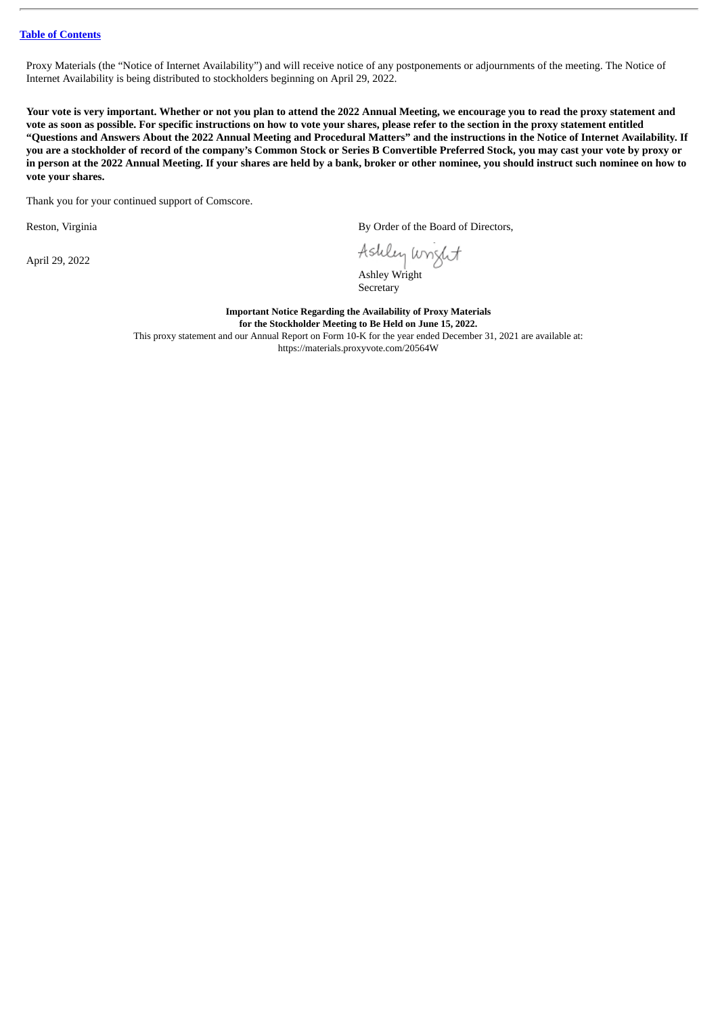Proxy Materials (the "Notice of Internet Availability") and will receive notice of any postponements or adjournments of the meeting. The Notice of Internet Availability is being distributed to stockholders beginning on April 29, 2022.

Your vote is very important. Whether or not you plan to attend the 2022 Annual Meeting, we encourage you to read the proxy statement and vote as soon as possible. For specific instructions on how to vote your shares, please refer to the section in the proxy statement entitled "Questions and Answers About the 2022 Annual Meeting and Procedural Matters" and the instructions in the Notice of Internet Availability. If you are a stockholder of record of the company's Common Stock or Series B Convertible Preferred Stock, you may cast your vote by proxy or in person at the 2022 Annual Meeting. If your shares are held by a bank, broker or other nominee, you should instruct such nominee on how to **vote your shares.**

Thank you for your continued support of Comscore.

April 29, 2022

Reston, Virginia **By Order of the Board of Directors**,

Ashley wright

Ashley Wright Secretary

**Important Notice Regarding the Availability of Proxy Materials for the Stockholder Meeting to Be Held on June 15, 2022.** This proxy statement and our Annual Report on Form 10-K for the year ended December 31, 2021 are available at: https://materials.proxyvote.com/20564W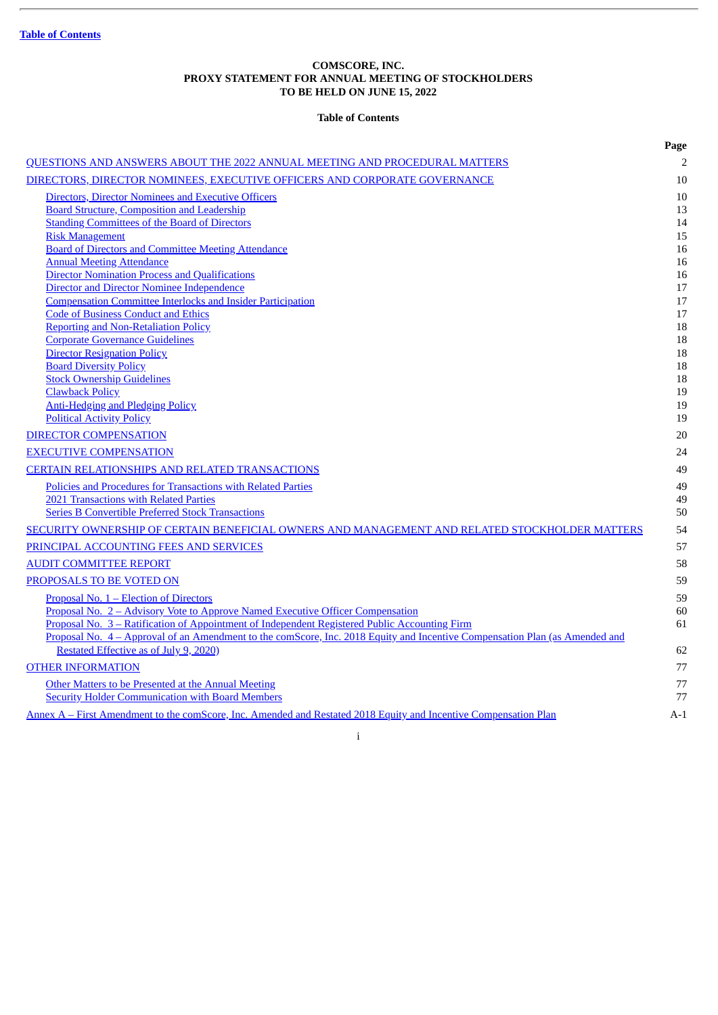## **COMSCORE, INC. PROXY STATEMENT FOR ANNUAL MEETING OF STOCKHOLDERS TO BE HELD ON JUNE 15, 2022**

## **Table of Contents**

<span id="page-3-0"></span>

|                                                                                                                             | Page           |
|-----------------------------------------------------------------------------------------------------------------------------|----------------|
| QUESTIONS AND ANSWERS ABOUT THE 2022 ANNUAL MEETING AND PROCEDURAL MATTERS                                                  | $\overline{2}$ |
| DIRECTORS, DIRECTOR NOMINEES, EXECUTIVE OFFICERS AND CORPORATE GOVERNANCE                                                   | 10             |
| Directors, Director Nominees and Executive Officers                                                                         | 10             |
| <b>Board Structure, Composition and Leadership</b>                                                                          | 13             |
| <b>Standing Committees of the Board of Directors</b>                                                                        | 14             |
| <b>Risk Management</b>                                                                                                      | 15             |
| <b>Board of Directors and Committee Meeting Attendance</b>                                                                  | 16             |
| <b>Annual Meeting Attendance</b>                                                                                            | 16             |
| <b>Director Nomination Process and Qualifications</b>                                                                       | 16             |
| <b>Director and Director Nominee Independence</b>                                                                           | 17             |
| <b>Compensation Committee Interlocks and Insider Participation</b>                                                          | 17             |
| <b>Code of Business Conduct and Ethics</b>                                                                                  | 17             |
| <b>Reporting and Non-Retaliation Policy</b>                                                                                 | 18             |
| <b>Corporate Governance Guidelines</b><br><b>Director Resignation Policy</b>                                                | 18<br>18       |
| <b>Board Diversity Policy</b>                                                                                               | 18             |
| <b>Stock Ownership Guidelines</b>                                                                                           | 18             |
| <b>Clawback Policy</b>                                                                                                      | 19             |
| <b>Anti-Hedging and Pledging Policy</b>                                                                                     | 19             |
| <b>Political Activity Policy</b>                                                                                            | 19             |
| <b>DIRECTOR COMPENSATION</b>                                                                                                | 20             |
| <b>EXECUTIVE COMPENSATION</b>                                                                                               | 24             |
| <b>CERTAIN RELATIONSHIPS AND RELATED TRANSACTIONS</b>                                                                       | 49             |
| Policies and Procedures for Transactions with Related Parties                                                               | 49             |
| 2021 Transactions with Related Parties                                                                                      | 49             |
| <b>Series B Convertible Preferred Stock Transactions</b>                                                                    | 50             |
| SECURITY OWNERSHIP OF CERTAIN BENEFICIAL OWNERS AND MANAGEMENT AND RELATED STOCKHOLDER MATTERS                              | 54             |
| PRINCIPAL ACCOUNTING FEES AND SERVICES                                                                                      | 57             |
| <b>AUDIT COMMITTEE REPORT</b>                                                                                               | 58             |
| PROPOSALS TO BE VOTED ON                                                                                                    | 59             |
| Proposal No. 1 - Election of Directors                                                                                      | 59             |
| Proposal No. 2 - Advisory Vote to Approve Named Executive Officer Compensation                                              | 60             |
| Proposal No. 3 - Ratification of Appointment of Independent Registered Public Accounting Firm                               | 61             |
| Proposal No. 4 - Approval of an Amendment to the comScore, Inc. 2018 Equity and Incentive Compensation Plan (as Amended and |                |
| Restated Effective as of July 9, 2020)                                                                                      | 62             |
| <b>OTHER INFORMATION</b>                                                                                                    | 77             |
| Other Matters to be Presented at the Annual Meeting                                                                         | 77             |
| <b>Security Holder Communication with Board Members</b>                                                                     | 77             |
| Annex A - First Amendment to the comScore, Inc. Amended and Restated 2018 Equity and Incentive Compensation Plan            | $A-1$          |

i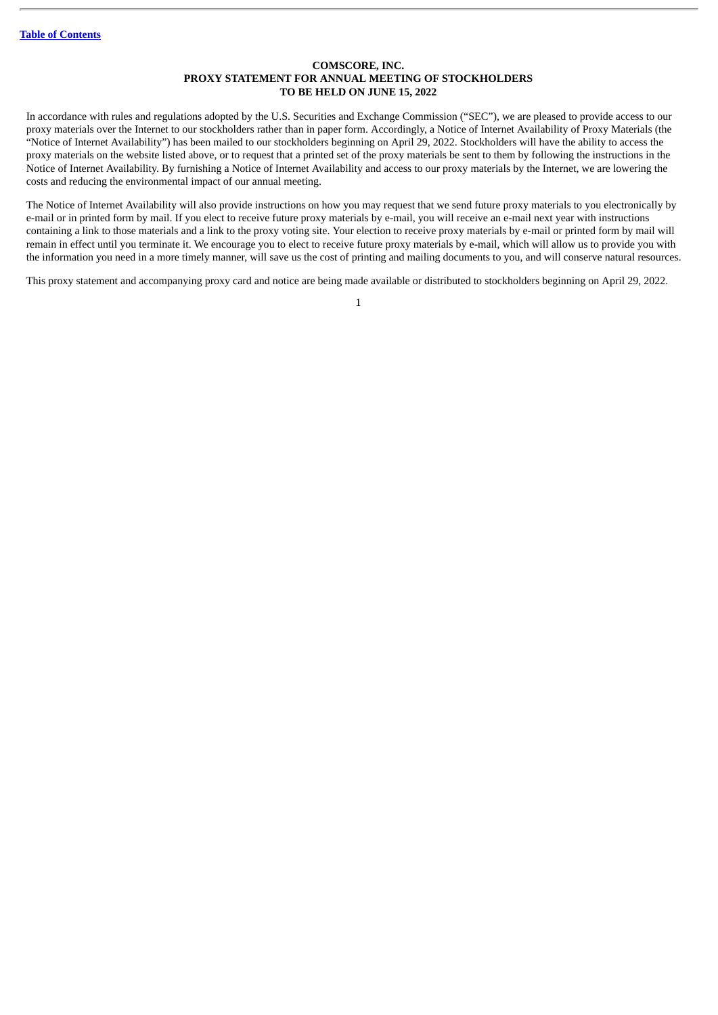#### **COMSCORE, INC. PROXY STATEMENT FOR ANNUAL MEETING OF STOCKHOLDERS TO BE HELD ON JUNE 15, 2022**

In accordance with rules and regulations adopted by the U.S. Securities and Exchange Commission ("SEC"), we are pleased to provide access to our proxy materials over the Internet to our stockholders rather than in paper form. Accordingly, a Notice of Internet Availability of Proxy Materials (the "Notice of Internet Availability") has been mailed to our stockholders beginning on April 29, 2022. Stockholders will have the ability to access the proxy materials on the website listed above, or to request that a printed set of the proxy materials be sent to them by following the instructions in the Notice of Internet Availability. By furnishing a Notice of Internet Availability and access to our proxy materials by the Internet, we are lowering the costs and reducing the environmental impact of our annual meeting.

The Notice of Internet Availability will also provide instructions on how you may request that we send future proxy materials to you electronically by e-mail or in printed form by mail. If you elect to receive future proxy materials by e-mail, you will receive an e-mail next year with instructions containing a link to those materials and a link to the proxy voting site. Your election to receive proxy materials by e-mail or printed form by mail will remain in effect until you terminate it. We encourage you to elect to receive future proxy materials by e-mail, which will allow us to provide you with the information you need in a more timely manner, will save us the cost of printing and mailing documents to you, and will conserve natural resources.

This proxy statement and accompanying proxy card and notice are being made available or distributed to stockholders beginning on April 29, 2022.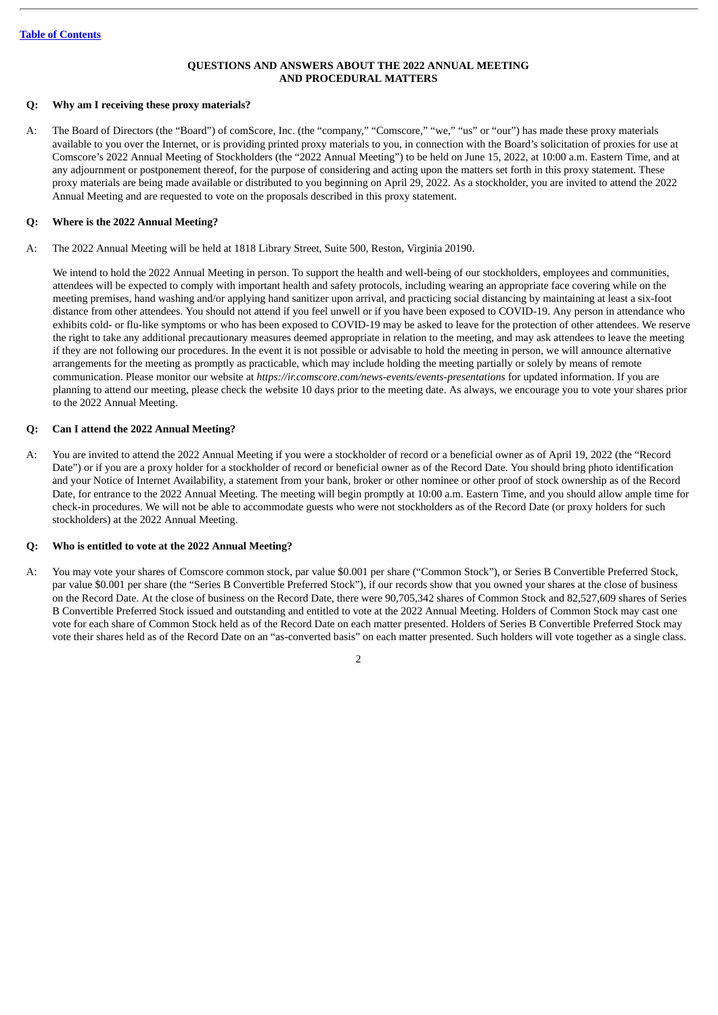## **QUESTIONS AND ANSWERS ABOUT THE 2022 ANNUAL MEETING AND PROCEDURAL MATTERS**

#### <span id="page-5-0"></span>**Q: Why am I receiving these proxy materials?**

A: The Board of Directors (the "Board") of comScore, Inc. (the "company," "Comscore," "we," "us" or "our") has made these proxy materials available to you over the Internet, or is providing printed proxy materials to you, in connection with the Board's solicitation of proxies for use at Comscore's 2022 Annual Meeting of Stockholders (the "2022 Annual Meeting") to be held on June 15, 2022, at 10:00 a.m. Eastern Time, and at any adjournment or postponement thereof, for the purpose of considering and acting upon the matters set forth in this proxy statement. These proxy materials are being made available or distributed to you beginning on April 29, 2022. As a stockholder, you are invited to attend the 2022 Annual Meeting and are requested to vote on the proposals described in this proxy statement.

## **Q: Where is the 2022 Annual Meeting?**

A: The 2022 Annual Meeting will be held at 1818 Library Street, Suite 500, Reston, Virginia 20190.

We intend to hold the 2022 Annual Meeting in person. To support the health and well-being of our stockholders, employees and communities, attendees will be expected to comply with important health and safety protocols, including wearing an appropriate face covering while on the meeting premises, hand washing and/or applying hand sanitizer upon arrival, and practicing social distancing by maintaining at least a six-foot distance from other attendees. You should not attend if you feel unwell or if you have been exposed to COVID-19. Any person in attendance who exhibits cold- or flu-like symptoms or who has been exposed to COVID-19 may be asked to leave for the protection of other attendees. We reserve the right to take any additional precautionary measures deemed appropriate in relation to the meeting, and may ask attendees to leave the meeting if they are not following our procedures. In the event it is not possible or advisable to hold the meeting in person, we will announce alternative arrangements for the meeting as promptly as practicable, which may include holding the meeting partially or solely by means of remote communication. Please monitor our website at *https://ir.comscore.com/news-events/events-presentations* for updated information. If you are planning to attend our meeting, please check the website 10 days prior to the meeting date. As always, we encourage you to vote your shares prior to the 2022 Annual Meeting.

## **Q: Can I attend the 2022 Annual Meeting?**

A: You are invited to attend the 2022 Annual Meeting if you were a stockholder of record or a beneficial owner as of April 19, 2022 (the "Record Date") or if you are a proxy holder for a stockholder of record or beneficial owner as of the Record Date. You should bring photo identification and your Notice of Internet Availability, a statement from your bank, broker or other nominee or other proof of stock ownership as of the Record Date, for entrance to the 2022 Annual Meeting. The meeting will begin promptly at 10:00 a.m. Eastern Time, and you should allow ample time for check-in procedures. We will not be able to accommodate guests who were not stockholders as of the Record Date (or proxy holders for such stockholders) at the 2022 Annual Meeting.

## **Q: Who is entitled to vote at the 2022 Annual Meeting?**

A: You may vote your shares of Comscore common stock, par value \$0.001 per share ("Common Stock"), or Series B Convertible Preferred Stock, par value \$0.001 per share (the "Series B Convertible Preferred Stock"), if our records show that you owned your shares at the close of business on the Record Date. At the close of business on the Record Date, there were 90,705,342 shares of Common Stock and 82,527,609 shares of Series B Convertible Preferred Stock issued and outstanding and entitled to vote at the 2022 Annual Meeting. Holders of Common Stock may cast one vote for each share of Common Stock held as of the Record Date on each matter presented. Holders of Series B Convertible Preferred Stock may vote their shares held as of the Record Date on an "as-converted basis" on each matter presented. Such holders will vote together as a single class.

 $\overline{2}$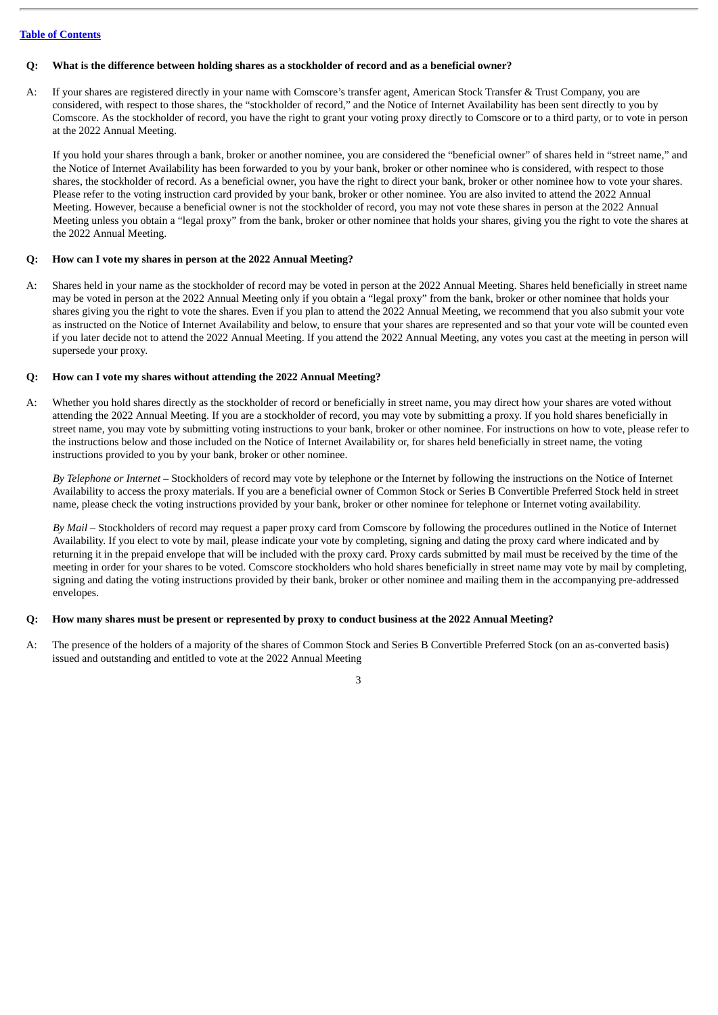## Q: What is the difference between holding shares as a stockholder of record and as a beneficial owner?

A: If your shares are registered directly in your name with Comscore's transfer agent, American Stock Transfer & Trust Company, you are considered, with respect to those shares, the "stockholder of record," and the Notice of Internet Availability has been sent directly to you by Comscore. As the stockholder of record, you have the right to grant your voting proxy directly to Comscore or to a third party, or to vote in person at the 2022 Annual Meeting.

If you hold your shares through a bank, broker or another nominee, you are considered the "beneficial owner" of shares held in "street name," and the Notice of Internet Availability has been forwarded to you by your bank, broker or other nominee who is considered, with respect to those shares, the stockholder of record. As a beneficial owner, you have the right to direct your bank, broker or other nominee how to vote your shares. Please refer to the voting instruction card provided by your bank, broker or other nominee. You are also invited to attend the 2022 Annual Meeting. However, because a beneficial owner is not the stockholder of record, you may not vote these shares in person at the 2022 Annual Meeting unless you obtain a "legal proxy" from the bank, broker or other nominee that holds your shares, giving you the right to vote the shares at the 2022 Annual Meeting.

#### **Q: How can I vote my shares in person at the 2022 Annual Meeting?**

A: Shares held in your name as the stockholder of record may be voted in person at the 2022 Annual Meeting. Shares held beneficially in street name may be voted in person at the 2022 Annual Meeting only if you obtain a "legal proxy" from the bank, broker or other nominee that holds your shares giving you the right to vote the shares. Even if you plan to attend the 2022 Annual Meeting, we recommend that you also submit your vote as instructed on the Notice of Internet Availability and below, to ensure that your shares are represented and so that your vote will be counted even if you later decide not to attend the 2022 Annual Meeting. If you attend the 2022 Annual Meeting, any votes you cast at the meeting in person will supersede your proxy.

## **Q: How can I vote my shares without attending the 2022 Annual Meeting?**

A: Whether you hold shares directly as the stockholder of record or beneficially in street name, you may direct how your shares are voted without attending the 2022 Annual Meeting. If you are a stockholder of record, you may vote by submitting a proxy. If you hold shares beneficially in street name, you may vote by submitting voting instructions to your bank, broker or other nominee. For instructions on how to vote, please refer to the instructions below and those included on the Notice of Internet Availability or, for shares held beneficially in street name, the voting instructions provided to you by your bank, broker or other nominee.

*By Telephone or Internet* – Stockholders of record may vote by telephone or the Internet by following the instructions on the Notice of Internet Availability to access the proxy materials. If you are a beneficial owner of Common Stock or Series B Convertible Preferred Stock held in street name, please check the voting instructions provided by your bank, broker or other nominee for telephone or Internet voting availability.

*By Mail* – Stockholders of record may request a paper proxy card from Comscore by following the procedures outlined in the Notice of Internet Availability. If you elect to vote by mail, please indicate your vote by completing, signing and dating the proxy card where indicated and by returning it in the prepaid envelope that will be included with the proxy card. Proxy cards submitted by mail must be received by the time of the meeting in order for your shares to be voted. Comscore stockholders who hold shares beneficially in street name may vote by mail by completing, signing and dating the voting instructions provided by their bank, broker or other nominee and mailing them in the accompanying pre-addressed envelopes.

#### O: How many shares must be present or represented by proxy to conduct business at the 2022 Annual Meeting?

A: The presence of the holders of a majority of the shares of Common Stock and Series B Convertible Preferred Stock (on an as-converted basis) issued and outstanding and entitled to vote at the 2022 Annual Meeting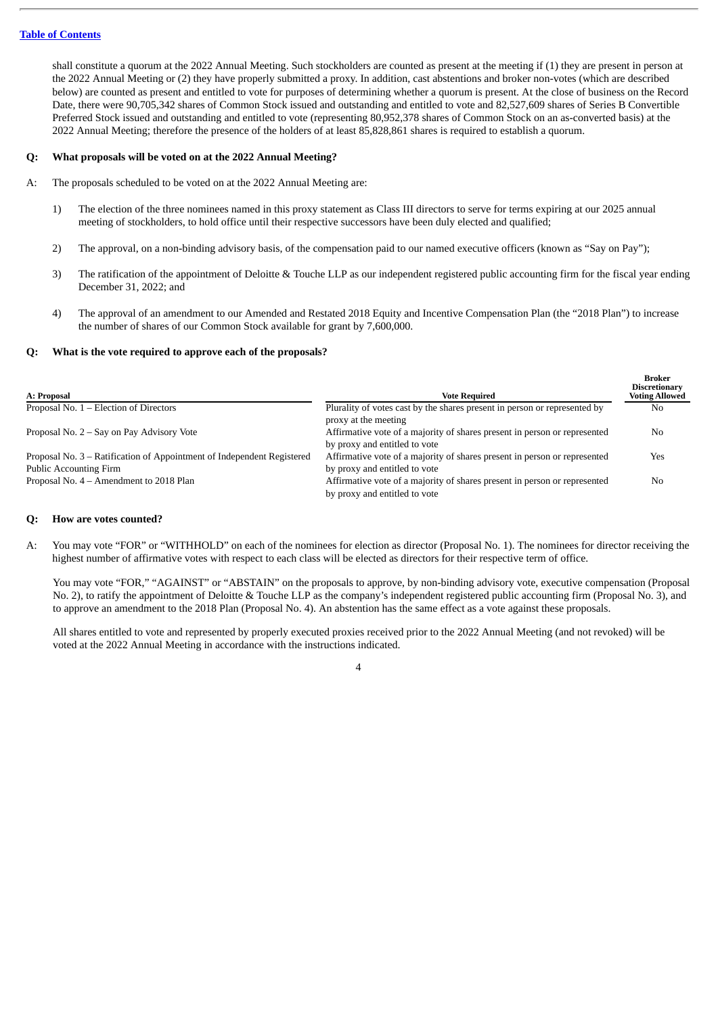shall constitute a quorum at the 2022 Annual Meeting. Such stockholders are counted as present at the meeting if (1) they are present in person at the 2022 Annual Meeting or (2) they have properly submitted a proxy. In addition, cast abstentions and broker non-votes (which are described below) are counted as present and entitled to vote for purposes of determining whether a quorum is present. At the close of business on the Record Date, there were 90,705,342 shares of Common Stock issued and outstanding and entitled to vote and 82,527,609 shares of Series B Convertible Preferred Stock issued and outstanding and entitled to vote (representing 80,952,378 shares of Common Stock on an as-converted basis) at the 2022 Annual Meeting; therefore the presence of the holders of at least 85,828,861 shares is required to establish a quorum.

#### **Q: What proposals will be voted on at the 2022 Annual Meeting?**

- A: The proposals scheduled to be voted on at the 2022 Annual Meeting are:
	- 1) The election of the three nominees named in this proxy statement as Class III directors to serve for terms expiring at our 2025 annual meeting of stockholders, to hold office until their respective successors have been duly elected and qualified;
	- 2) The approval, on a non-binding advisory basis, of the compensation paid to our named executive officers (known as "Say on Pay");
	- 3) The ratification of the appointment of Deloitte & Touche LLP as our independent registered public accounting firm for the fiscal year ending December 31, 2022; and
	- 4) The approval of an amendment to our Amended and Restated 2018 Equity and Incentive Compensation Plan (the "2018 Plan") to increase the number of shares of our Common Stock available for grant by 7,600,000.

**Broker**

#### **Q: What is the vote required to approve each of the proposals?**

| A: Proposal                                                            | <b>Vote Required</b>                                                                                       | -------<br><b>Discretionary</b><br><b>Voting Allowed</b> |
|------------------------------------------------------------------------|------------------------------------------------------------------------------------------------------------|----------------------------------------------------------|
| Proposal No. $1$ – Election of Directors                               | Plurality of votes cast by the shares present in person or represented by<br>proxy at the meeting          | No                                                       |
| Proposal No. 2 – Say on Pay Advisory Vote                              | Affirmative vote of a majority of shares present in person or represented<br>by proxy and entitled to vote | No                                                       |
| Proposal No. 3 – Ratification of Appointment of Independent Registered | Affirmative vote of a majority of shares present in person or represented                                  | Yes                                                      |
| <b>Public Accounting Firm</b>                                          | by proxy and entitled to vote                                                                              |                                                          |
| Proposal No. 4 – Amendment to 2018 Plan                                | Affirmative vote of a majority of shares present in person or represented<br>by proxy and entitled to vote | No                                                       |

#### **Q: How are votes counted?**

A: You may vote "FOR" or "WITHHOLD" on each of the nominees for election as director (Proposal No. 1). The nominees for director receiving the highest number of affirmative votes with respect to each class will be elected as directors for their respective term of office.

You may vote "FOR," "AGAINST" or "ABSTAIN" on the proposals to approve, by non-binding advisory vote, executive compensation (Proposal No. 2), to ratify the appointment of Deloitte & Touche LLP as the company's independent registered public accounting firm (Proposal No. 3), and to approve an amendment to the 2018 Plan (Proposal No. 4). An abstention has the same effect as a vote against these proposals.

All shares entitled to vote and represented by properly executed proxies received prior to the 2022 Annual Meeting (and not revoked) will be voted at the 2022 Annual Meeting in accordance with the instructions indicated.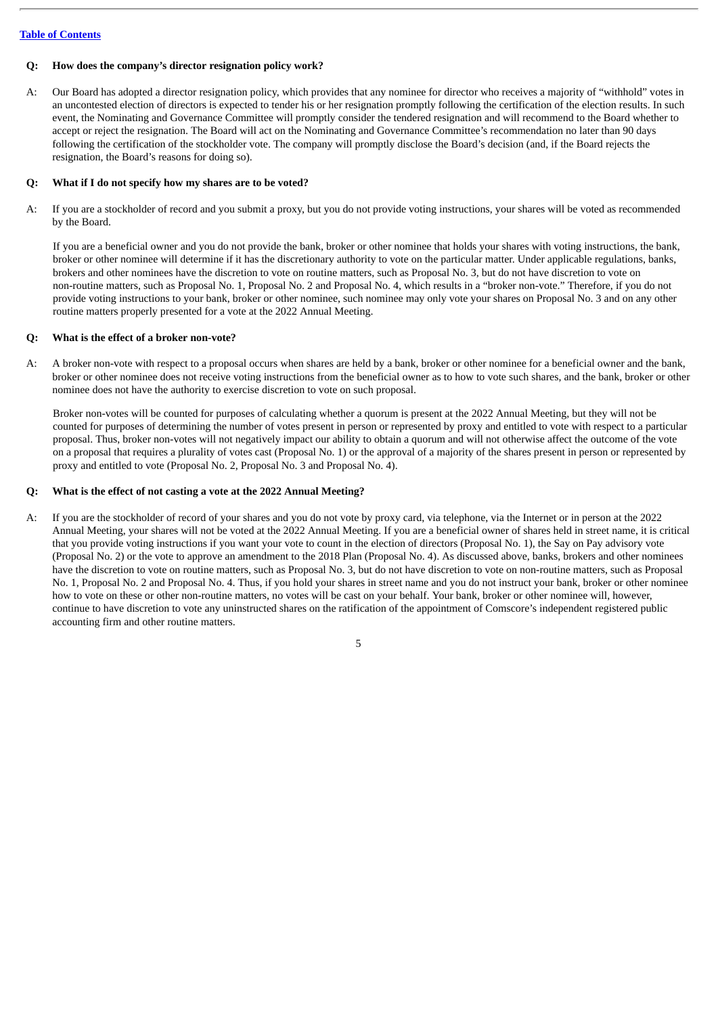#### **Q: How does the company's director resignation policy work?**

A: Our Board has adopted a director resignation policy, which provides that any nominee for director who receives a majority of "withhold" votes in an uncontested election of directors is expected to tender his or her resignation promptly following the certification of the election results. In such event, the Nominating and Governance Committee will promptly consider the tendered resignation and will recommend to the Board whether to accept or reject the resignation. The Board will act on the Nominating and Governance Committee's recommendation no later than 90 days following the certification of the stockholder vote. The company will promptly disclose the Board's decision (and, if the Board rejects the resignation, the Board's reasons for doing so).

#### **Q: What if I do not specify how my shares are to be voted?**

A: If you are a stockholder of record and you submit a proxy, but you do not provide voting instructions, your shares will be voted as recommended by the Board.

If you are a beneficial owner and you do not provide the bank, broker or other nominee that holds your shares with voting instructions, the bank, broker or other nominee will determine if it has the discretionary authority to vote on the particular matter. Under applicable regulations, banks, brokers and other nominees have the discretion to vote on routine matters, such as Proposal No. 3, but do not have discretion to vote on non-routine matters, such as Proposal No. 1, Proposal No. 2 and Proposal No. 4, which results in a "broker non-vote." Therefore, if you do not provide voting instructions to your bank, broker or other nominee, such nominee may only vote your shares on Proposal No. 3 and on any other routine matters properly presented for a vote at the 2022 Annual Meeting.

#### **Q: What is the effect of a broker non-vote?**

A: A broker non-vote with respect to a proposal occurs when shares are held by a bank, broker or other nominee for a beneficial owner and the bank, broker or other nominee does not receive voting instructions from the beneficial owner as to how to vote such shares, and the bank, broker or other nominee does not have the authority to exercise discretion to vote on such proposal.

Broker non-votes will be counted for purposes of calculating whether a quorum is present at the 2022 Annual Meeting, but they will not be counted for purposes of determining the number of votes present in person or represented by proxy and entitled to vote with respect to a particular proposal. Thus, broker non-votes will not negatively impact our ability to obtain a quorum and will not otherwise affect the outcome of the vote on a proposal that requires a plurality of votes cast (Proposal No. 1) or the approval of a majority of the shares present in person or represented by proxy and entitled to vote (Proposal No. 2, Proposal No. 3 and Proposal No. 4).

#### **Q: What is the effect of not casting a vote at the 2022 Annual Meeting?**

A: If you are the stockholder of record of your shares and you do not vote by proxy card, via telephone, via the Internet or in person at the 2022 Annual Meeting, your shares will not be voted at the 2022 Annual Meeting. If you are a beneficial owner of shares held in street name, it is critical that you provide voting instructions if you want your vote to count in the election of directors (Proposal No. 1), the Say on Pay advisory vote (Proposal No. 2) or the vote to approve an amendment to the 2018 Plan (Proposal No. 4). As discussed above, banks, brokers and other nominees have the discretion to vote on routine matters, such as Proposal No. 3, but do not have discretion to vote on non-routine matters, such as Proposal No. 1, Proposal No. 2 and Proposal No. 4. Thus, if you hold your shares in street name and you do not instruct your bank, broker or other nominee how to vote on these or other non-routine matters, no votes will be cast on your behalf. Your bank, broker or other nominee will, however, continue to have discretion to vote any uninstructed shares on the ratification of the appointment of Comscore's independent registered public accounting firm and other routine matters.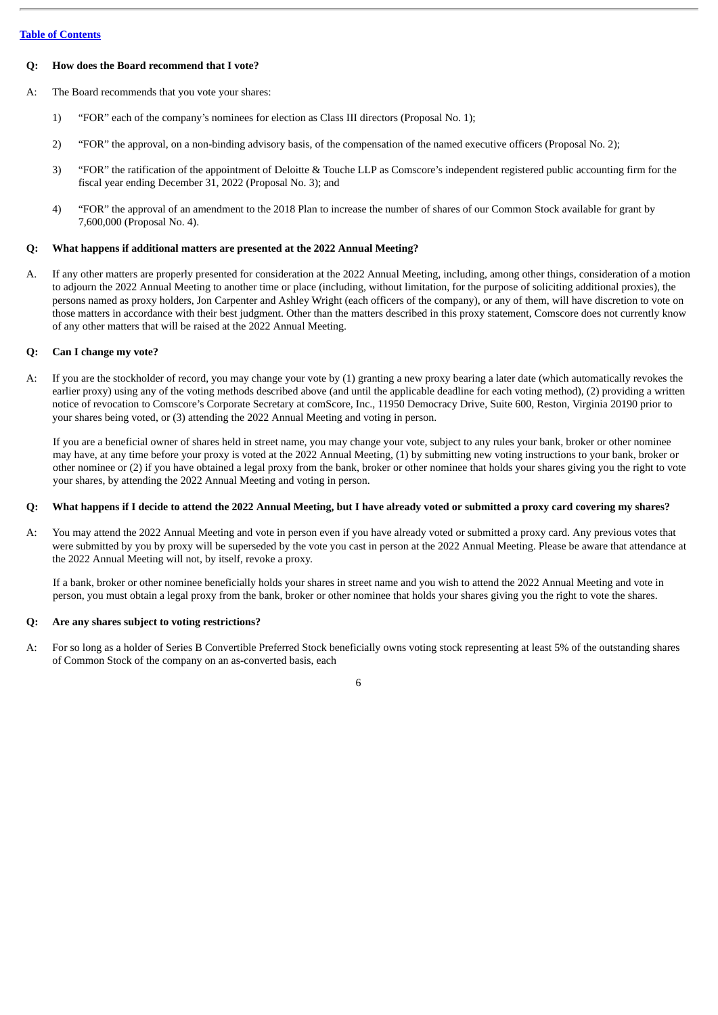## **Q: How does the Board recommend that I vote?**

A: The Board recommends that you vote your shares:

- 1) "FOR" each of the company's nominees for election as Class III directors (Proposal No. 1);
- 2) "FOR" the approval, on a non-binding advisory basis, of the compensation of the named executive officers (Proposal No. 2);
- 3) "FOR" the ratification of the appointment of Deloitte & Touche LLP as Comscore's independent registered public accounting firm for the fiscal year ending December 31, 2022 (Proposal No. 3); and
- 4) "FOR" the approval of an amendment to the 2018 Plan to increase the number of shares of our Common Stock available for grant by 7,600,000 (Proposal No. 4).

## **Q: What happens if additional matters are presented at the 2022 Annual Meeting?**

A. If any other matters are properly presented for consideration at the 2022 Annual Meeting, including, among other things, consideration of a motion to adjourn the 2022 Annual Meeting to another time or place (including, without limitation, for the purpose of soliciting additional proxies), the persons named as proxy holders, Jon Carpenter and Ashley Wright (each officers of the company), or any of them, will have discretion to vote on those matters in accordance with their best judgment. Other than the matters described in this proxy statement, Comscore does not currently know of any other matters that will be raised at the 2022 Annual Meeting.

## **Q: Can I change my vote?**

A: If you are the stockholder of record, you may change your vote by (1) granting a new proxy bearing a later date (which automatically revokes the earlier proxy) using any of the voting methods described above (and until the applicable deadline for each voting method), (2) providing a written notice of revocation to Comscore's Corporate Secretary at comScore, Inc., 11950 Democracy Drive, Suite 600, Reston, Virginia 20190 prior to your shares being voted, or (3) attending the 2022 Annual Meeting and voting in person.

If you are a beneficial owner of shares held in street name, you may change your vote, subject to any rules your bank, broker or other nominee may have, at any time before your proxy is voted at the 2022 Annual Meeting, (1) by submitting new voting instructions to your bank, broker or other nominee or (2) if you have obtained a legal proxy from the bank, broker or other nominee that holds your shares giving you the right to vote your shares, by attending the 2022 Annual Meeting and voting in person.

#### Q: What happens if I decide to attend the 2022 Annual Meeting, but I have already voted or submitted a proxy card covering my shares?

A: You may attend the 2022 Annual Meeting and vote in person even if you have already voted or submitted a proxy card. Any previous votes that were submitted by you by proxy will be superseded by the vote you cast in person at the 2022 Annual Meeting. Please be aware that attendance at the 2022 Annual Meeting will not, by itself, revoke a proxy.

If a bank, broker or other nominee beneficially holds your shares in street name and you wish to attend the 2022 Annual Meeting and vote in person, you must obtain a legal proxy from the bank, broker or other nominee that holds your shares giving you the right to vote the shares.

## **Q: Are any shares subject to voting restrictions?**

A: For so long as a holder of Series B Convertible Preferred Stock beneficially owns voting stock representing at least 5% of the outstanding shares of Common Stock of the company on an as-converted basis, each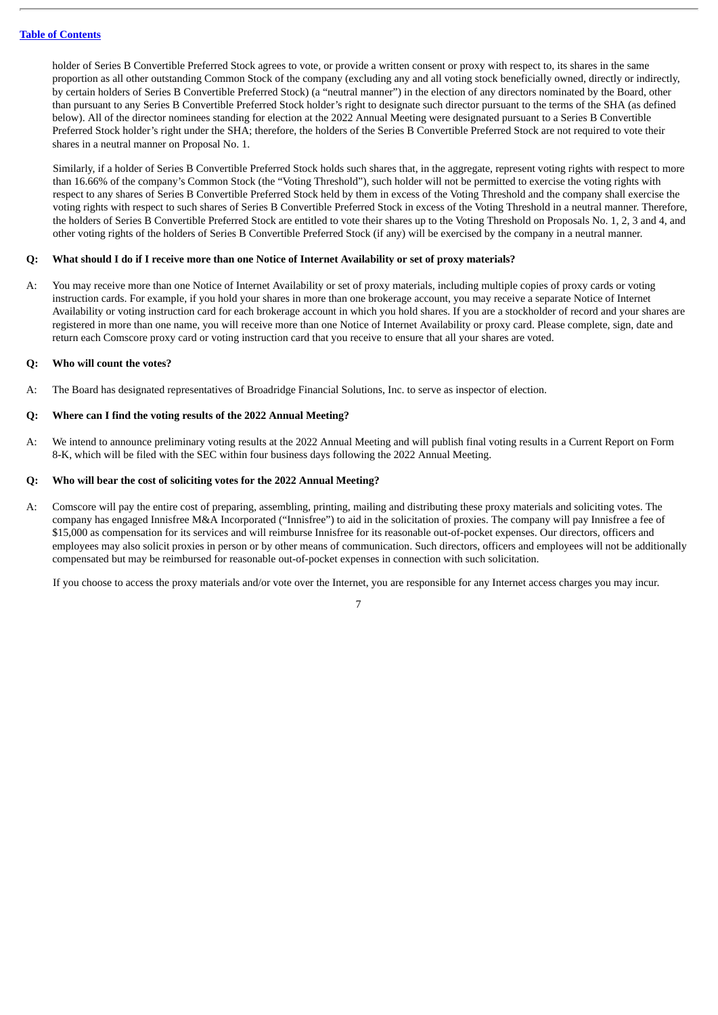holder of Series B Convertible Preferred Stock agrees to vote, or provide a written consent or proxy with respect to, its shares in the same proportion as all other outstanding Common Stock of the company (excluding any and all voting stock beneficially owned, directly or indirectly, by certain holders of Series B Convertible Preferred Stock) (a "neutral manner") in the election of any directors nominated by the Board, other than pursuant to any Series B Convertible Preferred Stock holder's right to designate such director pursuant to the terms of the SHA (as defined below). All of the director nominees standing for election at the 2022 Annual Meeting were designated pursuant to a Series B Convertible Preferred Stock holder's right under the SHA; therefore, the holders of the Series B Convertible Preferred Stock are not required to vote their shares in a neutral manner on Proposal No. 1.

Similarly, if a holder of Series B Convertible Preferred Stock holds such shares that, in the aggregate, represent voting rights with respect to more than 16.66% of the company's Common Stock (the "Voting Threshold"), such holder will not be permitted to exercise the voting rights with respect to any shares of Series B Convertible Preferred Stock held by them in excess of the Voting Threshold and the company shall exercise the voting rights with respect to such shares of Series B Convertible Preferred Stock in excess of the Voting Threshold in a neutral manner. Therefore, the holders of Series B Convertible Preferred Stock are entitled to vote their shares up to the Voting Threshold on Proposals No. 1, 2, 3 and 4, and other voting rights of the holders of Series B Convertible Preferred Stock (if any) will be exercised by the company in a neutral manner.

#### Q: What should I do if I receive more than one Notice of Internet Availability or set of proxy materials?

A: You may receive more than one Notice of Internet Availability or set of proxy materials, including multiple copies of proxy cards or voting instruction cards. For example, if you hold your shares in more than one brokerage account, you may receive a separate Notice of Internet Availability or voting instruction card for each brokerage account in which you hold shares. If you are a stockholder of record and your shares are registered in more than one name, you will receive more than one Notice of Internet Availability or proxy card. Please complete, sign, date and return each Comscore proxy card or voting instruction card that you receive to ensure that all your shares are voted.

## **Q: Who will count the votes?**

A: The Board has designated representatives of Broadridge Financial Solutions, Inc. to serve as inspector of election.

#### **Q: Where can I find the voting results of the 2022 Annual Meeting?**

A: We intend to announce preliminary voting results at the 2022 Annual Meeting and will publish final voting results in a Current Report on Form 8-K, which will be filed with the SEC within four business days following the 2022 Annual Meeting.

#### **Q: Who will bear the cost of soliciting votes for the 2022 Annual Meeting?**

A: Comscore will pay the entire cost of preparing, assembling, printing, mailing and distributing these proxy materials and soliciting votes. The company has engaged Innisfree M&A Incorporated ("Innisfree") to aid in the solicitation of proxies. The company will pay Innisfree a fee of \$15,000 as compensation for its services and will reimburse Innisfree for its reasonable out-of-pocket expenses. Our directors, officers and employees may also solicit proxies in person or by other means of communication. Such directors, officers and employees will not be additionally compensated but may be reimbursed for reasonable out-of-pocket expenses in connection with such solicitation.

If you choose to access the proxy materials and/or vote over the Internet, you are responsible for any Internet access charges you may incur. 7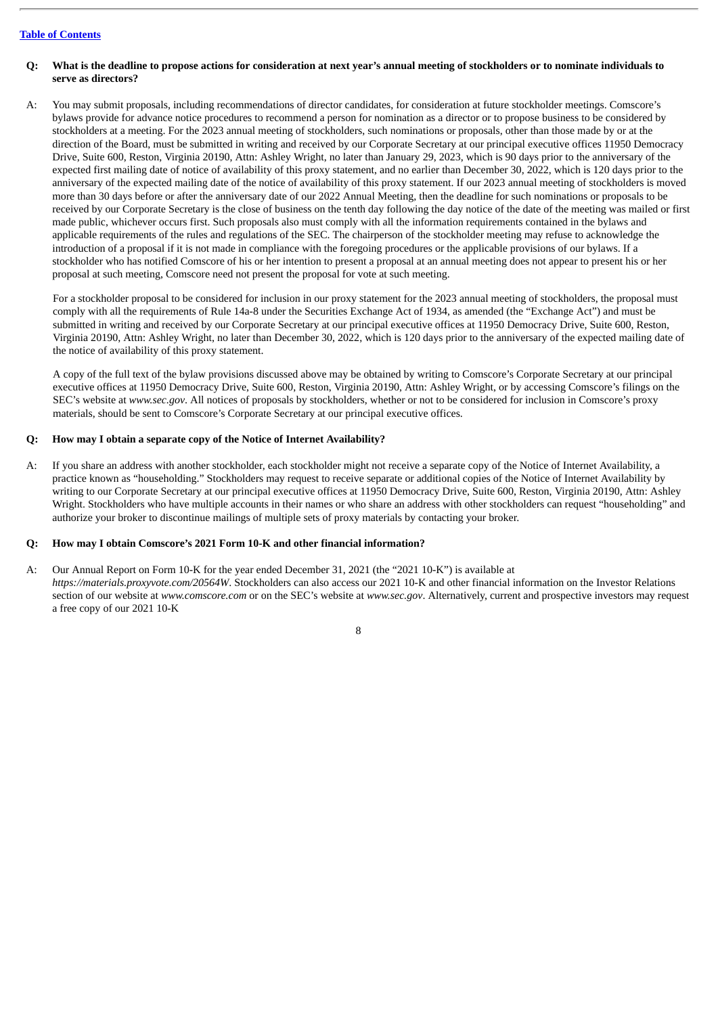- Q: What is the deadline to propose actions for consideration at next year's annual meeting of stockholders or to nominate individuals to **serve as directors?**
- A: You may submit proposals, including recommendations of director candidates, for consideration at future stockholder meetings. Comscore's bylaws provide for advance notice procedures to recommend a person for nomination as a director or to propose business to be considered by stockholders at a meeting. For the 2023 annual meeting of stockholders, such nominations or proposals, other than those made by or at the direction of the Board, must be submitted in writing and received by our Corporate Secretary at our principal executive offices 11950 Democracy Drive, Suite 600, Reston, Virginia 20190, Attn: Ashley Wright, no later than January 29, 2023, which is 90 days prior to the anniversary of the expected first mailing date of notice of availability of this proxy statement, and no earlier than December 30, 2022, which is 120 days prior to the anniversary of the expected mailing date of the notice of availability of this proxy statement. If our 2023 annual meeting of stockholders is moved more than 30 days before or after the anniversary date of our 2022 Annual Meeting, then the deadline for such nominations or proposals to be received by our Corporate Secretary is the close of business on the tenth day following the day notice of the date of the meeting was mailed or first made public, whichever occurs first. Such proposals also must comply with all the information requirements contained in the bylaws and applicable requirements of the rules and regulations of the SEC. The chairperson of the stockholder meeting may refuse to acknowledge the introduction of a proposal if it is not made in compliance with the foregoing procedures or the applicable provisions of our bylaws. If a stockholder who has notified Comscore of his or her intention to present a proposal at an annual meeting does not appear to present his or her proposal at such meeting, Comscore need not present the proposal for vote at such meeting.

For a stockholder proposal to be considered for inclusion in our proxy statement for the 2023 annual meeting of stockholders, the proposal must comply with all the requirements of Rule 14a-8 under the Securities Exchange Act of 1934, as amended (the "Exchange Act") and must be submitted in writing and received by our Corporate Secretary at our principal executive offices at 11950 Democracy Drive, Suite 600, Reston, Virginia 20190, Attn: Ashley Wright, no later than December 30, 2022, which is 120 days prior to the anniversary of the expected mailing date of the notice of availability of this proxy statement.

A copy of the full text of the bylaw provisions discussed above may be obtained by writing to Comscore's Corporate Secretary at our principal executive offices at 11950 Democracy Drive, Suite 600, Reston, Virginia 20190, Attn: Ashley Wright, or by accessing Comscore's filings on the SEC's website at *www.sec.gov*. All notices of proposals by stockholders, whether or not to be considered for inclusion in Comscore's proxy materials, should be sent to Comscore's Corporate Secretary at our principal executive offices.

#### **Q: How may I obtain a separate copy of the Notice of Internet Availability?**

A: If you share an address with another stockholder, each stockholder might not receive a separate copy of the Notice of Internet Availability, a practice known as "householding." Stockholders may request to receive separate or additional copies of the Notice of Internet Availability by writing to our Corporate Secretary at our principal executive offices at 11950 Democracy Drive, Suite 600, Reston, Virginia 20190, Attn: Ashley Wright. Stockholders who have multiple accounts in their names or who share an address with other stockholders can request "householding" and authorize your broker to discontinue mailings of multiple sets of proxy materials by contacting your broker.

#### **Q: How may I obtain Comscore's 2021 Form 10-K and other financial information?**

A: Our Annual Report on Form 10-K for the year ended December 31, 2021 (the "2021 10-K") is available at *https://materials.proxyvote.com/20564W*. Stockholders can also access our 2021 10-K and other financial information on the Investor Relations section of our website at *www.comscore.com* or on the SEC's website at *www.sec.gov*. Alternatively, current and prospective investors may request a free copy of our 2021 10-K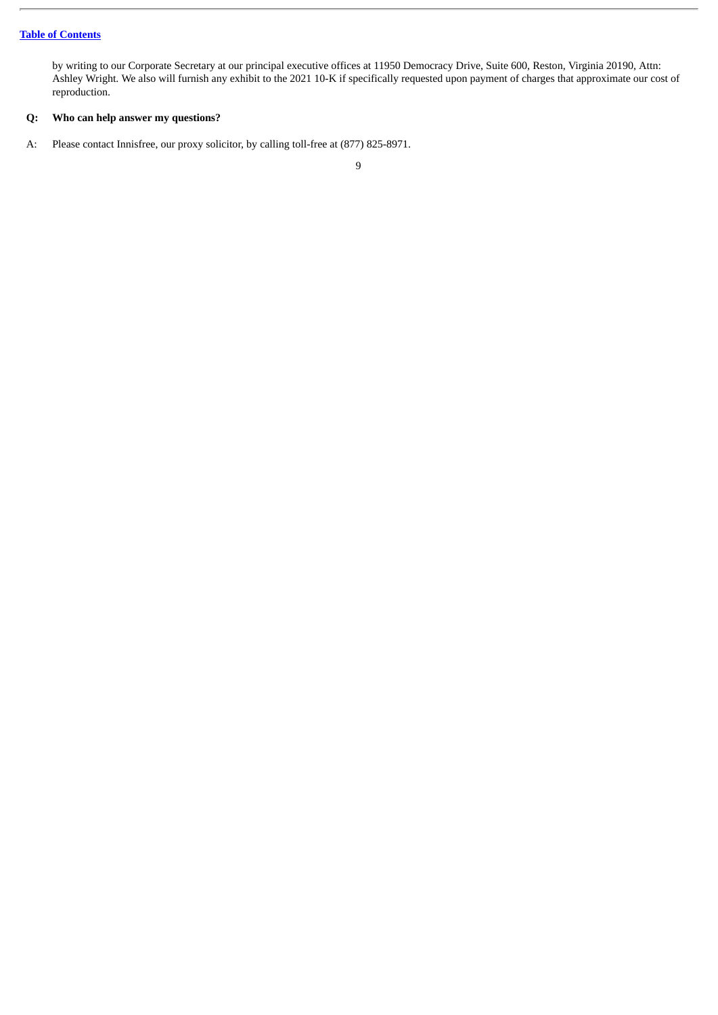by writing to our Corporate Secretary at our principal executive offices at 11950 Democracy Drive, Suite 600, Reston, Virginia 20190, Attn: Ashley Wright. We also will furnish any exhibit to the 2021 10-K if specifically requested upon payment of charges that approximate our cost of reproduction.

## **Q: Who can help answer my questions?**

A: Please contact Innisfree, our proxy solicitor, by calling toll-free at (877) 825-8971.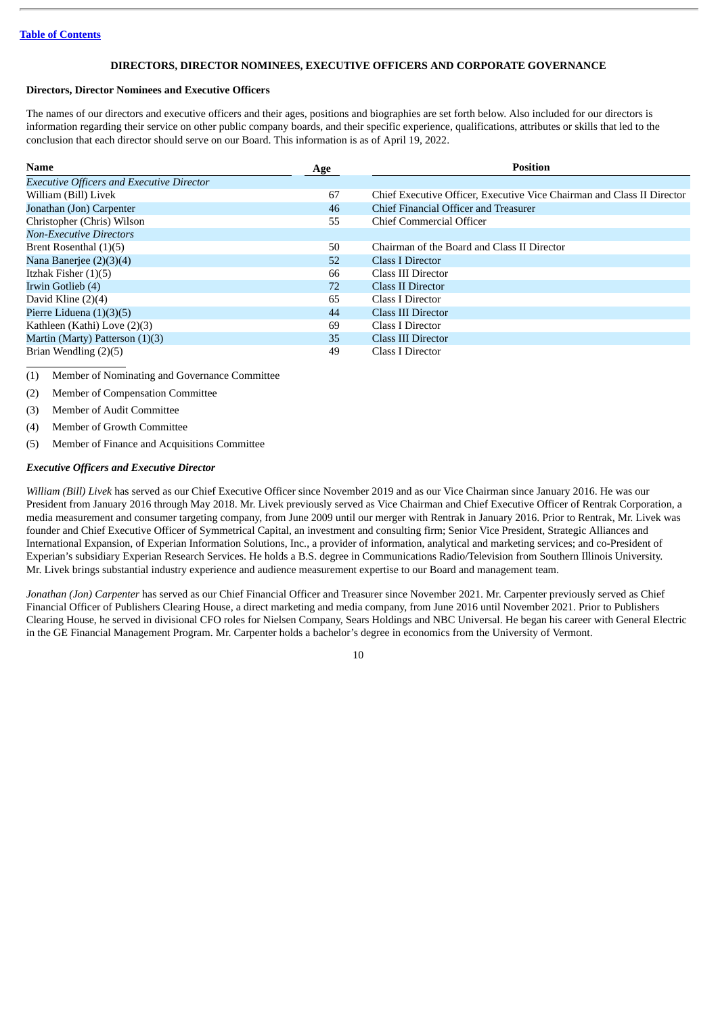## **DIRECTORS, DIRECTOR NOMINEES, EXECUTIVE OFFICERS AND CORPORATE GOVERNANCE**

#### <span id="page-13-1"></span><span id="page-13-0"></span>**Directors, Director Nominees and Executive Officers**

The names of our directors and executive officers and their ages, positions and biographies are set forth below. Also included for our directors is information regarding their service on other public company boards, and their specific experience, qualifications, attributes or skills that led to the conclusion that each director should serve on our Board. This information is as of April 19, 2022.

| <b>Name</b>                                      | Age | <b>Position</b>                                                        |
|--------------------------------------------------|-----|------------------------------------------------------------------------|
| <b>Executive Officers and Executive Director</b> |     |                                                                        |
| William (Bill) Livek                             | 67  | Chief Executive Officer, Executive Vice Chairman and Class II Director |
| Jonathan (Jon) Carpenter                         | 46  | Chief Financial Officer and Treasurer                                  |
| Christopher (Chris) Wilson                       | 55  | Chief Commercial Officer                                               |
| <b>Non-Executive Directors</b>                   |     |                                                                        |
| Brent Rosenthal (1)(5)                           | 50  | Chairman of the Board and Class II Director                            |
| Nana Banerjee $(2)(3)(4)$                        | 52  | Class I Director                                                       |
| Itzhak Fisher $(1)(5)$                           | 66  | Class III Director                                                     |
| Irwin Gotlieb (4)                                | 72  | Class II Director                                                      |
| David Kline $(2)(4)$                             | 65  | Class I Director                                                       |
| Pierre Liduena $(1)(3)(5)$                       | 44  | Class III Director                                                     |
| Kathleen (Kathi) Love (2)(3)                     | 69  | Class I Director                                                       |
| Martin (Marty) Patterson (1)(3)                  | 35  | <b>Class III Director</b>                                              |
| Brian Wendling (2)(5)                            | 49  | Class I Director                                                       |

(1) Member of Nominating and Governance Committee

(2) Member of Compensation Committee

(3) Member of Audit Committee

(4) Member of Growth Committee

(5) Member of Finance and Acquisitions Committee

## *Executive Officers and Executive Director*

*William (Bill) Livek* has served as our Chief Executive Officer since November 2019 and as our Vice Chairman since January 2016. He was our President from January 2016 through May 2018. Mr. Livek previously served as Vice Chairman and Chief Executive Officer of Rentrak Corporation, a media measurement and consumer targeting company, from June 2009 until our merger with Rentrak in January 2016. Prior to Rentrak, Mr. Livek was founder and Chief Executive Officer of Symmetrical Capital, an investment and consulting firm; Senior Vice President, Strategic Alliances and International Expansion, of Experian Information Solutions, Inc., a provider of information, analytical and marketing services; and co-President of Experian's subsidiary Experian Research Services. He holds a B.S. degree in Communications Radio/Television from Southern Illinois University. Mr. Livek brings substantial industry experience and audience measurement expertise to our Board and management team.

*Jonathan (Jon) Carpenter* has served as our Chief Financial Officer and Treasurer since November 2021. Mr. Carpenter previously served as Chief Financial Officer of Publishers Clearing House, a direct marketing and media company, from June 2016 until November 2021. Prior to Publishers Clearing House, he served in divisional CFO roles for Nielsen Company, Sears Holdings and NBC Universal. He began his career with General Electric in the GE Financial Management Program. Mr. Carpenter holds a bachelor's degree in economics from the University of Vermont.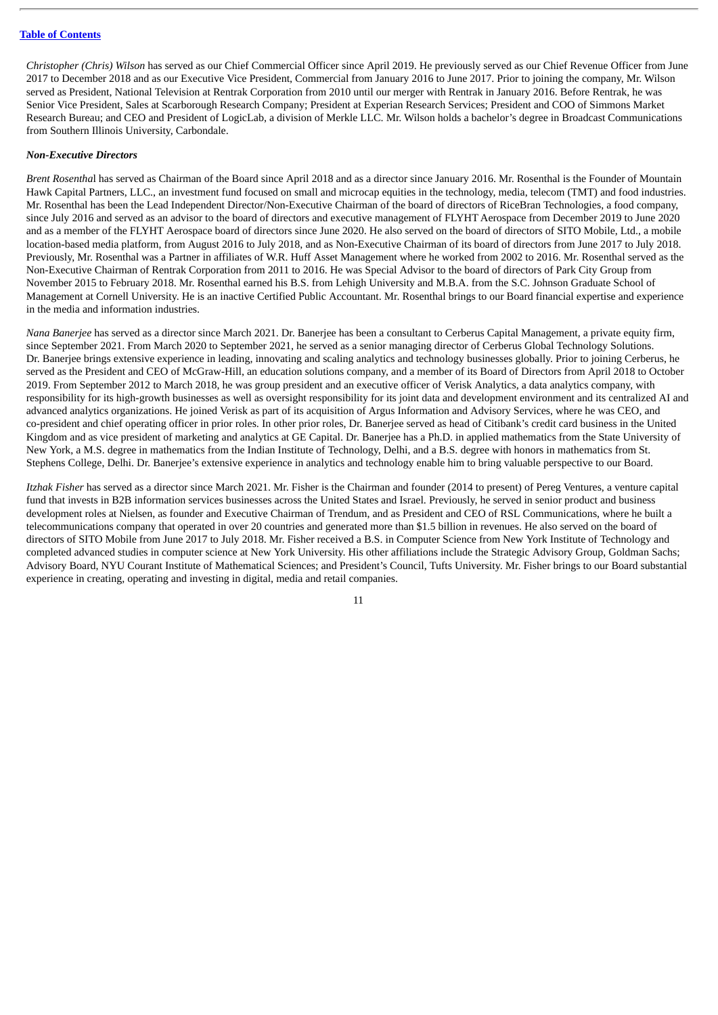*Christopher (Chris) Wilson* has served as our Chief Commercial Officer since April 2019. He previously served as our Chief Revenue Officer from June 2017 to December 2018 and as our Executive Vice President, Commercial from January 2016 to June 2017. Prior to joining the company, Mr. Wilson served as President, National Television at Rentrak Corporation from 2010 until our merger with Rentrak in January 2016. Before Rentrak, he was Senior Vice President, Sales at Scarborough Research Company; President at Experian Research Services; President and COO of Simmons Market Research Bureau; and CEO and President of LogicLab, a division of Merkle LLC. Mr. Wilson holds a bachelor's degree in Broadcast Communications from Southern Illinois University, Carbondale.

#### *Non-Executive Directors*

*Brent Rosentha*l has served as Chairman of the Board since April 2018 and as a director since January 2016. Mr. Rosenthal is the Founder of Mountain Hawk Capital Partners, LLC., an investment fund focused on small and microcap equities in the technology, media, telecom (TMT) and food industries. Mr. Rosenthal has been the Lead Independent Director/Non-Executive Chairman of the board of directors of RiceBran Technologies, a food company, since July 2016 and served as an advisor to the board of directors and executive management of FLYHT Aerospace from December 2019 to June 2020 and as a member of the FLYHT Aerospace board of directors since June 2020. He also served on the board of directors of SITO Mobile, Ltd., a mobile location-based media platform, from August 2016 to July 2018, and as Non-Executive Chairman of its board of directors from June 2017 to July 2018. Previously, Mr. Rosenthal was a Partner in affiliates of W.R. Huff Asset Management where he worked from 2002 to 2016. Mr. Rosenthal served as the Non-Executive Chairman of Rentrak Corporation from 2011 to 2016. He was Special Advisor to the board of directors of Park City Group from November 2015 to February 2018. Mr. Rosenthal earned his B.S. from Lehigh University and M.B.A. from the S.C. Johnson Graduate School of Management at Cornell University. He is an inactive Certified Public Accountant. Mr. Rosenthal brings to our Board financial expertise and experience in the media and information industries.

*Nana Banerjee* has served as a director since March 2021. Dr. Banerjee has been a consultant to Cerberus Capital Management, a private equity firm, since September 2021. From March 2020 to September 2021, he served as a senior managing director of Cerberus Global Technology Solutions. Dr. Banerjee brings extensive experience in leading, innovating and scaling analytics and technology businesses globally. Prior to joining Cerberus, he served as the President and CEO of McGraw-Hill, an education solutions company, and a member of its Board of Directors from April 2018 to October 2019. From September 2012 to March 2018, he was group president and an executive officer of Verisk Analytics, a data analytics company, with responsibility for its high-growth businesses as well as oversight responsibility for its joint data and development environment and its centralized AI and advanced analytics organizations. He joined Verisk as part of its acquisition of Argus Information and Advisory Services, where he was CEO, and co-president and chief operating officer in prior roles. In other prior roles, Dr. Banerjee served as head of Citibank's credit card business in the United Kingdom and as vice president of marketing and analytics at GE Capital. Dr. Banerjee has a Ph.D. in applied mathematics from the State University of New York, a M.S. degree in mathematics from the Indian Institute of Technology, Delhi, and a B.S. degree with honors in mathematics from St. Stephens College, Delhi. Dr. Banerjee's extensive experience in analytics and technology enable him to bring valuable perspective to our Board.

*Itzhak Fisher* has served as a director since March 2021. Mr. Fisher is the Chairman and founder (2014 to present) of Pereg Ventures, a venture capital fund that invests in B2B information services businesses across the United States and Israel. Previously, he served in senior product and business development roles at Nielsen, as founder and Executive Chairman of Trendum, and as President and CEO of RSL Communications, where he built a telecommunications company that operated in over 20 countries and generated more than \$1.5 billion in revenues. He also served on the board of directors of SITO Mobile from June 2017 to July 2018. Mr. Fisher received a B.S. in Computer Science from New York Institute of Technology and completed advanced studies in computer science at New York University. His other affiliations include the Strategic Advisory Group, Goldman Sachs; Advisory Board, NYU Courant Institute of Mathematical Sciences; and President's Council, Tufts University. Mr. Fisher brings to our Board substantial experience in creating, operating and investing in digital, media and retail companies.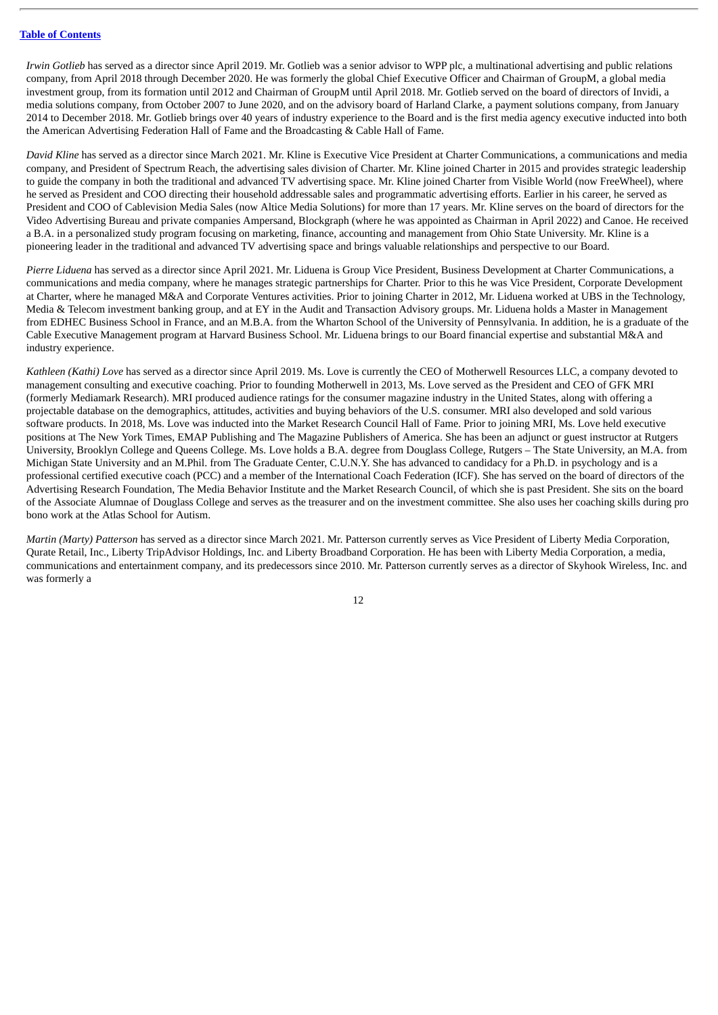*Irwin Gotlieb* has served as a director since April 2019. Mr. Gotlieb was a senior advisor to WPP plc, a multinational advertising and public relations company, from April 2018 through December 2020. He was formerly the global Chief Executive Officer and Chairman of GroupM, a global media investment group, from its formation until 2012 and Chairman of GroupM until April 2018. Mr. Gotlieb served on the board of directors of Invidi, a media solutions company, from October 2007 to June 2020, and on the advisory board of Harland Clarke, a payment solutions company, from January 2014 to December 2018. Mr. Gotlieb brings over 40 years of industry experience to the Board and is the first media agency executive inducted into both the American Advertising Federation Hall of Fame and the Broadcasting & Cable Hall of Fame.

*David Kline* has served as a director since March 2021. Mr. Kline is Executive Vice President at Charter Communications, a communications and media company, and President of Spectrum Reach, the advertising sales division of Charter. Mr. Kline joined Charter in 2015 and provides strategic leadership to guide the company in both the traditional and advanced TV advertising space. Mr. Kline joined Charter from Visible World (now FreeWheel), where he served as President and COO directing their household addressable sales and programmatic advertising efforts. Earlier in his career, he served as President and COO of Cablevision Media Sales (now Altice Media Solutions) for more than 17 years. Mr. Kline serves on the board of directors for the Video Advertising Bureau and private companies Ampersand, Blockgraph (where he was appointed as Chairman in April 2022) and Canoe. He received a B.A. in a personalized study program focusing on marketing, finance, accounting and management from Ohio State University. Mr. Kline is a pioneering leader in the traditional and advanced TV advertising space and brings valuable relationships and perspective to our Board.

*Pierre Liduena* has served as a director since April 2021. Mr. Liduena is Group Vice President, Business Development at Charter Communications, a communications and media company, where he manages strategic partnerships for Charter. Prior to this he was Vice President, Corporate Development at Charter, where he managed M&A and Corporate Ventures activities. Prior to joining Charter in 2012, Mr. Liduena worked at UBS in the Technology, Media & Telecom investment banking group, and at EY in the Audit and Transaction Advisory groups. Mr. Liduena holds a Master in Management from EDHEC Business School in France, and an M.B.A. from the Wharton School of the University of Pennsylvania. In addition, he is a graduate of the Cable Executive Management program at Harvard Business School. Mr. Liduena brings to our Board financial expertise and substantial M&A and industry experience.

*Kathleen (Kathi) Love* has served as a director since April 2019. Ms. Love is currently the CEO of Motherwell Resources LLC, a company devoted to management consulting and executive coaching. Prior to founding Motherwell in 2013, Ms. Love served as the President and CEO of GFK MRI (formerly Mediamark Research). MRI produced audience ratings for the consumer magazine industry in the United States, along with offering a projectable database on the demographics, attitudes, activities and buying behaviors of the U.S. consumer. MRI also developed and sold various software products. In 2018, Ms. Love was inducted into the Market Research Council Hall of Fame. Prior to joining MRI, Ms. Love held executive positions at The New York Times, EMAP Publishing and The Magazine Publishers of America. She has been an adjunct or guest instructor at Rutgers University, Brooklyn College and Queens College. Ms. Love holds a B.A. degree from Douglass College, Rutgers – The State University, an M.A. from Michigan State University and an M.Phil. from The Graduate Center, C.U.N.Y. She has advanced to candidacy for a Ph.D. in psychology and is a professional certified executive coach (PCC) and a member of the International Coach Federation (ICF). She has served on the board of directors of the Advertising Research Foundation, The Media Behavior Institute and the Market Research Council, of which she is past President. She sits on the board of the Associate Alumnae of Douglass College and serves as the treasurer and on the investment committee. She also uses her coaching skills during pro bono work at the Atlas School for Autism.

*Martin (Marty) Patterson* has served as a director since March 2021. Mr. Patterson currently serves as Vice President of Liberty Media Corporation, Qurate Retail, Inc., Liberty TripAdvisor Holdings, Inc. and Liberty Broadband Corporation. He has been with Liberty Media Corporation, a media, communications and entertainment company, and its predecessors since 2010. Mr. Patterson currently serves as a director of Skyhook Wireless, Inc. and was formerly a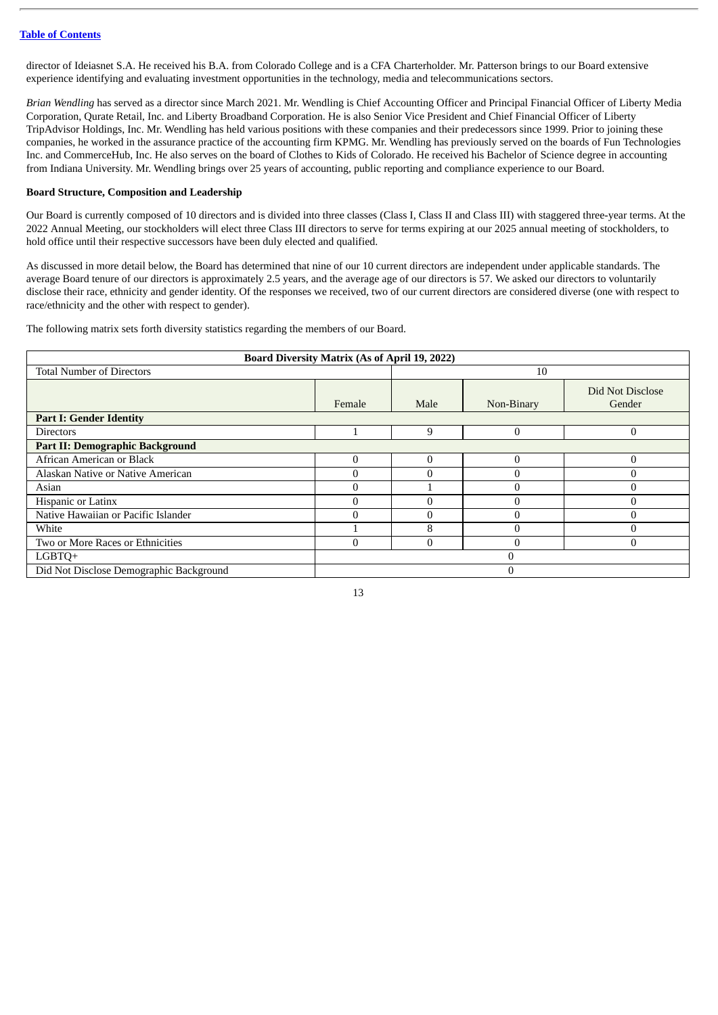director of Ideiasnet S.A. He received his B.A. from Colorado College and is a CFA Charterholder. Mr. Patterson brings to our Board extensive experience identifying and evaluating investment opportunities in the technology, media and telecommunications sectors.

*Brian Wendling* has served as a director since March 2021. Mr. Wendling is Chief Accounting Officer and Principal Financial Officer of Liberty Media Corporation, Qurate Retail, Inc. and Liberty Broadband Corporation. He is also Senior Vice President and Chief Financial Officer of Liberty TripAdvisor Holdings, Inc. Mr. Wendling has held various positions with these companies and their predecessors since 1999. Prior to joining these companies, he worked in the assurance practice of the accounting firm KPMG. Mr. Wendling has previously served on the boards of Fun Technologies Inc. and CommerceHub, Inc. He also serves on the board of Clothes to Kids of Colorado. He received his Bachelor of Science degree in accounting from Indiana University. Mr. Wendling brings over 25 years of accounting, public reporting and compliance experience to our Board.

## <span id="page-16-0"></span>**Board Structure, Composition and Leadership**

Our Board is currently composed of 10 directors and is divided into three classes (Class I, Class II and Class III) with staggered three-year terms. At the 2022 Annual Meeting, our stockholders will elect three Class III directors to serve for terms expiring at our 2025 annual meeting of stockholders, to hold office until their respective successors have been duly elected and qualified.

As discussed in more detail below, the Board has determined that nine of our 10 current directors are independent under applicable standards. The average Board tenure of our directors is approximately 2.5 years, and the average age of our directors is 57. We asked our directors to voluntarily disclose their race, ethnicity and gender identity. Of the responses we received, two of our current directors are considered diverse (one with respect to race/ethnicity and the other with respect to gender).

The following matrix sets forth diversity statistics regarding the members of our Board.

| <b>Board Diversity Matrix (As of April 19, 2022)</b> |          |          |            |                            |  |
|------------------------------------------------------|----------|----------|------------|----------------------------|--|
| <b>Total Number of Directors</b>                     |          |          | 10         |                            |  |
|                                                      | Female   | Male     | Non-Binary | Did Not Disclose<br>Gender |  |
| <b>Part I: Gender Identity</b>                       |          |          |            |                            |  |
| <b>Directors</b>                                     |          | 9        | 0          | 0                          |  |
| <b>Part II: Demographic Background</b>               |          |          |            |                            |  |
| African American or Black                            | $\Omega$ | $\theta$ |            | 0                          |  |
| Alaskan Native or Native American                    |          | 0        |            | 0                          |  |
| Asian                                                |          |          |            | ſ                          |  |
| Hispanic or Latinx                                   |          | $\Omega$ |            |                            |  |
| Native Hawaiian or Pacific Islander                  |          | $\Omega$ |            | 0                          |  |
| White                                                |          | 8        |            | O                          |  |
| Two or More Races or Ethnicities                     |          | $\theta$ |            | 0                          |  |
| LGBTO+                                               | $\Omega$ |          |            |                            |  |
| Did Not Disclose Demographic Background              |          |          | $\Omega$   |                            |  |

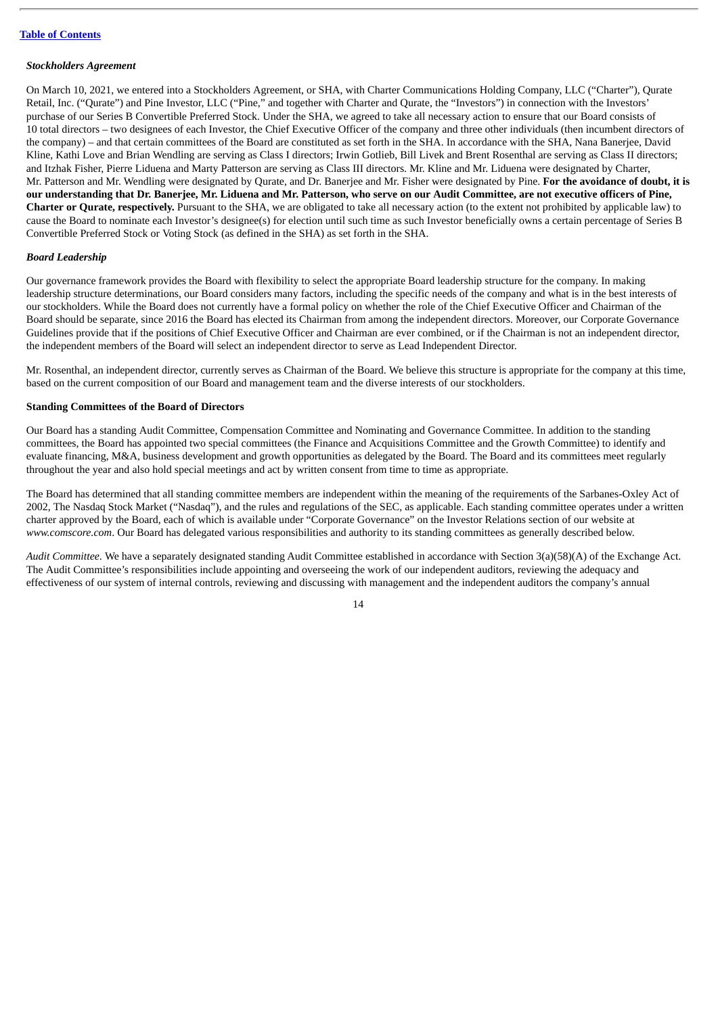#### *Stockholders Agreement*

On March 10, 2021, we entered into a Stockholders Agreement, or SHA, with Charter Communications Holding Company, LLC ("Charter"), Qurate Retail, Inc. ("Qurate") and Pine Investor, LLC ("Pine," and together with Charter and Qurate, the "Investors") in connection with the Investors' purchase of our Series B Convertible Preferred Stock. Under the SHA, we agreed to take all necessary action to ensure that our Board consists of 10 total directors – two designees of each Investor, the Chief Executive Officer of the company and three other individuals (then incumbent directors of the company) – and that certain committees of the Board are constituted as set forth in the SHA. In accordance with the SHA, Nana Banerjee, David Kline, Kathi Love and Brian Wendling are serving as Class I directors; Irwin Gotlieb, Bill Livek and Brent Rosenthal are serving as Class II directors; and Itzhak Fisher, Pierre Liduena and Marty Patterson are serving as Class III directors. Mr. Kline and Mr. Liduena were designated by Charter, Mr. Patterson and Mr. Wendling were designated by Qurate, and Dr. Banerjee and Mr. Fisher were designated by Pine. **For the avoidance of doubt, it is** our understanding that Dr. Banerjee, Mr. Liduena and Mr. Patterson, who serve on our Audit Committee, are not executive officers of Pine, **Charter or Qurate, respectively.** Pursuant to the SHA, we are obligated to take all necessary action (to the extent not prohibited by applicable law) to cause the Board to nominate each Investor's designee(s) for election until such time as such Investor beneficially owns a certain percentage of Series B Convertible Preferred Stock or Voting Stock (as defined in the SHA) as set forth in the SHA.

## *Board Leadership*

Our governance framework provides the Board with flexibility to select the appropriate Board leadership structure for the company. In making leadership structure determinations, our Board considers many factors, including the specific needs of the company and what is in the best interests of our stockholders. While the Board does not currently have a formal policy on whether the role of the Chief Executive Officer and Chairman of the Board should be separate, since 2016 the Board has elected its Chairman from among the independent directors. Moreover, our Corporate Governance Guidelines provide that if the positions of Chief Executive Officer and Chairman are ever combined, or if the Chairman is not an independent director, the independent members of the Board will select an independent director to serve as Lead Independent Director.

Mr. Rosenthal, an independent director, currently serves as Chairman of the Board. We believe this structure is appropriate for the company at this time, based on the current composition of our Board and management team and the diverse interests of our stockholders.

#### <span id="page-17-0"></span>**Standing Committees of the Board of Directors**

Our Board has a standing Audit Committee, Compensation Committee and Nominating and Governance Committee. In addition to the standing committees, the Board has appointed two special committees (the Finance and Acquisitions Committee and the Growth Committee) to identify and evaluate financing, M&A, business development and growth opportunities as delegated by the Board. The Board and its committees meet regularly throughout the year and also hold special meetings and act by written consent from time to time as appropriate.

The Board has determined that all standing committee members are independent within the meaning of the requirements of the Sarbanes-Oxley Act of 2002, The Nasdaq Stock Market ("Nasdaq"), and the rules and regulations of the SEC, as applicable. Each standing committee operates under a written charter approved by the Board, each of which is available under "Corporate Governance" on the Investor Relations section of our website at *www.comscore.com*. Our Board has delegated various responsibilities and authority to its standing committees as generally described below.

*Audit Committee*. We have a separately designated standing Audit Committee established in accordance with Section 3(a)(58)(A) of the Exchange Act. The Audit Committee's responsibilities include appointing and overseeing the work of our independent auditors, reviewing the adequacy and effectiveness of our system of internal controls, reviewing and discussing with management and the independent auditors the company's annual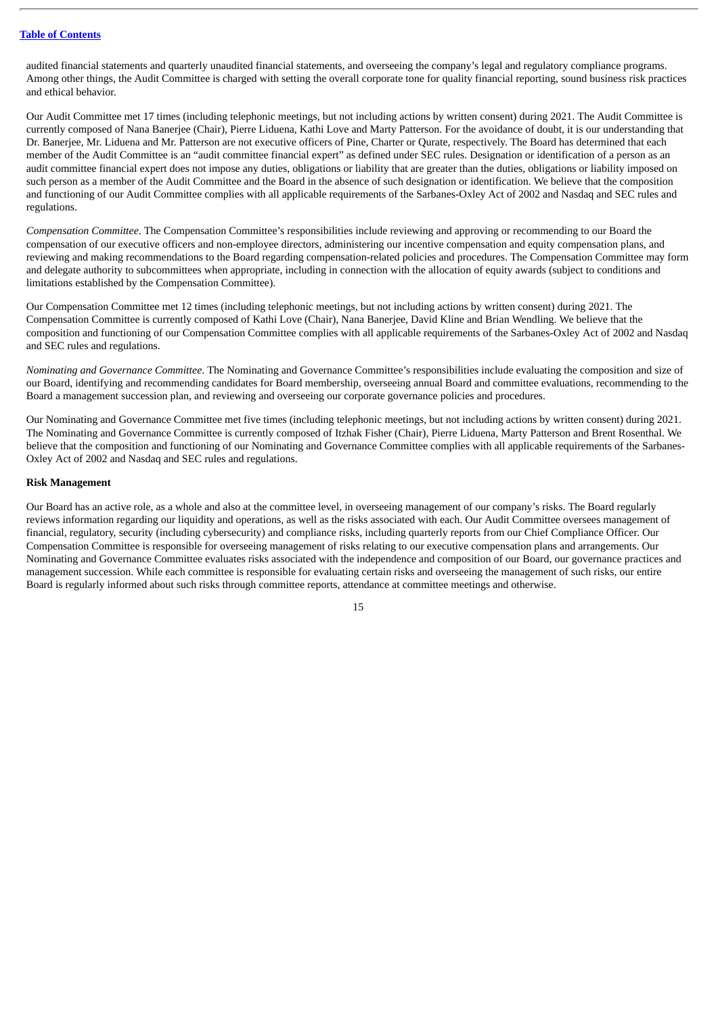audited financial statements and quarterly unaudited financial statements, and overseeing the company's legal and regulatory compliance programs. Among other things, the Audit Committee is charged with setting the overall corporate tone for quality financial reporting, sound business risk practices and ethical behavior.

Our Audit Committee met 17 times (including telephonic meetings, but not including actions by written consent) during 2021. The Audit Committee is currently composed of Nana Banerjee (Chair), Pierre Liduena, Kathi Love and Marty Patterson. For the avoidance of doubt, it is our understanding that Dr. Banerjee, Mr. Liduena and Mr. Patterson are not executive officers of Pine, Charter or Qurate, respectively. The Board has determined that each member of the Audit Committee is an "audit committee financial expert" as defined under SEC rules. Designation or identification of a person as an audit committee financial expert does not impose any duties, obligations or liability that are greater than the duties, obligations or liability imposed on such person as a member of the Audit Committee and the Board in the absence of such designation or identification. We believe that the composition and functioning of our Audit Committee complies with all applicable requirements of the Sarbanes-Oxley Act of 2002 and Nasdaq and SEC rules and regulations.

*Compensation Committee*. The Compensation Committee's responsibilities include reviewing and approving or recommending to our Board the compensation of our executive officers and non-employee directors, administering our incentive compensation and equity compensation plans, and reviewing and making recommendations to the Board regarding compensation-related policies and procedures. The Compensation Committee may form and delegate authority to subcommittees when appropriate, including in connection with the allocation of equity awards (subject to conditions and limitations established by the Compensation Committee).

Our Compensation Committee met 12 times (including telephonic meetings, but not including actions by written consent) during 2021. The Compensation Committee is currently composed of Kathi Love (Chair), Nana Banerjee, David Kline and Brian Wendling. We believe that the composition and functioning of our Compensation Committee complies with all applicable requirements of the Sarbanes-Oxley Act of 2002 and Nasdaq and SEC rules and regulations.

*Nominating and Governance Committee*. The Nominating and Governance Committee's responsibilities include evaluating the composition and size of our Board, identifying and recommending candidates for Board membership, overseeing annual Board and committee evaluations, recommending to the Board a management succession plan, and reviewing and overseeing our corporate governance policies and procedures.

Our Nominating and Governance Committee met five times (including telephonic meetings, but not including actions by written consent) during 2021. The Nominating and Governance Committee is currently composed of Itzhak Fisher (Chair), Pierre Liduena, Marty Patterson and Brent Rosenthal. We believe that the composition and functioning of our Nominating and Governance Committee complies with all applicable requirements of the Sarbanes-Oxley Act of 2002 and Nasdaq and SEC rules and regulations.

#### <span id="page-18-0"></span>**Risk Management**

Our Board has an active role, as a whole and also at the committee level, in overseeing management of our company's risks. The Board regularly reviews information regarding our liquidity and operations, as well as the risks associated with each. Our Audit Committee oversees management of financial, regulatory, security (including cybersecurity) and compliance risks, including quarterly reports from our Chief Compliance Officer. Our Compensation Committee is responsible for overseeing management of risks relating to our executive compensation plans and arrangements. Our Nominating and Governance Committee evaluates risks associated with the independence and composition of our Board, our governance practices and management succession. While each committee is responsible for evaluating certain risks and overseeing the management of such risks, our entire Board is regularly informed about such risks through committee reports, attendance at committee meetings and otherwise.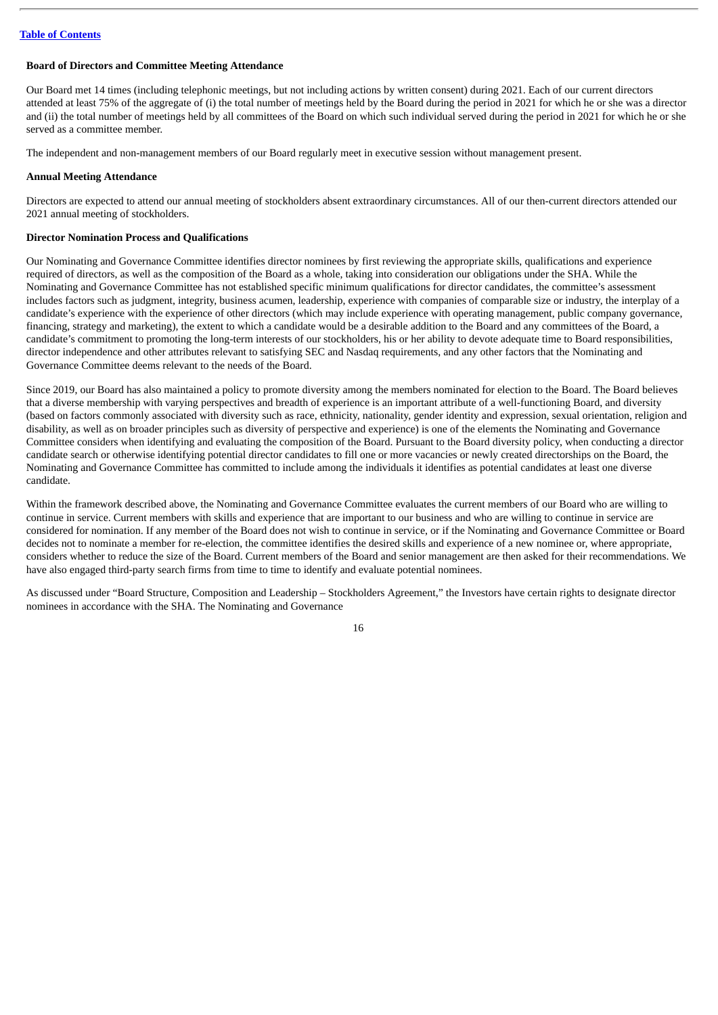## <span id="page-19-0"></span>**Board of Directors and Committee Meeting Attendance**

Our Board met 14 times (including telephonic meetings, but not including actions by written consent) during 2021. Each of our current directors attended at least 75% of the aggregate of (i) the total number of meetings held by the Board during the period in 2021 for which he or she was a director and (ii) the total number of meetings held by all committees of the Board on which such individual served during the period in 2021 for which he or she served as a committee member.

The independent and non-management members of our Board regularly meet in executive session without management present.

#### <span id="page-19-1"></span>**Annual Meeting Attendance**

Directors are expected to attend our annual meeting of stockholders absent extraordinary circumstances. All of our then-current directors attended our 2021 annual meeting of stockholders.

#### <span id="page-19-2"></span>**Director Nomination Process and Qualifications**

Our Nominating and Governance Committee identifies director nominees by first reviewing the appropriate skills, qualifications and experience required of directors, as well as the composition of the Board as a whole, taking into consideration our obligations under the SHA. While the Nominating and Governance Committee has not established specific minimum qualifications for director candidates, the committee's assessment includes factors such as judgment, integrity, business acumen, leadership, experience with companies of comparable size or industry, the interplay of a candidate's experience with the experience of other directors (which may include experience with operating management, public company governance, financing, strategy and marketing), the extent to which a candidate would be a desirable addition to the Board and any committees of the Board, a candidate's commitment to promoting the long-term interests of our stockholders, his or her ability to devote adequate time to Board responsibilities, director independence and other attributes relevant to satisfying SEC and Nasdaq requirements, and any other factors that the Nominating and Governance Committee deems relevant to the needs of the Board.

Since 2019, our Board has also maintained a policy to promote diversity among the members nominated for election to the Board. The Board believes that a diverse membership with varying perspectives and breadth of experience is an important attribute of a well-functioning Board, and diversity (based on factors commonly associated with diversity such as race, ethnicity, nationality, gender identity and expression, sexual orientation, religion and disability, as well as on broader principles such as diversity of perspective and experience) is one of the elements the Nominating and Governance Committee considers when identifying and evaluating the composition of the Board. Pursuant to the Board diversity policy, when conducting a director candidate search or otherwise identifying potential director candidates to fill one or more vacancies or newly created directorships on the Board, the Nominating and Governance Committee has committed to include among the individuals it identifies as potential candidates at least one diverse candidate.

Within the framework described above, the Nominating and Governance Committee evaluates the current members of our Board who are willing to continue in service. Current members with skills and experience that are important to our business and who are willing to continue in service are considered for nomination. If any member of the Board does not wish to continue in service, or if the Nominating and Governance Committee or Board decides not to nominate a member for re-election, the committee identifies the desired skills and experience of a new nominee or, where appropriate, considers whether to reduce the size of the Board. Current members of the Board and senior management are then asked for their recommendations. We have also engaged third-party search firms from time to time to identify and evaluate potential nominees.

As discussed under "Board Structure, Composition and Leadership – Stockholders Agreement," the Investors have certain rights to designate director nominees in accordance with the SHA. The Nominating and Governance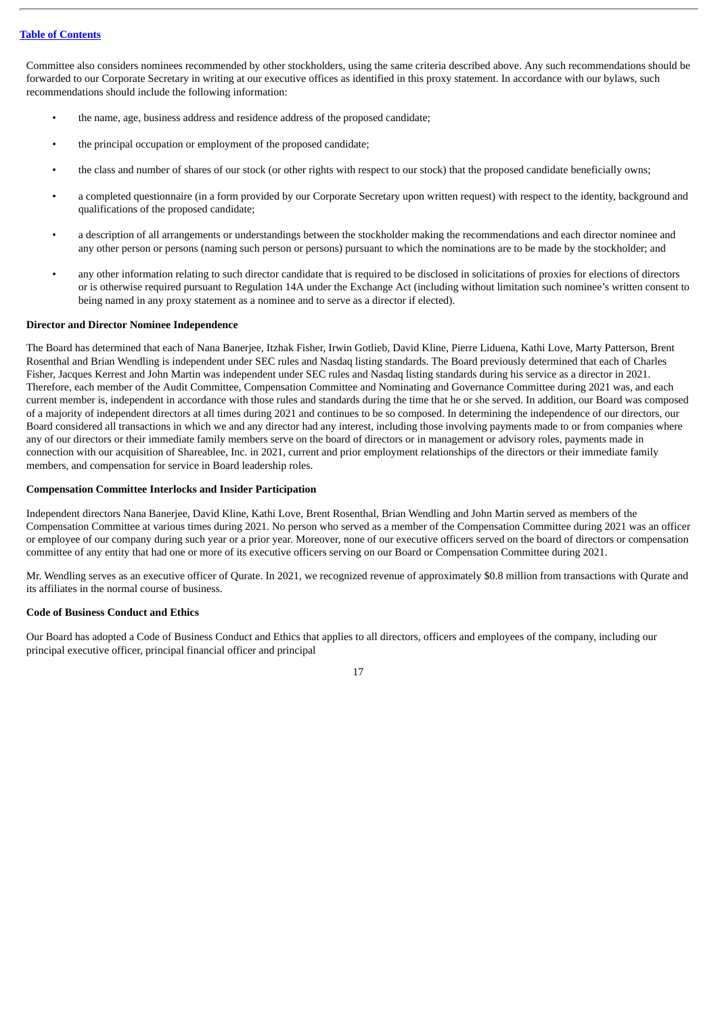Committee also considers nominees recommended by other stockholders, using the same criteria described above. Any such recommendations should be forwarded to our Corporate Secretary in writing at our executive offices as identified in this proxy statement. In accordance with our bylaws, such recommendations should include the following information:

- the name, age, business address and residence address of the proposed candidate;
- the principal occupation or employment of the proposed candidate;
- the class and number of shares of our stock (or other rights with respect to our stock) that the proposed candidate beneficially owns;
- a completed questionnaire (in a form provided by our Corporate Secretary upon written request) with respect to the identity, background and qualifications of the proposed candidate;
- a description of all arrangements or understandings between the stockholder making the recommendations and each director nominee and any other person or persons (naming such person or persons) pursuant to which the nominations are to be made by the stockholder; and
- any other information relating to such director candidate that is required to be disclosed in solicitations of proxies for elections of directors or is otherwise required pursuant to Regulation 14A under the Exchange Act (including without limitation such nominee's written consent to being named in any proxy statement as a nominee and to serve as a director if elected).

#### <span id="page-20-0"></span>**Director and Director Nominee Independence**

The Board has determined that each of Nana Banerjee, Itzhak Fisher, Irwin Gotlieb, David Kline, Pierre Liduena, Kathi Love, Marty Patterson, Brent Rosenthal and Brian Wendling is independent under SEC rules and Nasdaq listing standards. The Board previously determined that each of Charles Fisher, Jacques Kerrest and John Martin was independent under SEC rules and Nasdaq listing standards during his service as a director in 2021. Therefore, each member of the Audit Committee, Compensation Committee and Nominating and Governance Committee during 2021 was, and each current member is, independent in accordance with those rules and standards during the time that he or she served. In addition, our Board was composed of a majority of independent directors at all times during 2021 and continues to be so composed. In determining the independence of our directors, our Board considered all transactions in which we and any director had any interest, including those involving payments made to or from companies where any of our directors or their immediate family members serve on the board of directors or in management or advisory roles, payments made in connection with our acquisition of Shareablee, Inc. in 2021, current and prior employment relationships of the directors or their immediate family members, and compensation for service in Board leadership roles.

#### <span id="page-20-1"></span>**Compensation Committee Interlocks and Insider Participation**

Independent directors Nana Banerjee, David Kline, Kathi Love, Brent Rosenthal, Brian Wendling and John Martin served as members of the Compensation Committee at various times during 2021. No person who served as a member of the Compensation Committee during 2021 was an officer or employee of our company during such year or a prior year. Moreover, none of our executive officers served on the board of directors or compensation committee of any entity that had one or more of its executive officers serving on our Board or Compensation Committee during 2021.

Mr. Wendling serves as an executive officer of Qurate. In 2021, we recognized revenue of approximately \$0.8 million from transactions with Qurate and its affiliates in the normal course of business.

## <span id="page-20-2"></span>**Code of Business Conduct and Ethics**

Our Board has adopted a Code of Business Conduct and Ethics that applies to all directors, officers and employees of the company, including our principal executive officer, principal financial officer and principal

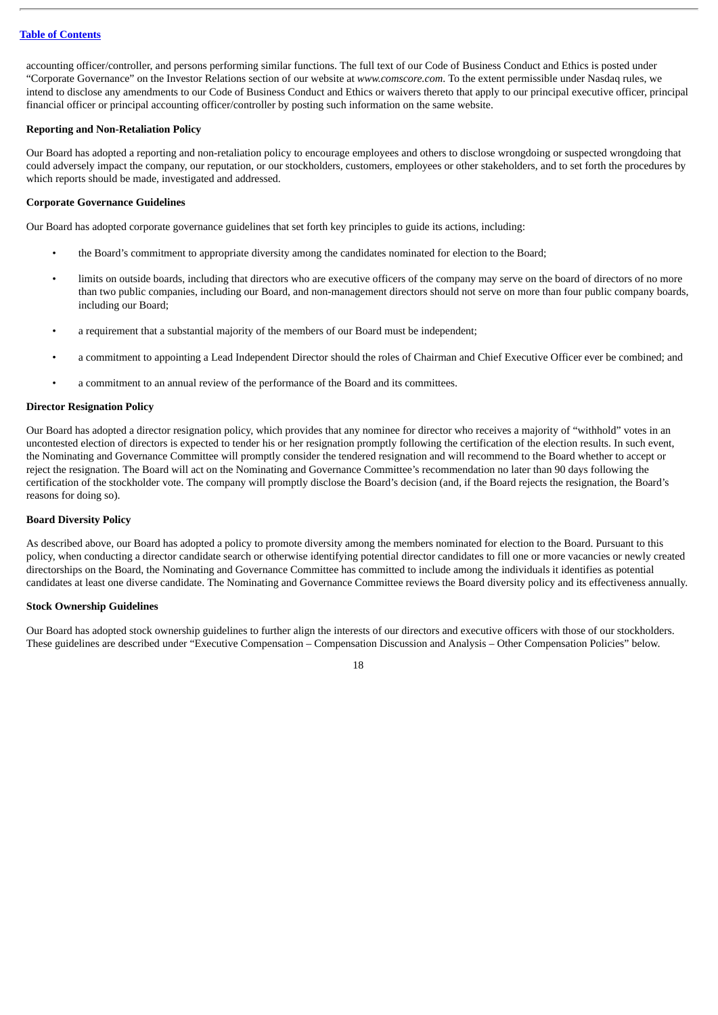accounting officer/controller, and persons performing similar functions. The full text of our Code of Business Conduct and Ethics is posted under "Corporate Governance" on the Investor Relations section of our website at *www.comscore.com*. To the extent permissible under Nasdaq rules, we intend to disclose any amendments to our Code of Business Conduct and Ethics or waivers thereto that apply to our principal executive officer, principal financial officer or principal accounting officer/controller by posting such information on the same website.

#### <span id="page-21-0"></span>**Reporting and Non-Retaliation Policy**

Our Board has adopted a reporting and non-retaliation policy to encourage employees and others to disclose wrongdoing or suspected wrongdoing that could adversely impact the company, our reputation, or our stockholders, customers, employees or other stakeholders, and to set forth the procedures by which reports should be made, investigated and addressed.

#### <span id="page-21-1"></span>**Corporate Governance Guidelines**

Our Board has adopted corporate governance guidelines that set forth key principles to guide its actions, including:

- the Board's commitment to appropriate diversity among the candidates nominated for election to the Board;
- limits on outside boards, including that directors who are executive officers of the company may serve on the board of directors of no more than two public companies, including our Board, and non-management directors should not serve on more than four public company boards, including our Board;
- a requirement that a substantial majority of the members of our Board must be independent;
- a commitment to appointing a Lead Independent Director should the roles of Chairman and Chief Executive Officer ever be combined; and
- a commitment to an annual review of the performance of the Board and its committees.

#### <span id="page-21-2"></span>**Director Resignation Policy**

Our Board has adopted a director resignation policy, which provides that any nominee for director who receives a majority of "withhold" votes in an uncontested election of directors is expected to tender his or her resignation promptly following the certification of the election results. In such event, the Nominating and Governance Committee will promptly consider the tendered resignation and will recommend to the Board whether to accept or reject the resignation. The Board will act on the Nominating and Governance Committee's recommendation no later than 90 days following the certification of the stockholder vote. The company will promptly disclose the Board's decision (and, if the Board rejects the resignation, the Board's reasons for doing so).

#### <span id="page-21-3"></span>**Board Diversity Policy**

As described above, our Board has adopted a policy to promote diversity among the members nominated for election to the Board. Pursuant to this policy, when conducting a director candidate search or otherwise identifying potential director candidates to fill one or more vacancies or newly created directorships on the Board, the Nominating and Governance Committee has committed to include among the individuals it identifies as potential candidates at least one diverse candidate. The Nominating and Governance Committee reviews the Board diversity policy and its effectiveness annually.

#### <span id="page-21-4"></span>**Stock Ownership Guidelines**

Our Board has adopted stock ownership guidelines to further align the interests of our directors and executive officers with those of our stockholders. These guidelines are described under "Executive Compensation – Compensation Discussion and Analysis – Other Compensation Policies" below.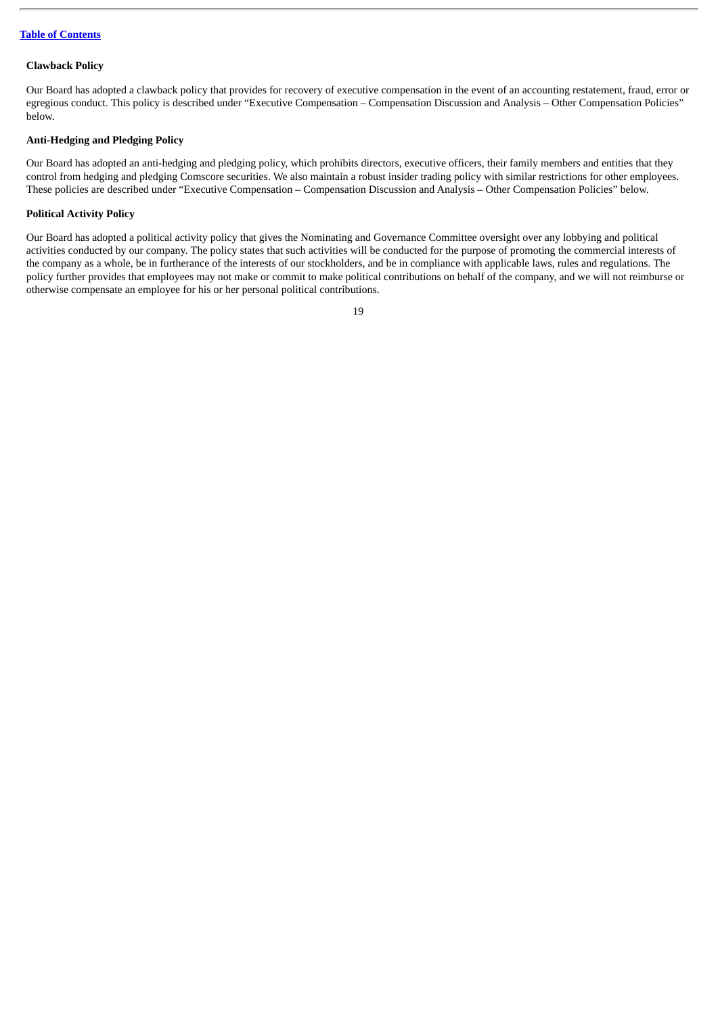#### <span id="page-22-0"></span>**Clawback Policy**

Our Board has adopted a clawback policy that provides for recovery of executive compensation in the event of an accounting restatement, fraud, error or egregious conduct. This policy is described under "Executive Compensation – Compensation Discussion and Analysis – Other Compensation Policies" below.

## <span id="page-22-1"></span>**Anti-Hedging and Pledging Policy**

Our Board has adopted an anti-hedging and pledging policy, which prohibits directors, executive officers, their family members and entities that they control from hedging and pledging Comscore securities. We also maintain a robust insider trading policy with similar restrictions for other employees. These policies are described under "Executive Compensation – Compensation Discussion and Analysis – Other Compensation Policies" below.

## <span id="page-22-2"></span>**Political Activity Policy**

Our Board has adopted a political activity policy that gives the Nominating and Governance Committee oversight over any lobbying and political activities conducted by our company. The policy states that such activities will be conducted for the purpose of promoting the commercial interests of the company as a whole, be in furtherance of the interests of our stockholders, and be in compliance with applicable laws, rules and regulations. The policy further provides that employees may not make or commit to make political contributions on behalf of the company, and we will not reimburse or otherwise compensate an employee for his or her personal political contributions.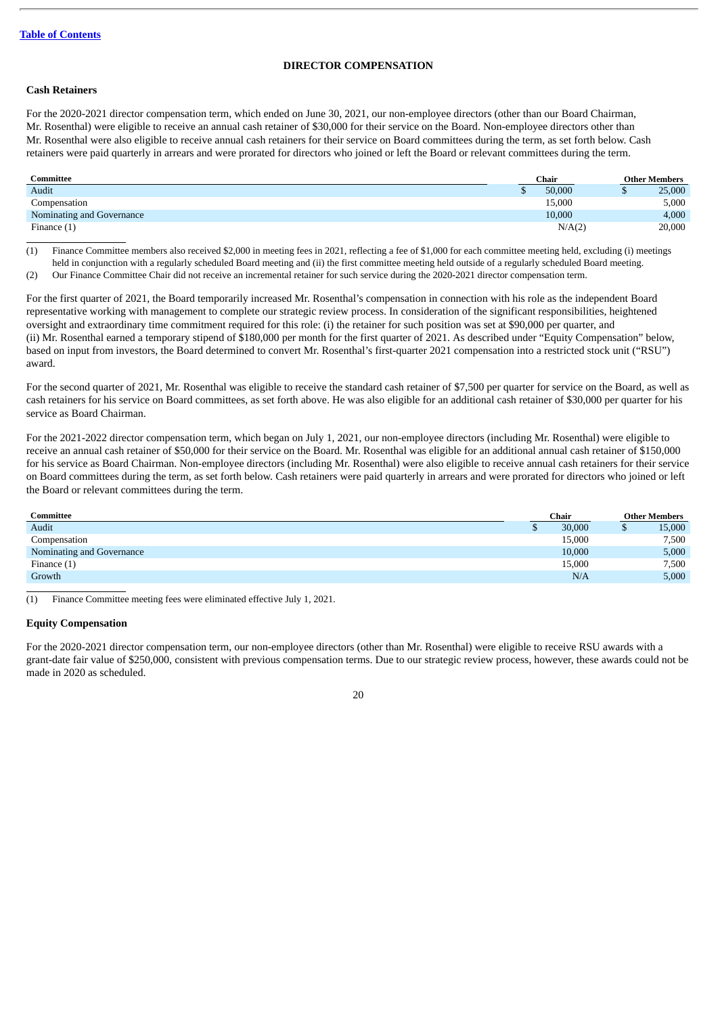## **DIRECTOR COMPENSATION**

#### <span id="page-23-0"></span>**Cash Retainers**

For the 2020-2021 director compensation term, which ended on June 30, 2021, our non-employee directors (other than our Board Chairman, Mr. Rosenthal) were eligible to receive an annual cash retainer of \$30,000 for their service on the Board. Non-employee directors other than Mr. Rosenthal were also eligible to receive annual cash retainers for their service on Board committees during the term, as set forth below. Cash retainers were paid quarterly in arrears and were prorated for directors who joined or left the Board or relevant committees during the term.

| Committee                 | Chair  | <b>Other Members</b> |  |
|---------------------------|--------|----------------------|--|
| Audit                     | 50,000 | 25,000               |  |
| Compensation              | 15,000 | 5,000                |  |
| Nominating and Governance | 10,000 | 4,000                |  |
| Finance $(1)$             | N/A(2) | 20,000               |  |

(1) Finance Committee members also received \$2,000 in meeting fees in 2021, reflecting a fee of \$1,000 for each committee meeting held, excluding (i) meetings held in conjunction with a regularly scheduled Board meeting and (ii) the first committee meeting held outside of a regularly scheduled Board meeting. (2) Our Finance Committee Chair did not receive an incremental retainer for such service during the 2020-2021 director compensation term.

For the first quarter of 2021, the Board temporarily increased Mr. Rosenthal's compensation in connection with his role as the independent Board representative working with management to complete our strategic review process. In consideration of the significant responsibilities, heightened oversight and extraordinary time commitment required for this role: (i) the retainer for such position was set at \$90,000 per quarter, and (ii) Mr. Rosenthal earned a temporary stipend of \$180,000 per month for the first quarter of 2021. As described under "Equity Compensation" below, based on input from investors, the Board determined to convert Mr. Rosenthal's first-quarter 2021 compensation into a restricted stock unit ("RSU") award.

For the second quarter of 2021, Mr. Rosenthal was eligible to receive the standard cash retainer of \$7,500 per quarter for service on the Board, as well as cash retainers for his service on Board committees, as set forth above. He was also eligible for an additional cash retainer of \$30,000 per quarter for his service as Board Chairman.

For the 2021-2022 director compensation term, which began on July 1, 2021, our non-employee directors (including Mr. Rosenthal) were eligible to receive an annual cash retainer of \$50,000 for their service on the Board. Mr. Rosenthal was eligible for an additional annual cash retainer of \$150,000 for his service as Board Chairman. Non-employee directors (including Mr. Rosenthal) were also eligible to receive annual cash retainers for their service on Board committees during the term, as set forth below. Cash retainers were paid quarterly in arrears and were prorated for directors who joined or left the Board or relevant committees during the term.

| Committee                 | Chair |        | <b>Other Members</b> |        |
|---------------------------|-------|--------|----------------------|--------|
| Audit                     |       | 30,000 |                      | 15,000 |
| Compensation              |       | 15,000 |                      | 7,500  |
| Nominating and Governance |       | 10,000 |                      | 5,000  |
| Finance $(1)$             |       | 15,000 |                      | 7,500  |
| Growth                    |       | N/A    |                      | 5,000  |

(1) Finance Committee meeting fees were eliminated effective July 1, 2021.

#### **Equity Compensation**

For the 2020-2021 director compensation term, our non-employee directors (other than Mr. Rosenthal) were eligible to receive RSU awards with a grant-date fair value of \$250,000, consistent with previous compensation terms. Due to our strategic review process, however, these awards could not be made in 2020 as scheduled.

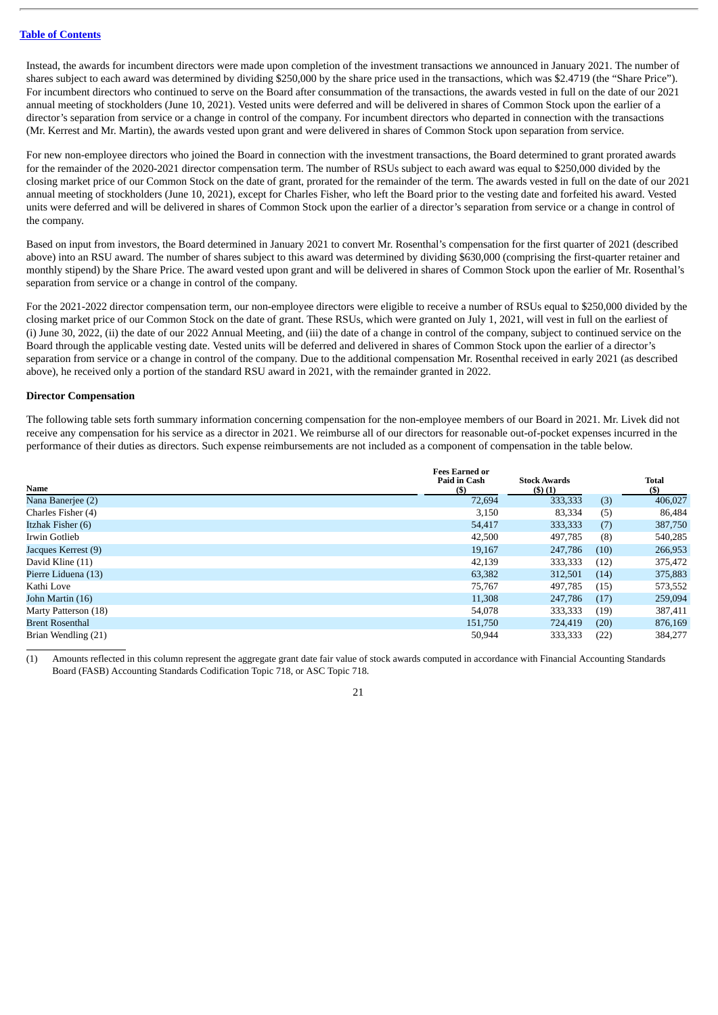Instead, the awards for incumbent directors were made upon completion of the investment transactions we announced in January 2021. The number of shares subject to each award was determined by dividing \$250,000 by the share price used in the transactions, which was \$2.4719 (the "Share Price"). For incumbent directors who continued to serve on the Board after consummation of the transactions, the awards vested in full on the date of our 2021 annual meeting of stockholders (June 10, 2021). Vested units were deferred and will be delivered in shares of Common Stock upon the earlier of a director's separation from service or a change in control of the company. For incumbent directors who departed in connection with the transactions (Mr. Kerrest and Mr. Martin), the awards vested upon grant and were delivered in shares of Common Stock upon separation from service.

For new non-employee directors who joined the Board in connection with the investment transactions, the Board determined to grant prorated awards for the remainder of the 2020-2021 director compensation term. The number of RSUs subject to each award was equal to \$250,000 divided by the closing market price of our Common Stock on the date of grant, prorated for the remainder of the term. The awards vested in full on the date of our 2021 annual meeting of stockholders (June 10, 2021), except for Charles Fisher, who left the Board prior to the vesting date and forfeited his award. Vested units were deferred and will be delivered in shares of Common Stock upon the earlier of a director's separation from service or a change in control of the company.

Based on input from investors, the Board determined in January 2021 to convert Mr. Rosenthal's compensation for the first quarter of 2021 (described above) into an RSU award. The number of shares subject to this award was determined by dividing \$630,000 (comprising the first-quarter retainer and monthly stipend) by the Share Price. The award vested upon grant and will be delivered in shares of Common Stock upon the earlier of Mr. Rosenthal's separation from service or a change in control of the company.

For the 2021-2022 director compensation term, our non-employee directors were eligible to receive a number of RSUs equal to \$250,000 divided by the closing market price of our Common Stock on the date of grant. These RSUs, which were granted on July 1, 2021, will vest in full on the earliest of (i) June 30, 2022, (ii) the date of our 2022 Annual Meeting, and (iii) the date of a change in control of the company, subject to continued service on the Board through the applicable vesting date. Vested units will be deferred and delivered in shares of Common Stock upon the earlier of a director's separation from service or a change in control of the company. Due to the additional compensation Mr. Rosenthal received in early 2021 (as described above), he received only a portion of the standard RSU award in 2021, with the remainder granted in 2022.

#### **Director Compensation**

The following table sets forth summary information concerning compensation for the non-employee members of our Board in 2021. Mr. Livek did not receive any compensation for his service as a director in 2021. We reimburse all of our directors for reasonable out-of-pocket expenses incurred in the performance of their duties as directors. Such expense reimbursements are not included as a component of compensation in the table below.

| Name                   | <b>Fees Earned or</b><br><b>Paid in Cash</b><br>(S) | <b>Stock Awards</b><br>(5)(1) |      | <b>Total</b><br>$($)$ |
|------------------------|-----------------------------------------------------|-------------------------------|------|-----------------------|
| Nana Banerjee (2)      | 72,694                                              | 333,333                       | (3)  | 406,027               |
| Charles Fisher (4)     | 3,150                                               | 83,334                        | (5)  | 86,484                |
| Itzhak Fisher (6)      | 54,417                                              | 333,333                       | (7)  | 387,750               |
| Irwin Gotlieb          | 42,500                                              | 497,785                       | (8)  | 540,285               |
| Jacques Kerrest (9)    | 19,167                                              | 247,786                       | (10) | 266,953               |
| David Kline (11)       | 42,139                                              | 333,333                       | (12) | 375,472               |
| Pierre Liduena (13)    | 63,382                                              | 312.501                       | (14) | 375,883               |
| Kathi Love             | 75,767                                              | 497,785                       | (15) | 573,552               |
| John Martin (16)       | 11.308                                              | 247,786                       | (17) | 259,094               |
| Marty Patterson (18)   | 54,078                                              | 333,333                       | (19) | 387,411               |
| <b>Brent Rosenthal</b> | 151,750                                             | 724,419                       | (20) | 876,169               |
| Brian Wendling (21)    | 50,944                                              | 333,333                       | (22) | 384,277               |

(1) Amounts reflected in this column represent the aggregate grant date fair value of stock awards computed in accordance with Financial Accounting Standards Board (FASB) Accounting Standards Codification Topic 718, or ASC Topic 718.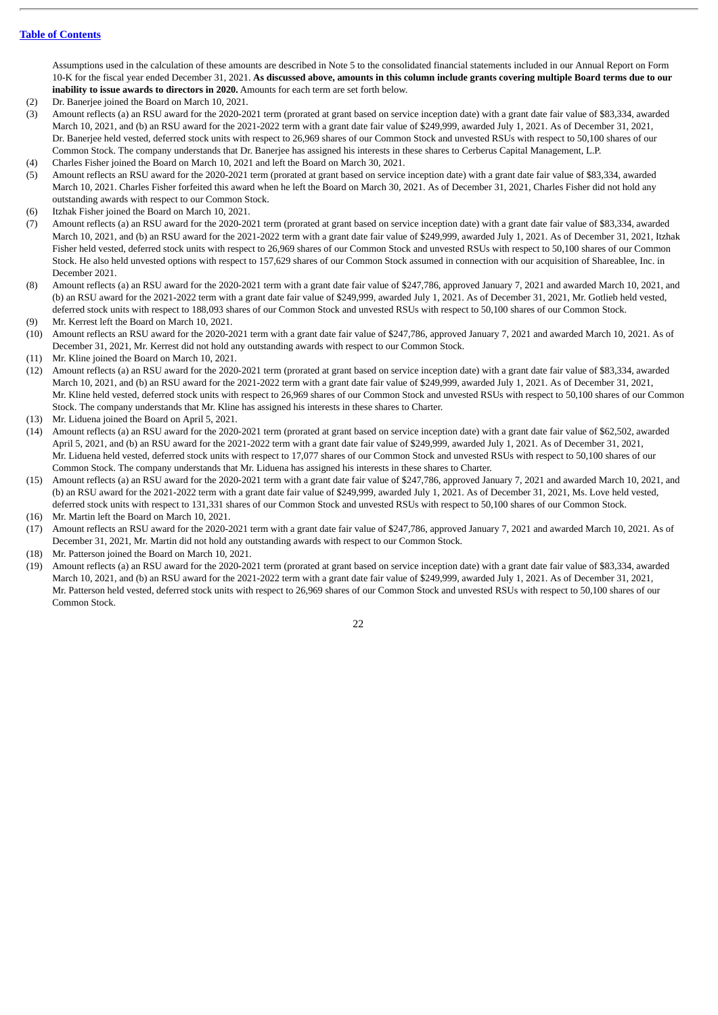Assumptions used in the calculation of these amounts are described in Note 5 to the consolidated financial statements included in our Annual Report on Form 10-K for the fiscal year ended December 31, 2021. **As discussed above, amounts in this column include grants covering multiple Board terms due to our inability to issue awards to directors in 2020.** Amounts for each term are set forth below.

- (2) Dr. Banerjee joined the Board on March 10, 2021.
- (3) Amount reflects (a) an RSU award for the 2020-2021 term (prorated at grant based on service inception date) with a grant date fair value of \$83,334, awarded March 10, 2021, and (b) an RSU award for the 2021-2022 term with a grant date fair value of \$249,999, awarded July 1, 2021. As of December 31, 2021, Dr. Banerjee held vested, deferred stock units with respect to 26,969 shares of our Common Stock and unvested RSUs with respect to 50,100 shares of our Common Stock. The company understands that Dr. Banerjee has assigned his interests in these shares to Cerberus Capital Management, L.P.
- (4) Charles Fisher joined the Board on March 10, 2021 and left the Board on March 30, 2021.
- (5) Amount reflects an RSU award for the 2020-2021 term (prorated at grant based on service inception date) with a grant date fair value of \$83,334, awarded March 10, 2021. Charles Fisher forfeited this award when he left the Board on March 30, 2021. As of December 31, 2021, Charles Fisher did not hold any outstanding awards with respect to our Common Stock.
- (6) Itzhak Fisher joined the Board on March 10, 2021.
- (7) Amount reflects (a) an RSU award for the 2020-2021 term (prorated at grant based on service inception date) with a grant date fair value of \$83,334, awarded March 10, 2021, and (b) an RSU award for the 2021-2022 term with a grant date fair value of \$249,999, awarded July 1, 2021. As of December 31, 2021, Itzhak Fisher held vested, deferred stock units with respect to 26,969 shares of our Common Stock and unvested RSUs with respect to 50,100 shares of our Common Stock. He also held unvested options with respect to 157,629 shares of our Common Stock assumed in connection with our acquisition of Shareablee, Inc. in December 2021.
- (8) Amount reflects (a) an RSU award for the 2020-2021 term with a grant date fair value of \$247,786, approved January 7, 2021 and awarded March 10, 2021, and (b) an RSU award for the 2021-2022 term with a grant date fair value of \$249,999, awarded July 1, 2021. As of December 31, 2021, Mr. Gotlieb held vested, deferred stock units with respect to 188,093 shares of our Common Stock and unvested RSUs with respect to 50,100 shares of our Common Stock. (9) Mr. Kerrest left the Board on March 10, 2021.
- (10) Amount reflects an RSU award for the 2020-2021 term with a grant date fair value of \$247,786, approved January 7, 2021 and awarded March 10, 2021. As of December 31, 2021, Mr. Kerrest did not hold any outstanding awards with respect to our Common Stock.
- (11) Mr. Kline joined the Board on March 10, 2021.
- (12) Amount reflects (a) an RSU award for the 2020-2021 term (prorated at grant based on service inception date) with a grant date fair value of \$83,334, awarded March 10, 2021, and (b) an RSU award for the 2021-2022 term with a grant date fair value of \$249,999, awarded July 1, 2021. As of December 31, 2021, Mr. Kline held vested, deferred stock units with respect to 26,969 shares of our Common Stock and unvested RSUs with respect to 50,100 shares of our Common Stock. The company understands that Mr. Kline has assigned his interests in these shares to Charter.
- (13) Mr. Liduena joined the Board on April 5, 2021.
- (14) Amount reflects (a) an RSU award for the 2020-2021 term (prorated at grant based on service inception date) with a grant date fair value of \$62,502, awarded April 5, 2021, and (b) an RSU award for the 2021-2022 term with a grant date fair value of \$249,999, awarded July 1, 2021. As of December 31, 2021, Mr. Liduena held vested, deferred stock units with respect to 17,077 shares of our Common Stock and unvested RSUs with respect to 50,100 shares of our Common Stock. The company understands that Mr. Liduena has assigned his interests in these shares to Charter.
- (15) Amount reflects (a) an RSU award for the 2020-2021 term with a grant date fair value of \$247,786, approved January 7, 2021 and awarded March 10, 2021, and (b) an RSU award for the 2021-2022 term with a grant date fair value of \$249,999, awarded July 1, 2021. As of December 31, 2021, Ms. Love held vested, deferred stock units with respect to 131,331 shares of our Common Stock and unvested RSUs with respect to 50,100 shares of our Common Stock.
- (16) Mr. Martin left the Board on March 10, 2021.
- (17) Amount reflects an RSU award for the 2020-2021 term with a grant date fair value of \$247,786, approved January 7, 2021 and awarded March 10, 2021. As of December 31, 2021, Mr. Martin did not hold any outstanding awards with respect to our Common Stock.
- (18) Mr. Patterson joined the Board on March 10, 2021.
- (19) Amount reflects (a) an RSU award for the 2020-2021 term (prorated at grant based on service inception date) with a grant date fair value of \$83,334, awarded March 10, 2021, and (b) an RSU award for the 2021-2022 term with a grant date fair value of \$249,999, awarded July 1, 2021. As of December 31, 2021, Mr. Patterson held vested, deferred stock units with respect to 26,969 shares of our Common Stock and unvested RSUs with respect to 50,100 shares of our Common Stock.

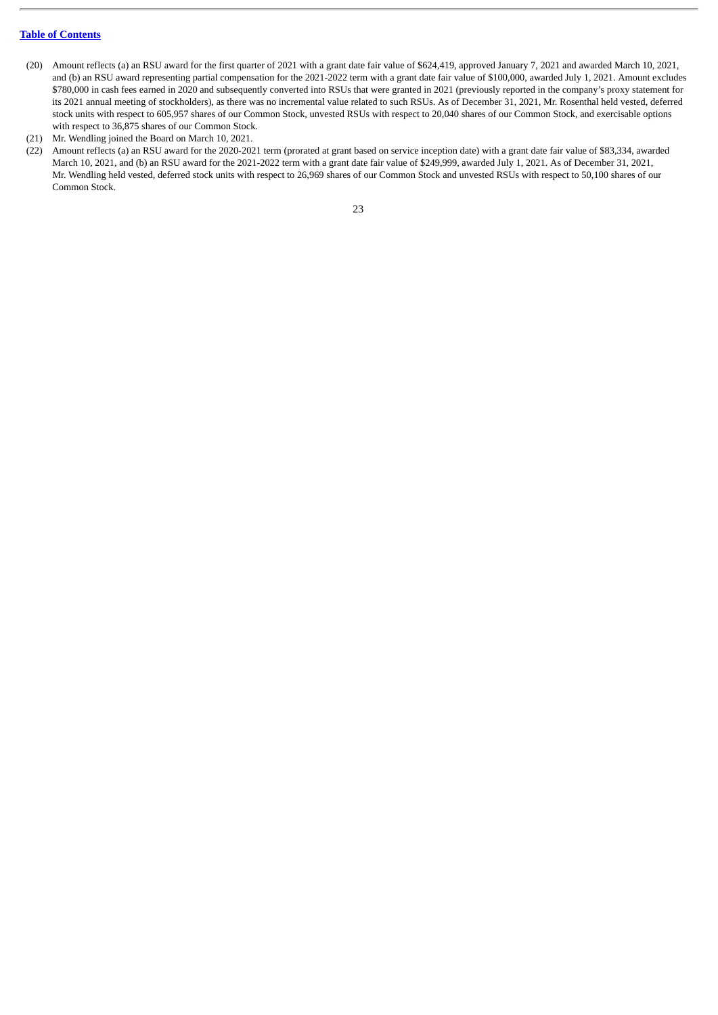- (20) Amount reflects (a) an RSU award for the first quarter of 2021 with a grant date fair value of \$624,419, approved January 7, 2021 and awarded March 10, 2021, and (b) an RSU award representing partial compensation for the 2021-2022 term with a grant date fair value of \$100,000, awarded July 1, 2021. Amount excludes \$780,000 in cash fees earned in 2020 and subsequently converted into RSUs that were granted in 2021 (previously reported in the company's proxy statement for its 2021 annual meeting of stockholders), as there was no incremental value related to such RSUs. As of December 31, 2021, Mr. Rosenthal held vested, deferred stock units with respect to 605,957 shares of our Common Stock, unvested RSUs with respect to 20,040 shares of our Common Stock, and exercisable options with respect to 36,875 shares of our Common Stock.
- (21) Mr. Wendling joined the Board on March 10, 2021.
- (22) Amount reflects (a) an RSU award for the 2020-2021 term (prorated at grant based on service inception date) with a grant date fair value of \$83,334, awarded March 10, 2021, and (b) an RSU award for the 2021-2022 term with a grant date fair value of \$249,999, awarded July 1, 2021. As of December 31, 2021, Mr. Wendling held vested, deferred stock units with respect to 26,969 shares of our Common Stock and unvested RSUs with respect to 50,100 shares of our Common Stock.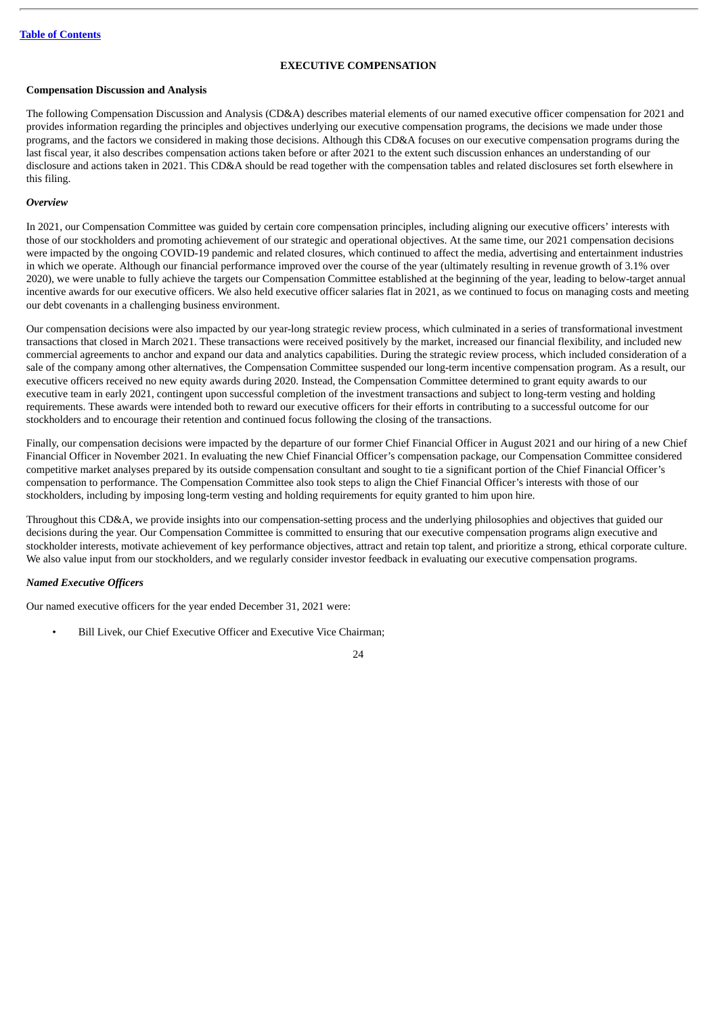## **EXECUTIVE COMPENSATION**

#### <span id="page-27-0"></span>**Compensation Discussion and Analysis**

The following Compensation Discussion and Analysis (CD&A) describes material elements of our named executive officer compensation for 2021 and provides information regarding the principles and objectives underlying our executive compensation programs, the decisions we made under those programs, and the factors we considered in making those decisions. Although this CD&A focuses on our executive compensation programs during the last fiscal year, it also describes compensation actions taken before or after 2021 to the extent such discussion enhances an understanding of our disclosure and actions taken in 2021. This CD&A should be read together with the compensation tables and related disclosures set forth elsewhere in this filing.

#### *Overview*

In 2021, our Compensation Committee was guided by certain core compensation principles, including aligning our executive officers' interests with those of our stockholders and promoting achievement of our strategic and operational objectives. At the same time, our 2021 compensation decisions were impacted by the ongoing COVID-19 pandemic and related closures, which continued to affect the media, advertising and entertainment industries in which we operate. Although our financial performance improved over the course of the year (ultimately resulting in revenue growth of 3.1% over 2020), we were unable to fully achieve the targets our Compensation Committee established at the beginning of the year, leading to below-target annual incentive awards for our executive officers. We also held executive officer salaries flat in 2021, as we continued to focus on managing costs and meeting our debt covenants in a challenging business environment.

Our compensation decisions were also impacted by our year-long strategic review process, which culminated in a series of transformational investment transactions that closed in March 2021. These transactions were received positively by the market, increased our financial flexibility, and included new commercial agreements to anchor and expand our data and analytics capabilities. During the strategic review process, which included consideration of a sale of the company among other alternatives, the Compensation Committee suspended our long-term incentive compensation program. As a result, our executive officers received no new equity awards during 2020. Instead, the Compensation Committee determined to grant equity awards to our executive team in early 2021, contingent upon successful completion of the investment transactions and subject to long-term vesting and holding requirements. These awards were intended both to reward our executive officers for their efforts in contributing to a successful outcome for our stockholders and to encourage their retention and continued focus following the closing of the transactions.

Finally, our compensation decisions were impacted by the departure of our former Chief Financial Officer in August 2021 and our hiring of a new Chief Financial Officer in November 2021. In evaluating the new Chief Financial Officer's compensation package, our Compensation Committee considered competitive market analyses prepared by its outside compensation consultant and sought to tie a significant portion of the Chief Financial Officer's compensation to performance. The Compensation Committee also took steps to align the Chief Financial Officer's interests with those of our stockholders, including by imposing long-term vesting and holding requirements for equity granted to him upon hire.

Throughout this CD&A, we provide insights into our compensation-setting process and the underlying philosophies and objectives that guided our decisions during the year. Our Compensation Committee is committed to ensuring that our executive compensation programs align executive and stockholder interests, motivate achievement of key performance objectives, attract and retain top talent, and prioritize a strong, ethical corporate culture. We also value input from our stockholders, and we regularly consider investor feedback in evaluating our executive compensation programs.

## *Named Executive Officers*

Our named executive officers for the year ended December 31, 2021 were:

• Bill Livek, our Chief Executive Officer and Executive Vice Chairman;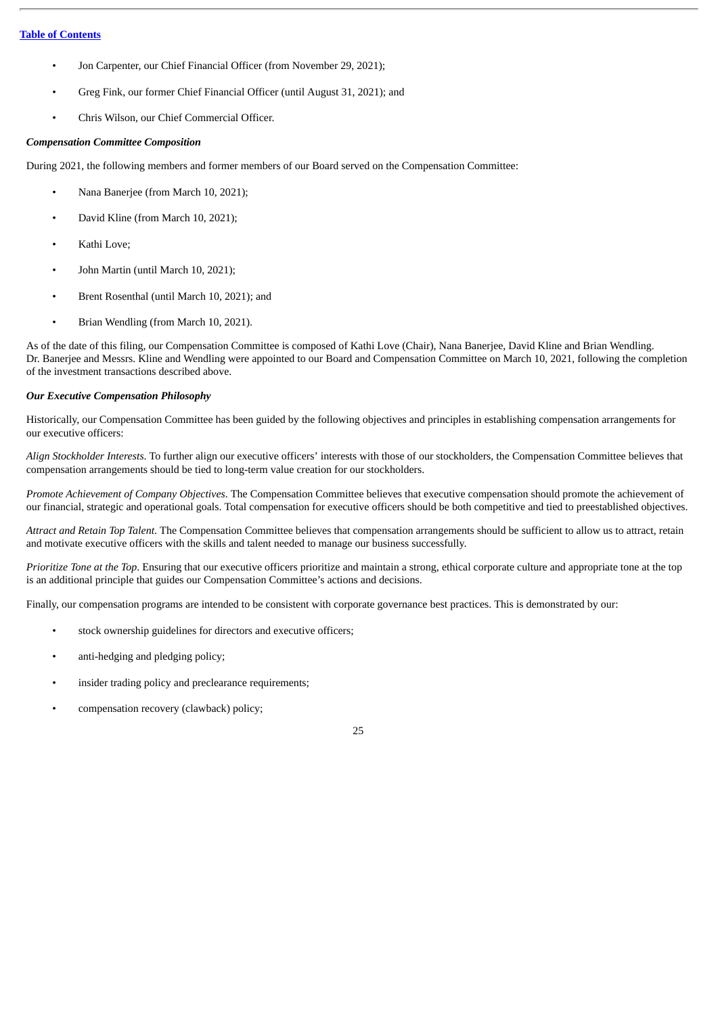- Jon Carpenter, our Chief Financial Officer (from November 29, 2021);
- Greg Fink, our former Chief Financial Officer (until August 31, 2021); and
- Chris Wilson, our Chief Commercial Officer.

## *Compensation Committee Composition*

During 2021, the following members and former members of our Board served on the Compensation Committee:

- Nana Banerjee (from March 10, 2021);
- David Kline (from March 10, 2021);
- Kathi Love;
- John Martin (until March 10, 2021);
- Brent Rosenthal (until March 10, 2021); and
- Brian Wendling (from March 10, 2021).

As of the date of this filing, our Compensation Committee is composed of Kathi Love (Chair), Nana Banerjee, David Kline and Brian Wendling. Dr. Banerjee and Messrs. Kline and Wendling were appointed to our Board and Compensation Committee on March 10, 2021, following the completion of the investment transactions described above.

## *Our Executive Compensation Philosophy*

Historically, our Compensation Committee has been guided by the following objectives and principles in establishing compensation arrangements for our executive officers:

*Align Stockholder Interests*. To further align our executive officers' interests with those of our stockholders, the Compensation Committee believes that compensation arrangements should be tied to long-term value creation for our stockholders.

*Promote Achievement of Company Objectives*. The Compensation Committee believes that executive compensation should promote the achievement of our financial, strategic and operational goals. Total compensation for executive officers should be both competitive and tied to preestablished objectives.

*Attract and Retain Top Talent*. The Compensation Committee believes that compensation arrangements should be sufficient to allow us to attract, retain and motivate executive officers with the skills and talent needed to manage our business successfully.

*Prioritize Tone at the Top*. Ensuring that our executive officers prioritize and maintain a strong, ethical corporate culture and appropriate tone at the top is an additional principle that guides our Compensation Committee's actions and decisions.

Finally, our compensation programs are intended to be consistent with corporate governance best practices. This is demonstrated by our:

- stock ownership guidelines for directors and executive officers;
- anti-hedging and pledging policy;
- insider trading policy and preclearance requirements;
- compensation recovery (clawback) policy;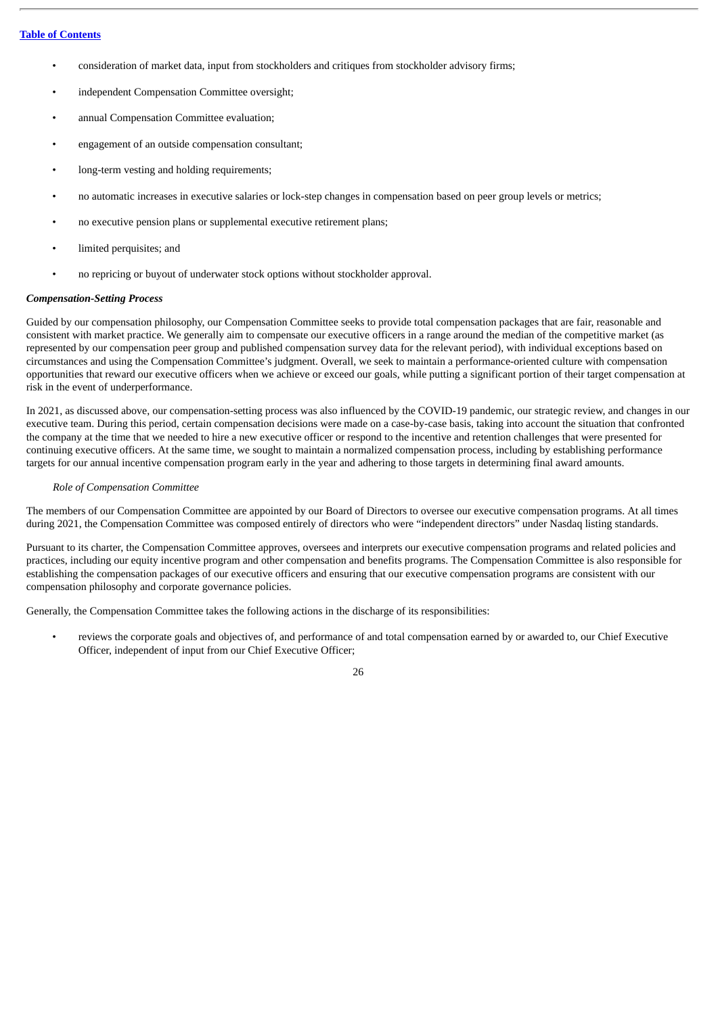- consideration of market data, input from stockholders and critiques from stockholder advisory firms;
- independent Compensation Committee oversight;
- annual Compensation Committee evaluation;
- engagement of an outside compensation consultant;
- long-term vesting and holding requirements;
- no automatic increases in executive salaries or lock-step changes in compensation based on peer group levels or metrics;
- no executive pension plans or supplemental executive retirement plans;
- limited perquisites; and
- no repricing or buyout of underwater stock options without stockholder approval.

## *Compensation-Setting Process*

Guided by our compensation philosophy, our Compensation Committee seeks to provide total compensation packages that are fair, reasonable and consistent with market practice. We generally aim to compensate our executive officers in a range around the median of the competitive market (as represented by our compensation peer group and published compensation survey data for the relevant period), with individual exceptions based on circumstances and using the Compensation Committee's judgment. Overall, we seek to maintain a performance-oriented culture with compensation opportunities that reward our executive officers when we achieve or exceed our goals, while putting a significant portion of their target compensation at risk in the event of underperformance.

In 2021, as discussed above, our compensation-setting process was also influenced by the COVID-19 pandemic, our strategic review, and changes in our executive team. During this period, certain compensation decisions were made on a case-by-case basis, taking into account the situation that confronted the company at the time that we needed to hire a new executive officer or respond to the incentive and retention challenges that were presented for continuing executive officers. At the same time, we sought to maintain a normalized compensation process, including by establishing performance targets for our annual incentive compensation program early in the year and adhering to those targets in determining final award amounts.

#### *Role of Compensation Committee*

The members of our Compensation Committee are appointed by our Board of Directors to oversee our executive compensation programs. At all times during 2021, the Compensation Committee was composed entirely of directors who were "independent directors" under Nasdaq listing standards.

Pursuant to its charter, the Compensation Committee approves, oversees and interprets our executive compensation programs and related policies and practices, including our equity incentive program and other compensation and benefits programs. The Compensation Committee is also responsible for establishing the compensation packages of our executive officers and ensuring that our executive compensation programs are consistent with our compensation philosophy and corporate governance policies.

Generally, the Compensation Committee takes the following actions in the discharge of its responsibilities:

• reviews the corporate goals and objectives of, and performance of and total compensation earned by or awarded to, our Chief Executive Officer, independent of input from our Chief Executive Officer;

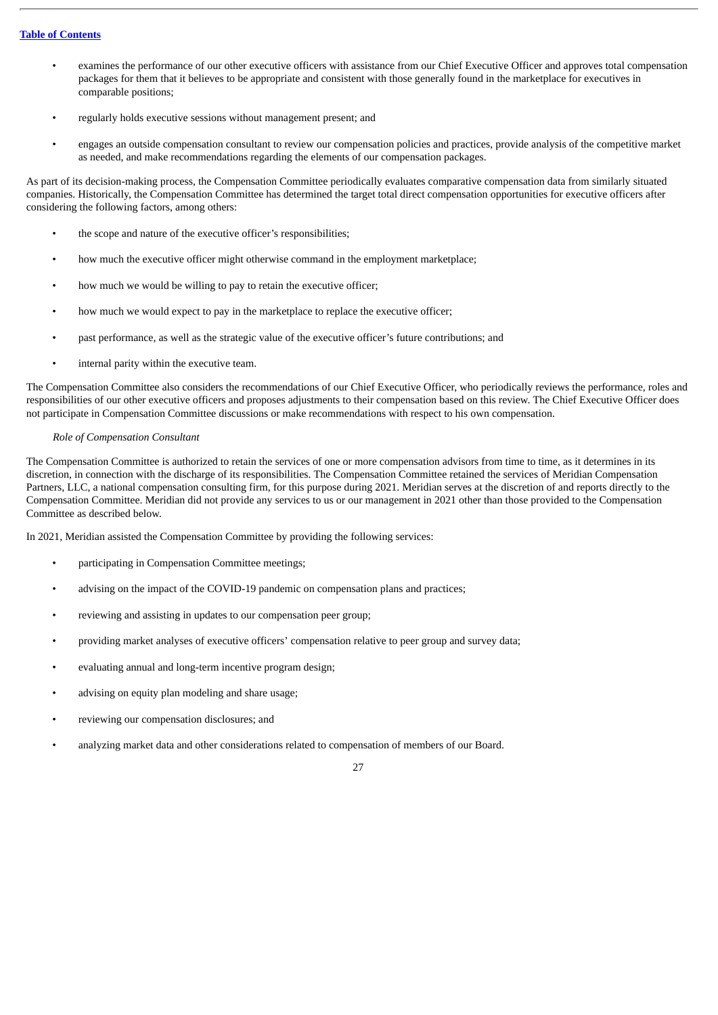- examines the performance of our other executive officers with assistance from our Chief Executive Officer and approves total compensation packages for them that it believes to be appropriate and consistent with those generally found in the marketplace for executives in comparable positions;
- regularly holds executive sessions without management present; and
- engages an outside compensation consultant to review our compensation policies and practices, provide analysis of the competitive market as needed, and make recommendations regarding the elements of our compensation packages.

As part of its decision-making process, the Compensation Committee periodically evaluates comparative compensation data from similarly situated companies. Historically, the Compensation Committee has determined the target total direct compensation opportunities for executive officers after considering the following factors, among others:

- the scope and nature of the executive officer's responsibilities;
- how much the executive officer might otherwise command in the employment marketplace;
- how much we would be willing to pay to retain the executive officer;
- how much we would expect to pay in the marketplace to replace the executive officer;
- past performance, as well as the strategic value of the executive officer's future contributions; and
- internal parity within the executive team.

The Compensation Committee also considers the recommendations of our Chief Executive Officer, who periodically reviews the performance, roles and responsibilities of our other executive officers and proposes adjustments to their compensation based on this review. The Chief Executive Officer does not participate in Compensation Committee discussions or make recommendations with respect to his own compensation.

## *Role of Compensation Consultant*

The Compensation Committee is authorized to retain the services of one or more compensation advisors from time to time, as it determines in its discretion, in connection with the discharge of its responsibilities. The Compensation Committee retained the services of Meridian Compensation Partners, LLC, a national compensation consulting firm, for this purpose during 2021. Meridian serves at the discretion of and reports directly to the Compensation Committee. Meridian did not provide any services to us or our management in 2021 other than those provided to the Compensation Committee as described below.

In 2021, Meridian assisted the Compensation Committee by providing the following services:

- participating in Compensation Committee meetings;
- advising on the impact of the COVID-19 pandemic on compensation plans and practices;
- reviewing and assisting in updates to our compensation peer group;
- providing market analyses of executive officers' compensation relative to peer group and survey data;
- evaluating annual and long-term incentive program design;
- advising on equity plan modeling and share usage;
- reviewing our compensation disclosures; and
- analyzing market data and other considerations related to compensation of members of our Board.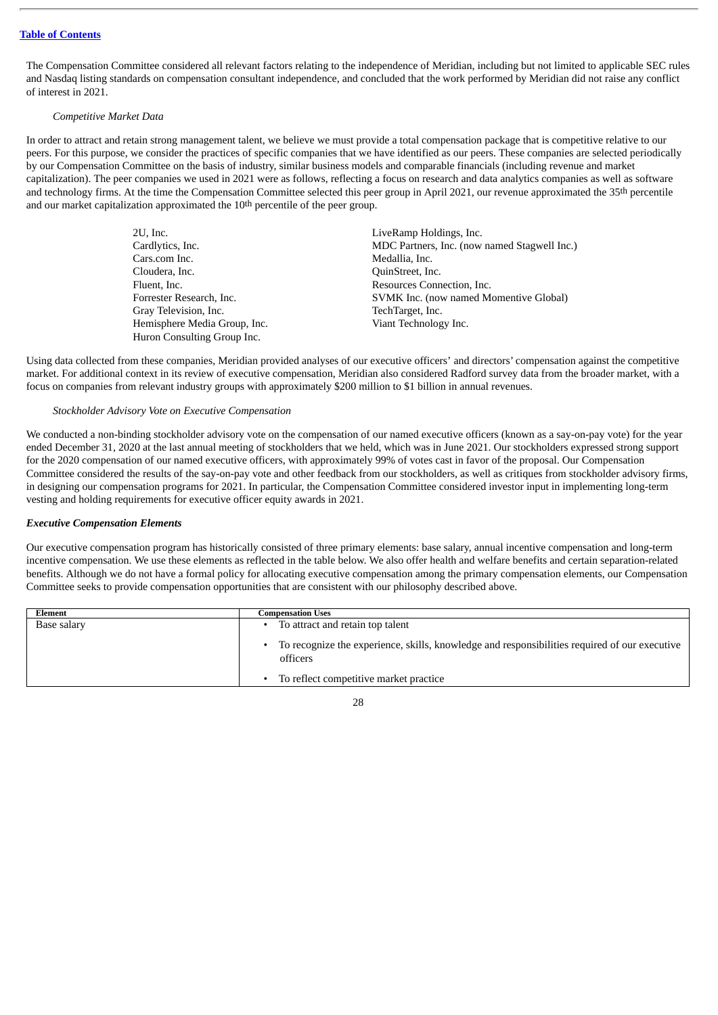The Compensation Committee considered all relevant factors relating to the independence of Meridian, including but not limited to applicable SEC rules and Nasdaq listing standards on compensation consultant independence, and concluded that the work performed by Meridian did not raise any conflict of interest in 2021.

#### *Competitive Market Data*

In order to attract and retain strong management talent, we believe we must provide a total compensation package that is competitive relative to our peers. For this purpose, we consider the practices of specific companies that we have identified as our peers. These companies are selected periodically by our Compensation Committee on the basis of industry, similar business models and comparable financials (including revenue and market capitalization). The peer companies we used in 2021 were as follows, reflecting a focus on research and data analytics companies as well as software and technology firms. At the time the Compensation Committee selected this peer group in April 2021, our revenue approximated the 35th percentile and our market capitalization approximated the 10<sup>th</sup> percentile of the peer group.

| $2U$ , Inc.                  | LiveRamp Holdings, Inc.                      |
|------------------------------|----------------------------------------------|
| Cardlytics, Inc.             | MDC Partners, Inc. (now named Stagwell Inc.) |
| Cars.com Inc.                | Medallia, Inc.                               |
| Cloudera, Inc.               | QuinStreet, Inc.                             |
| Fluent, Inc.                 | Resources Connection, Inc.                   |
| Forrester Research, Inc.     | SVMK Inc. (now named Momentive Global)       |
| Gray Television, Inc.        | TechTarget, Inc.                             |
| Hemisphere Media Group, Inc. | Viant Technology Inc.                        |
| Huron Consulting Group Inc.  |                                              |

Using data collected from these companies, Meridian provided analyses of our executive officers' and directors' compensation against the competitive market. For additional context in its review of executive compensation, Meridian also considered Radford survey data from the broader market, with a focus on companies from relevant industry groups with approximately \$200 million to \$1 billion in annual revenues.

#### *Stockholder Advisory Vote on Executive Compensation*

We conducted a non-binding stockholder advisory vote on the compensation of our named executive officers (known as a say-on-pay vote) for the year ended December 31, 2020 at the last annual meeting of stockholders that we held, which was in June 2021. Our stockholders expressed strong support for the 2020 compensation of our named executive officers, with approximately 99% of votes cast in favor of the proposal. Our Compensation Committee considered the results of the say-on-pay vote and other feedback from our stockholders, as well as critiques from stockholder advisory firms, in designing our compensation programs for 2021. In particular, the Compensation Committee considered investor input in implementing long-term vesting and holding requirements for executive officer equity awards in 2021.

#### *Executive Compensation Elements*

Our executive compensation program has historically consisted of three primary elements: base salary, annual incentive compensation and long-term incentive compensation. We use these elements as reflected in the table below. We also offer health and welfare benefits and certain separation-related benefits. Although we do not have a formal policy for allocating executive compensation among the primary compensation elements, our Compensation Committee seeks to provide compensation opportunities that are consistent with our philosophy described above.

| Element     | Compensation Uses                                                                                         |
|-------------|-----------------------------------------------------------------------------------------------------------|
| Base salary | To attract and retain top talent                                                                          |
|             | To recognize the experience, skills, knowledge and responsibilities required of our executive<br>officers |
|             | To reflect competitive market practice                                                                    |

|   | ٠       |
|---|---------|
| I | ٦<br>٦  |
|   | ٦<br>۰. |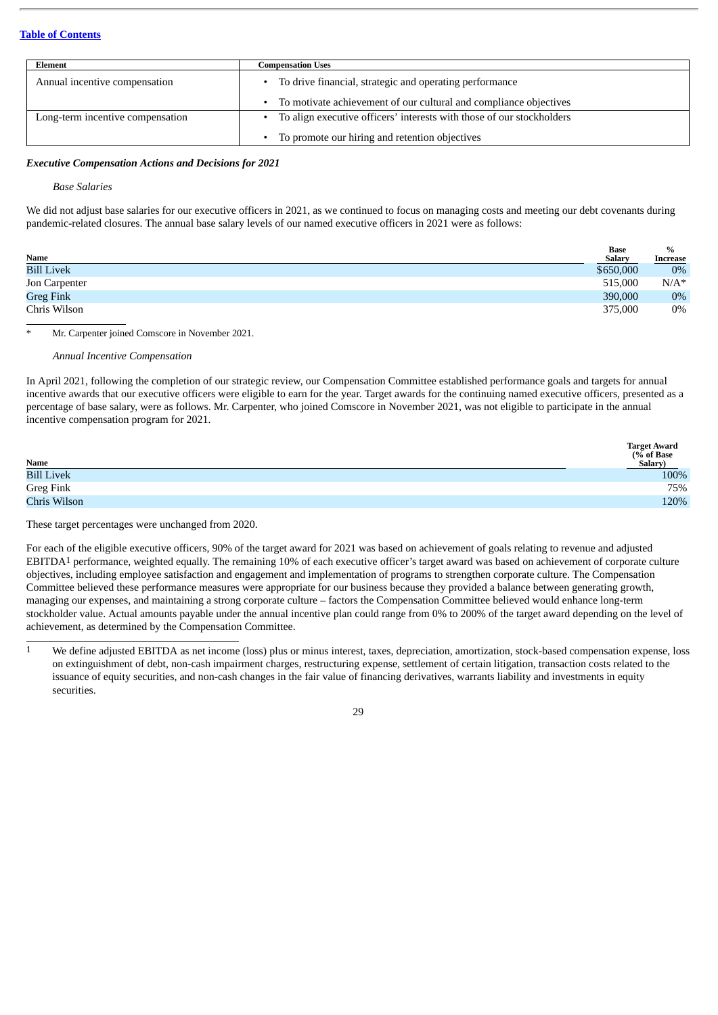| Element                          | Compensation Uses                                                     |
|----------------------------------|-----------------------------------------------------------------------|
| Annual incentive compensation    | To drive financial, strategic and operating performance               |
|                                  | To motivate achievement of our cultural and compliance objectives     |
| Long-term incentive compensation | To align executive officers' interests with those of our stockholders |
|                                  | To promote our hiring and retention objectives                        |

## *Executive Compensation Actions and Decisions for 2021*

*Base Salaries*

We did not adjust base salaries for our executive officers in 2021, as we continued to focus on managing costs and meeting our debt covenants during pandemic-related closures. The annual base salary levels of our named executive officers in 2021 were as follows:

|                   | <b>Base</b>   | $\%$     |
|-------------------|---------------|----------|
| Name              | <b>Salary</b> | Increase |
| <b>Bill Livek</b> | \$650,000     | $0\%$    |
| Jon Carpenter     | 515,000       | $N/A^*$  |
| <b>Greg Fink</b>  | 390,000       | 0%       |
| Chris Wilson      | 375,000       | $0\%$    |

Mr. Carpenter joined Comscore in November 2021.

#### *Annual Incentive Compensation*

In April 2021, following the completion of our strategic review, our Compensation Committee established performance goals and targets for annual incentive awards that our executive officers were eligible to earn for the year. Target awards for the continuing named executive officers, presented as a percentage of base salary, were as follows. Mr. Carpenter, who joined Comscore in November 2021, was not eligible to participate in the annual incentive compensation program for 2021.

| Name              | <b>Target Award</b><br>(% of Base<br>Salary) |
|-------------------|----------------------------------------------|
| <b>Bill Livek</b> | 100%                                         |
| Greg Fink         | 75%                                          |
| Chris Wilson      | 120%                                         |

These target percentages were unchanged from 2020.

For each of the eligible executive officers, 90% of the target award for 2021 was based on achievement of goals relating to revenue and adjusted EBITDA1 performance, weighted equally. The remaining 10% of each executive officer's target award was based on achievement of corporate culture objectives, including employee satisfaction and engagement and implementation of programs to strengthen corporate culture. The Compensation Committee believed these performance measures were appropriate for our business because they provided a balance between generating growth, managing our expenses, and maintaining a strong corporate culture – factors the Compensation Committee believed would enhance long-term stockholder value. Actual amounts payable under the annual incentive plan could range from 0% to 200% of the target award depending on the level of achievement, as determined by the Compensation Committee.

<sup>1</sup> We define adjusted EBITDA as net income (loss) plus or minus interest, taxes, depreciation, amortization, stock-based compensation expense, loss on extinguishment of debt, non-cash impairment charges, restructuring expense, settlement of certain litigation, transaction costs related to the issuance of equity securities, and non-cash changes in the fair value of financing derivatives, warrants liability and investments in equity securities.

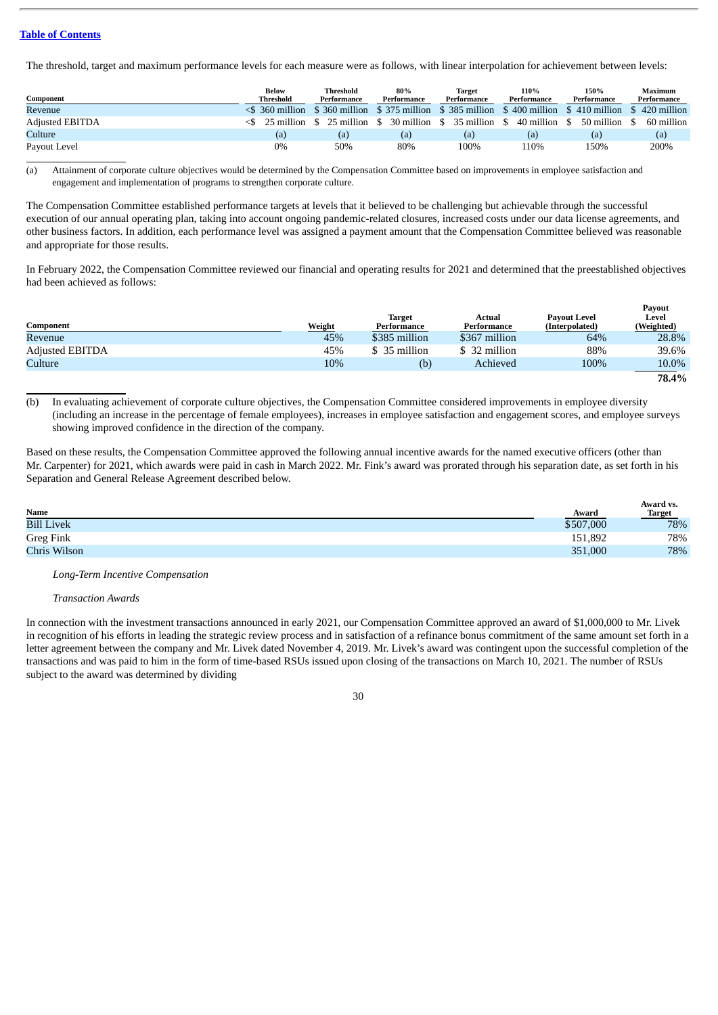The threshold, target and maximum performance levels for each measure were as follows, with linear interpolation for achievement between levels:

| Component              | <b>Below</b><br>Threshold                                                                              | Threshold<br>Performance                | 80%<br>Performance | Target<br>Performance | 110%<br>Performance | 150%<br>Performance         | Maximum<br>Performance |
|------------------------|--------------------------------------------------------------------------------------------------------|-----------------------------------------|--------------------|-----------------------|---------------------|-----------------------------|------------------------|
| Revenue                | $\leq$ 360 million \$360 million \$375 million \$385 million \$400 million \$410 million \$420 million |                                         |                    |                       |                     |                             |                        |
| <b>Adjusted EBITDA</b> |                                                                                                        | 25 million \$25 million \$30 million \$ |                    | 35 million            | 40 million          | 50 million<br>$\mathcal{L}$ | 60 million             |
| Culture                | (a)                                                                                                    | (a)                                     | (a)                | (a)                   | (a)                 | (a)                         | (a)                    |
| Payout Level           | 0%                                                                                                     | 50%                                     | 80%                | 100%                  | 110%                | 150%                        | 200%                   |

(a) Attainment of corporate culture objectives would be determined by the Compensation Committee based on improvements in employee satisfaction and engagement and implementation of programs to strengthen corporate culture.

The Compensation Committee established performance targets at levels that it believed to be challenging but achievable through the successful execution of our annual operating plan, taking into account ongoing pandemic-related closures, increased costs under our data license agreements, and other business factors. In addition, each performance level was assigned a payment amount that the Compensation Committee believed was reasonable and appropriate for those results.

In February 2022, the Compensation Committee reviewed our financial and operating results for 2021 and determined that the preestablished objectives had been achieved as follows:

| Component              | Weight | <b>Target</b><br>Performance | Actual<br>Performance | Pavout Level<br>(Interpolated) | <b>Pavout</b><br>Level<br>(Weighted) |
|------------------------|--------|------------------------------|-----------------------|--------------------------------|--------------------------------------|
| Revenue                | 45%    | \$385 million                | \$367 million         | 64%                            | 28.8%                                |
| <b>Adjusted EBITDA</b> | 45%    | \$ 35 million                | \$ 32 million         | 88%                            | 39.6%                                |
| Culture                | 10%    | (b)                          | Achieved              | 100%                           | 10.0%                                |
|                        |        |                              |                       |                                | 78.4%                                |

(b) In evaluating achievement of corporate culture objectives, the Compensation Committee considered improvements in employee diversity (including an increase in the percentage of female employees), increases in employee satisfaction and engagement scores, and employee surveys showing improved confidence in the direction of the company.

Based on these results, the Compensation Committee approved the following annual incentive awards for the named executive officers (other than Mr. Carpenter) for 2021, which awards were paid in cash in March 2022. Mr. Fink's award was prorated through his separation date, as set forth in his Separation and General Release Agreement described below.

| Name              | Award     | Award vs.<br><b>Target</b> |
|-------------------|-----------|----------------------------|
| <b>Bill Livek</b> | \$507,000 | 78%                        |
| Greg Fink         | 151,892   | 78%                        |
| Chris Wilson      | 351,000   | 78%                        |

*Long-Term Incentive Compensation*

*Transaction Awards*

In connection with the investment transactions announced in early 2021, our Compensation Committee approved an award of \$1,000,000 to Mr. Livek in recognition of his efforts in leading the strategic review process and in satisfaction of a refinance bonus commitment of the same amount set forth in a letter agreement between the company and Mr. Livek dated November 4, 2019. Mr. Livek's award was contingent upon the successful completion of the transactions and was paid to him in the form of time-based RSUs issued upon closing of the transactions on March 10, 2021. The number of RSUs subject to the award was determined by dividing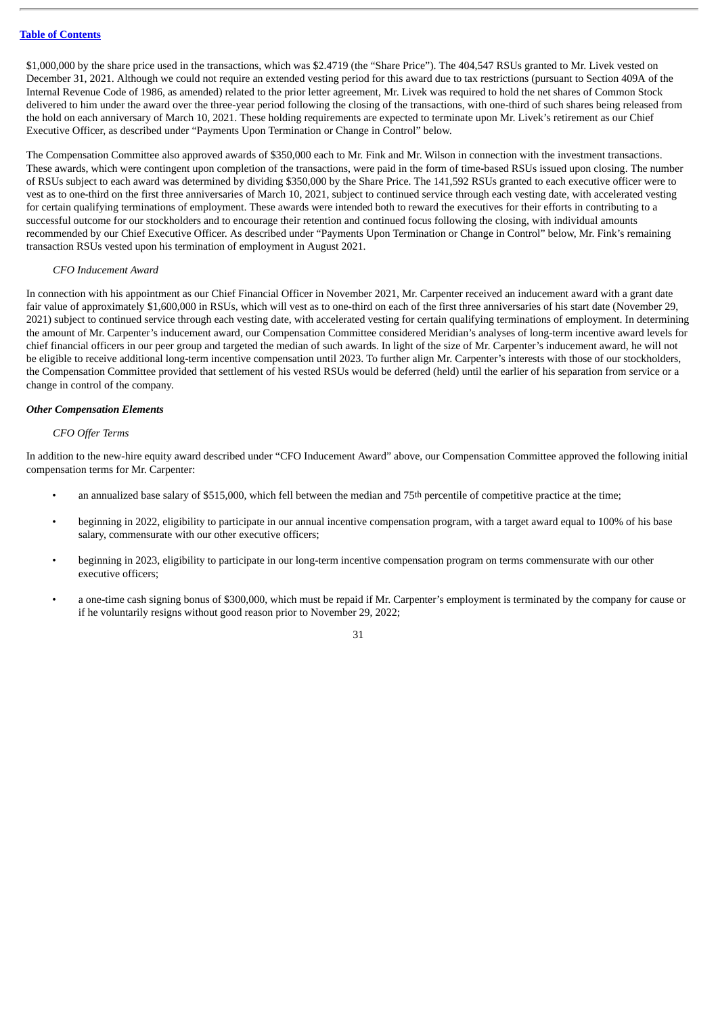\$1,000,000 by the share price used in the transactions, which was \$2.4719 (the "Share Price"). The 404,547 RSUs granted to Mr. Livek vested on December 31, 2021. Although we could not require an extended vesting period for this award due to tax restrictions (pursuant to Section 409A of the Internal Revenue Code of 1986, as amended) related to the prior letter agreement, Mr. Livek was required to hold the net shares of Common Stock delivered to him under the award over the three-year period following the closing of the transactions, with one-third of such shares being released from the hold on each anniversary of March 10, 2021. These holding requirements are expected to terminate upon Mr. Livek's retirement as our Chief Executive Officer, as described under "Payments Upon Termination or Change in Control" below.

The Compensation Committee also approved awards of \$350,000 each to Mr. Fink and Mr. Wilson in connection with the investment transactions. These awards, which were contingent upon completion of the transactions, were paid in the form of time-based RSUs issued upon closing. The number of RSUs subject to each award was determined by dividing \$350,000 by the Share Price. The 141,592 RSUs granted to each executive officer were to vest as to one-third on the first three anniversaries of March 10, 2021, subject to continued service through each vesting date, with accelerated vesting for certain qualifying terminations of employment. These awards were intended both to reward the executives for their efforts in contributing to a successful outcome for our stockholders and to encourage their retention and continued focus following the closing, with individual amounts recommended by our Chief Executive Officer. As described under "Payments Upon Termination or Change in Control" below, Mr. Fink's remaining transaction RSUs vested upon his termination of employment in August 2021.

#### *CFO Inducement Award*

In connection with his appointment as our Chief Financial Officer in November 2021, Mr. Carpenter received an inducement award with a grant date fair value of approximately \$1,600,000 in RSUs, which will vest as to one-third on each of the first three anniversaries of his start date (November 29, 2021) subject to continued service through each vesting date, with accelerated vesting for certain qualifying terminations of employment. In determining the amount of Mr. Carpenter's inducement award, our Compensation Committee considered Meridian's analyses of long-term incentive award levels for chief financial officers in our peer group and targeted the median of such awards. In light of the size of Mr. Carpenter's inducement award, he will not be eligible to receive additional long-term incentive compensation until 2023. To further align Mr. Carpenter's interests with those of our stockholders, the Compensation Committee provided that settlement of his vested RSUs would be deferred (held) until the earlier of his separation from service or a change in control of the company.

#### *Other Compensation Elements*

#### *CFO Offer Terms*

In addition to the new-hire equity award described under "CFO Inducement Award" above, our Compensation Committee approved the following initial compensation terms for Mr. Carpenter:

- an annualized base salary of \$515,000, which fell between the median and 75<sup>th</sup> percentile of competitive practice at the time;
- beginning in 2022, eligibility to participate in our annual incentive compensation program, with a target award equal to 100% of his base salary, commensurate with our other executive officers;
- beginning in 2023, eligibility to participate in our long-term incentive compensation program on terms commensurate with our other executive officers;
- a one-time cash signing bonus of \$300,000, which must be repaid if Mr. Carpenter's employment is terminated by the company for cause or if he voluntarily resigns without good reason prior to November 29, 2022;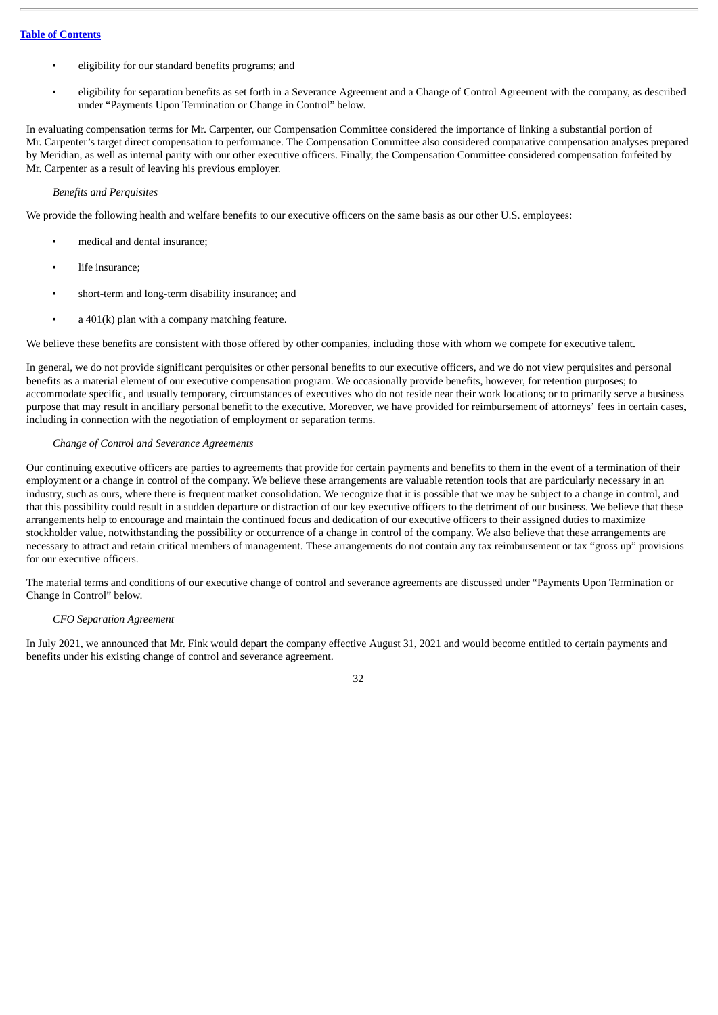- eligibility for our standard benefits programs; and
- eligibility for separation benefits as set forth in a Severance Agreement and a Change of Control Agreement with the company, as described under "Payments Upon Termination or Change in Control" below.

In evaluating compensation terms for Mr. Carpenter, our Compensation Committee considered the importance of linking a substantial portion of Mr. Carpenter's target direct compensation to performance. The Compensation Committee also considered comparative compensation analyses prepared by Meridian, as well as internal parity with our other executive officers. Finally, the Compensation Committee considered compensation forfeited by Mr. Carpenter as a result of leaving his previous employer.

## *Benefits and Perquisites*

We provide the following health and welfare benefits to our executive officers on the same basis as our other U.S. employees:

- medical and dental insurance;
- life insurance;
- short-term and long-term disability insurance; and
- $a$  401(k) plan with a company matching feature.

We believe these benefits are consistent with those offered by other companies, including those with whom we compete for executive talent.

In general, we do not provide significant perquisites or other personal benefits to our executive officers, and we do not view perquisites and personal benefits as a material element of our executive compensation program. We occasionally provide benefits, however, for retention purposes; to accommodate specific, and usually temporary, circumstances of executives who do not reside near their work locations; or to primarily serve a business purpose that may result in ancillary personal benefit to the executive. Moreover, we have provided for reimbursement of attorneys' fees in certain cases, including in connection with the negotiation of employment or separation terms.

## *Change of Control and Severance Agreements*

Our continuing executive officers are parties to agreements that provide for certain payments and benefits to them in the event of a termination of their employment or a change in control of the company. We believe these arrangements are valuable retention tools that are particularly necessary in an industry, such as ours, where there is frequent market consolidation. We recognize that it is possible that we may be subject to a change in control, and that this possibility could result in a sudden departure or distraction of our key executive officers to the detriment of our business. We believe that these arrangements help to encourage and maintain the continued focus and dedication of our executive officers to their assigned duties to maximize stockholder value, notwithstanding the possibility or occurrence of a change in control of the company. We also believe that these arrangements are necessary to attract and retain critical members of management. These arrangements do not contain any tax reimbursement or tax "gross up" provisions for our executive officers.

The material terms and conditions of our executive change of control and severance agreements are discussed under "Payments Upon Termination or Change in Control" below.

#### *CFO Separation Agreement*

In July 2021, we announced that Mr. Fink would depart the company effective August 31, 2021 and would become entitled to certain payments and benefits under his existing change of control and severance agreement.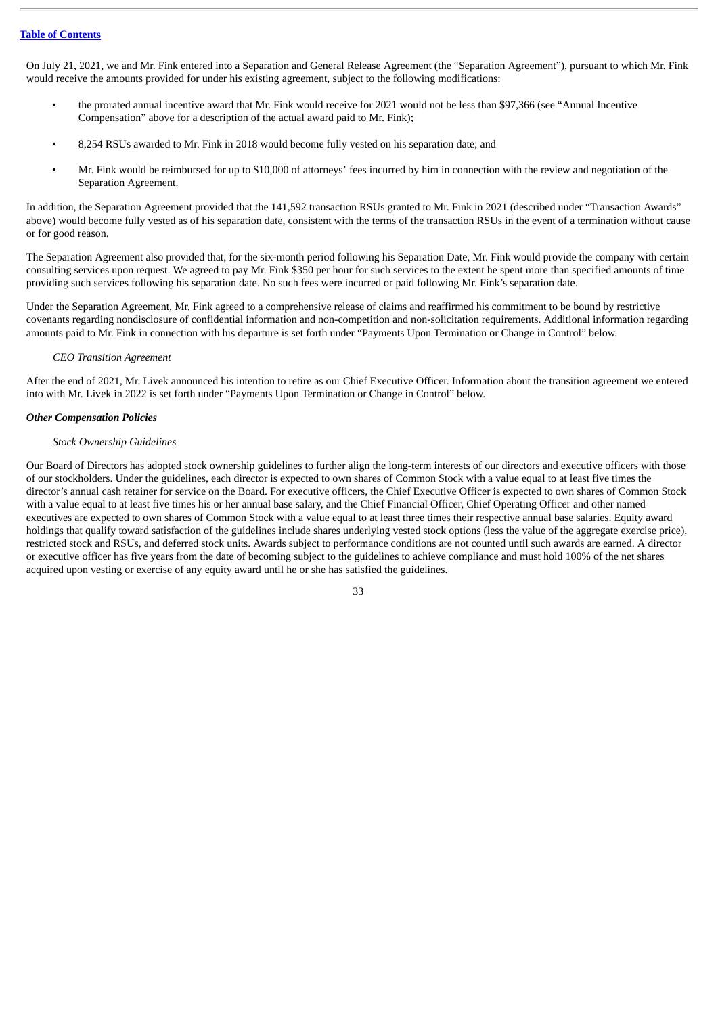On July 21, 2021, we and Mr. Fink entered into a Separation and General Release Agreement (the "Separation Agreement"), pursuant to which Mr. Fink would receive the amounts provided for under his existing agreement, subject to the following modifications:

- the prorated annual incentive award that Mr. Fink would receive for 2021 would not be less than \$97,366 (see "Annual Incentive Compensation" above for a description of the actual award paid to Mr. Fink);
- 8,254 RSUs awarded to Mr. Fink in 2018 would become fully vested on his separation date; and
- Mr. Fink would be reimbursed for up to \$10,000 of attorneys' fees incurred by him in connection with the review and negotiation of the Separation Agreement.

In addition, the Separation Agreement provided that the 141,592 transaction RSUs granted to Mr. Fink in 2021 (described under "Transaction Awards" above) would become fully vested as of his separation date, consistent with the terms of the transaction RSUs in the event of a termination without cause or for good reason.

The Separation Agreement also provided that, for the six-month period following his Separation Date, Mr. Fink would provide the company with certain consulting services upon request. We agreed to pay Mr. Fink \$350 per hour for such services to the extent he spent more than specified amounts of time providing such services following his separation date. No such fees were incurred or paid following Mr. Fink's separation date.

Under the Separation Agreement, Mr. Fink agreed to a comprehensive release of claims and reaffirmed his commitment to be bound by restrictive covenants regarding nondisclosure of confidential information and non-competition and non-solicitation requirements. Additional information regarding amounts paid to Mr. Fink in connection with his departure is set forth under "Payments Upon Termination or Change in Control" below.

# *CEO Transition Agreement*

After the end of 2021, Mr. Livek announced his intention to retire as our Chief Executive Officer. Information about the transition agreement we entered into with Mr. Livek in 2022 is set forth under "Payments Upon Termination or Change in Control" below.

# *Other Compensation Policies*

## *Stock Ownership Guidelines*

Our Board of Directors has adopted stock ownership guidelines to further align the long-term interests of our directors and executive officers with those of our stockholders. Under the guidelines, each director is expected to own shares of Common Stock with a value equal to at least five times the director's annual cash retainer for service on the Board. For executive officers, the Chief Executive Officer is expected to own shares of Common Stock with a value equal to at least five times his or her annual base salary, and the Chief Financial Officer, Chief Operating Officer and other named executives are expected to own shares of Common Stock with a value equal to at least three times their respective annual base salaries. Equity award holdings that qualify toward satisfaction of the guidelines include shares underlying vested stock options (less the value of the aggregate exercise price), restricted stock and RSUs, and deferred stock units. Awards subject to performance conditions are not counted until such awards are earned. A director or executive officer has five years from the date of becoming subject to the guidelines to achieve compliance and must hold 100% of the net shares acquired upon vesting or exercise of any equity award until he or she has satisfied the guidelines.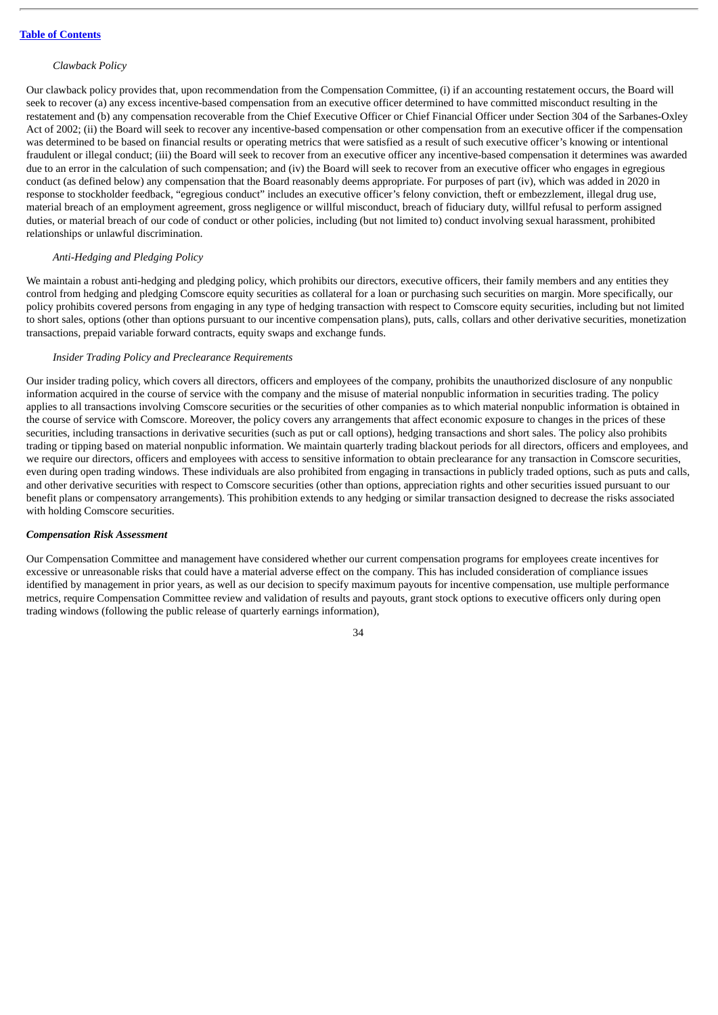#### *Clawback Policy*

Our clawback policy provides that, upon recommendation from the Compensation Committee, (i) if an accounting restatement occurs, the Board will seek to recover (a) any excess incentive-based compensation from an executive officer determined to have committed misconduct resulting in the restatement and (b) any compensation recoverable from the Chief Executive Officer or Chief Financial Officer under Section 304 of the Sarbanes-Oxley Act of 2002; (ii) the Board will seek to recover any incentive-based compensation or other compensation from an executive officer if the compensation was determined to be based on financial results or operating metrics that were satisfied as a result of such executive officer's knowing or intentional fraudulent or illegal conduct; (iii) the Board will seek to recover from an executive officer any incentive-based compensation it determines was awarded due to an error in the calculation of such compensation; and (iv) the Board will seek to recover from an executive officer who engages in egregious conduct (as defined below) any compensation that the Board reasonably deems appropriate. For purposes of part (iv), which was added in 2020 in response to stockholder feedback, "egregious conduct" includes an executive officer's felony conviction, theft or embezzlement, illegal drug use, material breach of an employment agreement, gross negligence or willful misconduct, breach of fiduciary duty, willful refusal to perform assigned duties, or material breach of our code of conduct or other policies, including (but not limited to) conduct involving sexual harassment, prohibited relationships or unlawful discrimination.

## *Anti-Hedging and Pledging Policy*

We maintain a robust anti-hedging and pledging policy, which prohibits our directors, executive officers, their family members and any entities they control from hedging and pledging Comscore equity securities as collateral for a loan or purchasing such securities on margin. More specifically, our policy prohibits covered persons from engaging in any type of hedging transaction with respect to Comscore equity securities, including but not limited to short sales, options (other than options pursuant to our incentive compensation plans), puts, calls, collars and other derivative securities, monetization transactions, prepaid variable forward contracts, equity swaps and exchange funds.

#### *Insider Trading Policy and Preclearance Requirements*

Our insider trading policy, which covers all directors, officers and employees of the company, prohibits the unauthorized disclosure of any nonpublic information acquired in the course of service with the company and the misuse of material nonpublic information in securities trading. The policy applies to all transactions involving Comscore securities or the securities of other companies as to which material nonpublic information is obtained in the course of service with Comscore. Moreover, the policy covers any arrangements that affect economic exposure to changes in the prices of these securities, including transactions in derivative securities (such as put or call options), hedging transactions and short sales. The policy also prohibits trading or tipping based on material nonpublic information. We maintain quarterly trading blackout periods for all directors, officers and employees, and we require our directors, officers and employees with access to sensitive information to obtain preclearance for any transaction in Comscore securities, even during open trading windows. These individuals are also prohibited from engaging in transactions in publicly traded options, such as puts and calls, and other derivative securities with respect to Comscore securities (other than options, appreciation rights and other securities issued pursuant to our benefit plans or compensatory arrangements). This prohibition extends to any hedging or similar transaction designed to decrease the risks associated with holding Comscore securities.

#### *Compensation Risk Assessment*

Our Compensation Committee and management have considered whether our current compensation programs for employees create incentives for excessive or unreasonable risks that could have a material adverse effect on the company. This has included consideration of compliance issues identified by management in prior years, as well as our decision to specify maximum payouts for incentive compensation, use multiple performance metrics, require Compensation Committee review and validation of results and payouts, grant stock options to executive officers only during open trading windows (following the public release of quarterly earnings information),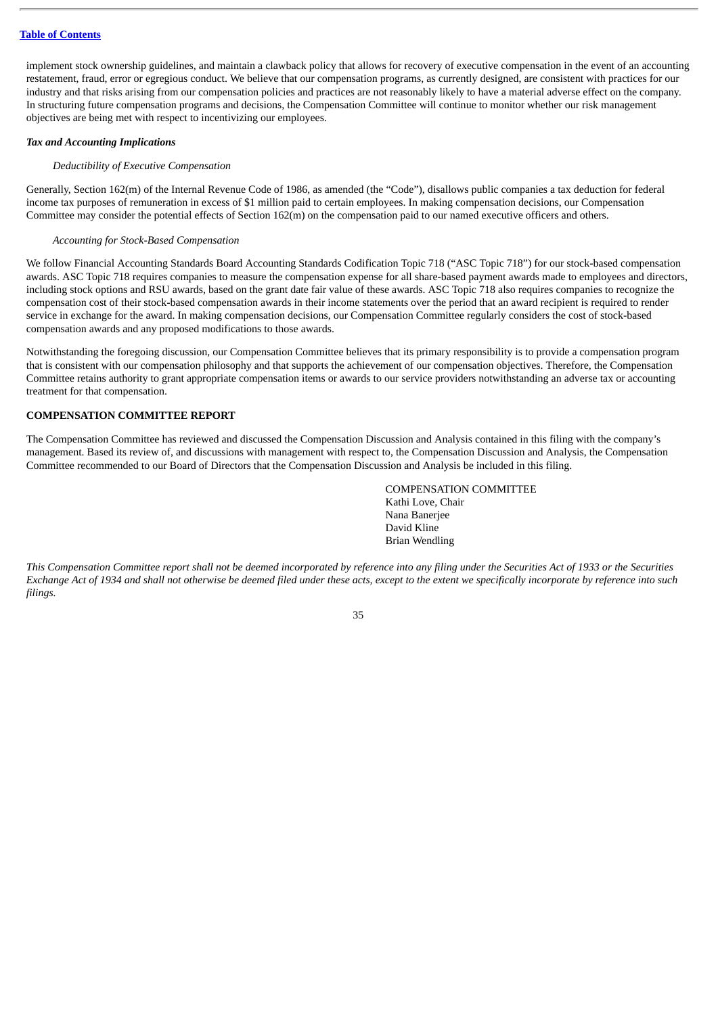implement stock ownership guidelines, and maintain a clawback policy that allows for recovery of executive compensation in the event of an accounting restatement, fraud, error or egregious conduct. We believe that our compensation programs, as currently designed, are consistent with practices for our industry and that risks arising from our compensation policies and practices are not reasonably likely to have a material adverse effect on the company. In structuring future compensation programs and decisions, the Compensation Committee will continue to monitor whether our risk management objectives are being met with respect to incentivizing our employees.

## *Tax and Accounting Implications*

# *Deductibility of Executive Compensation*

Generally, Section 162(m) of the Internal Revenue Code of 1986, as amended (the "Code"), disallows public companies a tax deduction for federal income tax purposes of remuneration in excess of \$1 million paid to certain employees. In making compensation decisions, our Compensation Committee may consider the potential effects of Section 162(m) on the compensation paid to our named executive officers and others.

# *Accounting for Stock-Based Compensation*

We follow Financial Accounting Standards Board Accounting Standards Codification Topic 718 ("ASC Topic 718") for our stock-based compensation awards. ASC Topic 718 requires companies to measure the compensation expense for all share-based payment awards made to employees and directors, including stock options and RSU awards, based on the grant date fair value of these awards. ASC Topic 718 also requires companies to recognize the compensation cost of their stock-based compensation awards in their income statements over the period that an award recipient is required to render service in exchange for the award. In making compensation decisions, our Compensation Committee regularly considers the cost of stock-based compensation awards and any proposed modifications to those awards.

Notwithstanding the foregoing discussion, our Compensation Committee believes that its primary responsibility is to provide a compensation program that is consistent with our compensation philosophy and that supports the achievement of our compensation objectives. Therefore, the Compensation Committee retains authority to grant appropriate compensation items or awards to our service providers notwithstanding an adverse tax or accounting treatment for that compensation.

# **COMPENSATION COMMITTEE REPORT**

The Compensation Committee has reviewed and discussed the Compensation Discussion and Analysis contained in this filing with the company's management. Based its review of, and discussions with management with respect to, the Compensation Discussion and Analysis, the Compensation Committee recommended to our Board of Directors that the Compensation Discussion and Analysis be included in this filing.

> COMPENSATION COMMITTEE Kathi Love, Chair Nana Banerjee David Kline Brian Wendling

This Compensation Committee report shall not be deemed incorporated by reference into any filing under the Securities Act of 1933 or the Securities Exchange Act of 1934 and shall not otherwise be deemed filed under these acts, except to the extent we specifically incorporate by reference into such *filings.*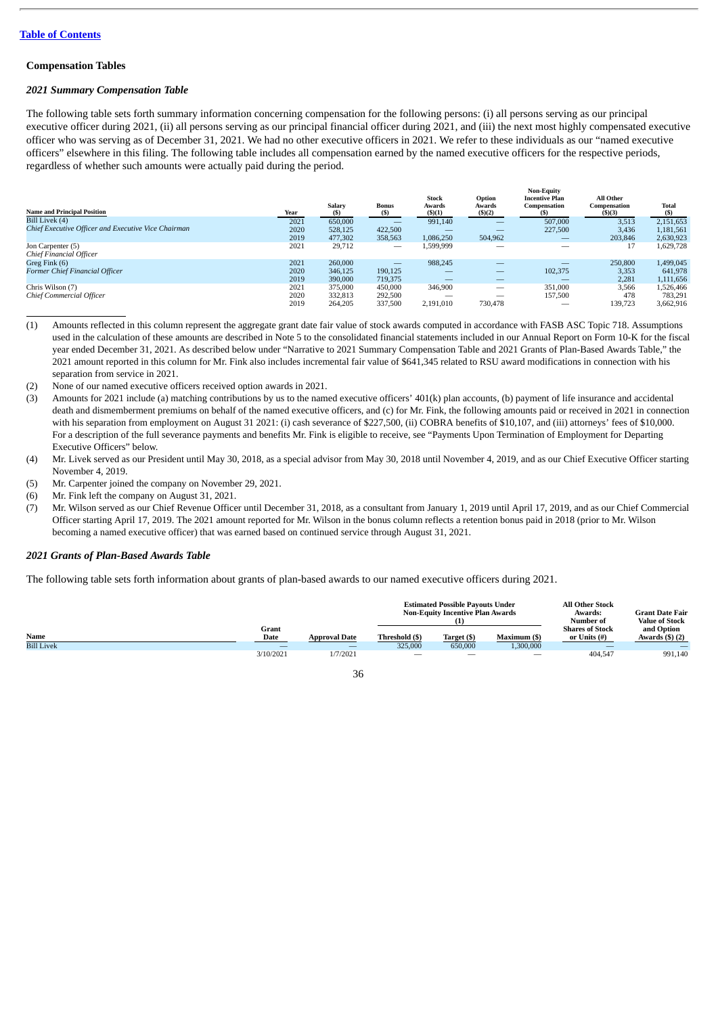## **Compensation Tables**

## *2021 Summary Compensation Table*

The following table sets forth summary information concerning compensation for the following persons: (i) all persons serving as our principal executive officer during 2021, (ii) all persons serving as our principal financial officer during 2021, and (iii) the next most highly compensated executive officer who was serving as of December 31, 2021. We had no other executive officers in 2021. We refer to these individuals as our "named executive officers" elsewhere in this filing. The following table includes all compensation earned by the named executive officers for the respective periods, regardless of whether such amounts were actually paid during the period.

| <b>Name and Principal Position</b>                  | Year | Salary<br>(5) | <b>Bonus</b><br>(S)      | Stock<br>Awards<br>$($ \$ $)(1)$ | Option<br>Awards<br>$($ \$ $)(2)$ | <b>Non-Equity</b><br><b>Incentive Plan</b><br>Compensation | All Other<br>Compensation<br>$($ \$ $)(3)$ | <b>Total</b><br>$(s)$ |
|-----------------------------------------------------|------|---------------|--------------------------|----------------------------------|-----------------------------------|------------------------------------------------------------|--------------------------------------------|-----------------------|
| Bill Livek (4)                                      | 2021 | 650,000       | $\overline{\phantom{a}}$ | 991,140                          |                                   | 507,000                                                    | 3,513                                      | 2,151,653             |
| Chief Executive Officer and Executive Vice Chairman | 2020 | 528.125       | 422,500                  |                                  |                                   | 227,500                                                    | 3,436                                      | 1,181,561             |
|                                                     | 2019 | 477,302       | 358,563                  | 1,086,250                        | 504,962                           |                                                            | 203,846                                    | 2,630,923             |
| Jon Carpenter (5)<br>Chief Financial Officer        | 2021 | 29,712        |                          | 1,599,999                        | _                                 | $\overline{\phantom{a}}$                                   | 17                                         | 1,629,728             |
| Greg Fink (6)                                       | 2021 | 260,000       |                          | 988,245                          | _                                 |                                                            | 250,800                                    | 1,499,045             |
| Former Chief Financial Officer                      | 2020 | 346,125       | 190.125                  |                                  | —                                 | 102.375                                                    | 3,353                                      | 641,978               |
|                                                     | 2019 | 390,000       | 719,375                  | _                                | _                                 |                                                            | 2,281                                      | 1,111,656             |
| Chris Wilson (7)                                    | 2021 | 375,000       | 450,000                  | 346,900                          | $\overline{\phantom{a}}$          | 351,000                                                    | 3,566                                      | 1,526,466             |
| Chief Commercial Officer                            | 2020 | 332,813       | 292,500                  |                                  | _                                 | 157,500                                                    | 478                                        | 783,291               |
|                                                     | 2019 | 264,205       | 337,500                  | 2,191,010                        | 730,478                           |                                                            | 139.723                                    | 3,662,916             |

(1) Amounts reflected in this column represent the aggregate grant date fair value of stock awards computed in accordance with FASB ASC Topic 718. Assumptions used in the calculation of these amounts are described in Note 5 to the consolidated financial statements included in our Annual Report on Form 10-K for the fiscal year ended December 31, 2021. As described below under "Narrative to 2021 Summary Compensation Table and 2021 Grants of Plan-Based Awards Table," the 2021 amount reported in this column for Mr. Fink also includes incremental fair value of \$641,345 related to RSU award modifications in connection with his separation from service in 2021.

- (2) None of our named executive officers received option awards in 2021.
- (3) Amounts for 2021 include (a) matching contributions by us to the named executive officers' 401(k) plan accounts, (b) payment of life insurance and accidental death and dismemberment premiums on behalf of the named executive officers, and (c) for Mr. Fink, the following amounts paid or received in 2021 in connection with his separation from employment on August 31 2021: (i) cash severance of \$227,500, (ii) COBRA benefits of \$10,107, and (iii) attorneys' fees of \$10,000. For a description of the full severance payments and benefits Mr. Fink is eligible to receive, see "Payments Upon Termination of Employment for Departing Executive Officers" below.
- (4) Mr. Livek served as our President until May 30, 2018, as a special advisor from May 30, 2018 until November 4, 2019, and as our Chief Executive Officer starting November 4, 2019.
- (5) Mr. Carpenter joined the company on November 29, 2021.
- (6) Mr. Fink left the company on August 31, 2021.
- (7) Mr. Wilson served as our Chief Revenue Officer until December 31, 2018, as a consultant from January 1, 2019 until April 17, 2019, and as our Chief Commercial Officer starting April 17, 2019. The 2021 amount reported for Mr. Wilson in the bonus column reflects a retention bonus paid in 2018 (prior to Mr. Wilson becoming a named executive officer) that was earned based on continued service through August 31, 2021.

#### *2021 Grants of Plan-Based Awards Table*

The following table sets forth information about grants of plan-based awards to our named executive officers during 2021.

|                   |               |                      |                          | <b>Estimated Possible Pavouts Under</b><br><b>Non-Equity Incentive Plan Awards</b> | <b>All Other Stock</b><br>Awards:<br>Number of | Grant Date Fair<br><b>Value of Stock</b> |                                |
|-------------------|---------------|----------------------|--------------------------|------------------------------------------------------------------------------------|------------------------------------------------|------------------------------------------|--------------------------------|
| Name              | Grant<br>Date | <b>Approval Date</b> | Threshold (\$)           | Target (\$)                                                                        | Maximum (\$)                                   | <b>Shares of Stock</b><br>or Units (#)   | and Option<br>Awards $($ ) (2) |
| <b>Bill Livek</b> |               |                      | 325,000                  | 650,000                                                                            | 1,300,000                                      |                                          |                                |
|                   | 3/10/2021     | 1/7/2021             | $\overline{\phantom{a}}$ | $\overline{\phantom{a}}$                                                           | $\overline{\phantom{a}}$                       | 404,547                                  | 991,140                        |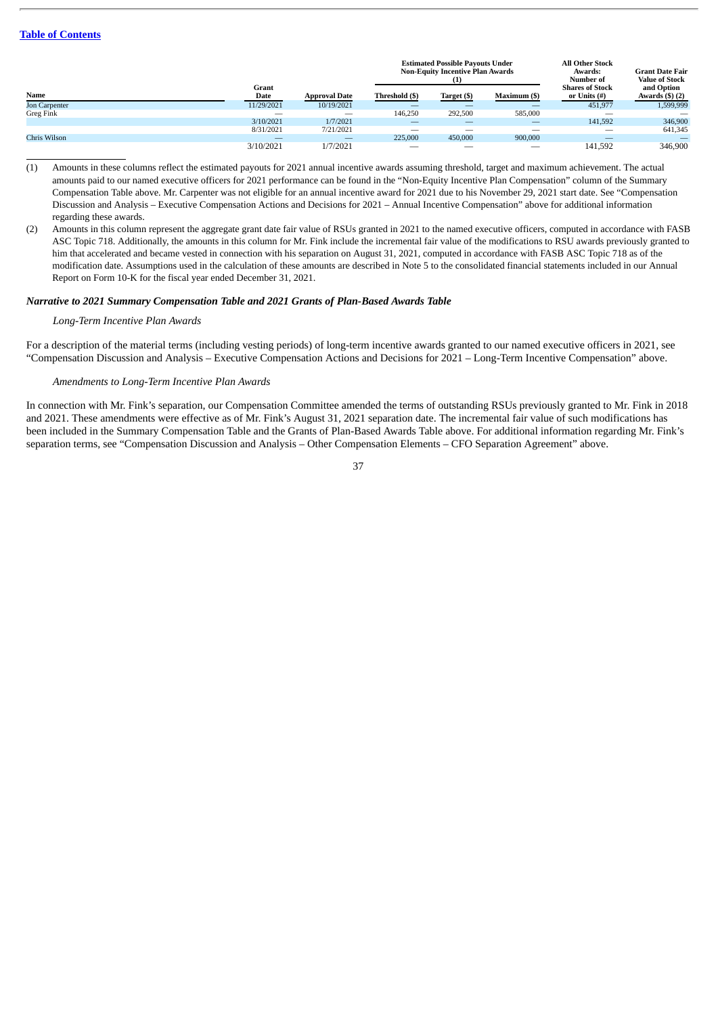|               |                          |                      |                          | <b>Estimated Possible Pavouts Under</b><br><b>Non-Equity Incentive Plan Awards</b><br>$\left(1\right)$ |                                                                                                                                                                                                                                                                                                                                                                                               |                                        | <b>Grant Date Fair</b><br><b>Value of Stock</b> |
|---------------|--------------------------|----------------------|--------------------------|--------------------------------------------------------------------------------------------------------|-----------------------------------------------------------------------------------------------------------------------------------------------------------------------------------------------------------------------------------------------------------------------------------------------------------------------------------------------------------------------------------------------|----------------------------------------|-------------------------------------------------|
| Name          | Grant<br>Date            | <b>Approval Date</b> | Threshold (\$)           | Target (\$)                                                                                            | Maximum (\$)                                                                                                                                                                                                                                                                                                                                                                                  | <b>Shares of Stock</b><br>or Units (#) | and Option<br>Awards $($ ) (2)                  |
| Jon Carpenter | 11/29/2021               | 10/19/2021           | _                        |                                                                                                        |                                                                                                                                                                                                                                                                                                                                                                                               | 451,977                                | 1,599,999                                       |
| Greg Fink     | -                        |                      | 146,250                  | 292,500                                                                                                | 585,000                                                                                                                                                                                                                                                                                                                                                                                       | -                                      |                                                 |
|               | 3/10/2021                | 1/7/2021             | $\overline{\phantom{a}}$ |                                                                                                        | $\hspace{1.0cm} \overline{\hspace{1.0cm} \hspace{1.0cm} \hspace{1.0cm} } \hspace{1.0cm} \hspace{1.0cm} \overline{\hspace{1.0cm} \hspace{1.0cm} \hspace{1.0cm} } \hspace{1.0cm} \hspace{1.0cm} \overline{\hspace{1.0cm} \hspace{1.0cm} \hspace{1.0cm} } \hspace{1.0cm} \hspace{1.0cm} \overline{\hspace{1.0cm} \hspace{1.0cm} \hspace{1.0cm} } \hspace{1.0cm} \hspace{1.0cm} \hspace{1.0cm} }$ | 141.592                                | 346,900                                         |
|               | 8/31/2021                | 7/21/2021            | _                        | $\overline{\phantom{a}}$                                                                               | $\overline{\phantom{a}}$                                                                                                                                                                                                                                                                                                                                                                      | $\overline{\phantom{a}}$               | 641,345                                         |
| Chris Wilson  | $\overline{\phantom{a}}$ |                      | 225,000                  | 450,000                                                                                                | 900,000                                                                                                                                                                                                                                                                                                                                                                                       |                                        |                                                 |
|               | 3/10/2021                | 1/7/2021             | —                        |                                                                                                        |                                                                                                                                                                                                                                                                                                                                                                                               | 141.592                                | 346,900                                         |

(1) Amounts in these columns reflect the estimated payouts for 2021 annual incentive awards assuming threshold, target and maximum achievement. The actual amounts paid to our named executive officers for 2021 performance can be found in the "Non-Equity Incentive Plan Compensation" column of the Summary Compensation Table above. Mr. Carpenter was not eligible for an annual incentive award for 2021 due to his November 29, 2021 start date. See "Compensation Discussion and Analysis – Executive Compensation Actions and Decisions for 2021 – Annual Incentive Compensation" above for additional information regarding these awards.

(2) Amounts in this column represent the aggregate grant date fair value of RSUs granted in 2021 to the named executive officers, computed in accordance with FASB ASC Topic 718. Additionally, the amounts in this column for Mr. Fink include the incremental fair value of the modifications to RSU awards previously granted to him that accelerated and became vested in connection with his separation on August 31, 2021, computed in accordance with FASB ASC Topic 718 as of the modification date. Assumptions used in the calculation of these amounts are described in Note 5 to the consolidated financial statements included in our Annual Report on Form 10-K for the fiscal year ended December 31, 2021.

## *Narrative to 2021 Summary Compensation Table and 2021 Grants of Plan-Based Awards Table*

#### *Long-Term Incentive Plan Awards*

For a description of the material terms (including vesting periods) of long-term incentive awards granted to our named executive officers in 2021, see "Compensation Discussion and Analysis – Executive Compensation Actions and Decisions for 2021 – Long-Term Incentive Compensation" above.

# *Amendments to Long-Term Incentive Plan Awards*

In connection with Mr. Fink's separation, our Compensation Committee amended the terms of outstanding RSUs previously granted to Mr. Fink in 2018 and 2021. These amendments were effective as of Mr. Fink's August 31, 2021 separation date. The incremental fair value of such modifications has been included in the Summary Compensation Table and the Grants of Plan-Based Awards Table above. For additional information regarding Mr. Fink's separation terms, see "Compensation Discussion and Analysis – Other Compensation Elements – CFO Separation Agreement" above.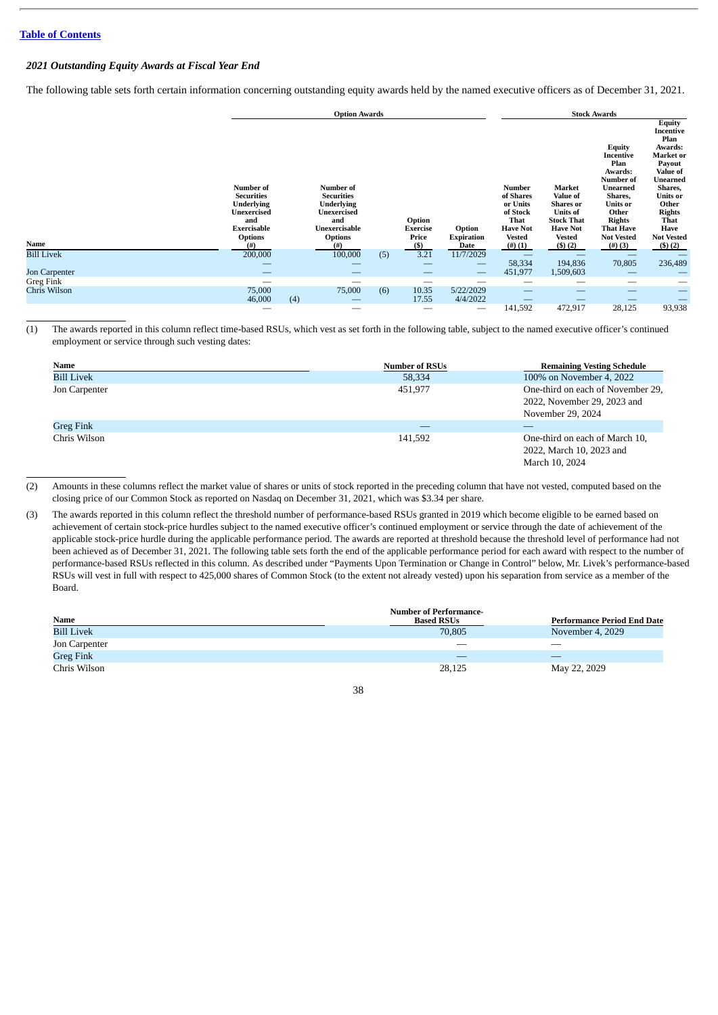# *2021 Outstanding Equity Awards at Fiscal Year End*

The following table sets forth certain information concerning outstanding equity awards held by the named executive officers as of December 31, 2021.

|                   |                                                                                                                           | <b>Option Awards</b> |                                                                                                                                 |     |                                           |                                     | <b>Stock Awards</b>                                                                               |                                                                                                                              |                                                                                                                                                                          |                                                                                                                                                                                                            |
|-------------------|---------------------------------------------------------------------------------------------------------------------------|----------------------|---------------------------------------------------------------------------------------------------------------------------------|-----|-------------------------------------------|-------------------------------------|---------------------------------------------------------------------------------------------------|------------------------------------------------------------------------------------------------------------------------------|--------------------------------------------------------------------------------------------------------------------------------------------------------------------------|------------------------------------------------------------------------------------------------------------------------------------------------------------------------------------------------------------|
| Name              | Number of<br><b>Securities</b><br><b>Underlying</b><br>Unexercised<br>and<br><b>Exercisable</b><br><b>Options</b><br>(# ) |                      | Number of<br><b>Securities</b><br><b>Underlying</b><br><b>Unexercised</b><br>and<br>Unexercisable<br><b>Options</b><br>$^{(#)}$ |     | Option<br><b>Exercise</b><br>Price<br>(S) | Option<br><b>Expiration</b><br>Date | Number<br>of Shares<br>or Units<br>of Stock<br>That<br><b>Have Not</b><br><b>Vested</b><br>(#)(1) | Market<br>Value of<br><b>Shares</b> or<br><b>Units of</b><br><b>Stock That</b><br><b>Have Not</b><br><b>Vested</b><br>(5)(2) | Equity<br>Incentive<br>Plan<br>Awards:<br><b>Number</b> of<br>Unearned<br>Shares,<br>Units or<br>Other<br><b>Rights</b><br><b>That Have</b><br><b>Not Vested</b><br>#(3) | <b>Equity</b><br><b>Incentive</b><br>Plan<br>Awards:<br>Market or<br>Payout<br>Value of<br>Unearned<br>Shares,<br><b>Units or</b><br>Other<br><b>Rights</b><br>That<br>Have<br><b>Not Vested</b><br>(5)(2) |
| <b>Bill Livek</b> | 200,000                                                                                                                   |                      | 100,000                                                                                                                         | (5) | 3.21                                      | 11/7/2029                           | $\overline{\phantom{a}}$                                                                          |                                                                                                                              |                                                                                                                                                                          |                                                                                                                                                                                                            |
|                   |                                                                                                                           |                      |                                                                                                                                 |     |                                           |                                     | 58,334                                                                                            | 194,836                                                                                                                      | 70,805                                                                                                                                                                   | 236,489                                                                                                                                                                                                    |
| Jon Carpenter     | $\overline{\phantom{a}}$                                                                                                  |                      | __                                                                                                                              |     | $\hspace{0.05cm}$                         | $\hspace{0.05cm}$                   | 451,977                                                                                           | 1,509,603                                                                                                                    |                                                                                                                                                                          |                                                                                                                                                                                                            |
| Greg Fink         |                                                                                                                           |                      | --                                                                                                                              |     |                                           |                                     | __                                                                                                | __                                                                                                                           |                                                                                                                                                                          |                                                                                                                                                                                                            |
| Chris Wilson      | 75,000<br>46,000                                                                                                          | (4)                  | 75,000                                                                                                                          | (6) | 10.35<br>17.55                            | 5/22/2029<br>4/4/2022               |                                                                                                   |                                                                                                                              |                                                                                                                                                                          |                                                                                                                                                                                                            |
|                   | –                                                                                                                         |                      |                                                                                                                                 |     |                                           |                                     | 141,592                                                                                           | 472,917                                                                                                                      | 28,125                                                                                                                                                                   | 93,938                                                                                                                                                                                                     |

(1) The awards reported in this column reflect time-based RSUs, which vest as set forth in the following table, subject to the named executive officer's continued employment or service through such vesting dates:

| Name              | <b>Number of RSUs</b> | <b>Remaining Vesting Schedule</b>                                                     |
|-------------------|-----------------------|---------------------------------------------------------------------------------------|
| <b>Bill Livek</b> | 58,334                | 100% on November 4, 2022                                                              |
| Jon Carpenter     | 451,977               | One-third on each of November 29,<br>2022, November 29, 2023 and<br>November 29, 2024 |
| <b>Greg Fink</b>  |                       |                                                                                       |
| Chris Wilson      | 141.592               | One-third on each of March 10,<br>2022, March 10, 2023 and<br>March 10, 2024          |

(2) Amounts in these columns reflect the market value of shares or units of stock reported in the preceding column that have not vested, computed based on the closing price of our Common Stock as reported on Nasdaq on December 31, 2021, which was \$3.34 per share.

(3) The awards reported in this column reflect the threshold number of performance-based RSUs granted in 2019 which become eligible to be earned based on achievement of certain stock-price hurdles subject to the named executive officer's continued employment or service through the date of achievement of the applicable stock-price hurdle during the applicable performance period. The awards are reported at threshold because the threshold level of performance had not been achieved as of December 31, 2021. The following table sets forth the end of the applicable performance period for each award with respect to the number of performance-based RSUs reflected in this column. As described under "Payments Upon Termination or Change in Control" below, Mr. Livek's performance-based RSUs will vest in full with respect to 425,000 shares of Common Stock (to the extent not already vested) upon his separation from service as a member of the Board.

|                   | <b>Number of Performance-</b> |                                    |
|-------------------|-------------------------------|------------------------------------|
| Name              | <b>Based RSUs</b>             | <b>Performance Period End Date</b> |
| <b>Bill Livek</b> | 70,805                        | November 4, 2029                   |
| Jon Carpenter     |                               | __                                 |
| Greg Fink         |                               |                                    |
| Chris Wilson      | 28,125                        | May 22, 2029                       |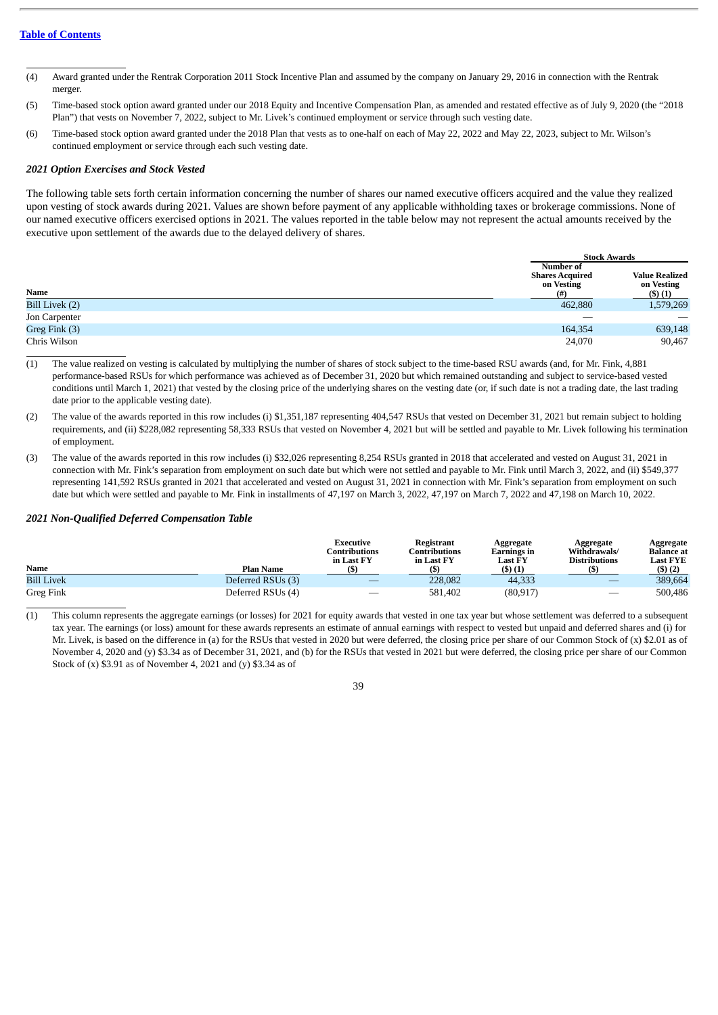- (4) Award granted under the Rentrak Corporation 2011 Stock Incentive Plan and assumed by the company on January 29, 2016 in connection with the Rentrak merger.
- (5) Time-based stock option award granted under our 2018 Equity and Incentive Compensation Plan, as amended and restated effective as of July 9, 2020 (the "2018 Plan") that vests on November 7, 2022, subject to Mr. Livek's continued employment or service through such vesting date.
- (6) Time-based stock option award granted under the 2018 Plan that vests as to one-half on each of May 22, 2022 and May 22, 2023, subject to Mr. Wilson's continued employment or service through each such vesting date.

# *2021 Option Exercises and Stock Vested*

The following table sets forth certain information concerning the number of shares our named executive officers acquired and the value they realized upon vesting of stock awards during 2021. Values are shown before payment of any applicable withholding taxes or brokerage commissions. None of our named executive officers exercised options in 2021. The values reported in the table below may not represent the actual amounts received by the executive upon settlement of the awards due to the delayed delivery of shares.

|                |                                                          | <b>Stock Awards</b>                                  |
|----------------|----------------------------------------------------------|------------------------------------------------------|
| Name           | Number of<br><b>Shares Acquired</b><br>on Vesting<br>(#) | <b>Value Realized</b><br>on Vesting<br>$($ \$) $(1)$ |
| Bill Livek (2) | 462,880                                                  | 1,579,269                                            |
| Jon Carpenter  |                                                          |                                                      |
| Greg Fink (3)  | 164,354                                                  | 639,148                                              |
| Chris Wilson   | 24,070                                                   | 90,467                                               |

(1) The value realized on vesting is calculated by multiplying the number of shares of stock subject to the time-based RSU awards (and, for Mr. Fink, 4,881 performance-based RSUs for which performance was achieved as of December 31, 2020 but which remained outstanding and subject to service-based vested conditions until March 1, 2021) that vested by the closing price of the underlying shares on the vesting date (or, if such date is not a trading date, the last trading date prior to the applicable vesting date).

- (2) The value of the awards reported in this row includes (i) \$1,351,187 representing 404,547 RSUs that vested on December 31, 2021 but remain subject to holding requirements, and (ii) \$228,082 representing 58,333 RSUs that vested on November 4, 2021 but will be settled and payable to Mr. Livek following his termination of employment.
- (3) The value of the awards reported in this row includes (i) \$32,026 representing 8,254 RSUs granted in 2018 that accelerated and vested on August 31, 2021 in connection with Mr. Fink's separation from employment on such date but which were not settled and payable to Mr. Fink until March 3, 2022, and (ii) \$549,377 representing 141,592 RSUs granted in 2021 that accelerated and vested on August 31, 2021 in connection with Mr. Fink's separation from employment on such date but which were settled and payable to Mr. Fink in installments of 47,197 on March 3, 2022, 47,197 on March 7, 2022 and 47,198 on March 10, 2022.

#### *2021 Non-Qualified Deferred Compensation Table*

| Name              | Plan Name         | Executive<br>Contributions<br>in Last FY | Registrant<br>C <b>ontributions</b><br>in Last FY | Aggregate<br>Earnings in<br>Last FY<br>$($ \$) $(1)$ | Aggregate<br>Withdrawals/<br><b>Distributions</b> | Aggregate<br><b>Balance</b> at<br>Last FYE<br>(3)(2) |
|-------------------|-------------------|------------------------------------------|---------------------------------------------------|------------------------------------------------------|---------------------------------------------------|------------------------------------------------------|
| <b>Bill Livek</b> | Deferred RSUs (3) |                                          | 228,082                                           | 44,333                                               |                                                   | 389,664                                              |
| Greg Fink         | Deferred RSUs (4) |                                          | 581,402                                           | (80, 917)                                            |                                                   | 500,486                                              |

(1) This column represents the aggregate earnings (or losses) for 2021 for equity awards that vested in one tax year but whose settlement was deferred to a subsequent tax year. The earnings (or loss) amount for these awards represents an estimate of annual earnings with respect to vested but unpaid and deferred shares and (i) for Mr. Livek, is based on the difference in (a) for the RSUs that vested in 2020 but were deferred, the closing price per share of our Common Stock of (x) \$2.01 as of November 4, 2020 and (y) \$3.34 as of December 31, 2021, and (b) for the RSUs that vested in 2021 but were deferred, the closing price per share of our Common Stock of (x) \$3.91 as of November 4, 2021 and (y) \$3.34 as of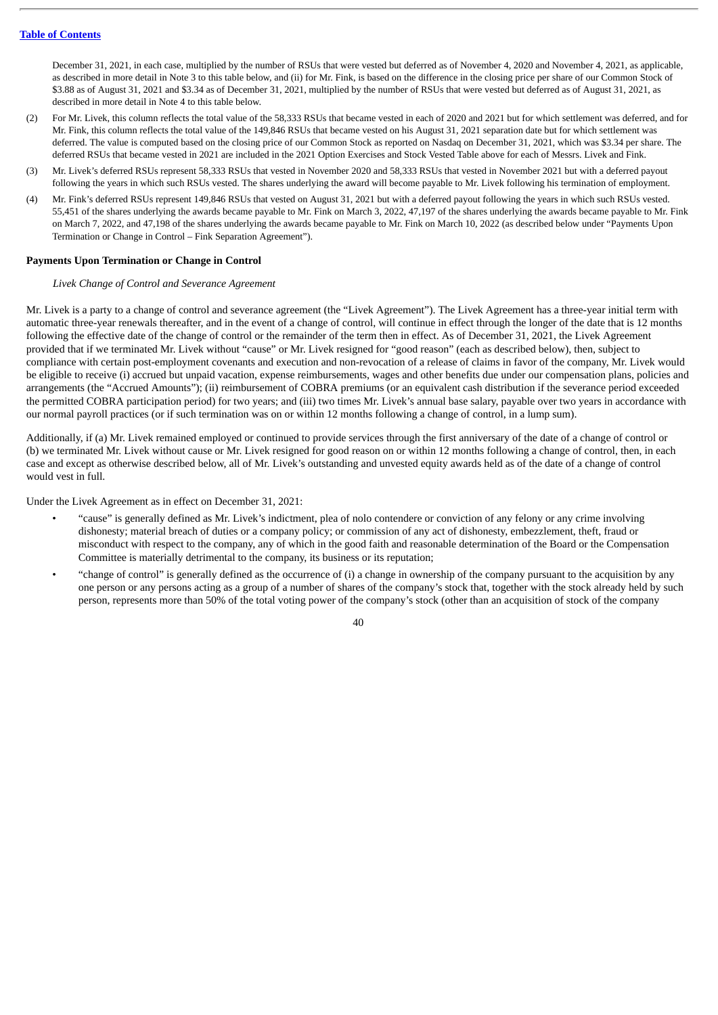December 31, 2021, in each case, multiplied by the number of RSUs that were vested but deferred as of November 4, 2020 and November 4, 2021, as applicable, as described in more detail in Note 3 to this table below, and (ii) for Mr. Fink, is based on the difference in the closing price per share of our Common Stock of \$3.88 as of August 31, 2021 and \$3.34 as of December 31, 2021, multiplied by the number of RSUs that were vested but deferred as of August 31, 2021, as described in more detail in Note 4 to this table below.

- (2) For Mr. Livek, this column reflects the total value of the 58,333 RSUs that became vested in each of 2020 and 2021 but for which settlement was deferred, and for Mr. Fink, this column reflects the total value of the 149,846 RSUs that became vested on his August 31, 2021 separation date but for which settlement was deferred. The value is computed based on the closing price of our Common Stock as reported on Nasdaq on December 31, 2021, which was \$3.34 per share. The deferred RSUs that became vested in 2021 are included in the 2021 Option Exercises and Stock Vested Table above for each of Messrs. Livek and Fink.
- (3) Mr. Livek's deferred RSUs represent 58,333 RSUs that vested in November 2020 and 58,333 RSUs that vested in November 2021 but with a deferred payout following the years in which such RSUs vested. The shares underlying the award will become payable to Mr. Livek following his termination of employment.
- (4) Mr. Fink's deferred RSUs represent 149,846 RSUs that vested on August 31, 2021 but with a deferred payout following the years in which such RSUs vested. 55,451 of the shares underlying the awards became payable to Mr. Fink on March 3, 2022, 47,197 of the shares underlying the awards became payable to Mr. Fink on March 7, 2022, and 47,198 of the shares underlying the awards became payable to Mr. Fink on March 10, 2022 (as described below under "Payments Upon Termination or Change in Control – Fink Separation Agreement").

# **Payments Upon Termination or Change in Control**

# *Livek Change of Control and Severance Agreement*

Mr. Livek is a party to a change of control and severance agreement (the "Livek Agreement"). The Livek Agreement has a three-year initial term with automatic three-year renewals thereafter, and in the event of a change of control, will continue in effect through the longer of the date that is 12 months following the effective date of the change of control or the remainder of the term then in effect. As of December 31, 2021, the Livek Agreement provided that if we terminated Mr. Livek without "cause" or Mr. Livek resigned for "good reason" (each as described below), then, subject to compliance with certain post-employment covenants and execution and non-revocation of a release of claims in favor of the company, Mr. Livek would be eligible to receive (i) accrued but unpaid vacation, expense reimbursements, wages and other benefits due under our compensation plans, policies and arrangements (the "Accrued Amounts"); (ii) reimbursement of COBRA premiums (or an equivalent cash distribution if the severance period exceeded the permitted COBRA participation period) for two years; and (iii) two times Mr. Livek's annual base salary, payable over two years in accordance with our normal payroll practices (or if such termination was on or within 12 months following a change of control, in a lump sum).

Additionally, if (a) Mr. Livek remained employed or continued to provide services through the first anniversary of the date of a change of control or (b) we terminated Mr. Livek without cause or Mr. Livek resigned for good reason on or within 12 months following a change of control, then, in each case and except as otherwise described below, all of Mr. Livek's outstanding and unvested equity awards held as of the date of a change of control would vest in full.

Under the Livek Agreement as in effect on December 31, 2021:

- "cause" is generally defined as Mr. Livek's indictment, plea of nolo contendere or conviction of any felony or any crime involving dishonesty; material breach of duties or a company policy; or commission of any act of dishonesty, embezzlement, theft, fraud or misconduct with respect to the company, any of which in the good faith and reasonable determination of the Board or the Compensation Committee is materially detrimental to the company, its business or its reputation;
- "change of control" is generally defined as the occurrence of (i) a change in ownership of the company pursuant to the acquisition by any one person or any persons acting as a group of a number of shares of the company's stock that, together with the stock already held by such person, represents more than 50% of the total voting power of the company's stock (other than an acquisition of stock of the company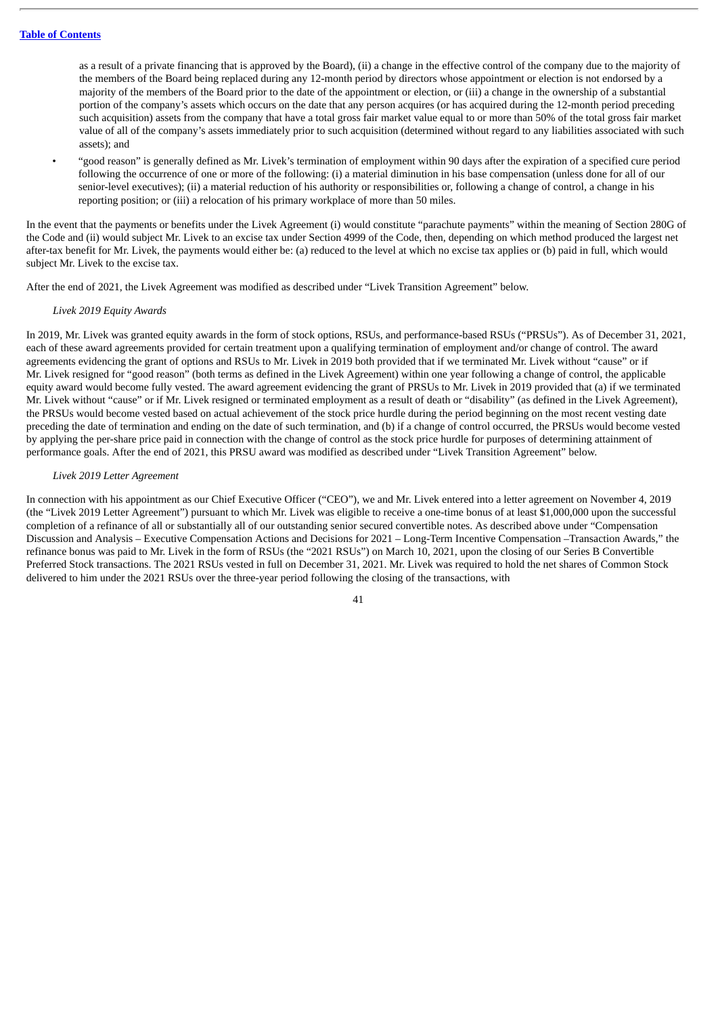as a result of a private financing that is approved by the Board), (ii) a change in the effective control of the company due to the majority of the members of the Board being replaced during any 12-month period by directors whose appointment or election is not endorsed by a majority of the members of the Board prior to the date of the appointment or election, or (iii) a change in the ownership of a substantial portion of the company's assets which occurs on the date that any person acquires (or has acquired during the 12-month period preceding such acquisition) assets from the company that have a total gross fair market value equal to or more than 50% of the total gross fair market value of all of the company's assets immediately prior to such acquisition (determined without regard to any liabilities associated with such assets); and

• "good reason" is generally defined as Mr. Livek's termination of employment within 90 days after the expiration of a specified cure period following the occurrence of one or more of the following: (i) a material diminution in his base compensation (unless done for all of our senior-level executives); (ii) a material reduction of his authority or responsibilities or, following a change of control, a change in his reporting position; or (iii) a relocation of his primary workplace of more than 50 miles.

In the event that the payments or benefits under the Livek Agreement (i) would constitute "parachute payments" within the meaning of Section 280G of the Code and (ii) would subject Mr. Livek to an excise tax under Section 4999 of the Code, then, depending on which method produced the largest net after-tax benefit for Mr. Livek, the payments would either be: (a) reduced to the level at which no excise tax applies or (b) paid in full, which would subject Mr. Livek to the excise tax.

After the end of 2021, the Livek Agreement was modified as described under "Livek Transition Agreement" below.

## *Livek 2019 Equity Awards*

In 2019, Mr. Livek was granted equity awards in the form of stock options, RSUs, and performance-based RSUs ("PRSUs"). As of December 31, 2021, each of these award agreements provided for certain treatment upon a qualifying termination of employment and/or change of control. The award agreements evidencing the grant of options and RSUs to Mr. Livek in 2019 both provided that if we terminated Mr. Livek without "cause" or if Mr. Livek resigned for "good reason" (both terms as defined in the Livek Agreement) within one year following a change of control, the applicable equity award would become fully vested. The award agreement evidencing the grant of PRSUs to Mr. Livek in 2019 provided that (a) if we terminated Mr. Livek without "cause" or if Mr. Livek resigned or terminated employment as a result of death or "disability" (as defined in the Livek Agreement), the PRSUs would become vested based on actual achievement of the stock price hurdle during the period beginning on the most recent vesting date preceding the date of termination and ending on the date of such termination, and (b) if a change of control occurred, the PRSUs would become vested by applying the per-share price paid in connection with the change of control as the stock price hurdle for purposes of determining attainment of performance goals. After the end of 2021, this PRSU award was modified as described under "Livek Transition Agreement" below.

#### *Livek 2019 Letter Agreement*

In connection with his appointment as our Chief Executive Officer ("CEO"), we and Mr. Livek entered into a letter agreement on November 4, 2019 (the "Livek 2019 Letter Agreement") pursuant to which Mr. Livek was eligible to receive a one-time bonus of at least \$1,000,000 upon the successful completion of a refinance of all or substantially all of our outstanding senior secured convertible notes. As described above under "Compensation Discussion and Analysis – Executive Compensation Actions and Decisions for 2021 – Long-Term Incentive Compensation –Transaction Awards," the refinance bonus was paid to Mr. Livek in the form of RSUs (the "2021 RSUs") on March 10, 2021, upon the closing of our Series B Convertible Preferred Stock transactions. The 2021 RSUs vested in full on December 31, 2021. Mr. Livek was required to hold the net shares of Common Stock delivered to him under the 2021 RSUs over the three-year period following the closing of the transactions, with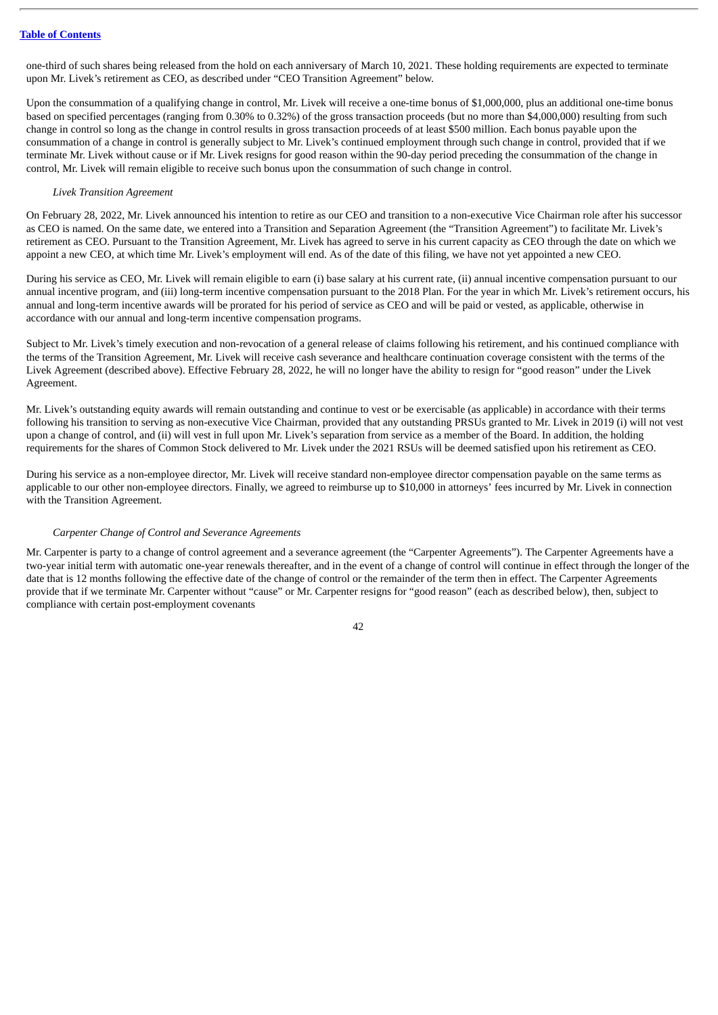one-third of such shares being released from the hold on each anniversary of March 10, 2021. These holding requirements are expected to terminate upon Mr. Livek's retirement as CEO, as described under "CEO Transition Agreement" below.

Upon the consummation of a qualifying change in control, Mr. Livek will receive a one-time bonus of \$1,000,000, plus an additional one-time bonus based on specified percentages (ranging from 0.30% to 0.32%) of the gross transaction proceeds (but no more than \$4,000,000) resulting from such change in control so long as the change in control results in gross transaction proceeds of at least \$500 million. Each bonus payable upon the consummation of a change in control is generally subject to Mr. Livek's continued employment through such change in control, provided that if we terminate Mr. Livek without cause or if Mr. Livek resigns for good reason within the 90-day period preceding the consummation of the change in control, Mr. Livek will remain eligible to receive such bonus upon the consummation of such change in control.

# *Livek Transition Agreement*

On February 28, 2022, Mr. Livek announced his intention to retire as our CEO and transition to a non-executive Vice Chairman role after his successor as CEO is named. On the same date, we entered into a Transition and Separation Agreement (the "Transition Agreement") to facilitate Mr. Livek's retirement as CEO. Pursuant to the Transition Agreement, Mr. Livek has agreed to serve in his current capacity as CEO through the date on which we appoint a new CEO, at which time Mr. Livek's employment will end. As of the date of this filing, we have not yet appointed a new CEO.

During his service as CEO, Mr. Livek will remain eligible to earn (i) base salary at his current rate, (ii) annual incentive compensation pursuant to our annual incentive program, and (iii) long-term incentive compensation pursuant to the 2018 Plan. For the year in which Mr. Livek's retirement occurs, his annual and long-term incentive awards will be prorated for his period of service as CEO and will be paid or vested, as applicable, otherwise in accordance with our annual and long-term incentive compensation programs.

Subject to Mr. Livek's timely execution and non-revocation of a general release of claims following his retirement, and his continued compliance with the terms of the Transition Agreement, Mr. Livek will receive cash severance and healthcare continuation coverage consistent with the terms of the Livek Agreement (described above). Effective February 28, 2022, he will no longer have the ability to resign for "good reason" under the Livek Agreement.

Mr. Livek's outstanding equity awards will remain outstanding and continue to vest or be exercisable (as applicable) in accordance with their terms following his transition to serving as non-executive Vice Chairman, provided that any outstanding PRSUs granted to Mr. Livek in 2019 (i) will not vest upon a change of control, and (ii) will vest in full upon Mr. Livek's separation from service as a member of the Board. In addition, the holding requirements for the shares of Common Stock delivered to Mr. Livek under the 2021 RSUs will be deemed satisfied upon his retirement as CEO.

During his service as a non-employee director, Mr. Livek will receive standard non-employee director compensation payable on the same terms as applicable to our other non-employee directors. Finally, we agreed to reimburse up to \$10,000 in attorneys' fees incurred by Mr. Livek in connection with the Transition Agreement.

# *Carpenter Change of Control and Severance Agreements*

Mr. Carpenter is party to a change of control agreement and a severance agreement (the "Carpenter Agreements"). The Carpenter Agreements have a two-year initial term with automatic one-year renewals thereafter, and in the event of a change of control will continue in effect through the longer of the date that is 12 months following the effective date of the change of control or the remainder of the term then in effect. The Carpenter Agreements provide that if we terminate Mr. Carpenter without "cause" or Mr. Carpenter resigns for "good reason" (each as described below), then, subject to compliance with certain post-employment covenants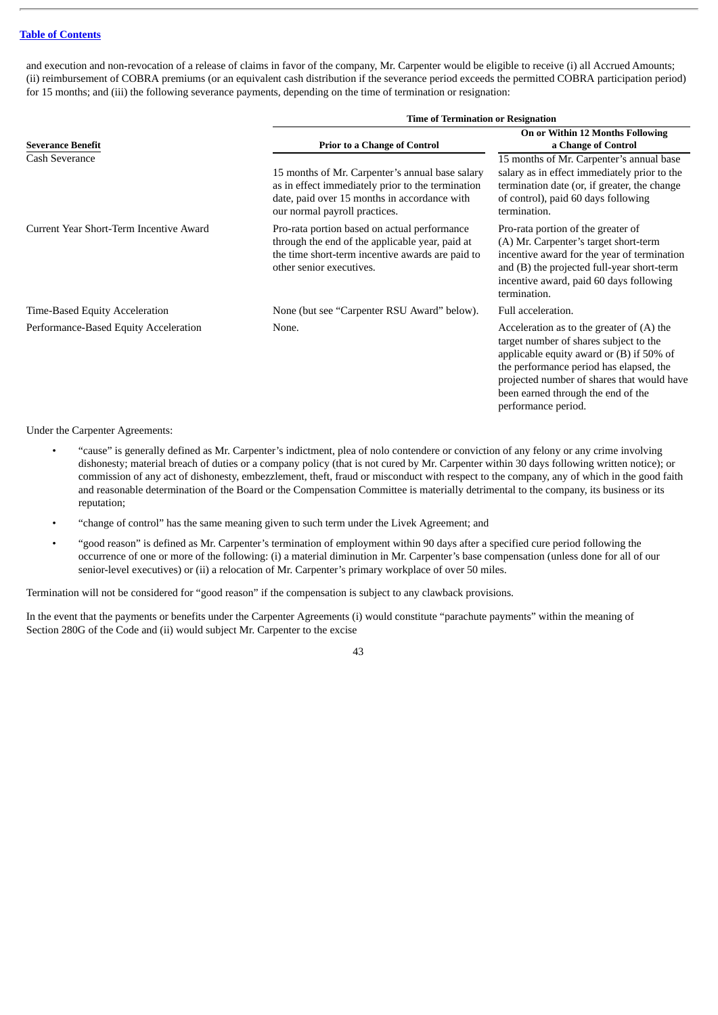and execution and non-revocation of a release of claims in favor of the company, Mr. Carpenter would be eligible to receive (i) all Accrued Amounts; (ii) reimbursement of COBRA premiums (or an equivalent cash distribution if the severance period exceeds the permitted COBRA participation period) for 15 months; and (iii) the following severance payments, depending on the time of termination or resignation:

|                                         | <b>Time of Termination or Resignation</b>                                                                                                                                             |                                                                                                                                                                                                                                                                                           |  |  |  |
|-----------------------------------------|---------------------------------------------------------------------------------------------------------------------------------------------------------------------------------------|-------------------------------------------------------------------------------------------------------------------------------------------------------------------------------------------------------------------------------------------------------------------------------------------|--|--|--|
| <b>Severance Benefit</b>                | <b>Prior to a Change of Control</b>                                                                                                                                                   | On or Within 12 Months Following<br>a Change of Control                                                                                                                                                                                                                                   |  |  |  |
| Cash Severance                          | 15 months of Mr. Carpenter's annual base salary<br>as in effect immediately prior to the termination<br>date, paid over 15 months in accordance with<br>our normal payroll practices. | 15 months of Mr. Carpenter's annual base<br>salary as in effect immediately prior to the<br>termination date (or, if greater, the change<br>of control), paid 60 days following<br>termination.                                                                                           |  |  |  |
| Current Year Short-Term Incentive Award | Pro-rata portion based on actual performance<br>through the end of the applicable year, paid at<br>the time short-term incentive awards are paid to<br>other senior executives.       | Pro-rata portion of the greater of<br>(A) Mr. Carpenter's target short-term<br>incentive award for the year of termination<br>and (B) the projected full-year short-term<br>incentive award, paid 60 days following<br>termination.                                                       |  |  |  |
| Time-Based Equity Acceleration          | None (but see "Carpenter RSU Award" below).                                                                                                                                           | Full acceleration.                                                                                                                                                                                                                                                                        |  |  |  |
| Performance-Based Equity Acceleration   | None.                                                                                                                                                                                 | Acceleration as to the greater of $(A)$ the<br>target number of shares subject to the<br>applicable equity award or $(B)$ if 50% of<br>the performance period has elapsed, the<br>projected number of shares that would have<br>been earned through the end of the<br>performance period. |  |  |  |

Under the Carpenter Agreements:

- "cause" is generally defined as Mr. Carpenter's indictment, plea of nolo contendere or conviction of any felony or any crime involving dishonesty; material breach of duties or a company policy (that is not cured by Mr. Carpenter within 30 days following written notice); or commission of any act of dishonesty, embezzlement, theft, fraud or misconduct with respect to the company, any of which in the good faith and reasonable determination of the Board or the Compensation Committee is materially detrimental to the company, its business or its reputation;
- "change of control" has the same meaning given to such term under the Livek Agreement; and
- "good reason" is defined as Mr. Carpenter's termination of employment within 90 days after a specified cure period following the occurrence of one or more of the following: (i) a material diminution in Mr. Carpenter's base compensation (unless done for all of our senior-level executives) or (ii) a relocation of Mr. Carpenter's primary workplace of over 50 miles.

Termination will not be considered for "good reason" if the compensation is subject to any clawback provisions.

In the event that the payments or benefits under the Carpenter Agreements (i) would constitute "parachute payments" within the meaning of Section 280G of the Code and (ii) would subject Mr. Carpenter to the excise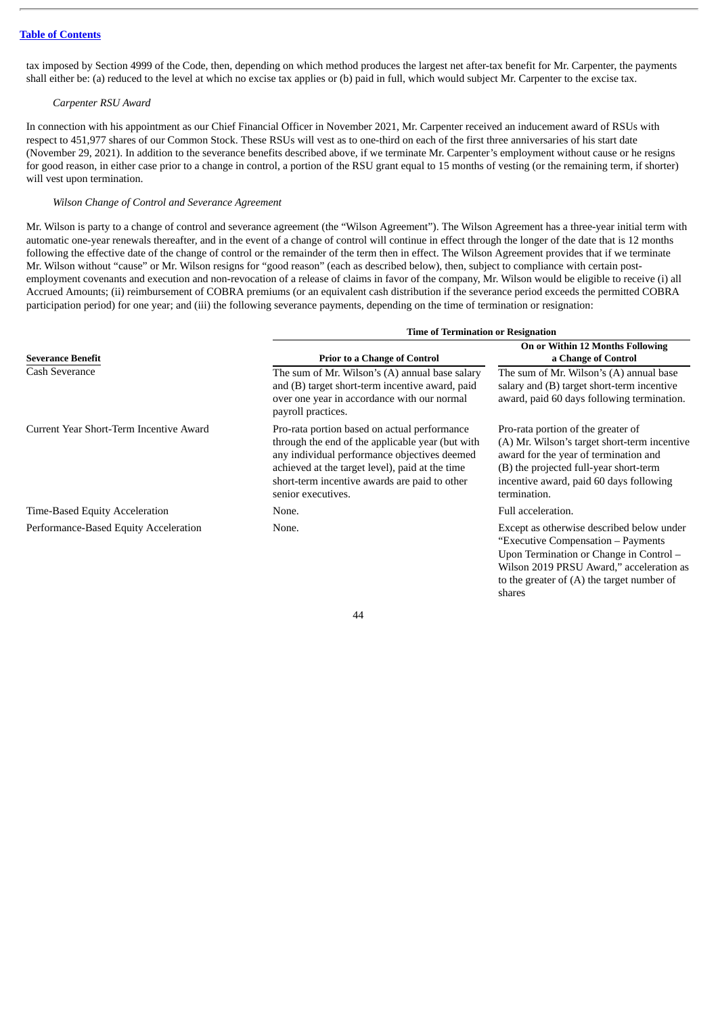tax imposed by Section 4999 of the Code, then, depending on which method produces the largest net after-tax benefit for Mr. Carpenter, the payments shall either be: (a) reduced to the level at which no excise tax applies or (b) paid in full, which would subject Mr. Carpenter to the excise tax.

## *Carpenter RSU Award*

In connection with his appointment as our Chief Financial Officer in November 2021, Mr. Carpenter received an inducement award of RSUs with respect to 451,977 shares of our Common Stock. These RSUs will vest as to one-third on each of the first three anniversaries of his start date (November 29, 2021). In addition to the severance benefits described above, if we terminate Mr. Carpenter's employment without cause or he resigns for good reason, in either case prior to a change in control, a portion of the RSU grant equal to 15 months of vesting (or the remaining term, if shorter) will vest upon termination.

# *Wilson Change of Control and Severance Agreement*

Mr. Wilson is party to a change of control and severance agreement (the "Wilson Agreement"). The Wilson Agreement has a three-year initial term with automatic one-year renewals thereafter, and in the event of a change of control will continue in effect through the longer of the date that is 12 months following the effective date of the change of control or the remainder of the term then in effect. The Wilson Agreement provides that if we terminate Mr. Wilson without "cause" or Mr. Wilson resigns for "good reason" (each as described below), then, subject to compliance with certain postemployment covenants and execution and non-revocation of a release of claims in favor of the company, Mr. Wilson would be eligible to receive (i) all Accrued Amounts; (ii) reimbursement of COBRA premiums (or an equivalent cash distribution if the severance period exceeds the permitted COBRA participation period) for one year; and (iii) the following severance payments, depending on the time of termination or resignation:

|                                         | <b>Time of Termination or Resignation</b>                                                                                                                                                                                                                                  |                                                                                                                                                                                                                                  |  |  |  |
|-----------------------------------------|----------------------------------------------------------------------------------------------------------------------------------------------------------------------------------------------------------------------------------------------------------------------------|----------------------------------------------------------------------------------------------------------------------------------------------------------------------------------------------------------------------------------|--|--|--|
| <b>Severance Benefit</b>                | <b>Prior to a Change of Control</b>                                                                                                                                                                                                                                        | On or Within 12 Months Following<br>a Change of Control                                                                                                                                                                          |  |  |  |
| Cash Severance                          | The sum of Mr. Wilson's (A) annual base salary<br>and (B) target short-term incentive award, paid<br>over one year in accordance with our normal<br>payroll practices.                                                                                                     | The sum of Mr. Wilson's (A) annual base<br>salary and (B) target short-term incentive<br>award, paid 60 days following termination.                                                                                              |  |  |  |
| Current Year Short-Term Incentive Award | Pro-rata portion based on actual performance<br>through the end of the applicable year (but with<br>any individual performance objectives deemed<br>achieved at the target level), paid at the time<br>short-term incentive awards are paid to other<br>senior executives. | Pro-rata portion of the greater of<br>(A) Mr. Wilson's target short-term incentive<br>award for the year of termination and<br>(B) the projected full-year short-term<br>incentive award, paid 60 days following<br>termination. |  |  |  |
| Time-Based Equity Acceleration          | None.                                                                                                                                                                                                                                                                      | Full acceleration.                                                                                                                                                                                                               |  |  |  |
| Performance-Based Equity Acceleration   | None.                                                                                                                                                                                                                                                                      | Except as otherwise described below under<br>"Executive Compensation - Payments<br>Upon Termination or Change in Control -<br>Wilson 2019 PRSU Award," acceleration as                                                           |  |  |  |

44

to the greater of (A) the target number of

shares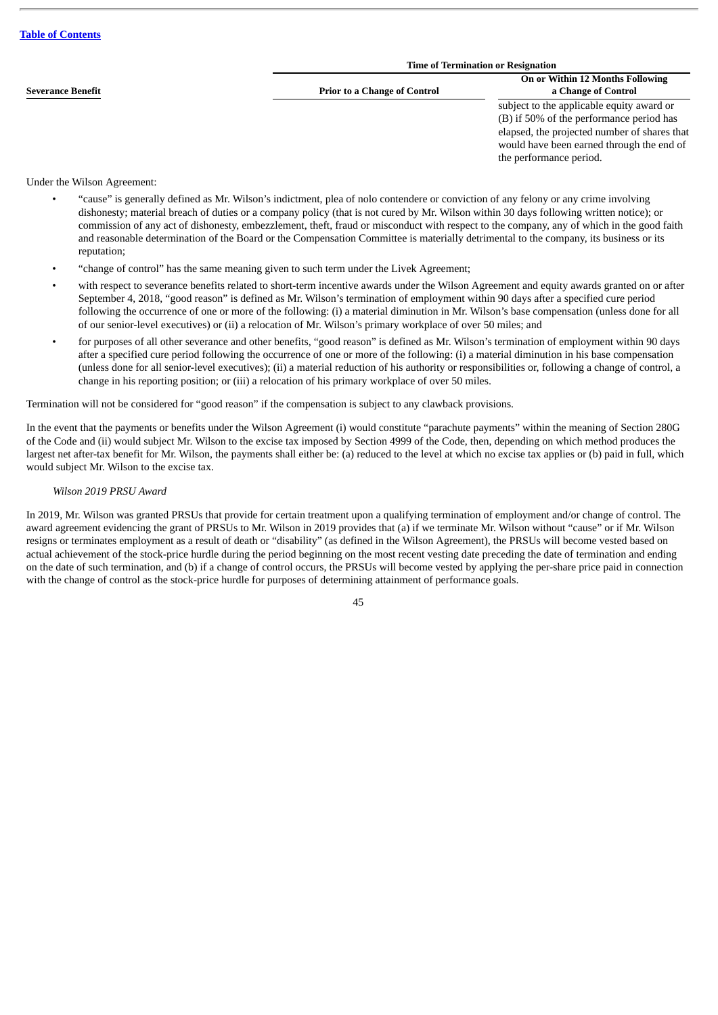|  |  |  |  | <b>Table of Contents</b> |
|--|--|--|--|--------------------------|
|--|--|--|--|--------------------------|

|                          | <b>Time of Termination or Resignation</b> |                                                                                                                                                                                                               |  |  |  |
|--------------------------|-------------------------------------------|---------------------------------------------------------------------------------------------------------------------------------------------------------------------------------------------------------------|--|--|--|
| <b>Severance Benefit</b> | <b>Prior to a Change of Control</b>       | On or Within 12 Months Following<br>a Change of Control                                                                                                                                                       |  |  |  |
|                          |                                           | subject to the applicable equity award or<br>(B) if 50% of the performance period has<br>elapsed, the projected number of shares that<br>would have been earned through the end of<br>the performance period. |  |  |  |

# Under the Wilson Agreement:

- "cause" is generally defined as Mr. Wilson's indictment, plea of nolo contendere or conviction of any felony or any crime involving dishonesty; material breach of duties or a company policy (that is not cured by Mr. Wilson within 30 days following written notice); or commission of any act of dishonesty, embezzlement, theft, fraud or misconduct with respect to the company, any of which in the good faith and reasonable determination of the Board or the Compensation Committee is materially detrimental to the company, its business or its reputation;
- "change of control" has the same meaning given to such term under the Livek Agreement;
- with respect to severance benefits related to short-term incentive awards under the Wilson Agreement and equity awards granted on or after September 4, 2018, "good reason" is defined as Mr. Wilson's termination of employment within 90 days after a specified cure period following the occurrence of one or more of the following: (i) a material diminution in Mr. Wilson's base compensation (unless done for all of our senior-level executives) or (ii) a relocation of Mr. Wilson's primary workplace of over 50 miles; and
- for purposes of all other severance and other benefits, "good reason" is defined as Mr. Wilson's termination of employment within 90 days after a specified cure period following the occurrence of one or more of the following: (i) a material diminution in his base compensation (unless done for all senior-level executives); (ii) a material reduction of his authority or responsibilities or, following a change of control, a change in his reporting position; or (iii) a relocation of his primary workplace of over 50 miles.

Termination will not be considered for "good reason" if the compensation is subject to any clawback provisions.

In the event that the payments or benefits under the Wilson Agreement (i) would constitute "parachute payments" within the meaning of Section 280G of the Code and (ii) would subject Mr. Wilson to the excise tax imposed by Section 4999 of the Code, then, depending on which method produces the largest net after-tax benefit for Mr. Wilson, the payments shall either be: (a) reduced to the level at which no excise tax applies or (b) paid in full, which would subject Mr. Wilson to the excise tax.

# *Wilson 2019 PRSU Award*

In 2019, Mr. Wilson was granted PRSUs that provide for certain treatment upon a qualifying termination of employment and/or change of control. The award agreement evidencing the grant of PRSUs to Mr. Wilson in 2019 provides that (a) if we terminate Mr. Wilson without "cause" or if Mr. Wilson resigns or terminates employment as a result of death or "disability" (as defined in the Wilson Agreement), the PRSUs will become vested based on actual achievement of the stock-price hurdle during the period beginning on the most recent vesting date preceding the date of termination and ending on the date of such termination, and (b) if a change of control occurs, the PRSUs will become vested by applying the per-share price paid in connection with the change of control as the stock-price hurdle for purposes of determining attainment of performance goals.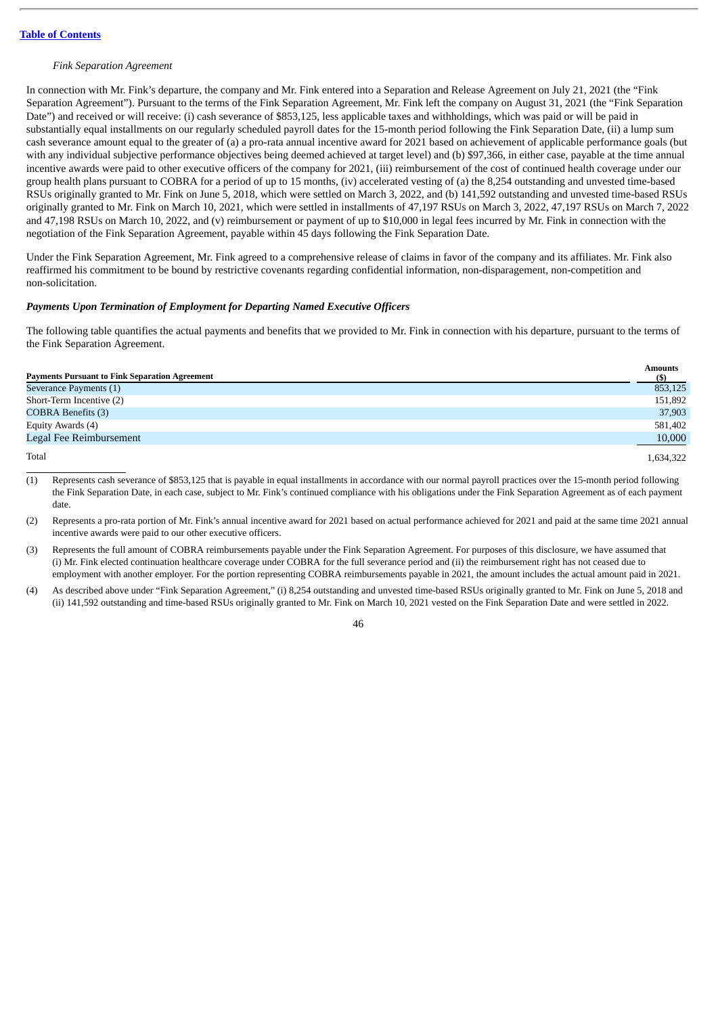## *Fink Separation Agreement*

In connection with Mr. Fink's departure, the company and Mr. Fink entered into a Separation and Release Agreement on July 21, 2021 (the "Fink Separation Agreement"). Pursuant to the terms of the Fink Separation Agreement, Mr. Fink left the company on August 31, 2021 (the "Fink Separation Date") and received or will receive: (i) cash severance of \$853,125, less applicable taxes and withholdings, which was paid or will be paid in substantially equal installments on our regularly scheduled payroll dates for the 15-month period following the Fink Separation Date, (ii) a lump sum cash severance amount equal to the greater of (a) a pro-rata annual incentive award for 2021 based on achievement of applicable performance goals (but with any individual subjective performance objectives being deemed achieved at target level) and (b) \$97,366, in either case, payable at the time annual incentive awards were paid to other executive officers of the company for 2021, (iii) reimbursement of the cost of continued health coverage under our group health plans pursuant to COBRA for a period of up to 15 months, (iv) accelerated vesting of (a) the 8,254 outstanding and unvested time-based RSUs originally granted to Mr. Fink on June 5, 2018, which were settled on March 3, 2022, and (b) 141,592 outstanding and unvested time-based RSUs originally granted to Mr. Fink on March 10, 2021, which were settled in installments of 47,197 RSUs on March 3, 2022, 47,197 RSUs on March 7, 2022 and 47,198 RSUs on March 10, 2022, and (v) reimbursement or payment of up to \$10,000 in legal fees incurred by Mr. Fink in connection with the negotiation of the Fink Separation Agreement, payable within 45 days following the Fink Separation Date.

Under the Fink Separation Agreement, Mr. Fink agreed to a comprehensive release of claims in favor of the company and its affiliates. Mr. Fink also reaffirmed his commitment to be bound by restrictive covenants regarding confidential information, non-disparagement, non-competition and non-solicitation.

# *Payments Upon Termination of Employment for Departing Named Executive Officers*

The following table quantifies the actual payments and benefits that we provided to Mr. Fink in connection with his departure, pursuant to the terms of the Fink Separation Agreement.

| <b>Payments Pursuant to Fink Separation Agreement</b> | Amounts<br>(S) |
|-------------------------------------------------------|----------------|
| Severance Payments (1)                                | 853,125        |
| Short-Term Incentive (2)                              | 151,892        |
| <b>COBRA Benefits (3)</b>                             | 37,903         |
| Equity Awards (4)                                     | 581,402        |
| Legal Fee Reimbursement                               | 10,000         |
| Total                                                 | 1,634,322      |

(1) Represents cash severance of \$853,125 that is payable in equal installments in accordance with our normal payroll practices over the 15-month period following the Fink Separation Date, in each case, subject to Mr. Fink's continued compliance with his obligations under the Fink Separation Agreement as of each payment date.

(2) Represents a pro-rata portion of Mr. Fink's annual incentive award for 2021 based on actual performance achieved for 2021 and paid at the same time 2021 annual incentive awards were paid to our other executive officers.

(3) Represents the full amount of COBRA reimbursements payable under the Fink Separation Agreement. For purposes of this disclosure, we have assumed that (i) Mr. Fink elected continuation healthcare coverage under COBRA for the full severance period and (ii) the reimbursement right has not ceased due to employment with another employer. For the portion representing COBRA reimbursements payable in 2021, the amount includes the actual amount paid in 2021.

(4) As described above under "Fink Separation Agreement," (i) 8,254 outstanding and unvested time-based RSUs originally granted to Mr. Fink on June 5, 2018 and (ii) 141,592 outstanding and time-based RSUs originally granted to Mr. Fink on March 10, 2021 vested on the Fink Separation Date and were settled in 2022.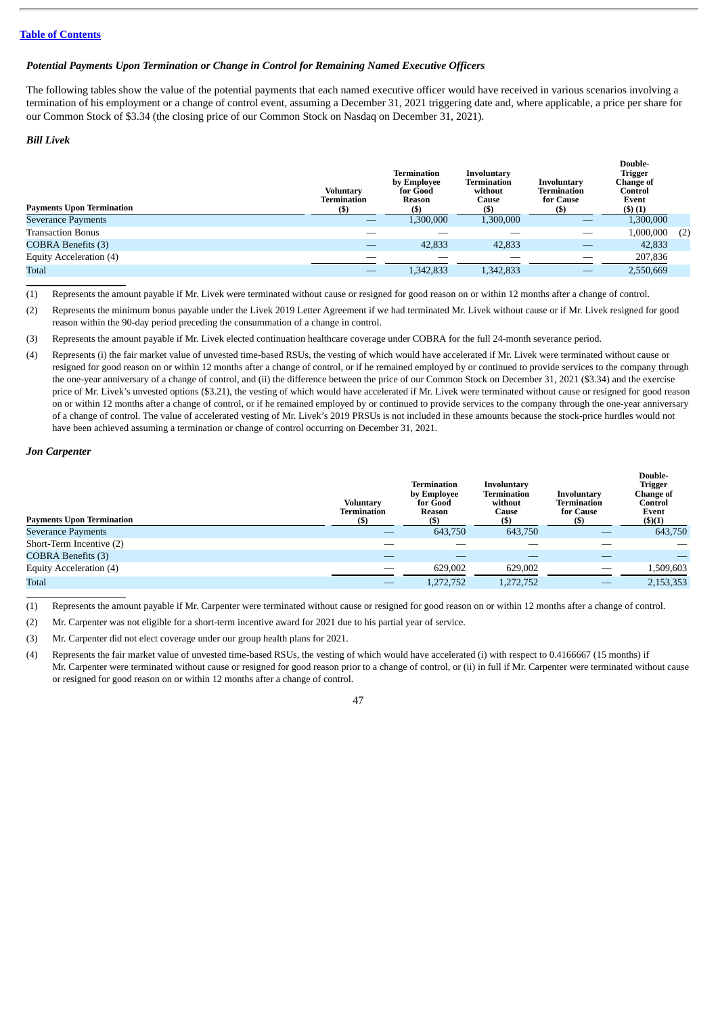# *Potential Payments Upon Termination or Change in Control for Remaining Named Executive Officers*

The following tables show the value of the potential payments that each named executive officer would have received in various scenarios involving a termination of his employment or a change of control event, assuming a December 31, 2021 triggering date and, where applicable, a price per share for our Common Stock of \$3.34 (the closing price of our Common Stock on Nasdaq on December 31, 2021).

## *Bill Livek*

| <b>Payments Upon Termination</b> | <b>Voluntary</b><br>Termination<br>(\$) | Termination<br>by Employee<br>for Good<br>Reason<br>(\$) | Involuntary<br>Termination<br>without<br>Cause | Involuntary<br>Termination<br>for Cause | Double-<br><b>Trigger</b><br>Change of<br>Control<br>Event<br>(5)(1) |     |
|----------------------------------|-----------------------------------------|----------------------------------------------------------|------------------------------------------------|-----------------------------------------|----------------------------------------------------------------------|-----|
| <b>Severance Payments</b>        |                                         | 1,300,000                                                | 1,300,000                                      |                                         | 1,300,000                                                            |     |
| <b>Transaction Bonus</b>         |                                         |                                                          |                                                |                                         | 1,000,000                                                            | (2) |
| <b>COBRA Benefits (3)</b>        |                                         | 42,833                                                   | 42,833                                         | __                                      | 42,833                                                               |     |
| Equity Acceleration (4)          |                                         |                                                          |                                                | __                                      | 207,836                                                              |     |
| <b>Total</b>                     |                                         | 1,342,833                                                | 1,342,833                                      |                                         | 2,550,669                                                            |     |

(1) Represents the amount payable if Mr. Livek were terminated without cause or resigned for good reason on or within 12 months after a change of control.

(2) Represents the minimum bonus payable under the Livek 2019 Letter Agreement if we had terminated Mr. Livek without cause or if Mr. Livek resigned for good reason within the 90-day period preceding the consummation of a change in control.

(3) Represents the amount payable if Mr. Livek elected continuation healthcare coverage under COBRA for the full 24-month severance period.

(4) Represents (i) the fair market value of unvested time-based RSUs, the vesting of which would have accelerated if Mr. Livek were terminated without cause or resigned for good reason on or within 12 months after a change of control, or if he remained employed by or continued to provide services to the company through the one-year anniversary of a change of control, and (ii) the difference between the price of our Common Stock on December 31, 2021 (\$3.34) and the exercise price of Mr. Livek's unvested options (\$3.21), the vesting of which would have accelerated if Mr. Livek were terminated without cause or resigned for good reason on or within 12 months after a change of control, or if he remained employed by or continued to provide services to the company through the one-year anniversary of a change of control. The value of accelerated vesting of Mr. Livek's 2019 PRSUs is not included in these amounts because the stock-price hurdles would not have been achieved assuming a termination or change of control occurring on December 31, 2021.

# *Jon Carpenter*

| <b>Payments Upon Termination</b> | <b>Voluntary</b><br>Termination | Termination<br>by Employee<br>for Good<br>Reason | Involuntary<br>Termination<br>without<br>Cause<br>(S) | Involuntary<br>Termination<br>for Cause<br>(S | Double-<br><b>Trigger</b><br>Change of<br>Control<br>Event<br>$($ \$ $)(1)$ |
|----------------------------------|---------------------------------|--------------------------------------------------|-------------------------------------------------------|-----------------------------------------------|-----------------------------------------------------------------------------|
| <b>Severance Payments</b>        |                                 | 643,750                                          | 643,750                                               |                                               | 643,750                                                                     |
| Short-Term Incentive (2)         |                                 |                                                  |                                                       |                                               |                                                                             |
| <b>COBRA Benefits (3)</b>        |                                 |                                                  |                                                       |                                               |                                                                             |
| Equity Acceleration (4)          |                                 | 629,002                                          | 629,002                                               |                                               | 1,509,603                                                                   |
| Total                            |                                 | 1,272,752                                        | 1,272,752                                             |                                               | 2,153,353                                                                   |

(1) Represents the amount payable if Mr. Carpenter were terminated without cause or resigned for good reason on or within 12 months after a change of control.

(2) Mr. Carpenter was not eligible for a short-term incentive award for 2021 due to his partial year of service.

(3) Mr. Carpenter did not elect coverage under our group health plans for 2021.

(4) Represents the fair market value of unvested time-based RSUs, the vesting of which would have accelerated (i) with respect to 0.4166667 (15 months) if Mr. Carpenter were terminated without cause or resigned for good reason prior to a change of control, or (ii) in full if Mr. Carpenter were terminated without cause or resigned for good reason on or within 12 months after a change of control.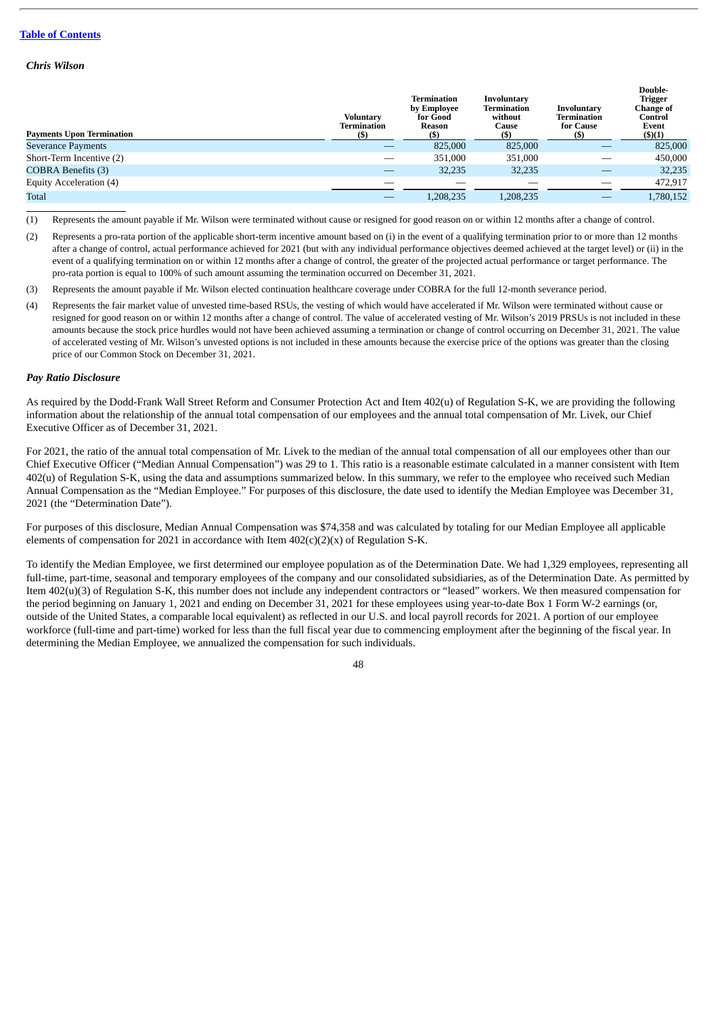# *Chris Wilson*

| <b>Payments Upon Termination</b> | Voluntary<br>Termination | <b>Termination</b><br>by Employee<br>for Good<br>Reason<br>(S) | <b>Involuntary</b><br>Termination<br>without<br>Cause<br>(S) | Involuntary<br>Termination<br>for Cause | Double-<br>Trigger<br>Change of<br>Control<br>Event<br>$($ \$ $)(1)$ |
|----------------------------------|--------------------------|----------------------------------------------------------------|--------------------------------------------------------------|-----------------------------------------|----------------------------------------------------------------------|
| <b>Severance Payments</b>        |                          | 825,000                                                        | 825,000                                                      |                                         | 825,000                                                              |
| Short-Term Incentive (2)         | $\overline{\phantom{a}}$ | 351,000                                                        | 351,000                                                      | __                                      | 450,000                                                              |
| <b>COBRA Benefits (3)</b>        |                          | 32,235                                                         | 32,235                                                       |                                         | 32,235                                                               |
| Equity Acceleration (4)          |                          |                                                                |                                                              |                                         | 472.917                                                              |
| <b>Total</b>                     |                          | 1,208,235                                                      | 1,208,235                                                    |                                         | 1,780,152                                                            |

(1) Represents the amount payable if Mr. Wilson were terminated without cause or resigned for good reason on or within 12 months after a change of control.

- (2) Represents a pro-rata portion of the applicable short-term incentive amount based on (i) in the event of a qualifying termination prior to or more than 12 months after a change of control, actual performance achieved for 2021 (but with any individual performance objectives deemed achieved at the target level) or (ii) in the event of a qualifying termination on or within 12 months after a change of control, the greater of the projected actual performance or target performance. The pro-rata portion is equal to 100% of such amount assuming the termination occurred on December 31, 2021.
- (3) Represents the amount payable if Mr. Wilson elected continuation healthcare coverage under COBRA for the full 12-month severance period.
- (4) Represents the fair market value of unvested time-based RSUs, the vesting of which would have accelerated if Mr. Wilson were terminated without cause or resigned for good reason on or within 12 months after a change of control. The value of accelerated vesting of Mr. Wilson's 2019 PRSUs is not included in these amounts because the stock price hurdles would not have been achieved assuming a termination or change of control occurring on December 31, 2021. The value of accelerated vesting of Mr. Wilson's unvested options is not included in these amounts because the exercise price of the options was greater than the closing price of our Common Stock on December 31, 2021.

#### *Pay Ratio Disclosure*

As required by the Dodd-Frank Wall Street Reform and Consumer Protection Act and Item 402(u) of Regulation S-K, we are providing the following information about the relationship of the annual total compensation of our employees and the annual total compensation of Mr. Livek, our Chief Executive Officer as of December 31, 2021.

For 2021, the ratio of the annual total compensation of Mr. Livek to the median of the annual total compensation of all our employees other than our Chief Executive Officer ("Median Annual Compensation") was 29 to 1. This ratio is a reasonable estimate calculated in a manner consistent with Item 402(u) of Regulation S-K, using the data and assumptions summarized below. In this summary, we refer to the employee who received such Median Annual Compensation as the "Median Employee." For purposes of this disclosure, the date used to identify the Median Employee was December 31, 2021 (the "Determination Date").

For purposes of this disclosure, Median Annual Compensation was \$74,358 and was calculated by totaling for our Median Employee all applicable elements of compensation for 2021 in accordance with Item 402(c)(2)(x) of Regulation S-K.

To identify the Median Employee, we first determined our employee population as of the Determination Date. We had 1,329 employees, representing all full-time, part-time, seasonal and temporary employees of the company and our consolidated subsidiaries, as of the Determination Date. As permitted by Item 402(u)(3) of Regulation S-K, this number does not include any independent contractors or "leased" workers. We then measured compensation for the period beginning on January 1, 2021 and ending on December 31, 2021 for these employees using year-to-date Box 1 Form W-2 earnings (or, outside of the United States, a comparable local equivalent) as reflected in our U.S. and local payroll records for 2021. A portion of our employee workforce (full-time and part-time) worked for less than the full fiscal year due to commencing employment after the beginning of the fiscal year. In determining the Median Employee, we annualized the compensation for such individuals.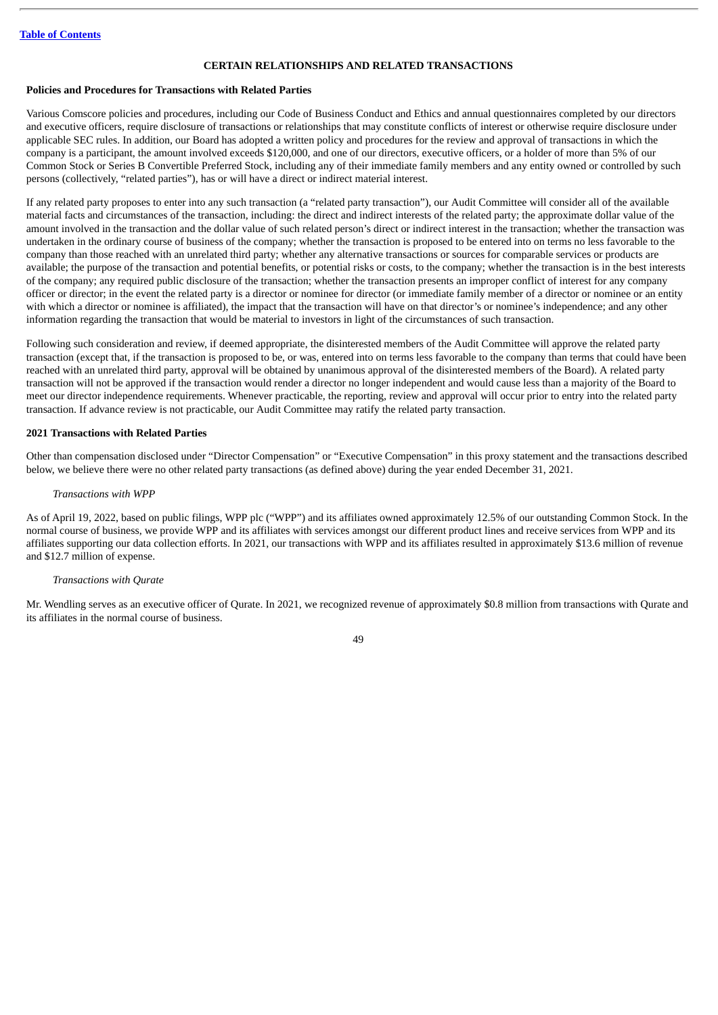# **CERTAIN RELATIONSHIPS AND RELATED TRANSACTIONS**

## **Policies and Procedures for Transactions with Related Parties**

Various Comscore policies and procedures, including our Code of Business Conduct and Ethics and annual questionnaires completed by our directors and executive officers, require disclosure of transactions or relationships that may constitute conflicts of interest or otherwise require disclosure under applicable SEC rules. In addition, our Board has adopted a written policy and procedures for the review and approval of transactions in which the company is a participant, the amount involved exceeds \$120,000, and one of our directors, executive officers, or a holder of more than 5% of our Common Stock or Series B Convertible Preferred Stock, including any of their immediate family members and any entity owned or controlled by such persons (collectively, "related parties"), has or will have a direct or indirect material interest.

If any related party proposes to enter into any such transaction (a "related party transaction"), our Audit Committee will consider all of the available material facts and circumstances of the transaction, including: the direct and indirect interests of the related party; the approximate dollar value of the amount involved in the transaction and the dollar value of such related person's direct or indirect interest in the transaction; whether the transaction was undertaken in the ordinary course of business of the company; whether the transaction is proposed to be entered into on terms no less favorable to the company than those reached with an unrelated third party; whether any alternative transactions or sources for comparable services or products are available; the purpose of the transaction and potential benefits, or potential risks or costs, to the company; whether the transaction is in the best interests of the company; any required public disclosure of the transaction; whether the transaction presents an improper conflict of interest for any company officer or director; in the event the related party is a director or nominee for director (or immediate family member of a director or nominee or an entity with which a director or nominee is affiliated), the impact that the transaction will have on that director's or nominee's independence; and any other information regarding the transaction that would be material to investors in light of the circumstances of such transaction.

Following such consideration and review, if deemed appropriate, the disinterested members of the Audit Committee will approve the related party transaction (except that, if the transaction is proposed to be, or was, entered into on terms less favorable to the company than terms that could have been reached with an unrelated third party, approval will be obtained by unanimous approval of the disinterested members of the Board). A related party transaction will not be approved if the transaction would render a director no longer independent and would cause less than a majority of the Board to meet our director independence requirements. Whenever practicable, the reporting, review and approval will occur prior to entry into the related party transaction. If advance review is not practicable, our Audit Committee may ratify the related party transaction.

# **2021 Transactions with Related Parties**

Other than compensation disclosed under "Director Compensation" or "Executive Compensation" in this proxy statement and the transactions described below, we believe there were no other related party transactions (as defined above) during the year ended December 31, 2021.

# *Transactions with WPP*

As of April 19, 2022, based on public filings, WPP plc ("WPP") and its affiliates owned approximately 12.5% of our outstanding Common Stock. In the normal course of business, we provide WPP and its affiliates with services amongst our different product lines and receive services from WPP and its affiliates supporting our data collection efforts. In 2021, our transactions with WPP and its affiliates resulted in approximately \$13.6 million of revenue and \$12.7 million of expense.

#### *Transactions with Qurate*

Mr. Wendling serves as an executive officer of Qurate. In 2021, we recognized revenue of approximately \$0.8 million from transactions with Qurate and its affiliates in the normal course of business.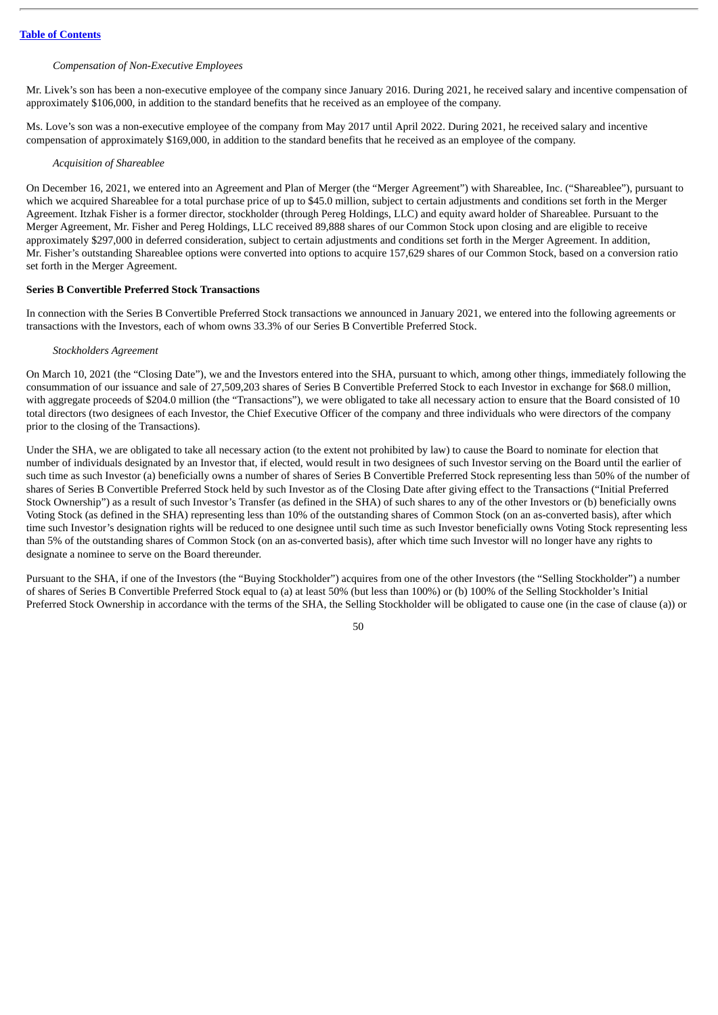# *Compensation of Non-Executive Employees*

Mr. Livek's son has been a non-executive employee of the company since January 2016. During 2021, he received salary and incentive compensation of approximately \$106,000, in addition to the standard benefits that he received as an employee of the company.

Ms. Love's son was a non-executive employee of the company from May 2017 until April 2022. During 2021, he received salary and incentive compensation of approximately \$169,000, in addition to the standard benefits that he received as an employee of the company.

*Acquisition of Shareablee*

On December 16, 2021, we entered into an Agreement and Plan of Merger (the "Merger Agreement") with Shareablee, Inc. ("Shareablee"), pursuant to which we acquired Shareablee for a total purchase price of up to \$45.0 million, subject to certain adjustments and conditions set forth in the Merger Agreement. Itzhak Fisher is a former director, stockholder (through Pereg Holdings, LLC) and equity award holder of Shareablee. Pursuant to the Merger Agreement, Mr. Fisher and Pereg Holdings, LLC received 89,888 shares of our Common Stock upon closing and are eligible to receive approximately \$297,000 in deferred consideration, subject to certain adjustments and conditions set forth in the Merger Agreement. In addition, Mr. Fisher's outstanding Shareablee options were converted into options to acquire 157,629 shares of our Common Stock, based on a conversion ratio set forth in the Merger Agreement.

# **Series B Convertible Preferred Stock Transactions**

In connection with the Series B Convertible Preferred Stock transactions we announced in January 2021, we entered into the following agreements or transactions with the Investors, each of whom owns 33.3% of our Series B Convertible Preferred Stock.

#### *Stockholders Agreement*

On March 10, 2021 (the "Closing Date"), we and the Investors entered into the SHA, pursuant to which, among other things, immediately following the consummation of our issuance and sale of 27,509,203 shares of Series B Convertible Preferred Stock to each Investor in exchange for \$68.0 million, with aggregate proceeds of \$204.0 million (the "Transactions"), we were obligated to take all necessary action to ensure that the Board consisted of 10 total directors (two designees of each Investor, the Chief Executive Officer of the company and three individuals who were directors of the company prior to the closing of the Transactions).

Under the SHA, we are obligated to take all necessary action (to the extent not prohibited by law) to cause the Board to nominate for election that number of individuals designated by an Investor that, if elected, would result in two designees of such Investor serving on the Board until the earlier of such time as such Investor (a) beneficially owns a number of shares of Series B Convertible Preferred Stock representing less than 50% of the number of shares of Series B Convertible Preferred Stock held by such Investor as of the Closing Date after giving effect to the Transactions ("Initial Preferred Stock Ownership") as a result of such Investor's Transfer (as defined in the SHA) of such shares to any of the other Investors or (b) beneficially owns Voting Stock (as defined in the SHA) representing less than 10% of the outstanding shares of Common Stock (on an as-converted basis), after which time such Investor's designation rights will be reduced to one designee until such time as such Investor beneficially owns Voting Stock representing less than 5% of the outstanding shares of Common Stock (on an as-converted basis), after which time such Investor will no longer have any rights to designate a nominee to serve on the Board thereunder.

Pursuant to the SHA, if one of the Investors (the "Buying Stockholder") acquires from one of the other Investors (the "Selling Stockholder") a number of shares of Series B Convertible Preferred Stock equal to (a) at least 50% (but less than 100%) or (b) 100% of the Selling Stockholder's Initial Preferred Stock Ownership in accordance with the terms of the SHA, the Selling Stockholder will be obligated to cause one (in the case of clause (a)) or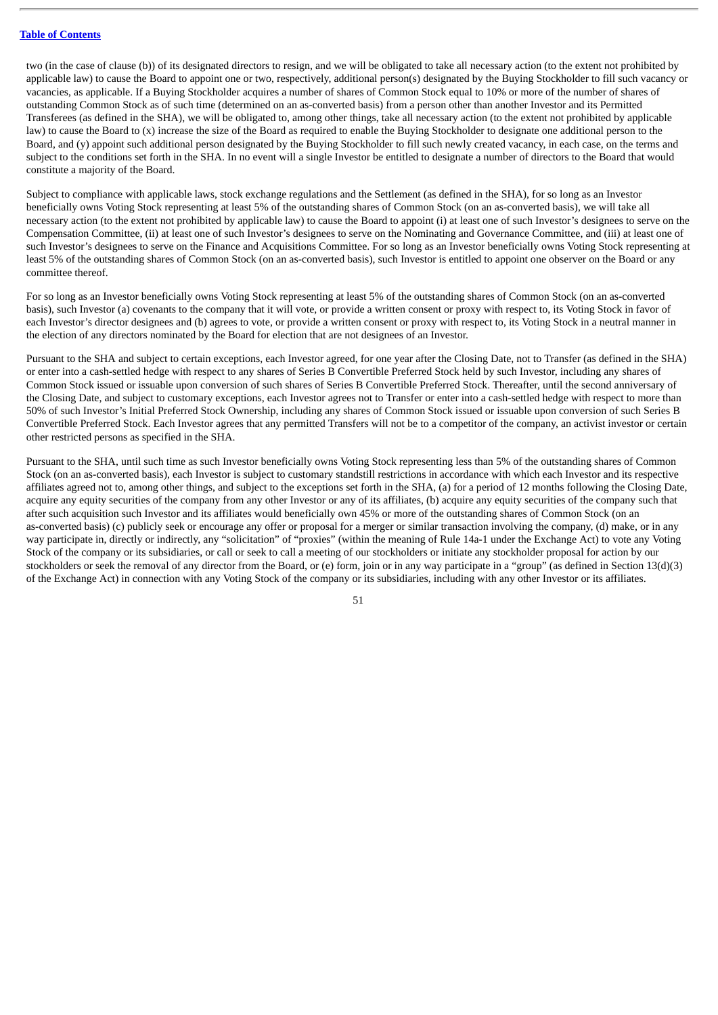two (in the case of clause (b)) of its designated directors to resign, and we will be obligated to take all necessary action (to the extent not prohibited by applicable law) to cause the Board to appoint one or two, respectively, additional person(s) designated by the Buying Stockholder to fill such vacancy or vacancies, as applicable. If a Buying Stockholder acquires a number of shares of Common Stock equal to 10% or more of the number of shares of outstanding Common Stock as of such time (determined on an as-converted basis) from a person other than another Investor and its Permitted Transferees (as defined in the SHA), we will be obligated to, among other things, take all necessary action (to the extent not prohibited by applicable law) to cause the Board to (x) increase the size of the Board as required to enable the Buying Stockholder to designate one additional person to the Board, and (y) appoint such additional person designated by the Buying Stockholder to fill such newly created vacancy, in each case, on the terms and subject to the conditions set forth in the SHA. In no event will a single Investor be entitled to designate a number of directors to the Board that would constitute a majority of the Board.

Subject to compliance with applicable laws, stock exchange regulations and the Settlement (as defined in the SHA), for so long as an Investor beneficially owns Voting Stock representing at least 5% of the outstanding shares of Common Stock (on an as-converted basis), we will take all necessary action (to the extent not prohibited by applicable law) to cause the Board to appoint (i) at least one of such Investor's designees to serve on the Compensation Committee, (ii) at least one of such Investor's designees to serve on the Nominating and Governance Committee, and (iii) at least one of such Investor's designees to serve on the Finance and Acquisitions Committee. For so long as an Investor beneficially owns Voting Stock representing at least 5% of the outstanding shares of Common Stock (on an as-converted basis), such Investor is entitled to appoint one observer on the Board or any committee thereof.

For so long as an Investor beneficially owns Voting Stock representing at least 5% of the outstanding shares of Common Stock (on an as-converted basis), such Investor (a) covenants to the company that it will vote, or provide a written consent or proxy with respect to, its Voting Stock in favor of each Investor's director designees and (b) agrees to vote, or provide a written consent or proxy with respect to, its Voting Stock in a neutral manner in the election of any directors nominated by the Board for election that are not designees of an Investor.

Pursuant to the SHA and subject to certain exceptions, each Investor agreed, for one year after the Closing Date, not to Transfer (as defined in the SHA) or enter into a cash-settled hedge with respect to any shares of Series B Convertible Preferred Stock held by such Investor, including any shares of Common Stock issued or issuable upon conversion of such shares of Series B Convertible Preferred Stock. Thereafter, until the second anniversary of the Closing Date, and subject to customary exceptions, each Investor agrees not to Transfer or enter into a cash-settled hedge with respect to more than 50% of such Investor's Initial Preferred Stock Ownership, including any shares of Common Stock issued or issuable upon conversion of such Series B Convertible Preferred Stock. Each Investor agrees that any permitted Transfers will not be to a competitor of the company, an activist investor or certain other restricted persons as specified in the SHA.

Pursuant to the SHA, until such time as such Investor beneficially owns Voting Stock representing less than 5% of the outstanding shares of Common Stock (on an as-converted basis), each Investor is subject to customary standstill restrictions in accordance with which each Investor and its respective affiliates agreed not to, among other things, and subject to the exceptions set forth in the SHA, (a) for a period of 12 months following the Closing Date, acquire any equity securities of the company from any other Investor or any of its affiliates, (b) acquire any equity securities of the company such that after such acquisition such Investor and its affiliates would beneficially own 45% or more of the outstanding shares of Common Stock (on an as-converted basis) (c) publicly seek or encourage any offer or proposal for a merger or similar transaction involving the company, (d) make, or in any way participate in, directly or indirectly, any "solicitation" of "proxies" (within the meaning of Rule 14a-1 under the Exchange Act) to vote any Voting Stock of the company or its subsidiaries, or call or seek to call a meeting of our stockholders or initiate any stockholder proposal for action by our stockholders or seek the removal of any director from the Board, or (e) form, join or in any way participate in a "group" (as defined in Section 13(d)(3) of the Exchange Act) in connection with any Voting Stock of the company or its subsidiaries, including with any other Investor or its affiliates.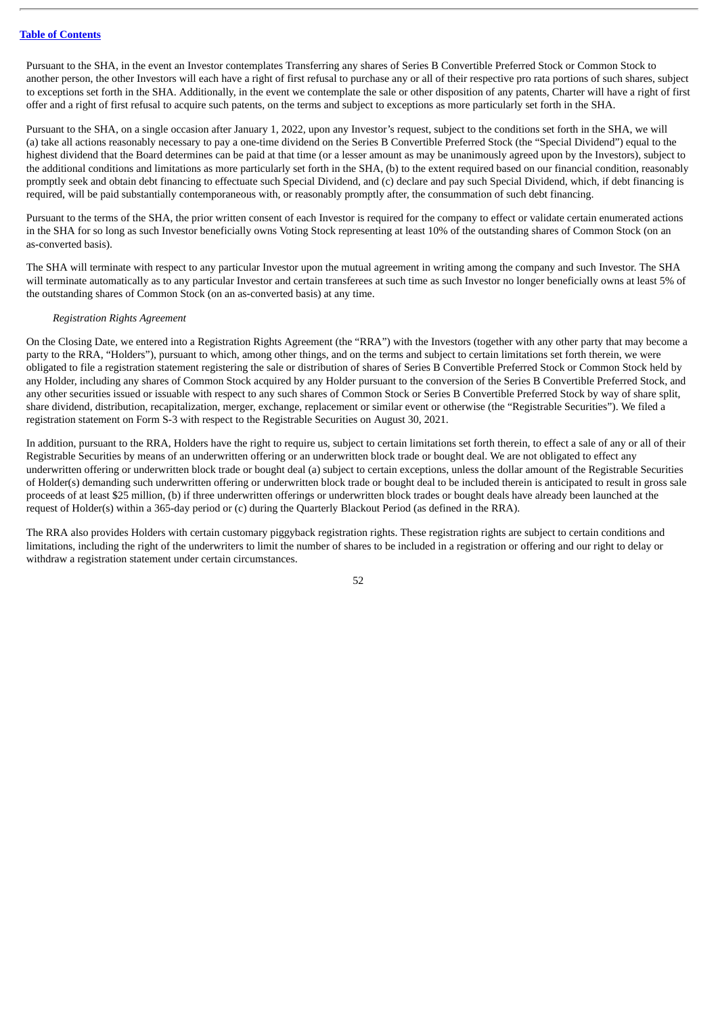Pursuant to the SHA, in the event an Investor contemplates Transferring any shares of Series B Convertible Preferred Stock or Common Stock to another person, the other Investors will each have a right of first refusal to purchase any or all of their respective pro rata portions of such shares, subject to exceptions set forth in the SHA. Additionally, in the event we contemplate the sale or other disposition of any patents, Charter will have a right of first offer and a right of first refusal to acquire such patents, on the terms and subject to exceptions as more particularly set forth in the SHA.

Pursuant to the SHA, on a single occasion after January 1, 2022, upon any Investor's request, subject to the conditions set forth in the SHA, we will (a) take all actions reasonably necessary to pay a one-time dividend on the Series B Convertible Preferred Stock (the "Special Dividend") equal to the highest dividend that the Board determines can be paid at that time (or a lesser amount as may be unanimously agreed upon by the Investors), subject to the additional conditions and limitations as more particularly set forth in the SHA, (b) to the extent required based on our financial condition, reasonably promptly seek and obtain debt financing to effectuate such Special Dividend, and (c) declare and pay such Special Dividend, which, if debt financing is required, will be paid substantially contemporaneous with, or reasonably promptly after, the consummation of such debt financing.

Pursuant to the terms of the SHA, the prior written consent of each Investor is required for the company to effect or validate certain enumerated actions in the SHA for so long as such Investor beneficially owns Voting Stock representing at least 10% of the outstanding shares of Common Stock (on an as-converted basis).

The SHA will terminate with respect to any particular Investor upon the mutual agreement in writing among the company and such Investor. The SHA will terminate automatically as to any particular Investor and certain transferees at such time as such Investor no longer beneficially owns at least 5% of the outstanding shares of Common Stock (on an as-converted basis) at any time.

# *Registration Rights Agreement*

On the Closing Date, we entered into a Registration Rights Agreement (the "RRA") with the Investors (together with any other party that may become a party to the RRA, "Holders"), pursuant to which, among other things, and on the terms and subject to certain limitations set forth therein, we were obligated to file a registration statement registering the sale or distribution of shares of Series B Convertible Preferred Stock or Common Stock held by any Holder, including any shares of Common Stock acquired by any Holder pursuant to the conversion of the Series B Convertible Preferred Stock, and any other securities issued or issuable with respect to any such shares of Common Stock or Series B Convertible Preferred Stock by way of share split, share dividend, distribution, recapitalization, merger, exchange, replacement or similar event or otherwise (the "Registrable Securities"). We filed a registration statement on Form S-3 with respect to the Registrable Securities on August 30, 2021.

In addition, pursuant to the RRA, Holders have the right to require us, subject to certain limitations set forth therein, to effect a sale of any or all of their Registrable Securities by means of an underwritten offering or an underwritten block trade or bought deal. We are not obligated to effect any underwritten offering or underwritten block trade or bought deal (a) subject to certain exceptions, unless the dollar amount of the Registrable Securities of Holder(s) demanding such underwritten offering or underwritten block trade or bought deal to be included therein is anticipated to result in gross sale proceeds of at least \$25 million, (b) if three underwritten offerings or underwritten block trades or bought deals have already been launched at the request of Holder(s) within a 365-day period or (c) during the Quarterly Blackout Period (as defined in the RRA).

The RRA also provides Holders with certain customary piggyback registration rights. These registration rights are subject to certain conditions and limitations, including the right of the underwriters to limit the number of shares to be included in a registration or offering and our right to delay or withdraw a registration statement under certain circumstances.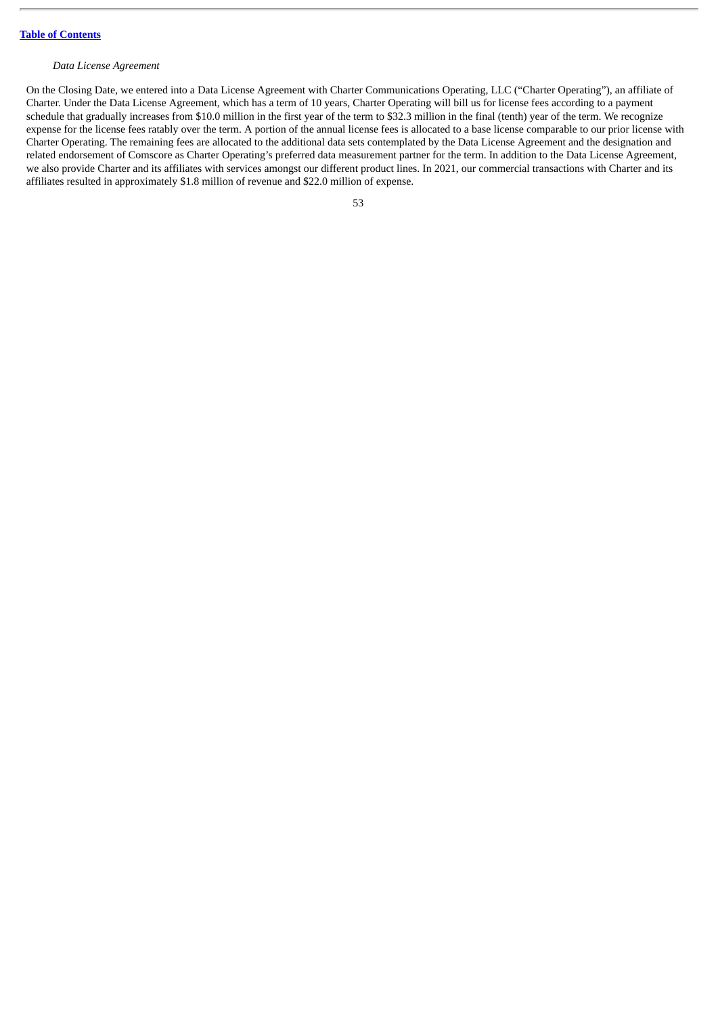## *Data License Agreement*

On the Closing Date, we entered into a Data License Agreement with Charter Communications Operating, LLC ("Charter Operating"), an affiliate of Charter. Under the Data License Agreement, which has a term of 10 years, Charter Operating will bill us for license fees according to a payment schedule that gradually increases from \$10.0 million in the first year of the term to \$32.3 million in the final (tenth) year of the term. We recognize expense for the license fees ratably over the term. A portion of the annual license fees is allocated to a base license comparable to our prior license with Charter Operating. The remaining fees are allocated to the additional data sets contemplated by the Data License Agreement and the designation and related endorsement of Comscore as Charter Operating's preferred data measurement partner for the term. In addition to the Data License Agreement, we also provide Charter and its affiliates with services amongst our different product lines. In 2021, our commercial transactions with Charter and its affiliates resulted in approximately \$1.8 million of revenue and \$22.0 million of expense.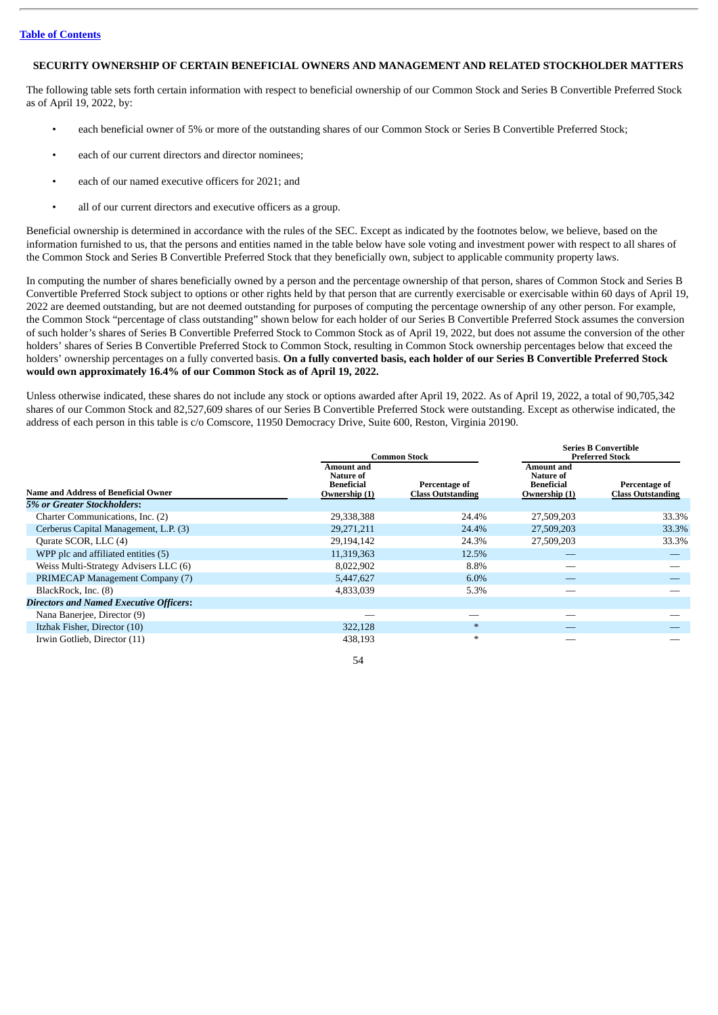# **SECURITY OWNERSHIP OF CERTAIN BENEFICIAL OWNERS AND MANAGEMENT AND RELATED STOCKHOLDER MATTERS**

The following table sets forth certain information with respect to beneficial ownership of our Common Stock and Series B Convertible Preferred Stock as of April 19, 2022, by:

- each beneficial owner of 5% or more of the outstanding shares of our Common Stock or Series B Convertible Preferred Stock;
- each of our current directors and director nominees;
- each of our named executive officers for 2021; and
- all of our current directors and executive officers as a group.

Beneficial ownership is determined in accordance with the rules of the SEC. Except as indicated by the footnotes below, we believe, based on the information furnished to us, that the persons and entities named in the table below have sole voting and investment power with respect to all shares of the Common Stock and Series B Convertible Preferred Stock that they beneficially own, subject to applicable community property laws.

In computing the number of shares beneficially owned by a person and the percentage ownership of that person, shares of Common Stock and Series B Convertible Preferred Stock subject to options or other rights held by that person that are currently exercisable or exercisable within 60 days of April 19, 2022 are deemed outstanding, but are not deemed outstanding for purposes of computing the percentage ownership of any other person. For example, the Common Stock "percentage of class outstanding" shown below for each holder of our Series B Convertible Preferred Stock assumes the conversion of such holder's shares of Series B Convertible Preferred Stock to Common Stock as of April 19, 2022, but does not assume the conversion of the other holders' shares of Series B Convertible Preferred Stock to Common Stock, resulting in Common Stock ownership percentages below that exceed the holders' ownership percentages on a fully converted basis. On a fully converted basis, each holder of our Series B Convertible Preferred Stock **would own approximately 16.4% of our Common Stock as of April 19, 2022.**

Unless otherwise indicated, these shares do not include any stock or options awarded after April 19, 2022. As of April 19, 2022, a total of 90,705,342 shares of our Common Stock and 82,527,609 shares of our Series B Convertible Preferred Stock were outstanding. Except as otherwise indicated, the address of each person in this table is c/o Comscore, 11950 Democracy Drive, Suite 600, Reston, Virginia 20190.

|                                                | Amount and<br>Nature of     | <b>Common Stock</b>                       | Amount and<br>Nature of            | <b>Preferred Stock</b>                    |
|------------------------------------------------|-----------------------------|-------------------------------------------|------------------------------------|-------------------------------------------|
| Name and Address of Beneficial Owner           | Beneficial<br>Ownership (1) | Percentage of<br><b>Class Outstanding</b> | <b>Beneficial</b><br>Ownership (1) | Percentage of<br><b>Class Outstanding</b> |
| 5% or Greater Stockholders:                    |                             |                                           |                                    |                                           |
| Charter Communications, Inc. (2)               | 29,338,388                  | 24.4%                                     | 27,509,203                         | 33.3%                                     |
| Cerberus Capital Management, L.P. (3)          | 29,271,211                  | 24.4%                                     | 27,509,203                         | 33.3%                                     |
| Qurate SCOR, LLC (4)                           | 29,194,142                  | 24.3%                                     | 27,509,203                         | 33.3%                                     |
| WPP plc and affiliated entities (5)            | 11,319,363                  | 12.5%                                     |                                    |                                           |
| Weiss Multi-Strategy Advisers LLC (6)          | 8,022,902                   | 8.8%                                      |                                    |                                           |
| PRIMECAP Management Company (7)                | 5,447,627                   | $6.0\%$                                   |                                    |                                           |
| BlackRock, Inc. (8)                            | 4,833,039                   | 5.3%                                      |                                    |                                           |
| <b>Directors and Named Executive Officers:</b> |                             |                                           |                                    |                                           |
| Nana Banerjee, Director (9)                    |                             |                                           |                                    |                                           |
| Itzhak Fisher, Director (10)                   | 322,128                     | $\ast$                                    |                                    |                                           |
| Irwin Gotlieb, Director (11)                   | 438,193                     | $\ast$                                    |                                    |                                           |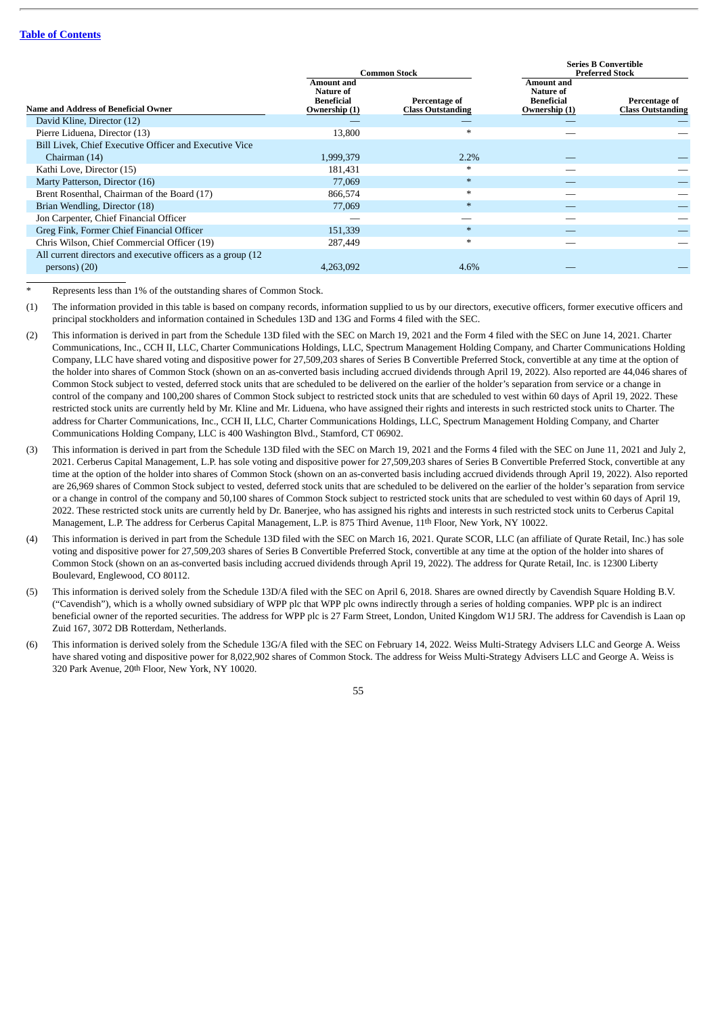|                                                              |                                                               | <b>Common Stock</b>                       | <b>Series B Convertible</b><br><b>Preferred Stock</b>         |                                           |  |
|--------------------------------------------------------------|---------------------------------------------------------------|-------------------------------------------|---------------------------------------------------------------|-------------------------------------------|--|
| Name and Address of Beneficial Owner                         | Amount and<br>Nature of<br><b>Beneficial</b><br>Ownership (1) | Percentage of<br><b>Class Outstanding</b> | Amount and<br>Nature of<br><b>Beneficial</b><br>Ownership (1) | Percentage of<br><b>Class Outstanding</b> |  |
| David Kline, Director (12)                                   |                                                               |                                           |                                                               |                                           |  |
| Pierre Liduena, Director (13)                                | 13,800                                                        | $*$                                       |                                                               |                                           |  |
| Bill Livek, Chief Executive Officer and Executive Vice       |                                                               |                                           |                                                               |                                           |  |
| Chairman (14)                                                | 1,999,379                                                     | $2.2\%$                                   |                                                               |                                           |  |
| Kathi Love, Director (15)                                    | 181,431                                                       | $*$                                       |                                                               |                                           |  |
| Marty Patterson, Director (16)                               | 77,069                                                        | $\ast$                                    |                                                               |                                           |  |
| Brent Rosenthal, Chairman of the Board (17)                  | 866,574                                                       | $\ast$                                    |                                                               |                                           |  |
| Brian Wendling, Director (18)                                | 77,069                                                        | $\ast$                                    |                                                               |                                           |  |
| Jon Carpenter, Chief Financial Officer                       |                                                               |                                           |                                                               |                                           |  |
| Greg Fink, Former Chief Financial Officer                    | 151,339                                                       |                                           |                                                               |                                           |  |
| Chris Wilson, Chief Commercial Officer (19)                  | 287,449                                                       | $\ast$                                    |                                                               |                                           |  |
| All current directors and executive officers as a group (12) |                                                               |                                           |                                                               |                                           |  |
| $persons)$ (20)                                              | 4,263,092                                                     | 4.6%                                      |                                                               |                                           |  |

Represents less than 1% of the outstanding shares of Common Stock.

(1) The information provided in this table is based on company records, information supplied to us by our directors, executive officers, former executive officers and principal stockholders and information contained in Schedules 13D and 13G and Forms 4 filed with the SEC.

- (2) This information is derived in part from the Schedule 13D filed with the SEC on March 19, 2021 and the Form 4 filed with the SEC on June 14, 2021. Charter Communications, Inc., CCH II, LLC, Charter Communications Holdings, LLC, Spectrum Management Holding Company, and Charter Communications Holding Company, LLC have shared voting and dispositive power for 27,509,203 shares of Series B Convertible Preferred Stock, convertible at any time at the option of the holder into shares of Common Stock (shown on an as-converted basis including accrued dividends through April 19, 2022). Also reported are 44,046 shares of Common Stock subject to vested, deferred stock units that are scheduled to be delivered on the earlier of the holder's separation from service or a change in control of the company and 100,200 shares of Common Stock subject to restricted stock units that are scheduled to vest within 60 days of April 19, 2022. These restricted stock units are currently held by Mr. Kline and Mr. Liduena, who have assigned their rights and interests in such restricted stock units to Charter. The address for Charter Communications, Inc., CCH II, LLC, Charter Communications Holdings, LLC, Spectrum Management Holding Company, and Charter Communications Holding Company, LLC is 400 Washington Blvd., Stamford, CT 06902.
- (3) This information is derived in part from the Schedule 13D filed with the SEC on March 19, 2021 and the Forms 4 filed with the SEC on June 11, 2021 and July 2, 2021. Cerberus Capital Management, L.P. has sole voting and dispositive power for 27,509,203 shares of Series B Convertible Preferred Stock, convertible at any time at the option of the holder into shares of Common Stock (shown on an as-converted basis including accrued dividends through April 19, 2022). Also reported are 26,969 shares of Common Stock subject to vested, deferred stock units that are scheduled to be delivered on the earlier of the holder's separation from service or a change in control of the company and 50,100 shares of Common Stock subject to restricted stock units that are scheduled to vest within 60 days of April 19, 2022. These restricted stock units are currently held by Dr. Banerjee, who has assigned his rights and interests in such restricted stock units to Cerberus Capital Management, L.P. The address for Cerberus Capital Management, L.P. is 875 Third Avenue, 11th Floor, New York, NY 10022.
- (4) This information is derived in part from the Schedule 13D filed with the SEC on March 16, 2021. Qurate SCOR, LLC (an affiliate of Qurate Retail, Inc.) has sole voting and dispositive power for 27,509,203 shares of Series B Convertible Preferred Stock, convertible at any time at the option of the holder into shares of Common Stock (shown on an as-converted basis including accrued dividends through April 19, 2022). The address for Qurate Retail, Inc. is 12300 Liberty Boulevard, Englewood, CO 80112.
- (5) This information is derived solely from the Schedule 13D/A filed with the SEC on April 6, 2018. Shares are owned directly by Cavendish Square Holding B.V. ("Cavendish"), which is a wholly owned subsidiary of WPP plc that WPP plc owns indirectly through a series of holding companies. WPP plc is an indirect beneficial owner of the reported securities. The address for WPP plc is 27 Farm Street, London, United Kingdom W1J 5RJ. The address for Cavendish is Laan op Zuid 167, 3072 DB Rotterdam, Netherlands.
- (6) This information is derived solely from the Schedule 13G/A filed with the SEC on February 14, 2022. Weiss Multi-Strategy Advisers LLC and George A. Weiss have shared voting and dispositive power for 8,022,902 shares of Common Stock. The address for Weiss Multi-Strategy Advisers LLC and George A. Weiss is 320 Park Avenue, 20th Floor, New York, NY 10020.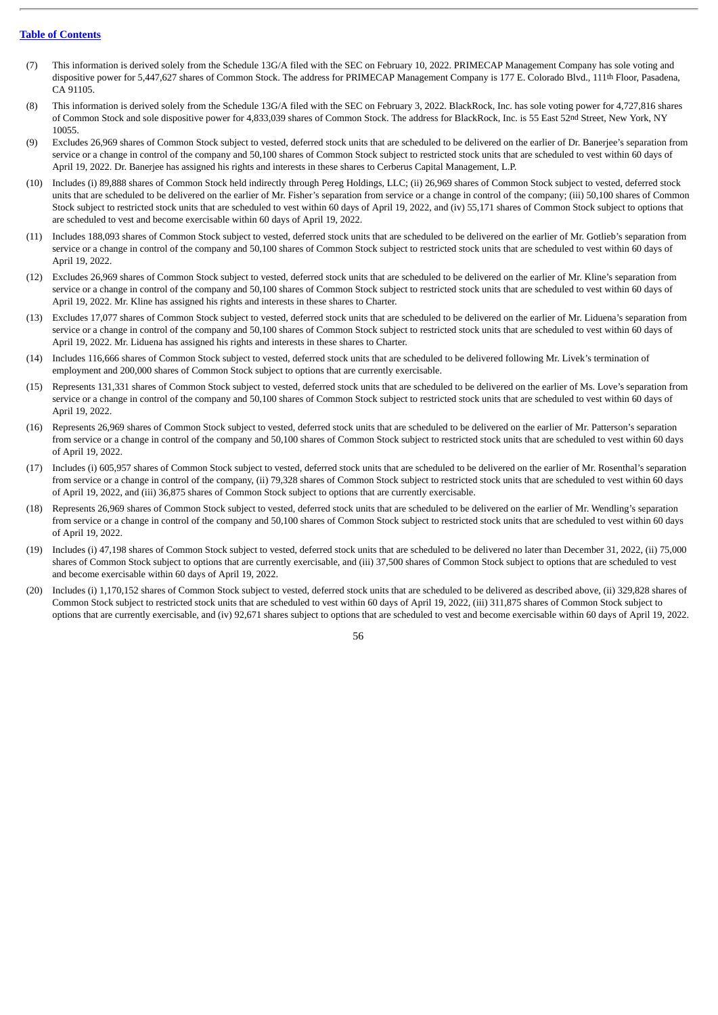- (7) This information is derived solely from the Schedule 13G/A filed with the SEC on February 10, 2022. PRIMECAP Management Company has sole voting and dispositive power for 5,447,627 shares of Common Stock. The address for PRIMECAP Management Company is 177 E. Colorado Blvd., 111<sup>th</sup> Floor, Pasadena, CA 91105.
- (8) This information is derived solely from the Schedule 13G/A filed with the SEC on February 3, 2022. BlackRock, Inc. has sole voting power for 4,727,816 shares of Common Stock and sole dispositive power for 4,833,039 shares of Common Stock. The address for BlackRock, Inc. is 55 East 52nd Street, New York, NY 10055.
- (9) Excludes 26,969 shares of Common Stock subject to vested, deferred stock units that are scheduled to be delivered on the earlier of Dr. Banerjee's separation from service or a change in control of the company and 50,100 shares of Common Stock subject to restricted stock units that are scheduled to vest within 60 days of April 19, 2022. Dr. Banerjee has assigned his rights and interests in these shares to Cerberus Capital Management, L.P.
- (10) Includes (i) 89,888 shares of Common Stock held indirectly through Pereg Holdings, LLC; (ii) 26,969 shares of Common Stock subject to vested, deferred stock units that are scheduled to be delivered on the earlier of Mr. Fisher's separation from service or a change in control of the company; (iii) 50,100 shares of Common Stock subject to restricted stock units that are scheduled to vest within 60 days of April 19, 2022, and (iv) 55,171 shares of Common Stock subject to options that are scheduled to vest and become exercisable within 60 days of April 19, 2022.
- (11) Includes 188,093 shares of Common Stock subject to vested, deferred stock units that are scheduled to be delivered on the earlier of Mr. Gotlieb's separation from service or a change in control of the company and 50,100 shares of Common Stock subject to restricted stock units that are scheduled to vest within 60 days of April 19, 2022.
- (12) Excludes 26,969 shares of Common Stock subject to vested, deferred stock units that are scheduled to be delivered on the earlier of Mr. Kline's separation from service or a change in control of the company and 50,100 shares of Common Stock subject to restricted stock units that are scheduled to vest within 60 days of April 19, 2022. Mr. Kline has assigned his rights and interests in these shares to Charter.
- (13) Excludes 17,077 shares of Common Stock subject to vested, deferred stock units that are scheduled to be delivered on the earlier of Mr. Liduena's separation from service or a change in control of the company and 50,100 shares of Common Stock subject to restricted stock units that are scheduled to vest within 60 days of April 19, 2022. Mr. Liduena has assigned his rights and interests in these shares to Charter.
- (14) Includes 116,666 shares of Common Stock subject to vested, deferred stock units that are scheduled to be delivered following Mr. Livek's termination of employment and 200,000 shares of Common Stock subject to options that are currently exercisable.
- (15) Represents 131,331 shares of Common Stock subject to vested, deferred stock units that are scheduled to be delivered on the earlier of Ms. Love's separation from service or a change in control of the company and 50,100 shares of Common Stock subject to restricted stock units that are scheduled to vest within 60 days of April 19, 2022.
- (16) Represents 26,969 shares of Common Stock subject to vested, deferred stock units that are scheduled to be delivered on the earlier of Mr. Patterson's separation from service or a change in control of the company and 50,100 shares of Common Stock subject to restricted stock units that are scheduled to vest within 60 days of April 19, 2022.
- (17) Includes (i) 605,957 shares of Common Stock subject to vested, deferred stock units that are scheduled to be delivered on the earlier of Mr. Rosenthal's separation from service or a change in control of the company, (ii) 79,328 shares of Common Stock subject to restricted stock units that are scheduled to vest within 60 days of April 19, 2022, and (iii) 36,875 shares of Common Stock subject to options that are currently exercisable.
- (18) Represents 26,969 shares of Common Stock subject to vested, deferred stock units that are scheduled to be delivered on the earlier of Mr. Wendling's separation from service or a change in control of the company and 50,100 shares of Common Stock subject to restricted stock units that are scheduled to vest within 60 days of April 19, 2022.
- (19) Includes (i) 47,198 shares of Common Stock subject to vested, deferred stock units that are scheduled to be delivered no later than December 31, 2022, (ii) 75,000 shares of Common Stock subject to options that are currently exercisable, and (iii) 37,500 shares of Common Stock subject to options that are scheduled to vest and become exercisable within 60 days of April 19, 2022.
- (20) Includes (i) 1,170,152 shares of Common Stock subject to vested, deferred stock units that are scheduled to be delivered as described above, (ii) 329,828 shares of Common Stock subject to restricted stock units that are scheduled to vest within 60 days of April 19, 2022, (iii) 311,875 shares of Common Stock subject to options that are currently exercisable, and (iv) 92,671 shares subject to options that are scheduled to vest and become exercisable within 60 days of April 19, 2022.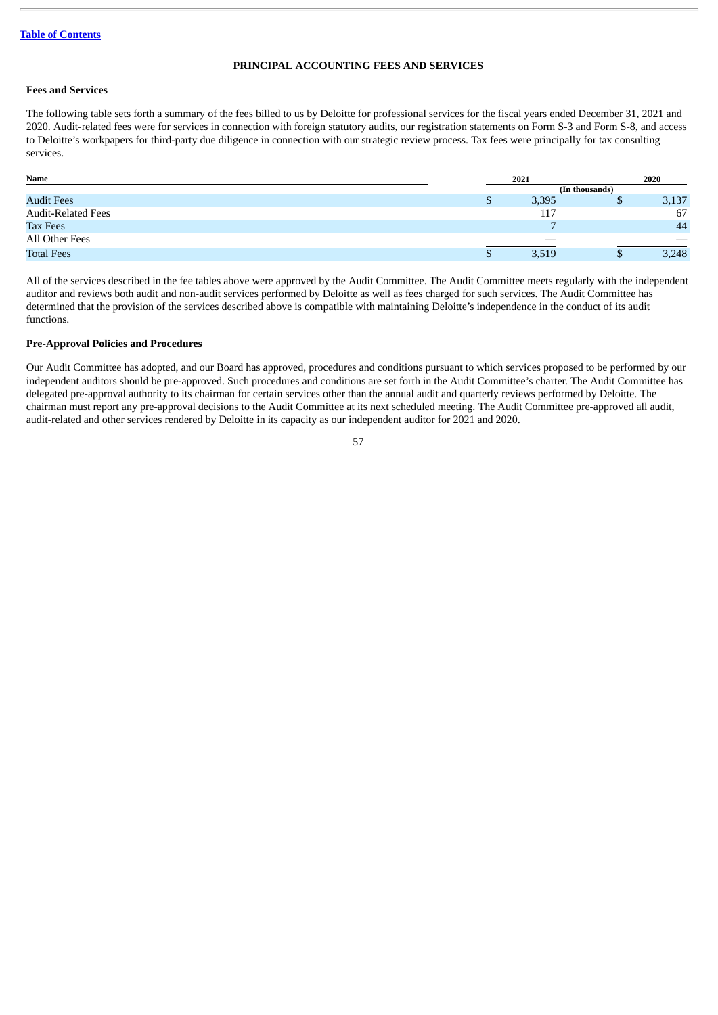# **PRINCIPAL ACCOUNTING FEES AND SERVICES**

# **Fees and Services**

The following table sets forth a summary of the fees billed to us by Deloitte for professional services for the fiscal years ended December 31, 2021 and 2020. Audit-related fees were for services in connection with foreign statutory audits, our registration statements on Form S-3 and Form S-8, and access to Deloitte's workpapers for third-party due diligence in connection with our strategic review process. Tax fees were principally for tax consulting services.

| Name                      | 2021 |       |   | 2020  |
|---------------------------|------|-------|---|-------|
|                           |      |       |   |       |
| <b>Audit Fees</b>         | J    | 3,395 | Ψ | 3,137 |
| <b>Audit-Related Fees</b> |      | 117   |   | 67    |
| <b>Tax Fees</b>           |      |       |   | 44    |
| All Other Fees            |      |       |   |       |
| <b>Total Fees</b>         |      | 3,519 |   | 3,248 |

All of the services described in the fee tables above were approved by the Audit Committee. The Audit Committee meets regularly with the independent auditor and reviews both audit and non-audit services performed by Deloitte as well as fees charged for such services. The Audit Committee has determined that the provision of the services described above is compatible with maintaining Deloitte's independence in the conduct of its audit functions.

# **Pre-Approval Policies and Procedures**

Our Audit Committee has adopted, and our Board has approved, procedures and conditions pursuant to which services proposed to be performed by our independent auditors should be pre-approved. Such procedures and conditions are set forth in the Audit Committee's charter. The Audit Committee has delegated pre-approval authority to its chairman for certain services other than the annual audit and quarterly reviews performed by Deloitte. The chairman must report any pre-approval decisions to the Audit Committee at its next scheduled meeting. The Audit Committee pre-approved all audit, audit-related and other services rendered by Deloitte in its capacity as our independent auditor for 2021 and 2020.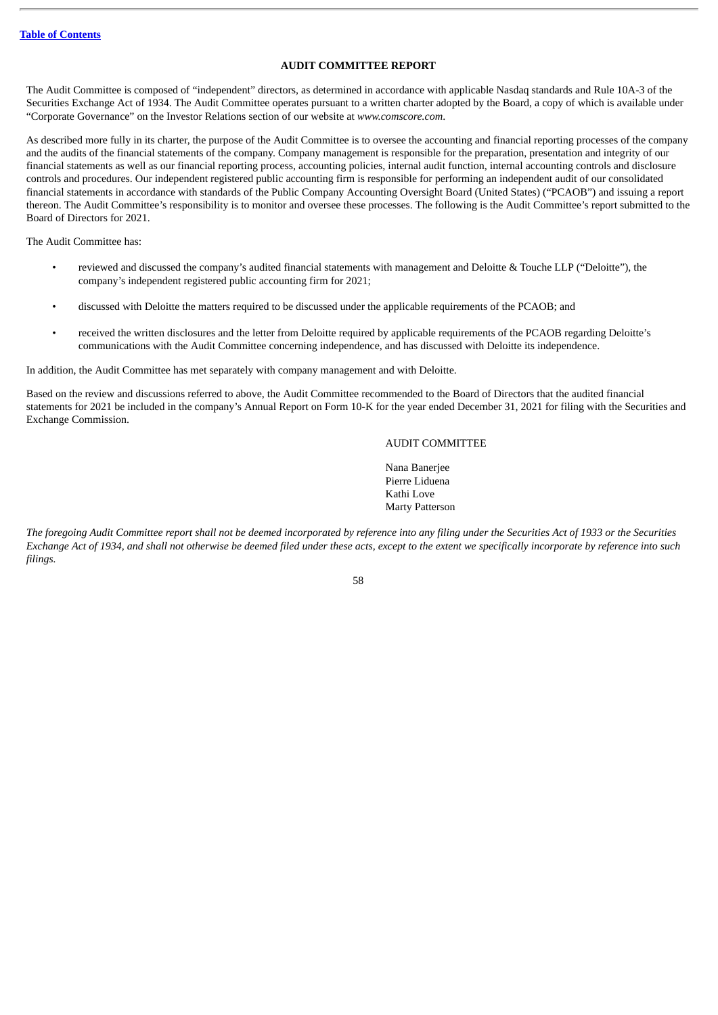# **AUDIT COMMITTEE REPORT**

The Audit Committee is composed of "independent" directors, as determined in accordance with applicable Nasdaq standards and Rule 10A-3 of the Securities Exchange Act of 1934. The Audit Committee operates pursuant to a written charter adopted by the Board, a copy of which is available under "Corporate Governance" on the Investor Relations section of our website at *www.comscore.com*.

As described more fully in its charter, the purpose of the Audit Committee is to oversee the accounting and financial reporting processes of the company and the audits of the financial statements of the company. Company management is responsible for the preparation, presentation and integrity of our financial statements as well as our financial reporting process, accounting policies, internal audit function, internal accounting controls and disclosure controls and procedures. Our independent registered public accounting firm is responsible for performing an independent audit of our consolidated financial statements in accordance with standards of the Public Company Accounting Oversight Board (United States) ("PCAOB") and issuing a report thereon. The Audit Committee's responsibility is to monitor and oversee these processes. The following is the Audit Committee's report submitted to the Board of Directors for 2021.

The Audit Committee has:

- reviewed and discussed the company's audited financial statements with management and Deloitte & Touche LLP ("Deloitte"), the company's independent registered public accounting firm for 2021;
- discussed with Deloitte the matters required to be discussed under the applicable requirements of the PCAOB; and
- received the written disclosures and the letter from Deloitte required by applicable requirements of the PCAOB regarding Deloitte's communications with the Audit Committee concerning independence, and has discussed with Deloitte its independence.

In addition, the Audit Committee has met separately with company management and with Deloitte.

Based on the review and discussions referred to above, the Audit Committee recommended to the Board of Directors that the audited financial statements for 2021 be included in the company's Annual Report on Form 10-K for the year ended December 31, 2021 for filing with the Securities and Exchange Commission.

# AUDIT COMMITTEE

Nana Banerjee Pierre Liduena Kathi Love Marty Patterson

The foregoing Audit Committee report shall not be deemed incorporated by reference into any filing under the Securities Act of 1933 or the Securities Exchange Act of 1934, and shall not otherwise be deemed filed under these acts, except to the extent we specifically incorporate by reference into such *filings.*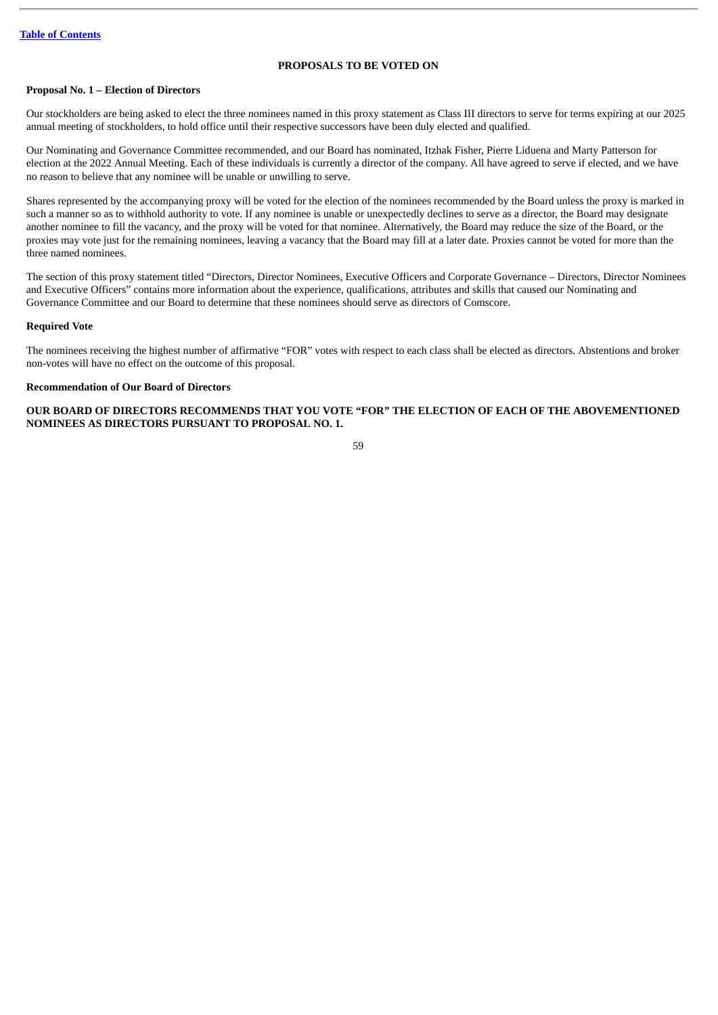# **PROPOSALS TO BE VOTED ON**

# **Proposal No. 1 – Election of Directors**

Our stockholders are being asked to elect the three nominees named in this proxy statement as Class III directors to serve for terms expiring at our 2025 annual meeting of stockholders, to hold office until their respective successors have been duly elected and qualified.

Our Nominating and Governance Committee recommended, and our Board has nominated, Itzhak Fisher, Pierre Liduena and Marty Patterson for election at the 2022 Annual Meeting. Each of these individuals is currently a director of the company. All have agreed to serve if elected, and we have no reason to believe that any nominee will be unable or unwilling to serve.

Shares represented by the accompanying proxy will be voted for the election of the nominees recommended by the Board unless the proxy is marked in such a manner so as to withhold authority to vote. If any nominee is unable or unexpectedly declines to serve as a director, the Board may designate another nominee to fill the vacancy, and the proxy will be voted for that nominee. Alternatively, the Board may reduce the size of the Board, or the proxies may vote just for the remaining nominees, leaving a vacancy that the Board may fill at a later date. Proxies cannot be voted for more than the three named nominees.

The section of this proxy statement titled "Directors, Director Nominees, Executive Officers and Corporate Governance – Directors, Director Nominees and Executive Officers" contains more information about the experience, qualifications, attributes and skills that caused our Nominating and Governance Committee and our Board to determine that these nominees should serve as directors of Comscore.

#### **Required Vote**

The nominees receiving the highest number of affirmative "FOR" votes with respect to each class shall be elected as directors. Abstentions and broker non-votes will have no effect on the outcome of this proposal.

## **Recommendation of Our Board of Directors**

**OUR BOARD OF DIRECTORS RECOMMENDS THAT YOU VOTE "FOR" THE ELECTION OF EACH OF THE ABOVEMENTIONED NOMINEES AS DIRECTORS PURSUANT TO PROPOSAL NO. 1.**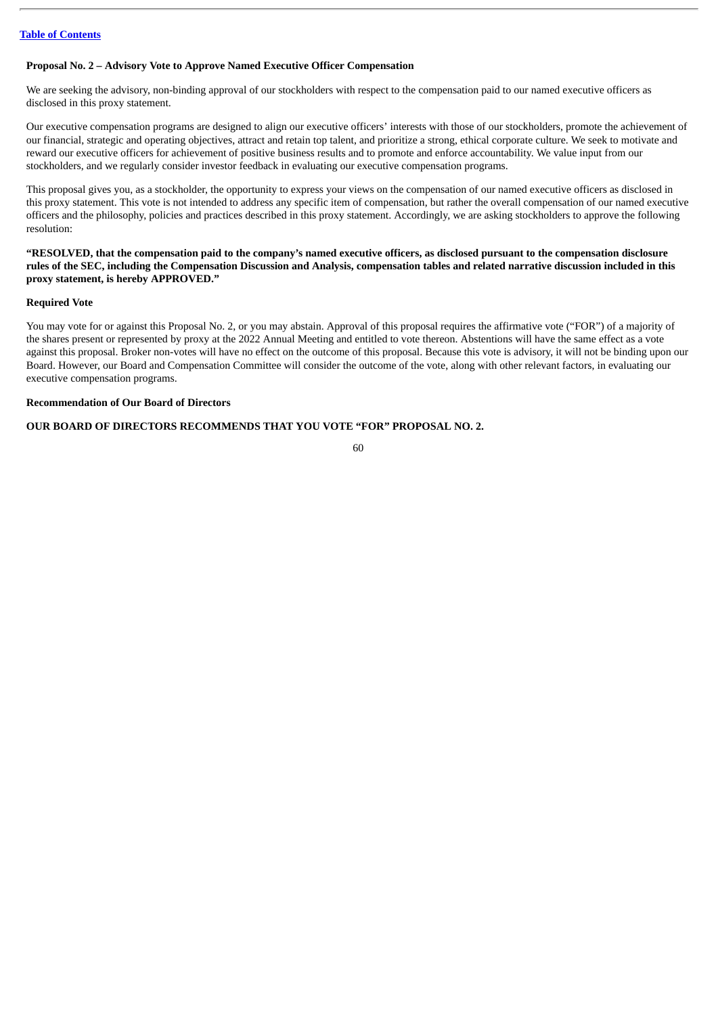# **Proposal No. 2 – Advisory Vote to Approve Named Executive Officer Compensation**

We are seeking the advisory, non-binding approval of our stockholders with respect to the compensation paid to our named executive officers as disclosed in this proxy statement.

Our executive compensation programs are designed to align our executive officers' interests with those of our stockholders, promote the achievement of our financial, strategic and operating objectives, attract and retain top talent, and prioritize a strong, ethical corporate culture. We seek to motivate and reward our executive officers for achievement of positive business results and to promote and enforce accountability. We value input from our stockholders, and we regularly consider investor feedback in evaluating our executive compensation programs.

This proposal gives you, as a stockholder, the opportunity to express your views on the compensation of our named executive officers as disclosed in this proxy statement. This vote is not intended to address any specific item of compensation, but rather the overall compensation of our named executive officers and the philosophy, policies and practices described in this proxy statement. Accordingly, we are asking stockholders to approve the following resolution:

"RESOLVED, that the compensation paid to the company's named executive officers, as disclosed pursuant to the compensation disclosure rules of the SEC, including the Compensation Discussion and Analysis, compensation tables and related narrative discussion included in this **proxy statement, is hereby APPROVED."**

# **Required Vote**

You may vote for or against this Proposal No. 2, or you may abstain. Approval of this proposal requires the affirmative vote ("FOR") of a majority of the shares present or represented by proxy at the 2022 Annual Meeting and entitled to vote thereon. Abstentions will have the same effect as a vote against this proposal. Broker non-votes will have no effect on the outcome of this proposal. Because this vote is advisory, it will not be binding upon our Board. However, our Board and Compensation Committee will consider the outcome of the vote, along with other relevant factors, in evaluating our executive compensation programs.

# **Recommendation of Our Board of Directors**

# **OUR BOARD OF DIRECTORS RECOMMENDS THAT YOU VOTE "FOR" PROPOSAL NO. 2.**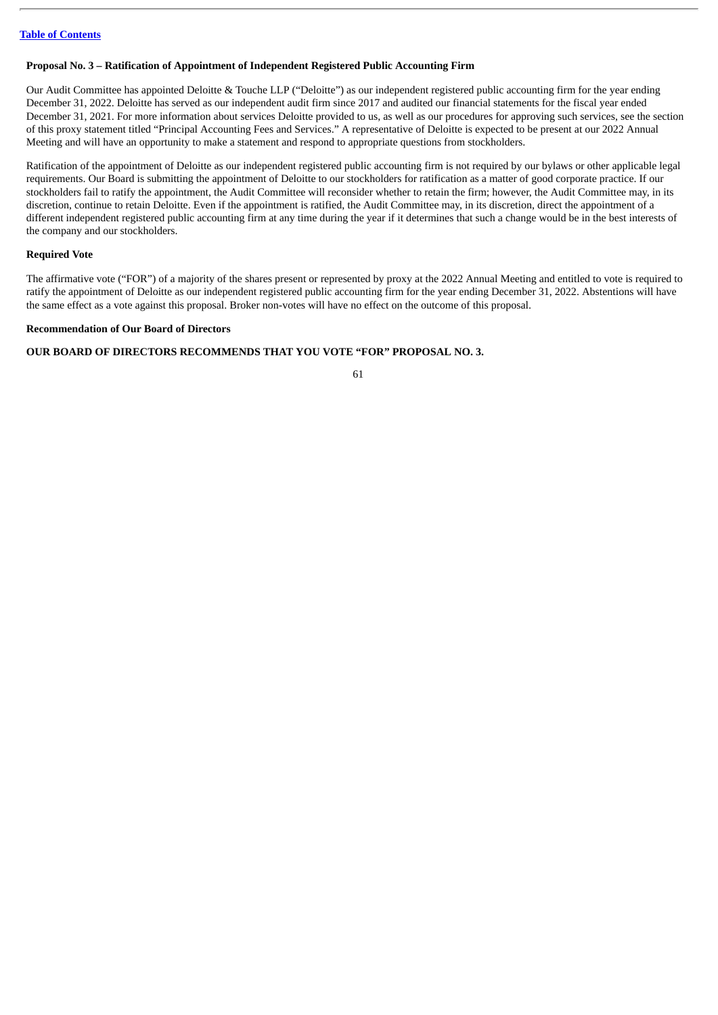# **Proposal No. 3 – Ratification of Appointment of Independent Registered Public Accounting Firm**

Our Audit Committee has appointed Deloitte & Touche LLP ("Deloitte") as our independent registered public accounting firm for the year ending December 31, 2022. Deloitte has served as our independent audit firm since 2017 and audited our financial statements for the fiscal year ended December 31, 2021. For more information about services Deloitte provided to us, as well as our procedures for approving such services, see the section of this proxy statement titled "Principal Accounting Fees and Services." A representative of Deloitte is expected to be present at our 2022 Annual Meeting and will have an opportunity to make a statement and respond to appropriate questions from stockholders.

Ratification of the appointment of Deloitte as our independent registered public accounting firm is not required by our bylaws or other applicable legal requirements. Our Board is submitting the appointment of Deloitte to our stockholders for ratification as a matter of good corporate practice. If our stockholders fail to ratify the appointment, the Audit Committee will reconsider whether to retain the firm; however, the Audit Committee may, in its discretion, continue to retain Deloitte. Even if the appointment is ratified, the Audit Committee may, in its discretion, direct the appointment of a different independent registered public accounting firm at any time during the year if it determines that such a change would be in the best interests of the company and our stockholders.

# **Required Vote**

The affirmative vote ("FOR") of a majority of the shares present or represented by proxy at the 2022 Annual Meeting and entitled to vote is required to ratify the appointment of Deloitte as our independent registered public accounting firm for the year ending December 31, 2022. Abstentions will have the same effect as a vote against this proposal. Broker non-votes will have no effect on the outcome of this proposal.

# **Recommendation of Our Board of Directors**

# **OUR BOARD OF DIRECTORS RECOMMENDS THAT YOU VOTE "FOR" PROPOSAL NO. 3.**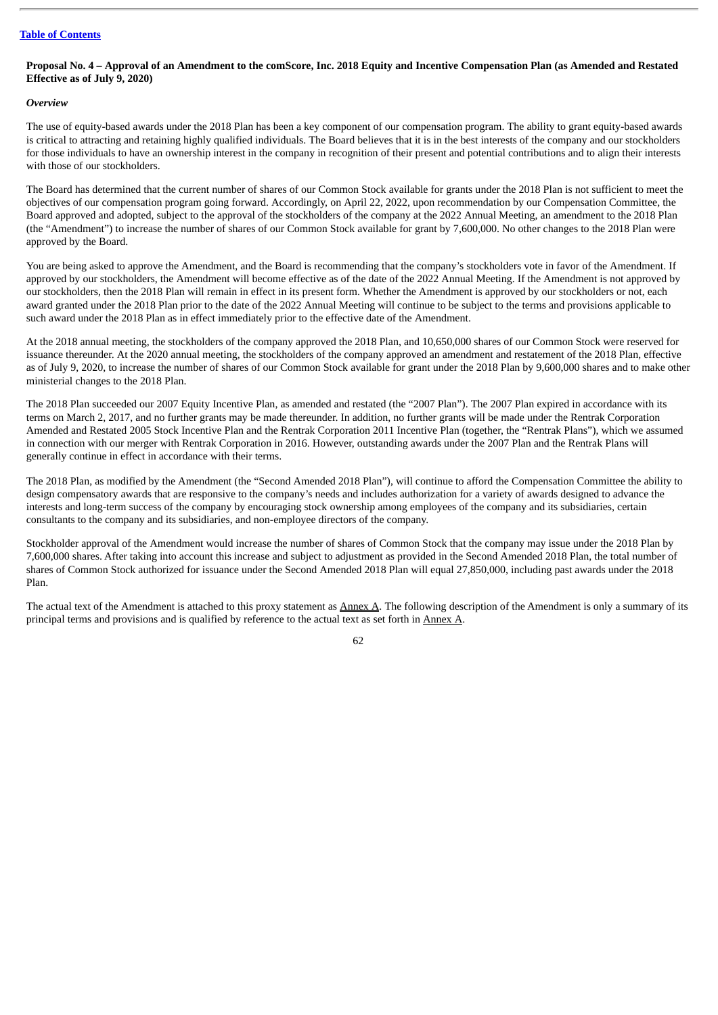# Proposal No. 4 - Approval of an Amendment to the comScore, Inc. 2018 Equity and Incentive Compensation Plan (as Amended and Restated **Effective as of July 9, 2020)**

# *Overview*

The use of equity-based awards under the 2018 Plan has been a key component of our compensation program. The ability to grant equity-based awards is critical to attracting and retaining highly qualified individuals. The Board believes that it is in the best interests of the company and our stockholders for those individuals to have an ownership interest in the company in recognition of their present and potential contributions and to align their interests with those of our stockholders.

The Board has determined that the current number of shares of our Common Stock available for grants under the 2018 Plan is not sufficient to meet the objectives of our compensation program going forward. Accordingly, on April 22, 2022, upon recommendation by our Compensation Committee, the Board approved and adopted, subject to the approval of the stockholders of the company at the 2022 Annual Meeting, an amendment to the 2018 Plan (the "Amendment") to increase the number of shares of our Common Stock available for grant by 7,600,000. No other changes to the 2018 Plan were approved by the Board.

You are being asked to approve the Amendment, and the Board is recommending that the company's stockholders vote in favor of the Amendment. If approved by our stockholders, the Amendment will become effective as of the date of the 2022 Annual Meeting. If the Amendment is not approved by our stockholders, then the 2018 Plan will remain in effect in its present form. Whether the Amendment is approved by our stockholders or not, each award granted under the 2018 Plan prior to the date of the 2022 Annual Meeting will continue to be subject to the terms and provisions applicable to such award under the 2018 Plan as in effect immediately prior to the effective date of the Amendment.

At the 2018 annual meeting, the stockholders of the company approved the 2018 Plan, and 10,650,000 shares of our Common Stock were reserved for issuance thereunder. At the 2020 annual meeting, the stockholders of the company approved an amendment and restatement of the 2018 Plan, effective as of July 9, 2020, to increase the number of shares of our Common Stock available for grant under the 2018 Plan by 9,600,000 shares and to make other ministerial changes to the 2018 Plan.

The 2018 Plan succeeded our 2007 Equity Incentive Plan, as amended and restated (the "2007 Plan"). The 2007 Plan expired in accordance with its terms on March 2, 2017, and no further grants may be made thereunder. In addition, no further grants will be made under the Rentrak Corporation Amended and Restated 2005 Stock Incentive Plan and the Rentrak Corporation 2011 Incentive Plan (together, the "Rentrak Plans"), which we assumed in connection with our merger with Rentrak Corporation in 2016. However, outstanding awards under the 2007 Plan and the Rentrak Plans will generally continue in effect in accordance with their terms.

The 2018 Plan, as modified by the Amendment (the "Second Amended 2018 Plan"), will continue to afford the Compensation Committee the ability to design compensatory awards that are responsive to the company's needs and includes authorization for a variety of awards designed to advance the interests and long-term success of the company by encouraging stock ownership among employees of the company and its subsidiaries, certain consultants to the company and its subsidiaries, and non-employee directors of the company.

Stockholder approval of the Amendment would increase the number of shares of Common Stock that the company may issue under the 2018 Plan by 7,600,000 shares. After taking into account this increase and subject to adjustment as provided in the Second Amended 2018 Plan, the total number of shares of Common Stock authorized for issuance under the Second Amended 2018 Plan will equal 27,850,000, including past awards under the 2018 Plan.

The actual text of the Amendment is attached to this proxy statement as Annex A. The following description of the Amendment is only a summary of its principal terms and provisions and is qualified by reference to the actual text as set forth in Annex A.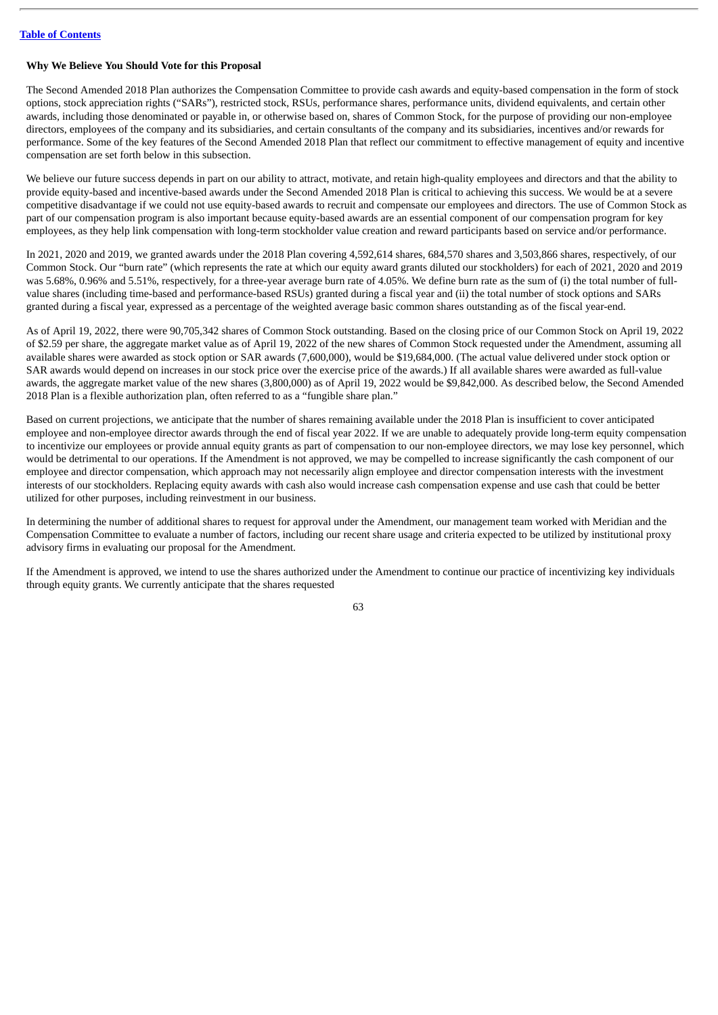# **Why We Believe You Should Vote for this Proposal**

The Second Amended 2018 Plan authorizes the Compensation Committee to provide cash awards and equity-based compensation in the form of stock options, stock appreciation rights ("SARs"), restricted stock, RSUs, performance shares, performance units, dividend equivalents, and certain other awards, including those denominated or payable in, or otherwise based on, shares of Common Stock, for the purpose of providing our non-employee directors, employees of the company and its subsidiaries, and certain consultants of the company and its subsidiaries, incentives and/or rewards for performance. Some of the key features of the Second Amended 2018 Plan that reflect our commitment to effective management of equity and incentive compensation are set forth below in this subsection.

We believe our future success depends in part on our ability to attract, motivate, and retain high-quality employees and directors and that the ability to provide equity-based and incentive-based awards under the Second Amended 2018 Plan is critical to achieving this success. We would be at a severe competitive disadvantage if we could not use equity-based awards to recruit and compensate our employees and directors. The use of Common Stock as part of our compensation program is also important because equity-based awards are an essential component of our compensation program for key employees, as they help link compensation with long-term stockholder value creation and reward participants based on service and/or performance.

In 2021, 2020 and 2019, we granted awards under the 2018 Plan covering 4,592,614 shares, 684,570 shares and 3,503,866 shares, respectively, of our Common Stock. Our "burn rate" (which represents the rate at which our equity award grants diluted our stockholders) for each of 2021, 2020 and 2019 was 5.68%, 0.96% and 5.51%, respectively, for a three-year average burn rate of 4.05%. We define burn rate as the sum of (i) the total number of fullvalue shares (including time-based and performance-based RSUs) granted during a fiscal year and (ii) the total number of stock options and SARs granted during a fiscal year, expressed as a percentage of the weighted average basic common shares outstanding as of the fiscal year-end.

As of April 19, 2022, there were 90,705,342 shares of Common Stock outstanding. Based on the closing price of our Common Stock on April 19, 2022 of \$2.59 per share, the aggregate market value as of April 19, 2022 of the new shares of Common Stock requested under the Amendment, assuming all available shares were awarded as stock option or SAR awards (7,600,000), would be \$19,684,000. (The actual value delivered under stock option or SAR awards would depend on increases in our stock price over the exercise price of the awards.) If all available shares were awarded as full-value awards, the aggregate market value of the new shares (3,800,000) as of April 19, 2022 would be \$9,842,000. As described below, the Second Amended 2018 Plan is a flexible authorization plan, often referred to as a "fungible share plan."

Based on current projections, we anticipate that the number of shares remaining available under the 2018 Plan is insufficient to cover anticipated employee and non-employee director awards through the end of fiscal year 2022. If we are unable to adequately provide long-term equity compensation to incentivize our employees or provide annual equity grants as part of compensation to our non-employee directors, we may lose key personnel, which would be detrimental to our operations. If the Amendment is not approved, we may be compelled to increase significantly the cash component of our employee and director compensation, which approach may not necessarily align employee and director compensation interests with the investment interests of our stockholders. Replacing equity awards with cash also would increase cash compensation expense and use cash that could be better utilized for other purposes, including reinvestment in our business.

In determining the number of additional shares to request for approval under the Amendment, our management team worked with Meridian and the Compensation Committee to evaluate a number of factors, including our recent share usage and criteria expected to be utilized by institutional proxy advisory firms in evaluating our proposal for the Amendment.

If the Amendment is approved, we intend to use the shares authorized under the Amendment to continue our practice of incentivizing key individuals through equity grants. We currently anticipate that the shares requested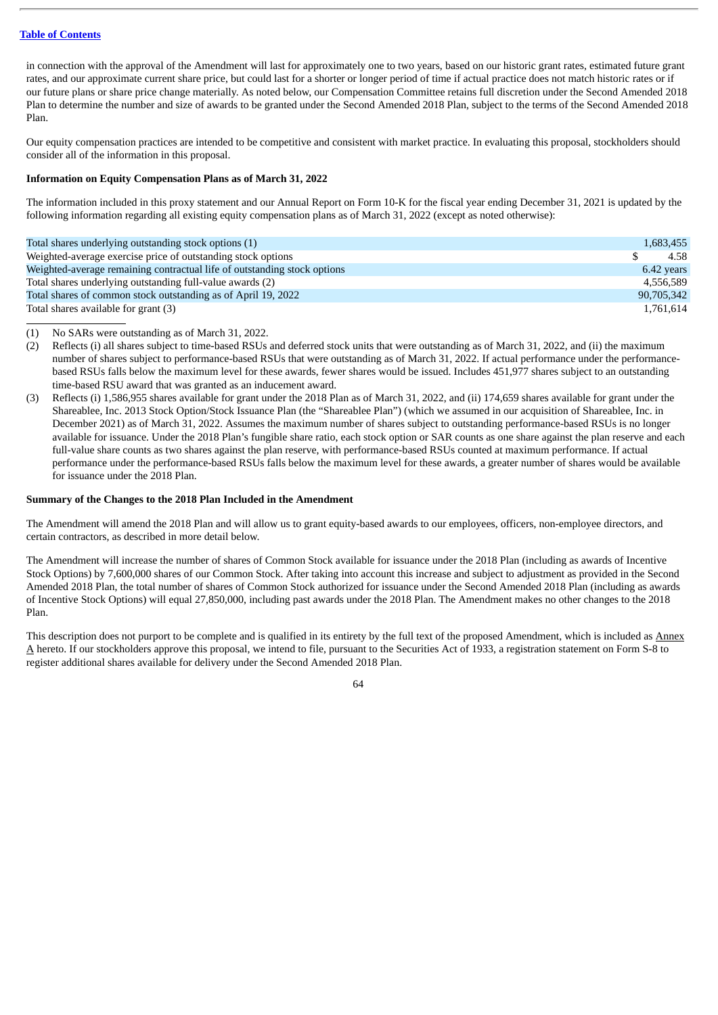in connection with the approval of the Amendment will last for approximately one to two years, based on our historic grant rates, estimated future grant rates, and our approximate current share price, but could last for a shorter or longer period of time if actual practice does not match historic rates or if our future plans or share price change materially. As noted below, our Compensation Committee retains full discretion under the Second Amended 2018 Plan to determine the number and size of awards to be granted under the Second Amended 2018 Plan, subject to the terms of the Second Amended 2018 Plan.

Our equity compensation practices are intended to be competitive and consistent with market practice. In evaluating this proposal, stockholders should consider all of the information in this proposal.

## **Information on Equity Compensation Plans as of March 31, 2022**

The information included in this proxy statement and our Annual Report on Form 10-K for the fiscal year ending December 31, 2021 is updated by the following information regarding all existing equity compensation plans as of March 31, 2022 (except as noted otherwise):

| Total shares underlying outstanding stock options (1)                    | 1,683,455  |
|--------------------------------------------------------------------------|------------|
| Weighted-average exercise price of outstanding stock options             | 4.58       |
| Weighted-average remaining contractual life of outstanding stock options | 6.42 years |
| Total shares underlying outstanding full-value awards (2)                | 4.556.589  |
| Total shares of common stock outstanding as of April 19, 2022            | 90,705,342 |
| Total shares available for grant (3)                                     | 1,761,614  |

(1) No SARs were outstanding as of March 31, 2022.

- (2) Reflects (i) all shares subject to time-based RSUs and deferred stock units that were outstanding as of March 31, 2022, and (ii) the maximum number of shares subject to performance-based RSUs that were outstanding as of March 31, 2022. If actual performance under the performancebased RSUs falls below the maximum level for these awards, fewer shares would be issued. Includes 451,977 shares subject to an outstanding time-based RSU award that was granted as an inducement award.
- (3) Reflects (i) 1,586,955 shares available for grant under the 2018 Plan as of March 31, 2022, and (ii) 174,659 shares available for grant under the Shareablee, Inc. 2013 Stock Option/Stock Issuance Plan (the "Shareablee Plan") (which we assumed in our acquisition of Shareablee, Inc. in December 2021) as of March 31, 2022. Assumes the maximum number of shares subject to outstanding performance-based RSUs is no longer available for issuance. Under the 2018 Plan's fungible share ratio, each stock option or SAR counts as one share against the plan reserve and each full-value share counts as two shares against the plan reserve, with performance-based RSUs counted at maximum performance. If actual performance under the performance-based RSUs falls below the maximum level for these awards, a greater number of shares would be available for issuance under the 2018 Plan.

#### **Summary of the Changes to the 2018 Plan Included in the Amendment**

The Amendment will amend the 2018 Plan and will allow us to grant equity-based awards to our employees, officers, non-employee directors, and certain contractors, as described in more detail below.

The Amendment will increase the number of shares of Common Stock available for issuance under the 2018 Plan (including as awards of Incentive Stock Options) by 7,600,000 shares of our Common Stock. After taking into account this increase and subject to adjustment as provided in the Second Amended 2018 Plan, the total number of shares of Common Stock authorized for issuance under the Second Amended 2018 Plan (including as awards of Incentive Stock Options) will equal 27,850,000, including past awards under the 2018 Plan. The Amendment makes no other changes to the 2018 Plan.

This description does not purport to be complete and is qualified in its entirety by the full text of the proposed Amendment, which is included as Annex A hereto. If our stockholders approve this proposal, we intend to file, pursuant to the Securities Act of 1933, a registration statement on Form S-8 to register additional shares available for delivery under the Second Amended 2018 Plan.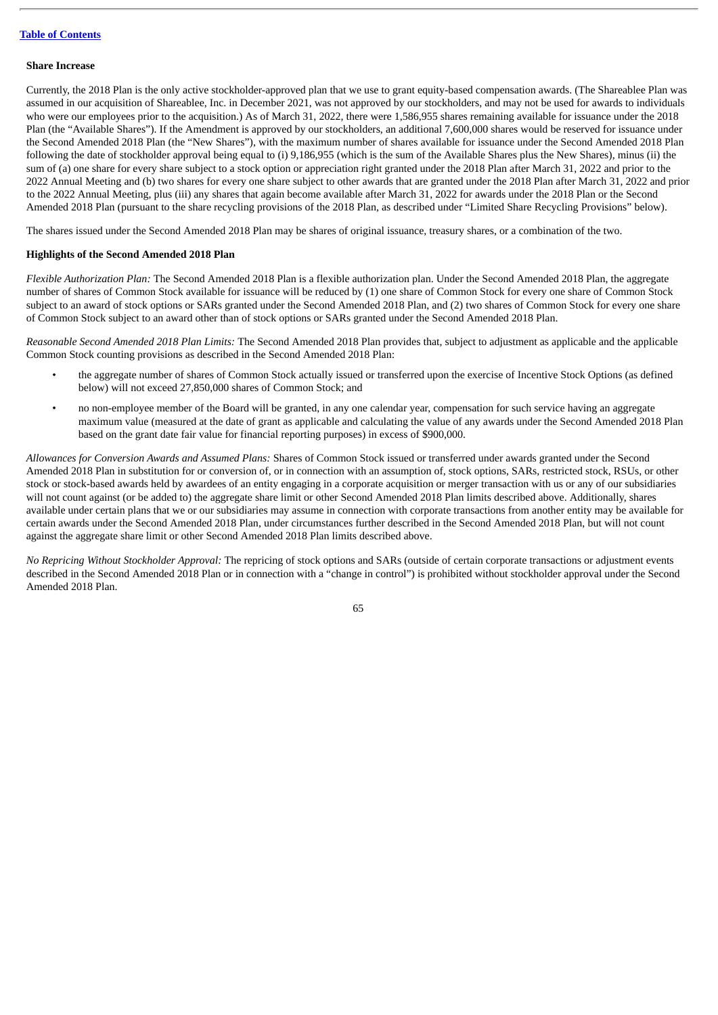#### **Share Increase**

Currently, the 2018 Plan is the only active stockholder-approved plan that we use to grant equity-based compensation awards. (The Shareablee Plan was assumed in our acquisition of Shareablee, Inc. in December 2021, was not approved by our stockholders, and may not be used for awards to individuals who were our employees prior to the acquisition.) As of March 31, 2022, there were 1,586,955 shares remaining available for issuance under the 2018 Plan (the "Available Shares"). If the Amendment is approved by our stockholders, an additional 7,600,000 shares would be reserved for issuance under the Second Amended 2018 Plan (the "New Shares"), with the maximum number of shares available for issuance under the Second Amended 2018 Plan following the date of stockholder approval being equal to (i) 9,186,955 (which is the sum of the Available Shares plus the New Shares), minus (ii) the sum of (a) one share for every share subject to a stock option or appreciation right granted under the 2018 Plan after March 31, 2022 and prior to the 2022 Annual Meeting and (b) two shares for every one share subject to other awards that are granted under the 2018 Plan after March 31, 2022 and prior to the 2022 Annual Meeting, plus (iii) any shares that again become available after March 31, 2022 for awards under the 2018 Plan or the Second Amended 2018 Plan (pursuant to the share recycling provisions of the 2018 Plan, as described under "Limited Share Recycling Provisions" below).

The shares issued under the Second Amended 2018 Plan may be shares of original issuance, treasury shares, or a combination of the two.

# **Highlights of the Second Amended 2018 Plan**

*Flexible Authorization Plan:* The Second Amended 2018 Plan is a flexible authorization plan. Under the Second Amended 2018 Plan, the aggregate number of shares of Common Stock available for issuance will be reduced by (1) one share of Common Stock for every one share of Common Stock subject to an award of stock options or SARs granted under the Second Amended 2018 Plan, and (2) two shares of Common Stock for every one share of Common Stock subject to an award other than of stock options or SARs granted under the Second Amended 2018 Plan.

*Reasonable Second Amended 2018 Plan Limits:* The Second Amended 2018 Plan provides that, subject to adjustment as applicable and the applicable Common Stock counting provisions as described in the Second Amended 2018 Plan:

- the aggregate number of shares of Common Stock actually issued or transferred upon the exercise of Incentive Stock Options (as defined below) will not exceed 27,850,000 shares of Common Stock; and
- no non-employee member of the Board will be granted, in any one calendar year, compensation for such service having an aggregate maximum value (measured at the date of grant as applicable and calculating the value of any awards under the Second Amended 2018 Plan based on the grant date fair value for financial reporting purposes) in excess of \$900,000.

*Allowances for Conversion Awards and Assumed Plans:* Shares of Common Stock issued or transferred under awards granted under the Second Amended 2018 Plan in substitution for or conversion of, or in connection with an assumption of, stock options, SARs, restricted stock, RSUs, or other stock or stock-based awards held by awardees of an entity engaging in a corporate acquisition or merger transaction with us or any of our subsidiaries will not count against (or be added to) the aggregate share limit or other Second Amended 2018 Plan limits described above. Additionally, shares available under certain plans that we or our subsidiaries may assume in connection with corporate transactions from another entity may be available for certain awards under the Second Amended 2018 Plan, under circumstances further described in the Second Amended 2018 Plan, but will not count against the aggregate share limit or other Second Amended 2018 Plan limits described above.

*No Repricing Without Stockholder Approval:* The repricing of stock options and SARs (outside of certain corporate transactions or adjustment events described in the Second Amended 2018 Plan or in connection with a "change in control") is prohibited without stockholder approval under the Second Amended 2018 Plan.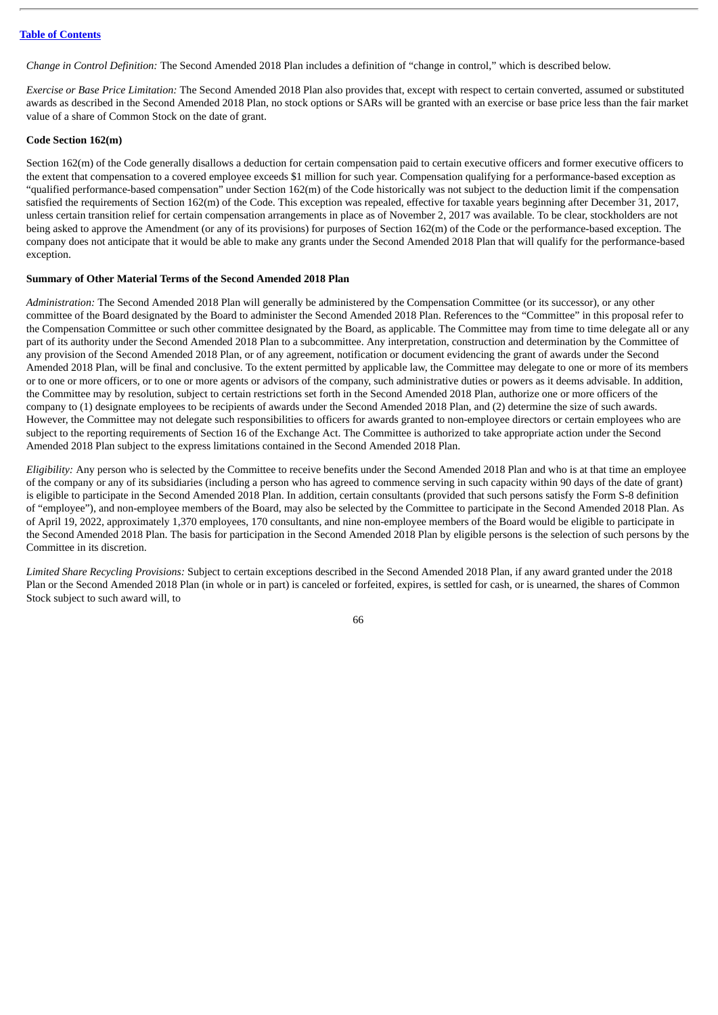*Change in Control Definition:* The Second Amended 2018 Plan includes a definition of "change in control," which is described below.

*Exercise or Base Price Limitation:* The Second Amended 2018 Plan also provides that, except with respect to certain converted, assumed or substituted awards as described in the Second Amended 2018 Plan, no stock options or SARs will be granted with an exercise or base price less than the fair market value of a share of Common Stock on the date of grant.

# **Code Section 162(m)**

Section 162(m) of the Code generally disallows a deduction for certain compensation paid to certain executive officers and former executive officers to the extent that compensation to a covered employee exceeds \$1 million for such year. Compensation qualifying for a performance-based exception as "qualified performance-based compensation" under Section 162(m) of the Code historically was not subject to the deduction limit if the compensation satisfied the requirements of Section 162(m) of the Code. This exception was repealed, effective for taxable years beginning after December 31, 2017, unless certain transition relief for certain compensation arrangements in place as of November 2, 2017 was available. To be clear, stockholders are not being asked to approve the Amendment (or any of its provisions) for purposes of Section 162(m) of the Code or the performance-based exception. The company does not anticipate that it would be able to make any grants under the Second Amended 2018 Plan that will qualify for the performance-based exception.

## **Summary of Other Material Terms of the Second Amended 2018 Plan**

*Administration:* The Second Amended 2018 Plan will generally be administered by the Compensation Committee (or its successor), or any other committee of the Board designated by the Board to administer the Second Amended 2018 Plan. References to the "Committee" in this proposal refer to the Compensation Committee or such other committee designated by the Board, as applicable. The Committee may from time to time delegate all or any part of its authority under the Second Amended 2018 Plan to a subcommittee. Any interpretation, construction and determination by the Committee of any provision of the Second Amended 2018 Plan, or of any agreement, notification or document evidencing the grant of awards under the Second Amended 2018 Plan, will be final and conclusive. To the extent permitted by applicable law, the Committee may delegate to one or more of its members or to one or more officers, or to one or more agents or advisors of the company, such administrative duties or powers as it deems advisable. In addition, the Committee may by resolution, subject to certain restrictions set forth in the Second Amended 2018 Plan, authorize one or more officers of the company to (1) designate employees to be recipients of awards under the Second Amended 2018 Plan, and (2) determine the size of such awards. However, the Committee may not delegate such responsibilities to officers for awards granted to non-employee directors or certain employees who are subject to the reporting requirements of Section 16 of the Exchange Act. The Committee is authorized to take appropriate action under the Second Amended 2018 Plan subject to the express limitations contained in the Second Amended 2018 Plan.

*Eligibility:* Any person who is selected by the Committee to receive benefits under the Second Amended 2018 Plan and who is at that time an employee of the company or any of its subsidiaries (including a person who has agreed to commence serving in such capacity within 90 days of the date of grant) is eligible to participate in the Second Amended 2018 Plan. In addition, certain consultants (provided that such persons satisfy the Form S-8 definition of "employee"), and non-employee members of the Board, may also be selected by the Committee to participate in the Second Amended 2018 Plan. As of April 19, 2022, approximately 1,370 employees, 170 consultants, and nine non-employee members of the Board would be eligible to participate in the Second Amended 2018 Plan. The basis for participation in the Second Amended 2018 Plan by eligible persons is the selection of such persons by the Committee in its discretion.

*Limited Share Recycling Provisions:* Subject to certain exceptions described in the Second Amended 2018 Plan, if any award granted under the 2018 Plan or the Second Amended 2018 Plan (in whole or in part) is canceled or forfeited, expires, is settled for cash, or is unearned, the shares of Common Stock subject to such award will, to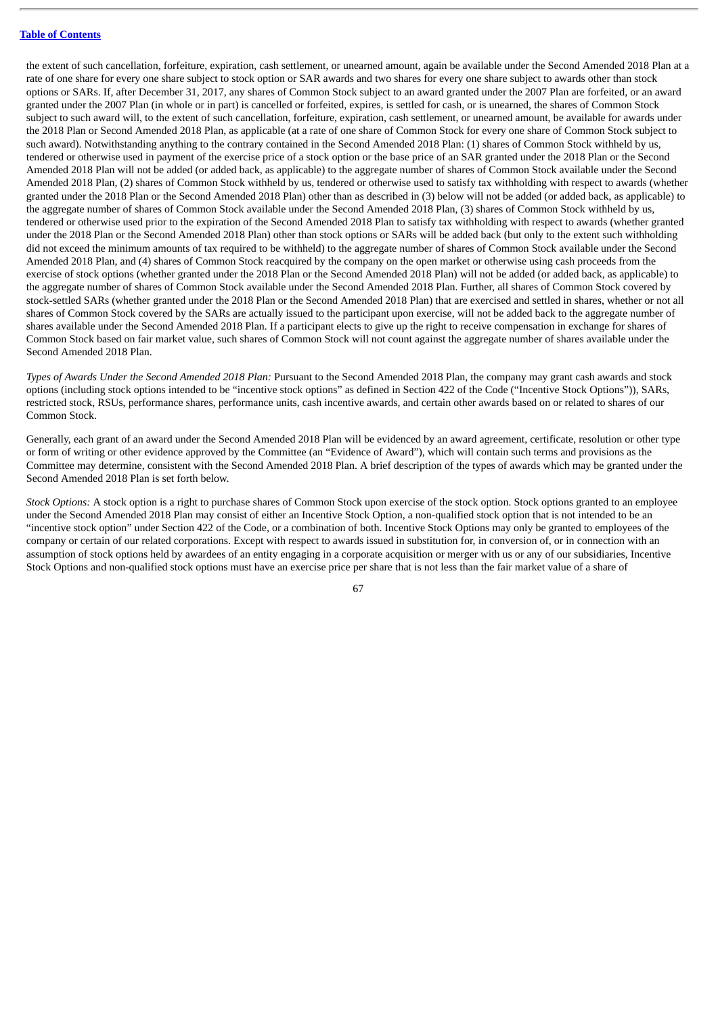the extent of such cancellation, forfeiture, expiration, cash settlement, or unearned amount, again be available under the Second Amended 2018 Plan at a rate of one share for every one share subject to stock option or SAR awards and two shares for every one share subject to awards other than stock options or SARs. If, after December 31, 2017, any shares of Common Stock subject to an award granted under the 2007 Plan are forfeited, or an award granted under the 2007 Plan (in whole or in part) is cancelled or forfeited, expires, is settled for cash, or is unearned, the shares of Common Stock subject to such award will, to the extent of such cancellation, forfeiture, expiration, cash settlement, or unearned amount, be available for awards under the 2018 Plan or Second Amended 2018 Plan, as applicable (at a rate of one share of Common Stock for every one share of Common Stock subject to such award). Notwithstanding anything to the contrary contained in the Second Amended 2018 Plan: (1) shares of Common Stock withheld by us, tendered or otherwise used in payment of the exercise price of a stock option or the base price of an SAR granted under the 2018 Plan or the Second Amended 2018 Plan will not be added (or added back, as applicable) to the aggregate number of shares of Common Stock available under the Second Amended 2018 Plan, (2) shares of Common Stock withheld by us, tendered or otherwise used to satisfy tax withholding with respect to awards (whether granted under the 2018 Plan or the Second Amended 2018 Plan) other than as described in (3) below will not be added (or added back, as applicable) to the aggregate number of shares of Common Stock available under the Second Amended 2018 Plan, (3) shares of Common Stock withheld by us, tendered or otherwise used prior to the expiration of the Second Amended 2018 Plan to satisfy tax withholding with respect to awards (whether granted under the 2018 Plan or the Second Amended 2018 Plan) other than stock options or SARs will be added back (but only to the extent such withholding did not exceed the minimum amounts of tax required to be withheld) to the aggregate number of shares of Common Stock available under the Second Amended 2018 Plan, and (4) shares of Common Stock reacquired by the company on the open market or otherwise using cash proceeds from the exercise of stock options (whether granted under the 2018 Plan or the Second Amended 2018 Plan) will not be added (or added back, as applicable) to the aggregate number of shares of Common Stock available under the Second Amended 2018 Plan. Further, all shares of Common Stock covered by stock-settled SARs (whether granted under the 2018 Plan or the Second Amended 2018 Plan) that are exercised and settled in shares, whether or not all shares of Common Stock covered by the SARs are actually issued to the participant upon exercise, will not be added back to the aggregate number of shares available under the Second Amended 2018 Plan. If a participant elects to give up the right to receive compensation in exchange for shares of Common Stock based on fair market value, such shares of Common Stock will not count against the aggregate number of shares available under the Second Amended 2018 Plan.

*Types of Awards Under the Second Amended 2018 Plan:* Pursuant to the Second Amended 2018 Plan, the company may grant cash awards and stock options (including stock options intended to be "incentive stock options" as defined in Section 422 of the Code ("Incentive Stock Options")), SARs, restricted stock, RSUs, performance shares, performance units, cash incentive awards, and certain other awards based on or related to shares of our Common Stock.

Generally, each grant of an award under the Second Amended 2018 Plan will be evidenced by an award agreement, certificate, resolution or other type or form of writing or other evidence approved by the Committee (an "Evidence of Award"), which will contain such terms and provisions as the Committee may determine, consistent with the Second Amended 2018 Plan. A brief description of the types of awards which may be granted under the Second Amended 2018 Plan is set forth below.

*Stock Options:* A stock option is a right to purchase shares of Common Stock upon exercise of the stock option. Stock options granted to an employee under the Second Amended 2018 Plan may consist of either an Incentive Stock Option, a non-qualified stock option that is not intended to be an "incentive stock option" under Section 422 of the Code, or a combination of both. Incentive Stock Options may only be granted to employees of the company or certain of our related corporations. Except with respect to awards issued in substitution for, in conversion of, or in connection with an assumption of stock options held by awardees of an entity engaging in a corporate acquisition or merger with us or any of our subsidiaries, Incentive Stock Options and non-qualified stock options must have an exercise price per share that is not less than the fair market value of a share of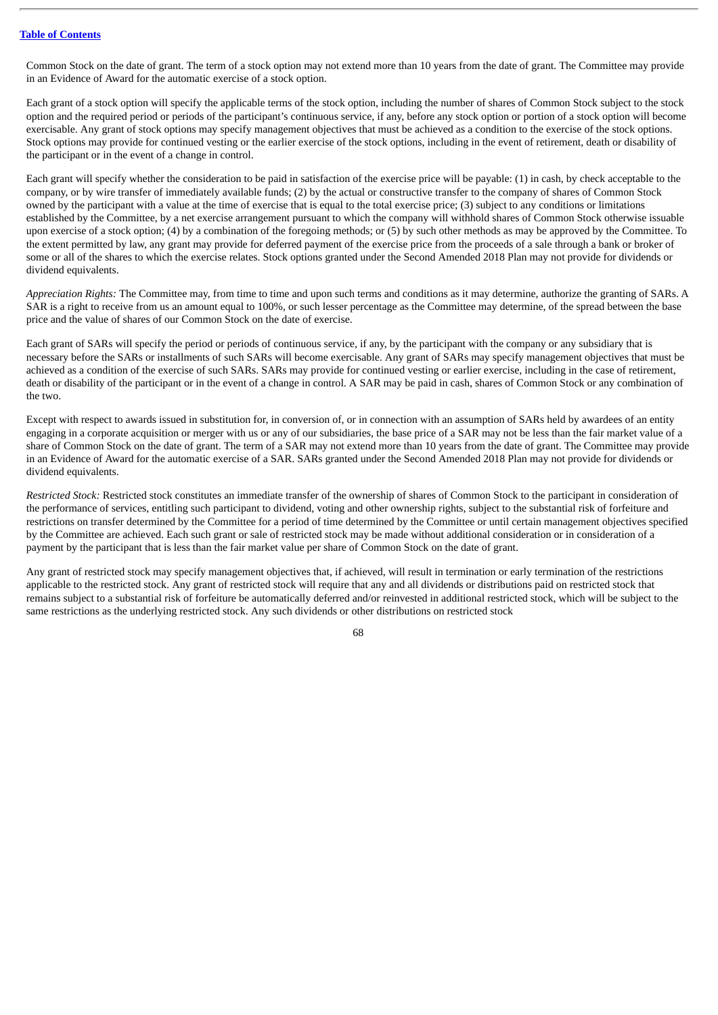Common Stock on the date of grant. The term of a stock option may not extend more than 10 years from the date of grant. The Committee may provide in an Evidence of Award for the automatic exercise of a stock option.

Each grant of a stock option will specify the applicable terms of the stock option, including the number of shares of Common Stock subject to the stock option and the required period or periods of the participant's continuous service, if any, before any stock option or portion of a stock option will become exercisable. Any grant of stock options may specify management objectives that must be achieved as a condition to the exercise of the stock options. Stock options may provide for continued vesting or the earlier exercise of the stock options, including in the event of retirement, death or disability of the participant or in the event of a change in control.

Each grant will specify whether the consideration to be paid in satisfaction of the exercise price will be payable: (1) in cash, by check acceptable to the company, or by wire transfer of immediately available funds; (2) by the actual or constructive transfer to the company of shares of Common Stock owned by the participant with a value at the time of exercise that is equal to the total exercise price; (3) subject to any conditions or limitations established by the Committee, by a net exercise arrangement pursuant to which the company will withhold shares of Common Stock otherwise issuable upon exercise of a stock option; (4) by a combination of the foregoing methods; or (5) by such other methods as may be approved by the Committee. To the extent permitted by law, any grant may provide for deferred payment of the exercise price from the proceeds of a sale through a bank or broker of some or all of the shares to which the exercise relates. Stock options granted under the Second Amended 2018 Plan may not provide for dividends or dividend equivalents.

*Appreciation Rights:* The Committee may, from time to time and upon such terms and conditions as it may determine, authorize the granting of SARs. A SAR is a right to receive from us an amount equal to 100%, or such lesser percentage as the Committee may determine, of the spread between the base price and the value of shares of our Common Stock on the date of exercise.

Each grant of SARs will specify the period or periods of continuous service, if any, by the participant with the company or any subsidiary that is necessary before the SARs or installments of such SARs will become exercisable. Any grant of SARs may specify management objectives that must be achieved as a condition of the exercise of such SARs. SARs may provide for continued vesting or earlier exercise, including in the case of retirement, death or disability of the participant or in the event of a change in control. A SAR may be paid in cash, shares of Common Stock or any combination of the two.

Except with respect to awards issued in substitution for, in conversion of, or in connection with an assumption of SARs held by awardees of an entity engaging in a corporate acquisition or merger with us or any of our subsidiaries, the base price of a SAR may not be less than the fair market value of a share of Common Stock on the date of grant. The term of a SAR may not extend more than 10 years from the date of grant. The Committee may provide in an Evidence of Award for the automatic exercise of a SAR. SARs granted under the Second Amended 2018 Plan may not provide for dividends or dividend equivalents.

*Restricted Stock:* Restricted stock constitutes an immediate transfer of the ownership of shares of Common Stock to the participant in consideration of the performance of services, entitling such participant to dividend, voting and other ownership rights, subject to the substantial risk of forfeiture and restrictions on transfer determined by the Committee for a period of time determined by the Committee or until certain management objectives specified by the Committee are achieved. Each such grant or sale of restricted stock may be made without additional consideration or in consideration of a payment by the participant that is less than the fair market value per share of Common Stock on the date of grant.

Any grant of restricted stock may specify management objectives that, if achieved, will result in termination or early termination of the restrictions applicable to the restricted stock. Any grant of restricted stock will require that any and all dividends or distributions paid on restricted stock that remains subject to a substantial risk of forfeiture be automatically deferred and/or reinvested in additional restricted stock, which will be subject to the same restrictions as the underlying restricted stock. Any such dividends or other distributions on restricted stock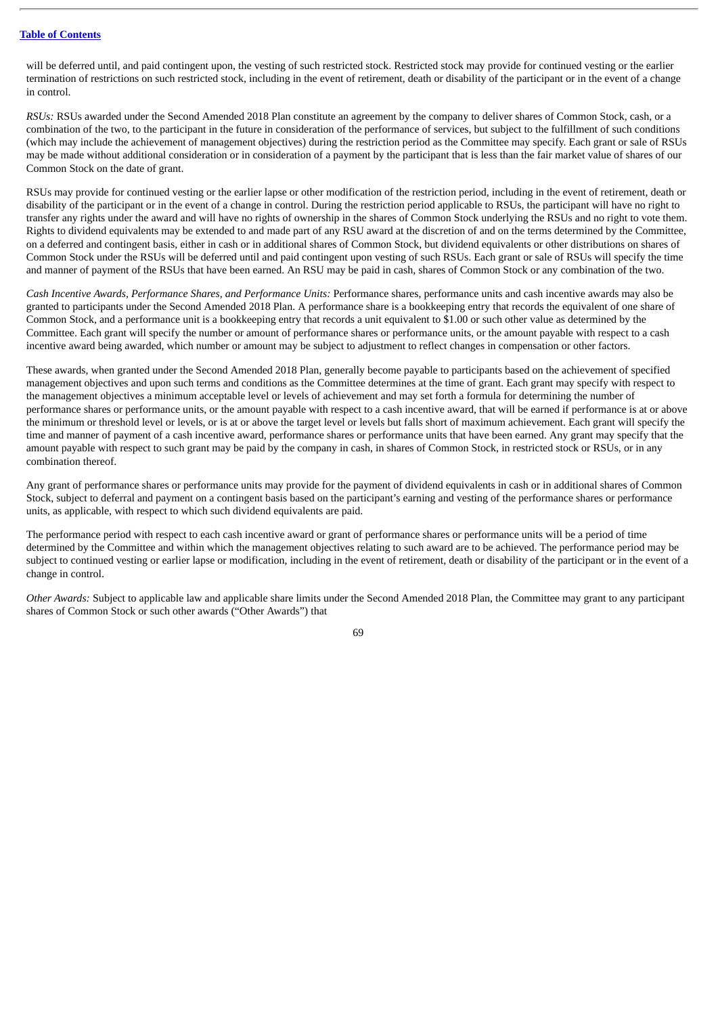will be deferred until, and paid contingent upon, the vesting of such restricted stock. Restricted stock may provide for continued vesting or the earlier termination of restrictions on such restricted stock, including in the event of retirement, death or disability of the participant or in the event of a change in control.

*RSUs:* RSUs awarded under the Second Amended 2018 Plan constitute an agreement by the company to deliver shares of Common Stock, cash, or a combination of the two, to the participant in the future in consideration of the performance of services, but subject to the fulfillment of such conditions (which may include the achievement of management objectives) during the restriction period as the Committee may specify. Each grant or sale of RSUs may be made without additional consideration or in consideration of a payment by the participant that is less than the fair market value of shares of our Common Stock on the date of grant.

RSUs may provide for continued vesting or the earlier lapse or other modification of the restriction period, including in the event of retirement, death or disability of the participant or in the event of a change in control. During the restriction period applicable to RSUs, the participant will have no right to transfer any rights under the award and will have no rights of ownership in the shares of Common Stock underlying the RSUs and no right to vote them. Rights to dividend equivalents may be extended to and made part of any RSU award at the discretion of and on the terms determined by the Committee, on a deferred and contingent basis, either in cash or in additional shares of Common Stock, but dividend equivalents or other distributions on shares of Common Stock under the RSUs will be deferred until and paid contingent upon vesting of such RSUs. Each grant or sale of RSUs will specify the time and manner of payment of the RSUs that have been earned. An RSU may be paid in cash, shares of Common Stock or any combination of the two.

*Cash Incentive Awards, Performance Shares, and Performance Units:* Performance shares, performance units and cash incentive awards may also be granted to participants under the Second Amended 2018 Plan. A performance share is a bookkeeping entry that records the equivalent of one share of Common Stock, and a performance unit is a bookkeeping entry that records a unit equivalent to \$1.00 or such other value as determined by the Committee. Each grant will specify the number or amount of performance shares or performance units, or the amount payable with respect to a cash incentive award being awarded, which number or amount may be subject to adjustment to reflect changes in compensation or other factors.

These awards, when granted under the Second Amended 2018 Plan, generally become payable to participants based on the achievement of specified management objectives and upon such terms and conditions as the Committee determines at the time of grant. Each grant may specify with respect to the management objectives a minimum acceptable level or levels of achievement and may set forth a formula for determining the number of performance shares or performance units, or the amount payable with respect to a cash incentive award, that will be earned if performance is at or above the minimum or threshold level or levels, or is at or above the target level or levels but falls short of maximum achievement. Each grant will specify the time and manner of payment of a cash incentive award, performance shares or performance units that have been earned. Any grant may specify that the amount payable with respect to such grant may be paid by the company in cash, in shares of Common Stock, in restricted stock or RSUs, or in any combination thereof.

Any grant of performance shares or performance units may provide for the payment of dividend equivalents in cash or in additional shares of Common Stock, subject to deferral and payment on a contingent basis based on the participant's earning and vesting of the performance shares or performance units, as applicable, with respect to which such dividend equivalents are paid.

The performance period with respect to each cash incentive award or grant of performance shares or performance units will be a period of time determined by the Committee and within which the management objectives relating to such award are to be achieved. The performance period may be subject to continued vesting or earlier lapse or modification, including in the event of retirement, death or disability of the participant or in the event of a change in control.

*Other Awards:* Subject to applicable law and applicable share limits under the Second Amended 2018 Plan, the Committee may grant to any participant shares of Common Stock or such other awards ("Other Awards") that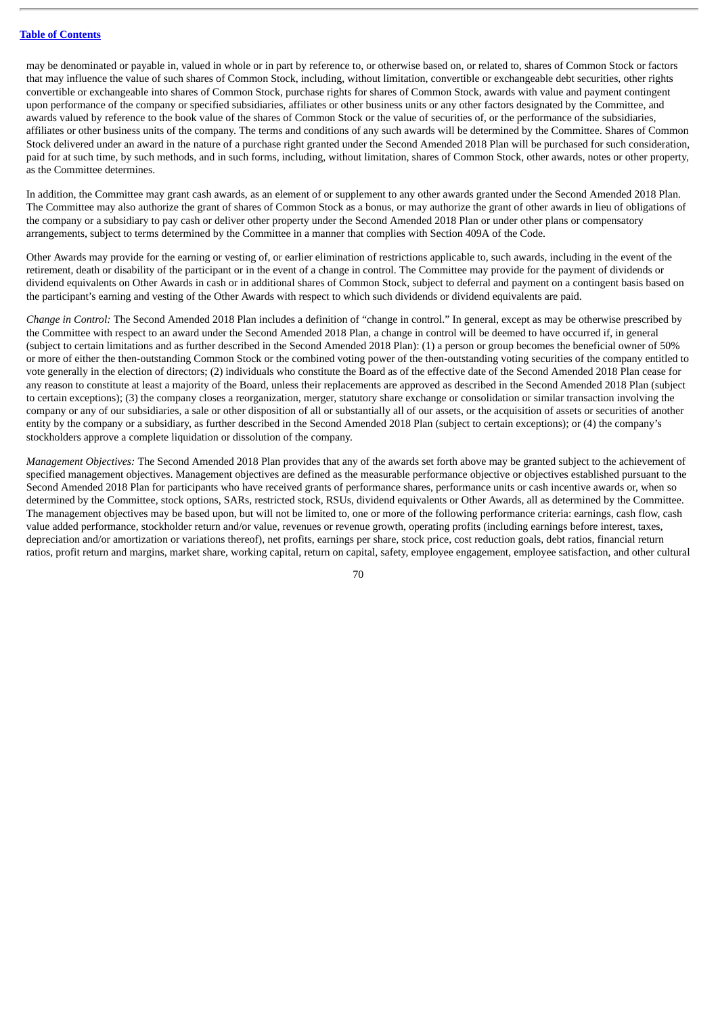may be denominated or payable in, valued in whole or in part by reference to, or otherwise based on, or related to, shares of Common Stock or factors that may influence the value of such shares of Common Stock, including, without limitation, convertible or exchangeable debt securities, other rights convertible or exchangeable into shares of Common Stock, purchase rights for shares of Common Stock, awards with value and payment contingent upon performance of the company or specified subsidiaries, affiliates or other business units or any other factors designated by the Committee, and awards valued by reference to the book value of the shares of Common Stock or the value of securities of, or the performance of the subsidiaries, affiliates or other business units of the company. The terms and conditions of any such awards will be determined by the Committee. Shares of Common Stock delivered under an award in the nature of a purchase right granted under the Second Amended 2018 Plan will be purchased for such consideration, paid for at such time, by such methods, and in such forms, including, without limitation, shares of Common Stock, other awards, notes or other property, as the Committee determines.

In addition, the Committee may grant cash awards, as an element of or supplement to any other awards granted under the Second Amended 2018 Plan. The Committee may also authorize the grant of shares of Common Stock as a bonus, or may authorize the grant of other awards in lieu of obligations of the company or a subsidiary to pay cash or deliver other property under the Second Amended 2018 Plan or under other plans or compensatory arrangements, subject to terms determined by the Committee in a manner that complies with Section 409A of the Code.

Other Awards may provide for the earning or vesting of, or earlier elimination of restrictions applicable to, such awards, including in the event of the retirement, death or disability of the participant or in the event of a change in control. The Committee may provide for the payment of dividends or dividend equivalents on Other Awards in cash or in additional shares of Common Stock, subject to deferral and payment on a contingent basis based on the participant's earning and vesting of the Other Awards with respect to which such dividends or dividend equivalents are paid.

*Change in Control:* The Second Amended 2018 Plan includes a definition of "change in control." In general, except as may be otherwise prescribed by the Committee with respect to an award under the Second Amended 2018 Plan, a change in control will be deemed to have occurred if, in general (subject to certain limitations and as further described in the Second Amended 2018 Plan): (1) a person or group becomes the beneficial owner of 50% or more of either the then-outstanding Common Stock or the combined voting power of the then-outstanding voting securities of the company entitled to vote generally in the election of directors; (2) individuals who constitute the Board as of the effective date of the Second Amended 2018 Plan cease for any reason to constitute at least a majority of the Board, unless their replacements are approved as described in the Second Amended 2018 Plan (subject to certain exceptions); (3) the company closes a reorganization, merger, statutory share exchange or consolidation or similar transaction involving the company or any of our subsidiaries, a sale or other disposition of all or substantially all of our assets, or the acquisition of assets or securities of another entity by the company or a subsidiary, as further described in the Second Amended 2018 Plan (subject to certain exceptions); or (4) the company's stockholders approve a complete liquidation or dissolution of the company.

*Management Objectives:* The Second Amended 2018 Plan provides that any of the awards set forth above may be granted subject to the achievement of specified management objectives. Management objectives are defined as the measurable performance objective or objectives established pursuant to the Second Amended 2018 Plan for participants who have received grants of performance shares, performance units or cash incentive awards or, when so determined by the Committee, stock options, SARs, restricted stock, RSUs, dividend equivalents or Other Awards, all as determined by the Committee. The management objectives may be based upon, but will not be limited to, one or more of the following performance criteria: earnings, cash flow, cash value added performance, stockholder return and/or value, revenues or revenue growth, operating profits (including earnings before interest, taxes, depreciation and/or amortization or variations thereof), net profits, earnings per share, stock price, cost reduction goals, debt ratios, financial return ratios, profit return and margins, market share, working capital, return on capital, safety, employee engagement, employee satisfaction, and other cultural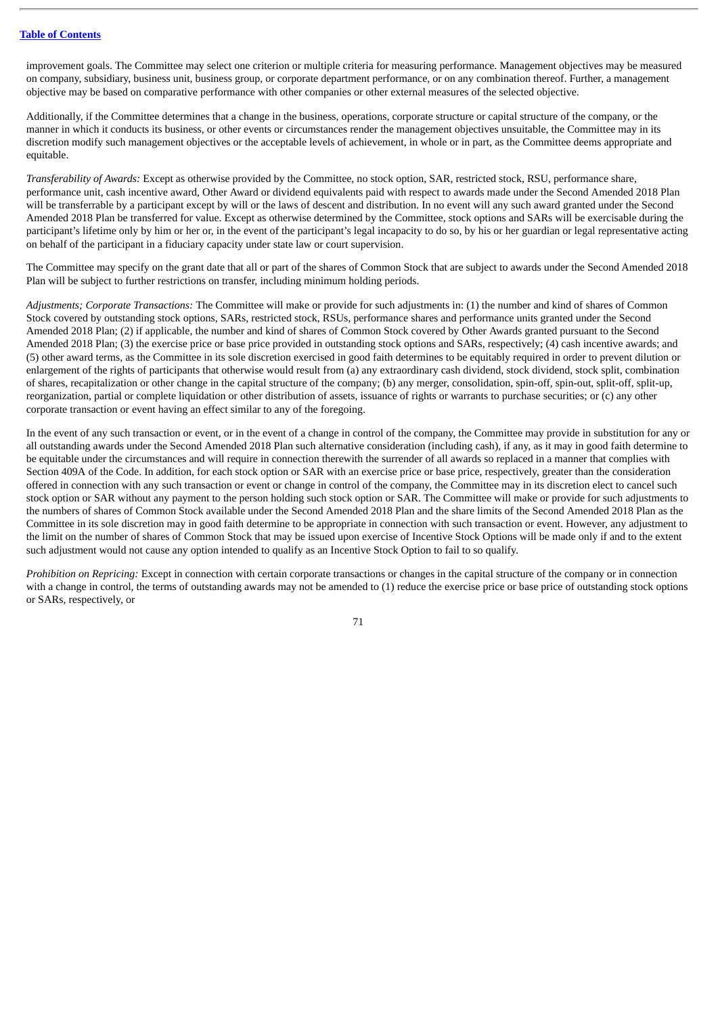improvement goals. The Committee may select one criterion or multiple criteria for measuring performance. Management objectives may be measured on company, subsidiary, business unit, business group, or corporate department performance, or on any combination thereof. Further, a management objective may be based on comparative performance with other companies or other external measures of the selected objective.

Additionally, if the Committee determines that a change in the business, operations, corporate structure or capital structure of the company, or the manner in which it conducts its business, or other events or circumstances render the management objectives unsuitable, the Committee may in its discretion modify such management objectives or the acceptable levels of achievement, in whole or in part, as the Committee deems appropriate and equitable.

*Transferability of Awards:* Except as otherwise provided by the Committee, no stock option, SAR, restricted stock, RSU, performance share, performance unit, cash incentive award, Other Award or dividend equivalents paid with respect to awards made under the Second Amended 2018 Plan will be transferrable by a participant except by will or the laws of descent and distribution. In no event will any such award granted under the Second Amended 2018 Plan be transferred for value. Except as otherwise determined by the Committee, stock options and SARs will be exercisable during the participant's lifetime only by him or her or, in the event of the participant's legal incapacity to do so, by his or her guardian or legal representative acting on behalf of the participant in a fiduciary capacity under state law or court supervision.

The Committee may specify on the grant date that all or part of the shares of Common Stock that are subject to awards under the Second Amended 2018 Plan will be subject to further restrictions on transfer, including minimum holding periods.

*Adjustments; Corporate Transactions:* The Committee will make or provide for such adjustments in: (1) the number and kind of shares of Common Stock covered by outstanding stock options, SARs, restricted stock, RSUs, performance shares and performance units granted under the Second Amended 2018 Plan; (2) if applicable, the number and kind of shares of Common Stock covered by Other Awards granted pursuant to the Second Amended 2018 Plan; (3) the exercise price or base price provided in outstanding stock options and SARs, respectively; (4) cash incentive awards; and (5) other award terms, as the Committee in its sole discretion exercised in good faith determines to be equitably required in order to prevent dilution or enlargement of the rights of participants that otherwise would result from (a) any extraordinary cash dividend, stock dividend, stock split, combination of shares, recapitalization or other change in the capital structure of the company; (b) any merger, consolidation, spin-off, spin-out, split-off, split-up, reorganization, partial or complete liquidation or other distribution of assets, issuance of rights or warrants to purchase securities; or (c) any other corporate transaction or event having an effect similar to any of the foregoing.

In the event of any such transaction or event, or in the event of a change in control of the company, the Committee may provide in substitution for any or all outstanding awards under the Second Amended 2018 Plan such alternative consideration (including cash), if any, as it may in good faith determine to be equitable under the circumstances and will require in connection therewith the surrender of all awards so replaced in a manner that complies with Section 409A of the Code. In addition, for each stock option or SAR with an exercise price or base price, respectively, greater than the consideration offered in connection with any such transaction or event or change in control of the company, the Committee may in its discretion elect to cancel such stock option or SAR without any payment to the person holding such stock option or SAR. The Committee will make or provide for such adjustments to the numbers of shares of Common Stock available under the Second Amended 2018 Plan and the share limits of the Second Amended 2018 Plan as the Committee in its sole discretion may in good faith determine to be appropriate in connection with such transaction or event. However, any adjustment to the limit on the number of shares of Common Stock that may be issued upon exercise of Incentive Stock Options will be made only if and to the extent such adjustment would not cause any option intended to qualify as an Incentive Stock Option to fail to so qualify.

*Prohibition on Repricing:* Except in connection with certain corporate transactions or changes in the capital structure of the company or in connection with a change in control, the terms of outstanding awards may not be amended to (1) reduce the exercise price or base price of outstanding stock options or SARs, respectively, or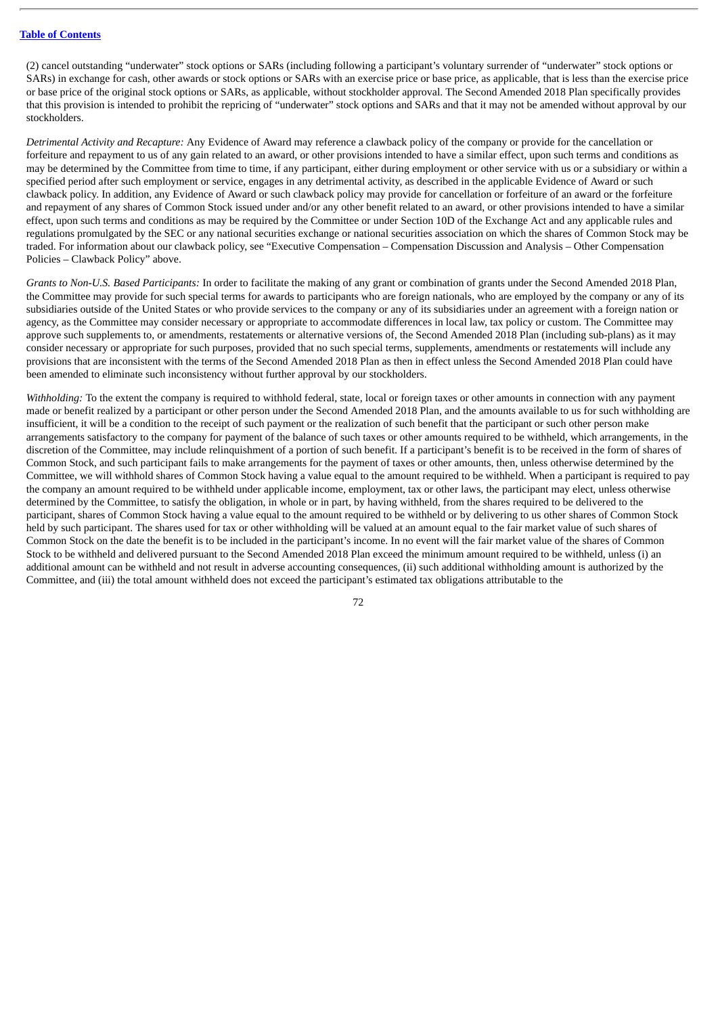(2) cancel outstanding "underwater" stock options or SARs (including following a participant's voluntary surrender of "underwater" stock options or SARs) in exchange for cash, other awards or stock options or SARs with an exercise price or base price, as applicable, that is less than the exercise price or base price of the original stock options or SARs, as applicable, without stockholder approval. The Second Amended 2018 Plan specifically provides that this provision is intended to prohibit the repricing of "underwater" stock options and SARs and that it may not be amended without approval by our stockholders.

*Detrimental Activity and Recapture:* Any Evidence of Award may reference a clawback policy of the company or provide for the cancellation or forfeiture and repayment to us of any gain related to an award, or other provisions intended to have a similar effect, upon such terms and conditions as may be determined by the Committee from time to time, if any participant, either during employment or other service with us or a subsidiary or within a specified period after such employment or service, engages in any detrimental activity, as described in the applicable Evidence of Award or such clawback policy. In addition, any Evidence of Award or such clawback policy may provide for cancellation or forfeiture of an award or the forfeiture and repayment of any shares of Common Stock issued under and/or any other benefit related to an award, or other provisions intended to have a similar effect, upon such terms and conditions as may be required by the Committee or under Section 10D of the Exchange Act and any applicable rules and regulations promulgated by the SEC or any national securities exchange or national securities association on which the shares of Common Stock may be traded. For information about our clawback policy, see "Executive Compensation – Compensation Discussion and Analysis – Other Compensation Policies – Clawback Policy" above.

*Grants to Non-U.S. Based Participants:* In order to facilitate the making of any grant or combination of grants under the Second Amended 2018 Plan, the Committee may provide for such special terms for awards to participants who are foreign nationals, who are employed by the company or any of its subsidiaries outside of the United States or who provide services to the company or any of its subsidiaries under an agreement with a foreign nation or agency, as the Committee may consider necessary or appropriate to accommodate differences in local law, tax policy or custom. The Committee may approve such supplements to, or amendments, restatements or alternative versions of, the Second Amended 2018 Plan (including sub-plans) as it may consider necessary or appropriate for such purposes, provided that no such special terms, supplements, amendments or restatements will include any provisions that are inconsistent with the terms of the Second Amended 2018 Plan as then in effect unless the Second Amended 2018 Plan could have been amended to eliminate such inconsistency without further approval by our stockholders.

*Withholding:* To the extent the company is required to withhold federal, state, local or foreign taxes or other amounts in connection with any payment made or benefit realized by a participant or other person under the Second Amended 2018 Plan, and the amounts available to us for such withholding are insufficient, it will be a condition to the receipt of such payment or the realization of such benefit that the participant or such other person make arrangements satisfactory to the company for payment of the balance of such taxes or other amounts required to be withheld, which arrangements, in the discretion of the Committee, may include relinquishment of a portion of such benefit. If a participant's benefit is to be received in the form of shares of Common Stock, and such participant fails to make arrangements for the payment of taxes or other amounts, then, unless otherwise determined by the Committee, we will withhold shares of Common Stock having a value equal to the amount required to be withheld. When a participant is required to pay the company an amount required to be withheld under applicable income, employment, tax or other laws, the participant may elect, unless otherwise determined by the Committee, to satisfy the obligation, in whole or in part, by having withheld, from the shares required to be delivered to the participant, shares of Common Stock having a value equal to the amount required to be withheld or by delivering to us other shares of Common Stock held by such participant. The shares used for tax or other withholding will be valued at an amount equal to the fair market value of such shares of Common Stock on the date the benefit is to be included in the participant's income. In no event will the fair market value of the shares of Common Stock to be withheld and delivered pursuant to the Second Amended 2018 Plan exceed the minimum amount required to be withheld, unless (i) an additional amount can be withheld and not result in adverse accounting consequences, (ii) such additional withholding amount is authorized by the Committee, and (iii) the total amount withheld does not exceed the participant's estimated tax obligations attributable to the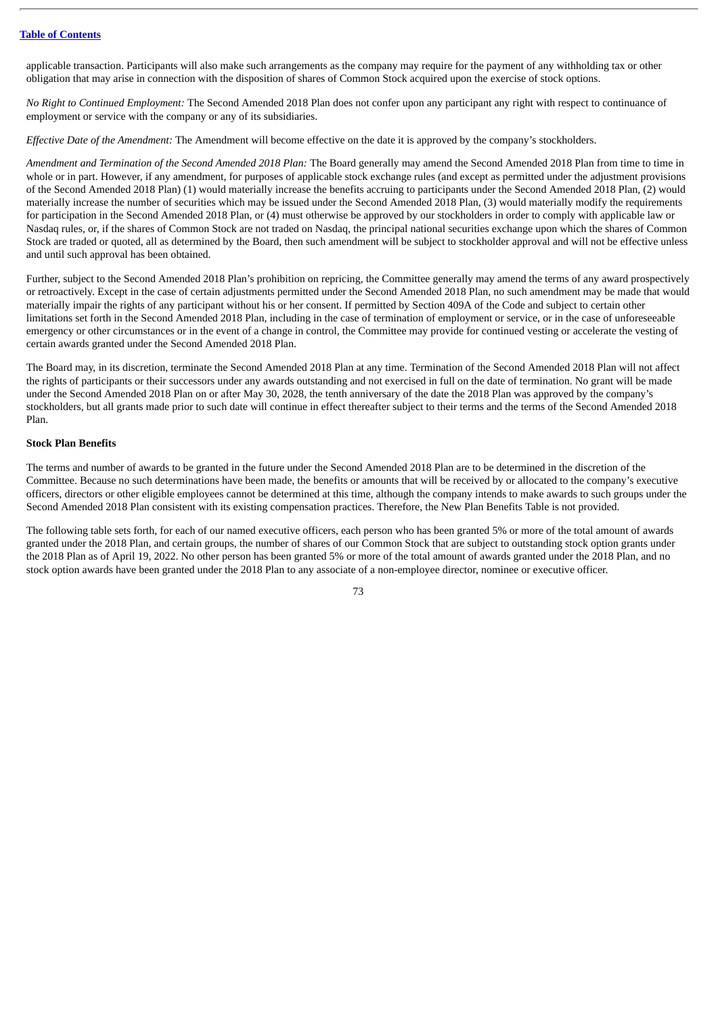applicable transaction. Participants will also make such arrangements as the company may require for the payment of any withholding tax or other obligation that may arise in connection with the disposition of shares of Common Stock acquired upon the exercise of stock options.

*No Right to Continued Employment:* The Second Amended 2018 Plan does not confer upon any participant any right with respect to continuance of employment or service with the company or any of its subsidiaries.

*Effective Date of the Amendment:* The Amendment will become effective on the date it is approved by the company's stockholders.

*Amendment and Termination of the Second Amended 2018 Plan:* The Board generally may amend the Second Amended 2018 Plan from time to time in whole or in part. However, if any amendment, for purposes of applicable stock exchange rules (and except as permitted under the adjustment provisions of the Second Amended 2018 Plan) (1) would materially increase the benefits accruing to participants under the Second Amended 2018 Plan, (2) would materially increase the number of securities which may be issued under the Second Amended 2018 Plan, (3) would materially modify the requirements for participation in the Second Amended 2018 Plan, or (4) must otherwise be approved by our stockholders in order to comply with applicable law or Nasdaq rules, or, if the shares of Common Stock are not traded on Nasdaq, the principal national securities exchange upon which the shares of Common Stock are traded or quoted, all as determined by the Board, then such amendment will be subject to stockholder approval and will not be effective unless and until such approval has been obtained.

Further, subject to the Second Amended 2018 Plan's prohibition on repricing, the Committee generally may amend the terms of any award prospectively or retroactively. Except in the case of certain adjustments permitted under the Second Amended 2018 Plan, no such amendment may be made that would materially impair the rights of any participant without his or her consent. If permitted by Section 409A of the Code and subject to certain other limitations set forth in the Second Amended 2018 Plan, including in the case of termination of employment or service, or in the case of unforeseeable emergency or other circumstances or in the event of a change in control, the Committee may provide for continued vesting or accelerate the vesting of certain awards granted under the Second Amended 2018 Plan.

The Board may, in its discretion, terminate the Second Amended 2018 Plan at any time. Termination of the Second Amended 2018 Plan will not affect the rights of participants or their successors under any awards outstanding and not exercised in full on the date of termination. No grant will be made under the Second Amended 2018 Plan on or after May 30, 2028, the tenth anniversary of the date the 2018 Plan was approved by the company's stockholders, but all grants made prior to such date will continue in effect thereafter subject to their terms and the terms of the Second Amended 2018 Plan.

# **Stock Plan Benefits**

The terms and number of awards to be granted in the future under the Second Amended 2018 Plan are to be determined in the discretion of the Committee. Because no such determinations have been made, the benefits or amounts that will be received by or allocated to the company's executive officers, directors or other eligible employees cannot be determined at this time, although the company intends to make awards to such groups under the Second Amended 2018 Plan consistent with its existing compensation practices. Therefore, the New Plan Benefits Table is not provided.

The following table sets forth, for each of our named executive officers, each person who has been granted 5% or more of the total amount of awards granted under the 2018 Plan, and certain groups, the number of shares of our Common Stock that are subject to outstanding stock option grants under the 2018 Plan as of April 19, 2022. No other person has been granted 5% or more of the total amount of awards granted under the 2018 Plan, and no stock option awards have been granted under the 2018 Plan to any associate of a non-employee director, nominee or executive officer.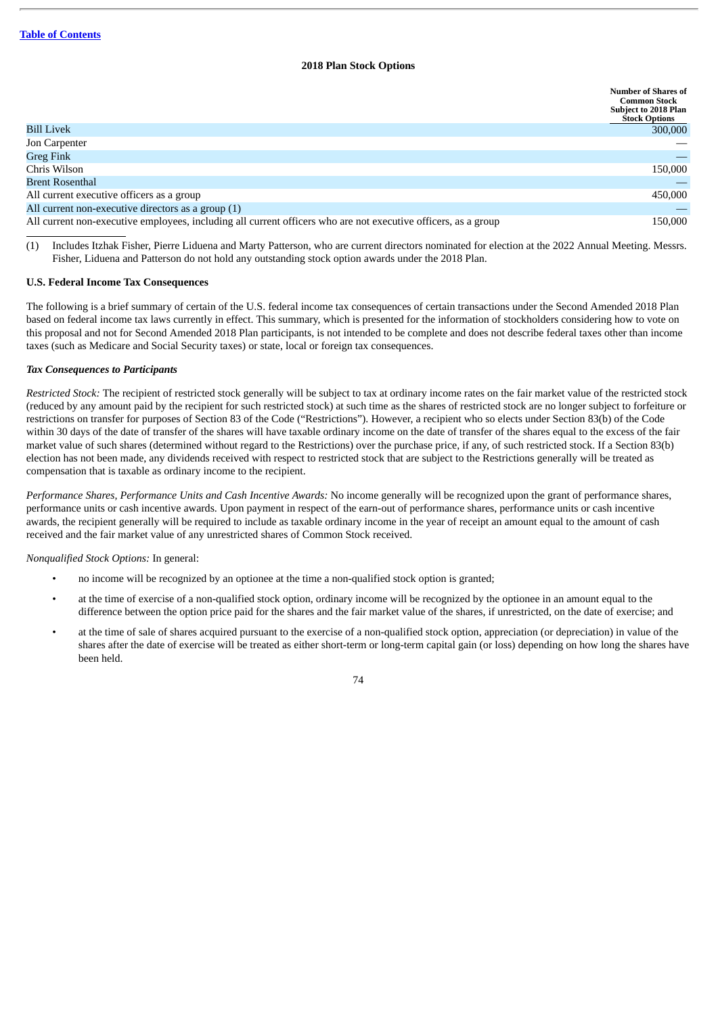# **2018 Plan Stock Options**

|                                                                                                                | <b>Number of Shares of</b><br><b>Common Stock</b><br><b>Subject to 2018 Plan</b><br><b>Stock Options</b> |
|----------------------------------------------------------------------------------------------------------------|----------------------------------------------------------------------------------------------------------|
| <b>Bill Livek</b>                                                                                              | 300,000                                                                                                  |
| Jon Carpenter                                                                                                  |                                                                                                          |
| <b>Greg Fink</b>                                                                                               |                                                                                                          |
| Chris Wilson                                                                                                   | 150,000                                                                                                  |
| <b>Brent Rosenthal</b>                                                                                         |                                                                                                          |
| All current executive officers as a group                                                                      | 450,000                                                                                                  |
| All current non-executive directors as a group (1)                                                             |                                                                                                          |
| All current non-executive employees, including all current officers who are not executive officers, as a group | 150,000                                                                                                  |

(1) Includes Itzhak Fisher, Pierre Liduena and Marty Patterson, who are current directors nominated for election at the 2022 Annual Meeting. Messrs. Fisher, Liduena and Patterson do not hold any outstanding stock option awards under the 2018 Plan.

# **U.S. Federal Income Tax Consequences**

The following is a brief summary of certain of the U.S. federal income tax consequences of certain transactions under the Second Amended 2018 Plan based on federal income tax laws currently in effect. This summary, which is presented for the information of stockholders considering how to vote on this proposal and not for Second Amended 2018 Plan participants, is not intended to be complete and does not describe federal taxes other than income taxes (such as Medicare and Social Security taxes) or state, local or foreign tax consequences.

### *Tax Consequences to Participants*

*Restricted Stock:* The recipient of restricted stock generally will be subject to tax at ordinary income rates on the fair market value of the restricted stock (reduced by any amount paid by the recipient for such restricted stock) at such time as the shares of restricted stock are no longer subject to forfeiture or restrictions on transfer for purposes of Section 83 of the Code ("Restrictions"). However, a recipient who so elects under Section 83(b) of the Code within 30 days of the date of transfer of the shares will have taxable ordinary income on the date of transfer of the shares equal to the excess of the fair market value of such shares (determined without regard to the Restrictions) over the purchase price, if any, of such restricted stock. If a Section 83(b) election has not been made, any dividends received with respect to restricted stock that are subject to the Restrictions generally will be treated as compensation that is taxable as ordinary income to the recipient.

*Performance Shares, Performance Units and Cash Incentive Awards:* No income generally will be recognized upon the grant of performance shares, performance units or cash incentive awards. Upon payment in respect of the earn-out of performance shares, performance units or cash incentive awards, the recipient generally will be required to include as taxable ordinary income in the year of receipt an amount equal to the amount of cash received and the fair market value of any unrestricted shares of Common Stock received.

# *Nonqualified Stock Options:* In general:

- no income will be recognized by an optionee at the time a non-qualified stock option is granted;
- at the time of exercise of a non-qualified stock option, ordinary income will be recognized by the optionee in an amount equal to the difference between the option price paid for the shares and the fair market value of the shares, if unrestricted, on the date of exercise; and
- at the time of sale of shares acquired pursuant to the exercise of a non-qualified stock option, appreciation (or depreciation) in value of the shares after the date of exercise will be treated as either short-term or long-term capital gain (or loss) depending on how long the shares have been held.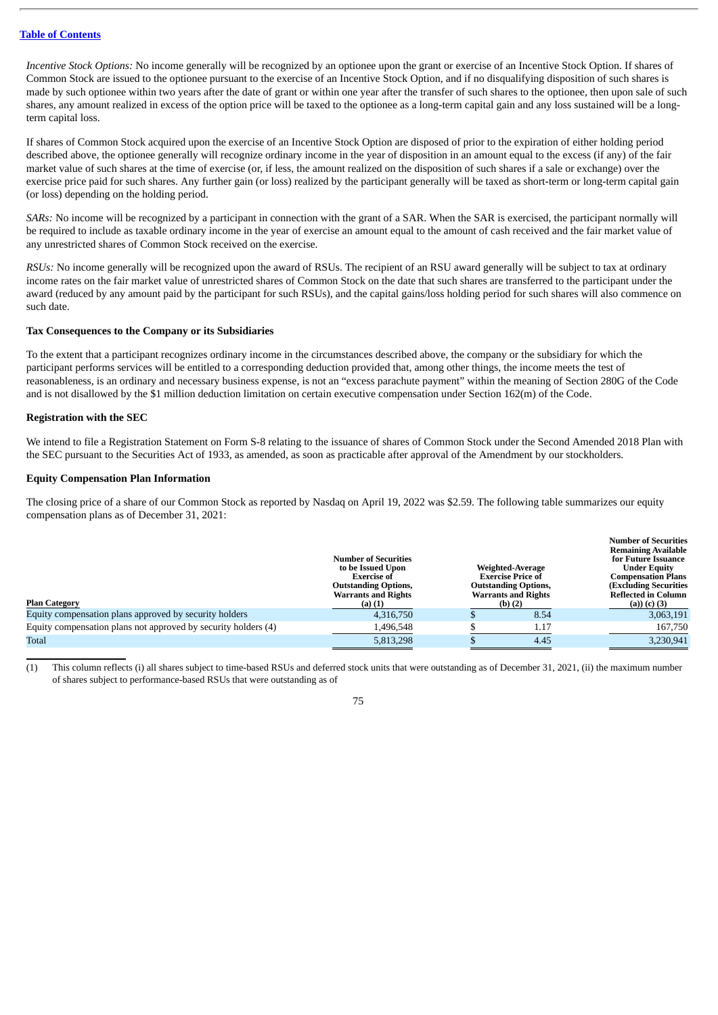*Incentive Stock Options:* No income generally will be recognized by an optionee upon the grant or exercise of an Incentive Stock Option. If shares of Common Stock are issued to the optionee pursuant to the exercise of an Incentive Stock Option, and if no disqualifying disposition of such shares is made by such optionee within two years after the date of grant or within one year after the transfer of such shares to the optionee, then upon sale of such shares, any amount realized in excess of the option price will be taxed to the optionee as a long-term capital gain and any loss sustained will be a longterm capital loss.

If shares of Common Stock acquired upon the exercise of an Incentive Stock Option are disposed of prior to the expiration of either holding period described above, the optionee generally will recognize ordinary income in the year of disposition in an amount equal to the excess (if any) of the fair market value of such shares at the time of exercise (or, if less, the amount realized on the disposition of such shares if a sale or exchange) over the exercise price paid for such shares. Any further gain (or loss) realized by the participant generally will be taxed as short-term or long-term capital gain (or loss) depending on the holding period.

*SARs:* No income will be recognized by a participant in connection with the grant of a SAR. When the SAR is exercised, the participant normally will be required to include as taxable ordinary income in the year of exercise an amount equal to the amount of cash received and the fair market value of any unrestricted shares of Common Stock received on the exercise.

*RSUs:* No income generally will be recognized upon the award of RSUs. The recipient of an RSU award generally will be subject to tax at ordinary income rates on the fair market value of unrestricted shares of Common Stock on the date that such shares are transferred to the participant under the award (reduced by any amount paid by the participant for such RSUs), and the capital gains/loss holding period for such shares will also commence on such date.

### **Tax Consequences to the Company or its Subsidiaries**

To the extent that a participant recognizes ordinary income in the circumstances described above, the company or the subsidiary for which the participant performs services will be entitled to a corresponding deduction provided that, among other things, the income meets the test of reasonableness, is an ordinary and necessary business expense, is not an "excess parachute payment" within the meaning of Section 280G of the Code and is not disallowed by the \$1 million deduction limitation on certain executive compensation under Section 162(m) of the Code.

# **Registration with the SEC**

We intend to file a Registration Statement on Form S-8 relating to the issuance of shares of Common Stock under the Second Amended 2018 Plan with the SEC pursuant to the Securities Act of 1933, as amended, as soon as practicable after approval of the Amendment by our stockholders.

# **Equity Compensation Plan Information**

The closing price of a share of our Common Stock as reported by Nasdaq on April 19, 2022 was \$2.59. The following table summarizes our equity compensation plans as of December 31, 2021:

|                                                                | <b>Number of Securities</b><br>to be Issued Upon<br><b>Exercise</b> of<br><b>Outstanding Options,</b><br><b>Warrants and Rights</b> | Weighted-Average<br><b>Exercise Price of</b><br><b>Outstanding Options,</b><br><b>Warrants and Rights</b> | <b>Number of Securities</b><br><b>Remaining Available</b><br>for Future Issuance<br><b>Under Equity</b><br>Compensation Plans<br><b>(Excluding Securities)</b><br><b>Reflected in Column</b> |
|----------------------------------------------------------------|-------------------------------------------------------------------------------------------------------------------------------------|-----------------------------------------------------------------------------------------------------------|----------------------------------------------------------------------------------------------------------------------------------------------------------------------------------------------|
| <b>Plan Category</b>                                           | $(a)$ $(1)$                                                                                                                         | (b) $(2)$                                                                                                 | (a)) (c) (3)                                                                                                                                                                                 |
| Equity compensation plans approved by security holders         | 4,316,750                                                                                                                           | 8.54                                                                                                      | 3,063,191                                                                                                                                                                                    |
| Equity compensation plans not approved by security holders (4) | 1,496,548                                                                                                                           | 1.17                                                                                                      | 167,750                                                                                                                                                                                      |
| Total                                                          | 5,813,298                                                                                                                           | 4.45                                                                                                      | 3,230,941                                                                                                                                                                                    |

(1) This column reflects (i) all shares subject to time-based RSUs and deferred stock units that were outstanding as of December 31, 2021, (ii) the maximum number of shares subject to performance-based RSUs that were outstanding as of

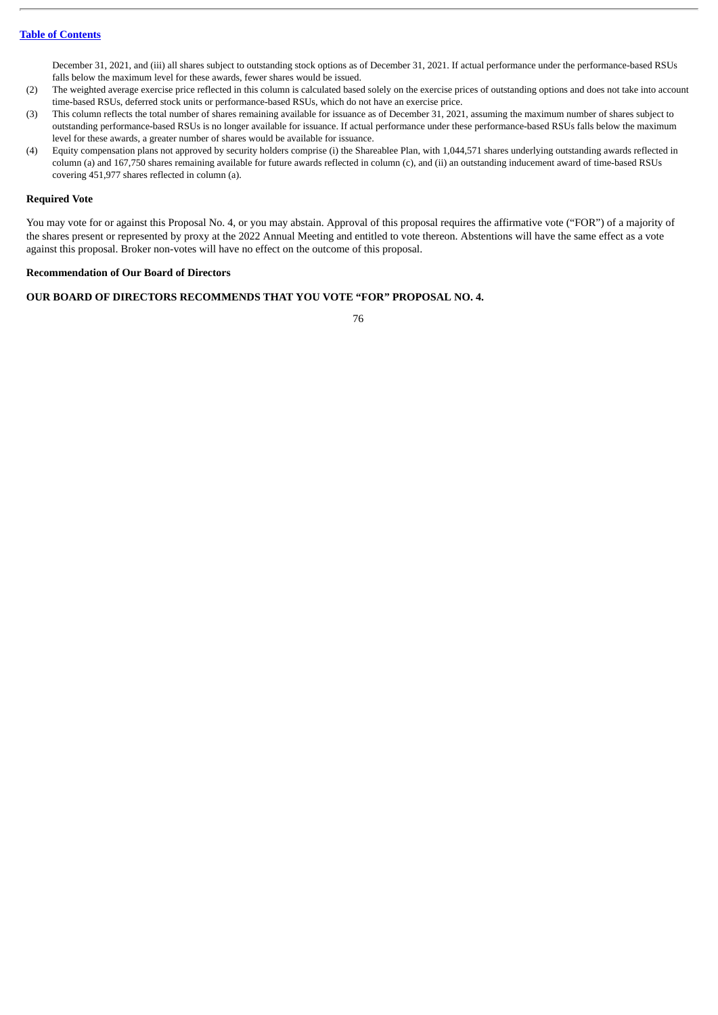December 31, 2021, and (iii) all shares subject to outstanding stock options as of December 31, 2021. If actual performance under the performance-based RSUs falls below the maximum level for these awards, fewer shares would be issued.

- (2) The weighted average exercise price reflected in this column is calculated based solely on the exercise prices of outstanding options and does not take into account time-based RSUs, deferred stock units or performance-based RSUs, which do not have an exercise price.
- (3) This column reflects the total number of shares remaining available for issuance as of December 31, 2021, assuming the maximum number of shares subject to outstanding performance-based RSUs is no longer available for issuance. If actual performance under these performance-based RSUs falls below the maximum level for these awards, a greater number of shares would be available for issuance.
- (4) Equity compensation plans not approved by security holders comprise (i) the Shareablee Plan, with 1,044,571 shares underlying outstanding awards reflected in column (a) and 167,750 shares remaining available for future awards reflected in column (c), and (ii) an outstanding inducement award of time-based RSUs covering 451,977 shares reflected in column (a).

### **Required Vote**

You may vote for or against this Proposal No. 4, or you may abstain. Approval of this proposal requires the affirmative vote ("FOR") of a majority of the shares present or represented by proxy at the 2022 Annual Meeting and entitled to vote thereon. Abstentions will have the same effect as a vote against this proposal. Broker non-votes will have no effect on the outcome of this proposal.

### **Recommendation of Our Board of Directors**

# **OUR BOARD OF DIRECTORS RECOMMENDS THAT YOU VOTE "FOR" PROPOSAL NO. 4.**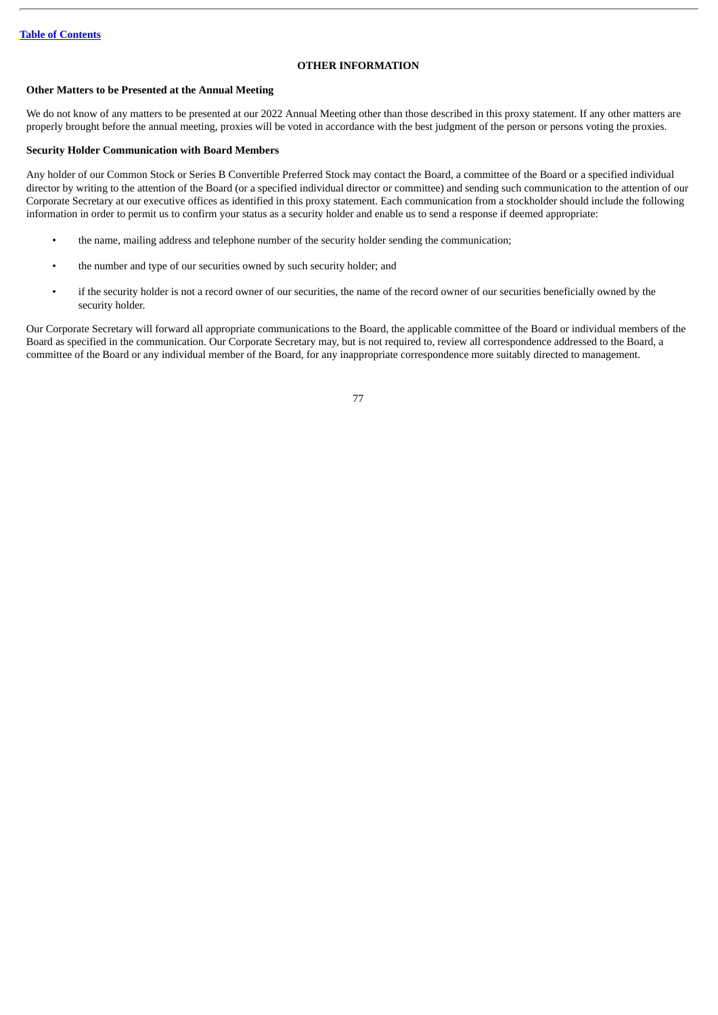# **OTHER INFORMATION**

# **Other Matters to be Presented at the Annual Meeting**

We do not know of any matters to be presented at our 2022 Annual Meeting other than those described in this proxy statement. If any other matters are properly brought before the annual meeting, proxies will be voted in accordance with the best judgment of the person or persons voting the proxies.

# **Security Holder Communication with Board Members**

Any holder of our Common Stock or Series B Convertible Preferred Stock may contact the Board, a committee of the Board or a specified individual director by writing to the attention of the Board (or a specified individual director or committee) and sending such communication to the attention of our Corporate Secretary at our executive offices as identified in this proxy statement. Each communication from a stockholder should include the following information in order to permit us to confirm your status as a security holder and enable us to send a response if deemed appropriate:

- the name, mailing address and telephone number of the security holder sending the communication;
- the number and type of our securities owned by such security holder; and
- if the security holder is not a record owner of our securities, the name of the record owner of our securities beneficially owned by the security holder.

Our Corporate Secretary will forward all appropriate communications to the Board, the applicable committee of the Board or individual members of the Board as specified in the communication. Our Corporate Secretary may, but is not required to, review all correspondence addressed to the Board, a committee of the Board or any individual member of the Board, for any inappropriate correspondence more suitably directed to management.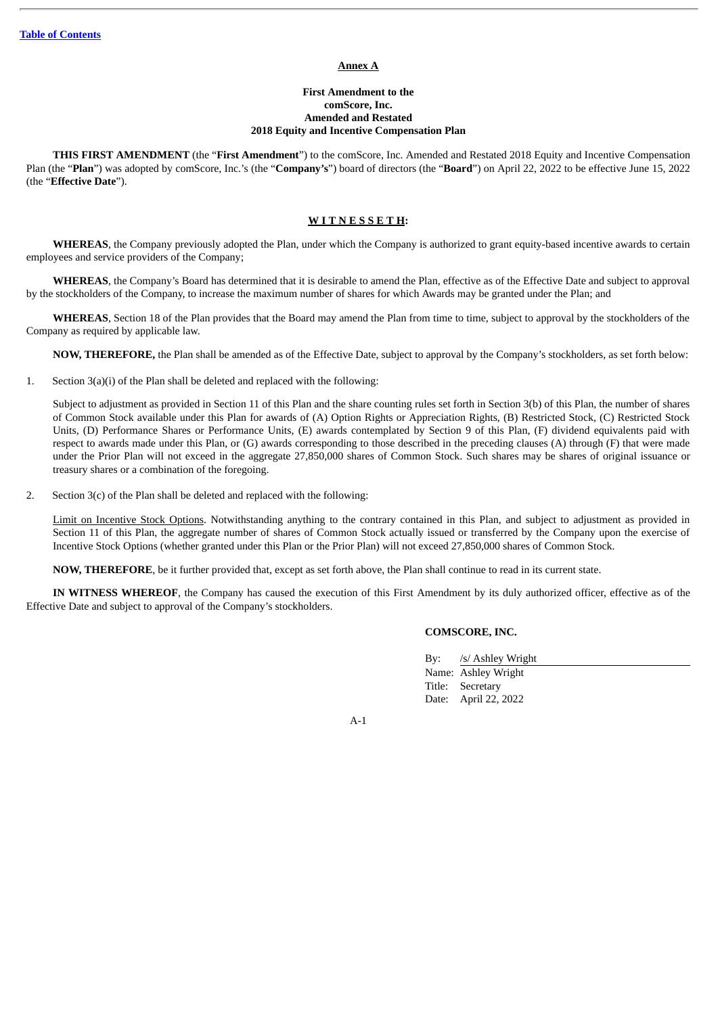#### **Annex A**

# **First Amendment to the comScore, Inc. Amended and Restated 2018 Equity and Incentive Compensation Plan**

**THIS FIRST AMENDMENT** (the "**First Amendment**") to the comScore, Inc. Amended and Restated 2018 Equity and Incentive Compensation Plan (the "**Plan**") was adopted by comScore, Inc.'s (the "**Company's**") board of directors (the "**Board**") on April 22, 2022 to be effective June 15, 2022 (the "**Effective Date**").

### **W I T N E S S E T H:**

**WHEREAS**, the Company previously adopted the Plan, under which the Company is authorized to grant equity-based incentive awards to certain employees and service providers of the Company;

**WHEREAS**, the Company's Board has determined that it is desirable to amend the Plan, effective as of the Effective Date and subject to approval by the stockholders of the Company, to increase the maximum number of shares for which Awards may be granted under the Plan; and

**WHEREAS**, Section 18 of the Plan provides that the Board may amend the Plan from time to time, subject to approval by the stockholders of the Company as required by applicable law.

**NOW, THEREFORE,** the Plan shall be amended as of the Effective Date, subject to approval by the Company's stockholders, as set forth below:

1. Section 3(a)(i) of the Plan shall be deleted and replaced with the following:

Subject to adjustment as provided in Section 11 of this Plan and the share counting rules set forth in Section 3(b) of this Plan, the number of shares of Common Stock available under this Plan for awards of (A) Option Rights or Appreciation Rights, (B) Restricted Stock, (C) Restricted Stock Units, (D) Performance Shares or Performance Units, (E) awards contemplated by Section 9 of this Plan, (F) dividend equivalents paid with respect to awards made under this Plan, or (G) awards corresponding to those described in the preceding clauses (A) through (F) that were made under the Prior Plan will not exceed in the aggregate 27,850,000 shares of Common Stock. Such shares may be shares of original issuance or treasury shares or a combination of the foregoing.

2. Section  $3(c)$  of the Plan shall be deleted and replaced with the following:

Limit on Incentive Stock Options. Notwithstanding anything to the contrary contained in this Plan, and subject to adjustment as provided in Section 11 of this Plan, the aggregate number of shares of Common Stock actually issued or transferred by the Company upon the exercise of Incentive Stock Options (whether granted under this Plan or the Prior Plan) will not exceed 27,850,000 shares of Common Stock.

**NOW, THEREFORE**, be it further provided that, except as set forth above, the Plan shall continue to read in its current state.

**IN WITNESS WHEREOF**, the Company has caused the execution of this First Amendment by its duly authorized officer, effective as of the Effective Date and subject to approval of the Company's stockholders.

# **COMSCORE, INC.**

By: /s/ Ashley Wright Name: Ashley Wright Title: Secretary Date: April 22, 2022

A-1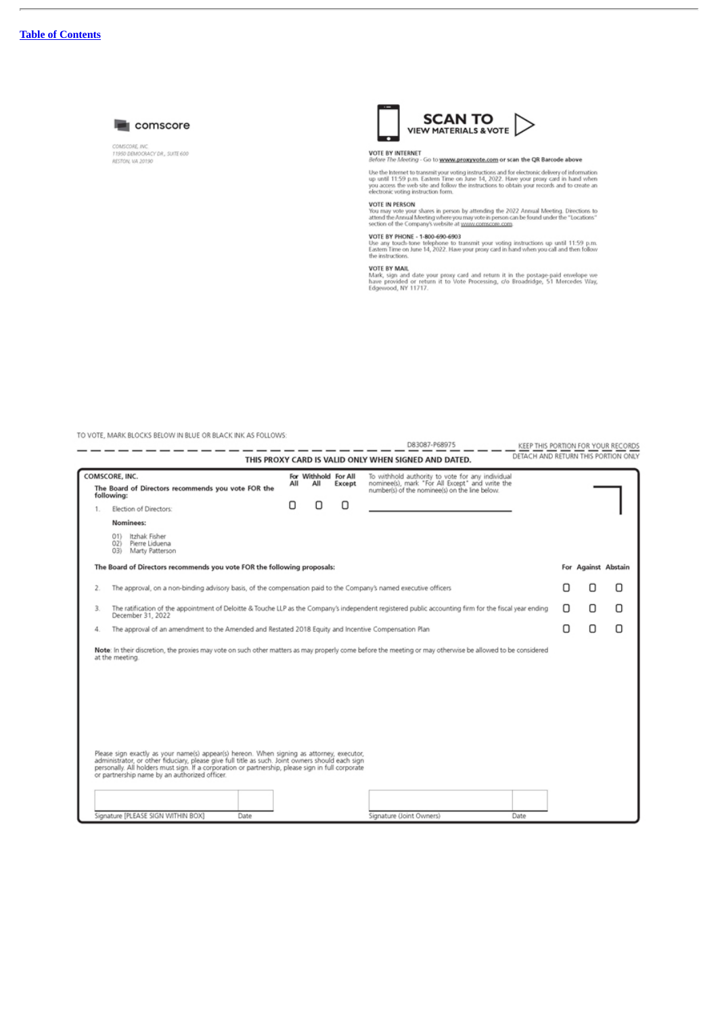

COMSCORE, INC.<br>11950 DEMOCRACY DR., SUITE 600<br>RESTON, VA 20190



# VOTE BY INTERNET<br>Before The Meeting - Go to www.proxyvote.com or scan the QR Barcode above

Use the Internet to transmit your voting instructions and for electronic delivery of information up until 11:59 p.m. Eastern Time on June 14, 2022. Have your proxy card in hand when you access the web site and follow the

VOTE IN PERSON<br>You may vote your shares in person by attending the 2022 Annual Meeting. Directions to<br>attend the Annual Meeting where you may vote in person can be found under the "Locations"<br>section of the Company's websi

VOTE BY PHONE - 1-800-690-6903<br>Use any touch-tone telephone to transmit your voting instructions up until 11:59 p.m.<br>Eastern Time on June 14, 2022. Have your proxy card in hand when you call and then follow<br>the instructio

VOTE BY MAIL<br>Mark, sign and date your proxy card and return it in the postage-paid envelope we<br>have provided or return it to Vote Processing, c/o Broadridge, 51 Mercedes Way,<br>Edgewood, NY 11717.

TO VOTE, MARK BLOCKS BELOW IN BLUE OR BLACK INK AS FOLLOWS:

|                                                                                                                                                                                                                                                                                                                                                                                                                                                                                                                                      |     |                                                          |   | D83087-P68975                                                                                                                                          |   |                     | KEEP THIS PORTION FOR YOUR RECORDS  |
|--------------------------------------------------------------------------------------------------------------------------------------------------------------------------------------------------------------------------------------------------------------------------------------------------------------------------------------------------------------------------------------------------------------------------------------------------------------------------------------------------------------------------------------|-----|----------------------------------------------------------|---|--------------------------------------------------------------------------------------------------------------------------------------------------------|---|---------------------|-------------------------------------|
|                                                                                                                                                                                                                                                                                                                                                                                                                                                                                                                                      |     |                                                          |   | THIS PROXY CARD IS VALID ONLY WHEN SIGNED AND DATED.                                                                                                   |   |                     | DETACH AND RETURN THIS PORTION ONLY |
| COMSCORE, INC.                                                                                                                                                                                                                                                                                                                                                                                                                                                                                                                       | All | For Withhold For All<br>All                              |   | To withhold authority to vote for any individual<br>nominee(s), mark "For All Except" and write the                                                    |   |                     |                                     |
| The Board of Directors recommends you vote FOR the<br>following:                                                                                                                                                                                                                                                                                                                                                                                                                                                                     |     | Except<br>number(s) of the nominee(s) on the line below. |   |                                                                                                                                                        |   |                     |                                     |
| Election of Directors:<br>1.                                                                                                                                                                                                                                                                                                                                                                                                                                                                                                         | О   |                                                          | П |                                                                                                                                                        |   |                     |                                     |
| Nominees:                                                                                                                                                                                                                                                                                                                                                                                                                                                                                                                            |     |                                                          |   |                                                                                                                                                        |   |                     |                                     |
| 01) Itzhak Fisher<br>Pierre Liduena<br>02)<br>Marty Patterson<br>031                                                                                                                                                                                                                                                                                                                                                                                                                                                                 |     |                                                          |   |                                                                                                                                                        |   |                     |                                     |
| The Board of Directors recommends you vote FOR the following proposals:                                                                                                                                                                                                                                                                                                                                                                                                                                                              |     |                                                          |   |                                                                                                                                                        |   | For Against Abstain |                                     |
| The approval, on a non-binding advisory basis, of the compensation paid to the Company's named executive officers<br>2.                                                                                                                                                                                                                                                                                                                                                                                                              |     |                                                          |   |                                                                                                                                                        |   |                     | П                                   |
| 3.<br>December 31, 2022                                                                                                                                                                                                                                                                                                                                                                                                                                                                                                              |     |                                                          |   | The ratification of the appointment of Deloitte & Touche LLP as the Company's independent registered public accounting firm for the fiscal year ending |   | Π                   | Π                                   |
| The approval of an amendment to the Amended and Restated 2018 Equity and Incentive Compensation Plan<br>4.                                                                                                                                                                                                                                                                                                                                                                                                                           |     |                                                          |   |                                                                                                                                                        | п | Ω                   | Ω                                   |
| Note: In their discretion, the proxies may vote on such other matters as may properly come before the meeting or may otherwise be allowed to be considered<br>at the meeting.<br>Please sign exactly as your name(s) appear(s) hereon. When signing as attorney, executor,<br>administrator, or other fiduciary, please give full title as such. Joint owners should each sign<br>personally. All holders must sign. If a corporation or partnership, please sign in full corporate<br>or partnership name by an authorized officer. |     |                                                          |   |                                                                                                                                                        |   |                     |                                     |
| Signature [PLEASE SIGN WITHIN BOX]<br>Date                                                                                                                                                                                                                                                                                                                                                                                                                                                                                           |     |                                                          |   | Signature (Joint Owners)<br>Date                                                                                                                       |   |                     |                                     |